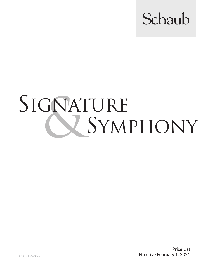

## SIGNATURE<br>SYM SYMPHONY

**Price List** Part of ASSA ABLOY **Effective February 1, 2021**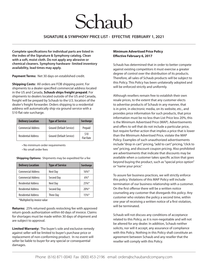## Schaub

## **SIGNATURE & SYMPHONY PRICE LIST - EFFECTIVE FEBRUARY 1, 2021**

**Complete specifications for individual parts are listed in the index of the Signature & Symphony catalog. Clean with a soft, moist cloth. Do not apply any abrasive or chemical cleaners. Symphony hardware- limited inventory availability, lead times may apply.**

**Payment Terms:** Net 30 days on established credit.

**Shipping Costs:** All orders are FOB shipping point. For shipments to a dealer-specified commercial address located in the US and Canada, **Schaub ships freight prepaid**. For shipments to dealers located outside of the US and Canada, freight will be prepaid by Schaub to the U.S. location of the dealer's freight forwarder. Orders shipping to a residential address will automatically ship via ground service with a \$10 flat rate surcharge.

| <b>Delivery Location</b>   | <b>Type of Service</b>   | <b>Surcharge</b>         |
|----------------------------|--------------------------|--------------------------|
| <b>Commercial Address</b>  | Ground (Default Service) | Prepaid                  |
| <b>Residential Address</b> | Ground (Default Service) | \$10<br><b>Flat Rate</b> |

• No minimum order requirements

• No small order fees

**Shipping Options:** Shipments may be expedited for a fee

| <b>Delivery Location</b>   | <b>Type of Service</b> | <b>Surcharge</b> |
|----------------------------|------------------------|------------------|
| <b>Commercial Address</b>  | Next Day               | $16\%*$          |
| <b>Commercial Address</b>  | Second Day             | $6\%*$           |
| <b>Residential Address</b> | Next Day               | $75%$ *          |
| <b>Residential Address</b> | Second Day             | $20\%$ *         |
| <b>Residential Address</b> | <b>Three Day</b>       | 15%              |

\*Multiplied by invoice value

**Returns:** 25% returned goods restocking fee with approved return goods authorization within 60 days of invoice. Claims for shortages must be made within 30 days of shipment and are subject to approval.

**Limited Warranty:** The buyer's sole and exclusive remedy against seller will be limited to buyer's purchase price or replacement of non-conforming product. In no event will seller be liable to buyer for any special or consequential damages.

## **Minimum Advertised Price Policy Effective February 6, 2017**

Schaub has determined that in order to better compete against existing competitors it must exercise a greater degree of control over the distribution of its products. Therefore, all sales of Schaub products will be subject to this Policy. This Policy has been unilaterally adopted and will be enforced strictly and uniformly.

Although resellers remain free to establish their own resale prices, to the extent that any customer elects to advertise products of Schaub in any manner, that is in print, in electronic media, on its website, etc., and provides price information for such products, that price information must be no less than List Price less 20%, this is the Minimum Advertised Price (MAP). Advertisements and offers to sell that do not include a particular price, but require further action that implies a price that is lower than the Minimum Advertised Price, violate the MAP Policy. Examples of such unauthorized advertisements include "drop in cart" pricing, "add to cart" pricing, "click to see" pricing, and discount coupon pricing. Also prohibited are advertisements that indicate that discounts may be available when a customer takes specific action that goes beyond buying the product, such as "special price option" or "name your price."

To assure fair business practices, we will strictly enforce this policy. Violations of this MAP Policy will include termination of our business relationship with a customer. On the first offense there will be a written notice counseling any customer that disregards this policy. Any customer who violates the policy a second time, within one year of receiving a written notice of a first violation, will be terminated.

Schaub will not discuss any conditions of acceptance related to this Policy, as it is non-negotiable and will not be altered for any dealer. In addition, Schaub neither solicits, nor will it accept, any assurance of compliance with this Policy. Nothing in this Policy shall constitute an agreement between Schaub and any reseller that the reseller will comply with this Policy.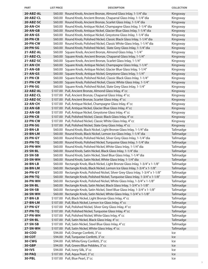| <b>PART</b>                        | <b>LIST PRICE</b> | <b>DESCRIPTION</b>                                                                                                                                        | <b>COLLECTION</b>      |
|------------------------------------|-------------------|-----------------------------------------------------------------------------------------------------------------------------------------------------------|------------------------|
| 20-ABZ-AL                          |                   | \$60.00 Round Knob, Ancient Bronze, Almond Glass Inlay, 1-1/4" dia                                                                                        | Kingsway               |
| 20-ABZ-CL                          |                   | \$60.00 Round Knob, Ancient Bronze, Chaparral Glass Inlay, 1-1/4" dia                                                                                     | Kingsway               |
| 20-ABZ-SC                          |                   | \$60.00 Round Knob, Ancient Bronze, Scarlet Glass Inlay, 1-1/4" dia                                                                                       | Kingsway               |
| 20-AN-CH                           | \$60.00           | Round Knob, Antique Nickel, Champagne Glass Inlay, 1-1/4" dia                                                                                             | Kingsway               |
| $20 - AN - GB$                     |                   | \$60.00 Round Knob, Antique Nickel, Glacier Blue Glass Inlay, 1-1/4" dia                                                                                  | Kingsway               |
| <b>20-AN-GS</b>                    |                   | \$60.00 Round Knob, Antique Nickel, Greystone Glass Inlay, 1-1/4" dia                                                                                     | Kingsway               |
| 20-PN-CB                           |                   | \$60.00 Round Knob, Polished Nickel, Classic Black Glass Inlay, 1-1/4" dia                                                                                | Kingsway               |
| 20-PN-CW                           |                   | \$60.00 Round Knob, Polished Nickel, Classic White Glass Inlay, 1-1/4" dia                                                                                | Kingsway               |
| <b>20-PN-SG</b>                    |                   | \$60.00 Round Knob, Polished Nickel, Slate Grey Glass Inlay, 1-1/4" dia                                                                                   | Kingsway               |
| 21-ABZ-AL                          |                   | \$60.00 Square Knob, Ancient Bronze, Almond Glass Inlay, 1-1/4"                                                                                           | Kingsway               |
| 21-ABZ-CL                          |                   | \$60.00 Square Knob, Ancient Bronze, Chaparral Glass Inlay, 1-1/4"                                                                                        | Kingsway               |
| 21-ABZ-SC                          |                   | \$60.00 Square Knob, Ancient Bronze, Scarlet Glass Inlay, 1-1/4"                                                                                          | Kingsway               |
| 21-AN-CH                           |                   | \$60.00 Square Knob, Antique Nickel, Champagne Glass Inlay, 1-1/4"                                                                                        | Kingsway               |
| $21 - AN - GB$                     |                   | \$60.00 Square Knob, Antique Nickel, Glacier Blue Glass Inlay, 1-1/4"                                                                                     | Kingsway               |
| $21 - AN - GS$                     |                   | \$60.00 Square Knob, Antique Nickel, Greystone Glass Inlay, 1-1/4"                                                                                        | Kingsway               |
| $21 - PN - CB$                     |                   | \$60.00 Square Knob, Polished Nickel, Classic Black Glass Inlay, 1-1/4"                                                                                   | Kingsway               |
| 21-PN-CW                           |                   | \$60.00 Square Knob, Polished Nickel, Classic White Glass Inlay, 1-1/4"                                                                                   | Kingsway               |
| <b>21-PN-SG</b>                    |                   | \$60.00 Square Knob, Polished Nickel, Slate Grey Glass Inlay, 1-1/4"                                                                                      | Kingsway               |
| 22-ABZ-AL                          |                   | \$107.00 Pull, Ancient Bronze, Almond Glass Inlay, 4" cc                                                                                                  | Kingsway               |
| 22-ABZ-CL                          |                   | \$107.00 Pull, Ancient Bronze, Chaparral Glass Inlay, 4" cc                                                                                               | Kingsway               |
| 22-ABZ-SC                          |                   | \$107.00 Pull, Ancient Bronze, Scarlet Glass Inlay, 4" cc                                                                                                 | Kingsway               |
| 22-AN-CH                           | \$107.00          | Pull, Antique Nickel, Champagne Glass Inlay, 4" cc                                                                                                        | Kingsway               |
| $22$ -AN-GB                        |                   | \$107.00 Pull, Antique Nickel, Glacier Blue Glass Inlay, 4" cc                                                                                            | Kingsway               |
| 22-AN-GB                           |                   | \$107.00 Pull, Antique Nickel, Greystone Glass Inlay, 4" cc                                                                                               | Kingsway               |
| $22-PN-CB$                         |                   | \$107.00 Pull, Polished Nickel, Classic Black Glass Inlay, 4" cc                                                                                          | Kingsway               |
| 22-PN-CW                           |                   | \$107.00 Pull, Polished Nickel, Classic White Glass Inlay, 4" cc                                                                                          | Kingsway               |
| <b>22-PN-SG</b>                    |                   | \$107.00 Pull, Polished Nickel, Slate Grey Glass Inlay, 4" cc                                                                                             | Kingsway               |
| $25-BN-LB$                         |                   | \$60.00 Round Knob, Black Nickel, Light Bronze Glass Inlay, 1-1/4" dia                                                                                    | Tallmadge              |
| <b>25-BN-LM</b>                    |                   | \$60.00 Round Knob, Black Nickel, Lemon Ice Glass Inlay, 1-1/4" dia                                                                                       | Tallmadge              |
| <b>25-PN-GY</b>                    |                   | \$60.00 Round Knob, Polished Nickel, Silver Grey Glass Inlay, 1-1/4" dia                                                                                  | Tallmadge              |
| 25-PN-TQ                           |                   | \$60.00 Round Knob, Polished Nickel, Turquoise Glass Inlay, 1-1/4" dia                                                                                    | Tallmadge              |
| 25-PN-WH                           |                   | \$60.00 Round Knob, Polished Nickel, White Glass Inlay, 1-1/4" dia                                                                                        | Tallmadge              |
| <b>25-SN-BL</b>                    |                   | \$60.00 Round Knob, Satin Nickel, Black Glass Inlay, 1-1/4" dia                                                                                           | Tallmadge              |
| <b>25-SN-SB</b>                    |                   | \$60.00 Round Knob, Satin Nickel, Steel Blue Glass Inlay, 1-1/4" dia                                                                                      | Tallmadge              |
| 25-SN-WH                           |                   | \$60.00 Round Knob, Satin Nickel, White Glass Inlay, 1-1/4" dia                                                                                           | Tallmadge              |
| <b>26-BN-LB</b>                    |                   | \$60.00 Rectangle Knob, Black Nickel, Light Bronze Glass Inlay, 1-3/4" x 1-1/8"                                                                           | Tallmadge              |
| <b>26-BN-LM</b>                    |                   | \$60.00 Rectangle Knob, Black Nickel, Lemon Ice Glass Inlay, 1-3/4" x 1-1/8"                                                                              | Tallmadge              |
| <b>26-PN-GY</b>                    |                   | \$60.00 Rectangle Knob, Polished Nickel, Silver Grey Glass Inlay, 1-3/4" x 1-1/8"                                                                         | Tallmadge              |
| <b>26-PN-TQ</b>                    |                   | \$60.00 Rectangle Knob, Polished Nickel, Turquoise Glass Inlay, 1-3/4" x 1-1/8"                                                                           | Tallmadge              |
| 26-PN-WH                           | \$60.00           | Rectangle Knob, Polished Nickel, White Glass Inlay, 1-3/4" x 1-1/8"                                                                                       | Tallmadge              |
| <b>26-SN-BL</b><br><b>26-SN-SB</b> |                   | \$60.00 Rectangle Knob, Satin Nickel, Black Glass Inlay, 1-3/4" x 1-1/8"<br>\$60.00 Rectangle Knob, Satin Nickel, Steel Blue Glass Inlay, 1-3/4" x 1-1/8" | Tallmadge              |
| <b>26-SN-WH</b>                    |                   | \$60.00 Rectangle Knob, Satin Nickel, White Glass Inlay, 1-3/4" x 1-1/8"                                                                                  | Tallmadge<br>Tallmadge |
| $27 - BN - LB$                     |                   | \$107.00 Pull, Black Nickel, Light Bronze Glass Inlay, 4" cc                                                                                              | Tallmadge              |
| 27-BN-LM                           |                   | \$107.00 Pull, Black Nickel, Lemon Ice Glass Inlay, 4" cc                                                                                                 | Tallmadge              |
| 27-PN-GY                           |                   | \$107.00 Pull, Polished Nickel, Silver Grey Glass Inlay, 4" cc                                                                                            | Tallmadge              |
| 27-PN-TQ                           |                   | \$107.00 Pull, Polished Nickel, Turquoise Glass Inlay, 4" cc                                                                                              | Tallmadge              |
| 27-PN-WH                           |                   | \$107.00 Pull, Polished Nickel, White Glass Inlay, 4" cc                                                                                                  | Tallmadge              |
| <b>27-SN-BL</b>                    |                   | \$107.00 Pull, Satin Nickel, Black Glass Inlay, 4" cc                                                                                                     | Tallmadge              |
| <b>27-SN-SB</b>                    |                   | \$107.00 Pull, Satin Nickel, Steel Blue Glass Inlay, 4" cc                                                                                                | Tallmadge              |
| 27-SN-WH                           |                   | \$107.00 Pull, Satin Nickel, White Glass Inlay, 4" cc                                                                                                     | Tallmadge              |
| 30-COO                             |                   | \$94.00 Pull, Orange Confetti, 3"cc                                                                                                                       | Ice                    |
| <b>30-COT</b>                      |                   | \$94.00 Pull, Turquoise Confetti, 3" cc                                                                                                                   | Ice                    |
| 30-CWG                             |                   | \$94.00 Pull, White/Grey Confetti, 3"cc                                                                                                                   | Ice                    |
| 30-GBP                             |                   | \$94.00 Pull, Green/Blue Pebbles, 3" cc                                                                                                                   | Ice                    |
| 30-IVS                             |                   | \$94.00 Pull, Ivory Silk, 3"cc                                                                                                                            | Ice                    |
| 30-PAQ                             |                   | \$107.00 Pull, Aqua Pearl, 3"cc                                                                                                                           | Ice                    |
| 30-PBL                             |                   | \$107.00 Pull, Blue Pearl, 3" cc                                                                                                                          | Ice                    |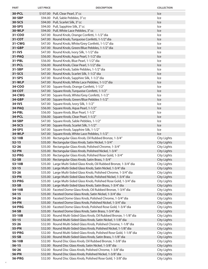| <b>PART</b>            | <b>LIST PRICE</b> | <b>DESCRIPTION</b>                                                                                                          | <b>COLLECTION</b>                        |
|------------------------|-------------------|-----------------------------------------------------------------------------------------------------------------------------|------------------------------------------|
| 30-PCL                 |                   | \$107.00 Pull, Clear Pearl, 3" cc                                                                                           | Ice                                      |
| 30-SBP                 |                   | \$94.00 Pull, Sable Pebbles, 3" cc                                                                                          | Ice                                      |
| 30-SCS                 |                   | \$94.00 Pull, Scarlet Silk, 3" cc                                                                                           | Ice                                      |
| 30-SPS                 |                   | \$94.00 Pull, Sapphire Silk, 3"cc                                                                                           | Ice                                      |
| <b>30-WLP</b>          |                   | \$94.00 Pull, White Lace Pebbles, 3" cc                                                                                     | Ice                                      |
| 31-COO                 |                   | \$47.00 Round Knob, Orange Confetti, 1-1/2" dia                                                                             | Ice                                      |
| 31-COT                 |                   | \$47.00 Round Knob, Turquoise Confetti, 1-1/2" dia                                                                          | Ice                                      |
| 31-CWG                 |                   | \$47.00 Round Knob, White/Grey Confetti, 1-1/2" dia                                                                         | Ice                                      |
| 31-GBP                 |                   | \$47.00 Round Knob, Green/Blue Pebbles, 1-1/2" dia                                                                          | Ice                                      |
| 31-IVS                 |                   | \$47.00 Round Knob, Ivory Silk, 1-1/2" dia                                                                                  | Ice                                      |
| 31-PAQ                 |                   | \$56.00 Round Knob, Aqua Pearl, 1-1/2" dia                                                                                  | Ice                                      |
| 31-PBL                 |                   | \$56.00 Round Knob, Blue Pearl, 1-1/2" dia                                                                                  | Ice                                      |
| 31-PCL                 |                   | \$56.00 Round Knob, Clear Pearl, 1-1/2" dia                                                                                 | Ice                                      |
| 31-SBP<br>31-SCS       |                   | \$47.00 Round Knob, Sable Pebbles, 1-1/2" dia<br>\$47.00 Round Knob, Scarlet Silk, 1-1/2" dia                               | Ice<br>Ice                               |
| 31-SPS                 |                   | \$47.00 Round Knob, Sapphire Silk, 1-1/2" dia                                                                               | Ice                                      |
| 31-WLP                 |                   | \$47.00 Round Knob, White Lace Pebbles, 1-1/2" dia                                                                          | Ice                                      |
| 34-COO                 |                   | \$47.00 Square Knob, Orange Confetti, 1-1/2"                                                                                | Ice                                      |
| 34-COT                 |                   | \$47.00 Square Knob, Turquoise Confetti, 1-1/2"                                                                             | Ice                                      |
| <b>34-CWG</b>          |                   | \$47.00 Square Knob, White/Grey Confetti, 1-1/2"                                                                            | Ice                                      |
| 34-GBP                 |                   | \$47.00 Square Knob, Green/Blue Pebbles 1-1/2"                                                                              | Ice                                      |
| 34-IVS                 |                   | \$47.00 Square Knob, Ivory Silk, 1-1/2"                                                                                     | Ice                                      |
| 34-PAQ                 |                   | \$56.00 Square Knob, Aqua Pearl, 1-1/2"                                                                                     | Ice                                      |
| 34-PBL                 |                   | \$56.00 Square Knob, Blue Pearl, 1-1/2"                                                                                     | Ice                                      |
| 34-PCL                 |                   | \$56.00 Square Knob, Clear Pearl, 1-1/2"                                                                                    | Ice                                      |
| 34-SBP                 |                   | \$47.00 Square Knob, Sable Pebbles, 1-1/2"                                                                                  | Ice                                      |
| 34-SCS                 |                   | \$47.00 Square Knob, Scarlet Silk, 1-1/2"                                                                                   | Ice                                      |
| 34-SPS                 |                   | \$47.00 Square Knob, Sapphire Silk, 1-1/2"                                                                                  | Ice                                      |
| <b>34-WLP</b>          |                   | \$47.00 Square Knob, White Lace Pebbles, 1-1/2"                                                                             | Ice                                      |
| 52-10B                 |                   | \$35.00 Rectangular Glass Knob, Oil Rubbed Bronze, 1-3/4"                                                                   | <b>City Lights</b>                       |
| $52 - 15$              |                   | \$35.00 Rectangular Glass Knob, Satin Nickel, 1-3/4"                                                                        | <b>City Lights</b>                       |
| $52 - 26$              |                   | \$35.00 Rectangular Glass Knob, Polished Chrome, 1-3/4"                                                                     | <b>City Lights</b>                       |
| <b>52-PN</b>           |                   | \$35.00 Rectangular Glass Knob, Polished Nickel, 1-3/4"                                                                     | <b>City Lights</b>                       |
| 52-PRG                 |                   | \$35.00 Rectangular Glass Knob, Polished Rose Gold, 1-3/4"                                                                  | <b>City Lights</b>                       |
| $52-SB$                |                   | \$35.00 Rectangular Glass Knob, Satin Brass, 1-3/4"<br>\$35.00 Large Multi-Sided Glass Knob, Oil Rubbed Bronze, 1-3/4" dia  | <b>City Lights</b>                       |
| 53-10B<br>$53 - 15$    |                   | \$35.00 Large Multi-Sided Glass Knob, Satin Nickel, 1-3/4" dia                                                              | <b>City Lights</b><br><b>City Lights</b> |
| $53 - 26$              | \$35.00           | Large Multi-Sided Glass Knob, Polished Chrome, 1-3/4" dia                                                                   | <b>City Lights</b>                       |
| 53-PN                  | \$35.00           | Large Multi-Sided Glass Knob, Polished Nickel, 1-3/4" dia                                                                   | <b>City Lights</b>                       |
| 53-PRG                 | \$35.00           | Large Multi-Sided Glass Knob, Polished Rose Gold, 1-3/4" dia                                                                | <b>City Lights</b>                       |
| 53-SB                  | \$35.00           | Large Multi-Sided Glass Knob, Satin Brass, 1-3/4" dia                                                                       | <b>City Lights</b>                       |
| 54-10B                 | \$35.00           | Faceted Dome Glass Knob, Oil Rubbed Bronze, 1-3/4" dia                                                                      | <b>City Lights</b>                       |
| $54 - 15$              |                   | \$35.00 Faceted Dome Glass Knob, Satin Nickel, 1-3/4" dia                                                                   | <b>City Lights</b>                       |
| $54 - 26$              |                   | \$35.00 Faceted Dome Glass Knob, Polished Chrome, 1-3/4" dia                                                                | City Lights                              |
| <b>54-PN</b>           |                   | \$35.00 Faceted Dome Glass Knob, Polished Nickel, 1-3/4" dia                                                                | <b>City Lights</b>                       |
| <b>54-PRG</b>          |                   | \$35.00 Faceted Dome Glass Knob, Polished Rose Gold, 1-3/4" dia                                                             | <b>City Lights</b>                       |
| 54-SB                  |                   | \$35.00 Faceted Dome Glass Knob, Satin Brass, 1-3/4" dia                                                                    | <b>City Lights</b>                       |
| 55-10B                 |                   | \$32.00 Round Multi-Sided Glass Knob, Oil Rubbed Bronze, 1-1/8" dia                                                         | <b>City Lights</b>                       |
| $55 - 15$              |                   | \$32.00 Round Multi-Sided Glass Knob, Satin Nickel, 1-1/8" dia                                                              | <b>City Lights</b>                       |
| $55 - 26$              | \$32.00           | Round Multi-Sided Glass Knob, Polished Chrome, 1-1/8" dia                                                                   | <b>City Lights</b>                       |
| 55-PN                  | \$32.00           | Round Multi-Sided Glass Knob, Polished Nickel, 1-1/8" dia                                                                   | <b>City Lights</b>                       |
| 55-PRG                 | \$32.00           | Round Multi-Sided Glass Knob, Polished Rose Gold, 1-1/8" dia                                                                | <b>City Lights</b>                       |
| 55-SB                  | \$32.00           | Round Multi-Sided Glass Knob, Satin Brass, 1-1/8" dia                                                                       | <b>City Lights</b>                       |
| 56-10B                 |                   | \$32.00 Round Disc Glass Knob, Oil Rubbed Bronze, 1-3/8" dia                                                                | <b>City Lights</b>                       |
| $56 - 15$              |                   | \$32.00 Round Disc Glass Knob, Satin Nickel, 1-3/8" dia                                                                     | <b>City Lights</b>                       |
| $56 - 26$              |                   | \$32.00 Round Disc Glass Knob, Polished Chrome, 1-3/8" dia                                                                  | <b>City Lights</b>                       |
| 56-PN<br><b>56-PRG</b> |                   | \$32.00 Round Disc Glass Knob, Polished Nickel, 1-3/8" dia<br>\$32.00 Round Disc Glass Knob, Polished Rose Gold, 1-3/8" dia | <b>City Lights</b><br><b>City Lights</b> |
|                        |                   |                                                                                                                             |                                          |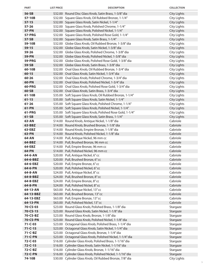| 56-SB<br>\$32.00 Round Disc Glass Knob, Satin Brass, 1-3/8" dia<br><b>City Lights</b><br>57-10B<br>\$32.00 Square Glass Knob, Oil Rubbed Bronze, 1-1/4"<br>City Lights<br>$57 - 15$<br>\$32.00 Square Glass Knob, Satin Nickel, 1-1/4"<br><b>City Lights</b><br>$57 - 26$<br>\$32.00 Square Glass Knob, Polished Chrome, 1-1/4"<br>City Lights<br>57-PN<br>\$32.00 Square Glass Knob, Polished Nickel, 1-1/4"<br><b>City Lights</b><br><b>City Lights</b><br><b>57-PRG</b><br>\$32.00 Square Glass Knob, Polished Rose Gold, 1-1/4"<br>57-SB<br><b>City Lights</b><br>\$32.00 Square Glass Knob, Satin Brass, 1-1/4"<br>59-10B<br>\$32.00 Globe Glass Knob, Oil Rubbed Bronze, 1-3/8" dia<br><b>City Lights</b><br><b>City Lights</b><br>$59 - 15$<br>\$32.00 Globe Glass Knob, Satin Nickel, 1-3/8" dia<br>59-26<br><b>City Lights</b><br>\$32.00 Globe Glass Knob, Polished Chrome, 1-3/8" dia<br>59-PN<br>\$32.00 Globe Glass Knob, Polished Nickel, 1-3/8" dia<br><b>City Lights</b><br><b>59-PRG</b><br>\$32.00 Globe Glass Knob, Polished Rose Gold, 1-3/8" dia<br><b>City Lights</b><br>59-SB<br><b>City Lights</b><br>\$32.00 Globe Glass Knob, Satin Brass, 1-3/8" dia<br>60-10B<br>\$32.00 Oval Glass Knob, Oil Rubbed Bronze, 1-3/4" dia<br>City Lights<br>$60 - 15$<br>\$32.00 Oval Glass Knob, Satin Nickel, 1-3/4" dia<br><b>City Lights</b><br>60-26<br><b>City Lights</b><br>\$32.00 Oval Glass Knob, Polished Chrome, 1-3/4" dia<br><b>City Lights</b><br>60-PN<br>\$32.00 Oval Glass Knob, Polished Nickel, 1-3/4" dia<br><b>60-PRG</b><br><b>City Lights</b><br>\$32.00 Oval Glass Knob, Polished Rose Gold, 1-3/4" dia<br>60-SB<br>\$32.00 Oval Glass Knob, Satin Brass, 1-3/4" dia<br><b>City Lights</b><br>61-10B<br>\$35.00 Soft Square Glass Knob, Oil Rubbed Bronze, 1-1/4"<br>City Lights<br>$61 - 15$<br>\$35.00 Soft Square Glass Knob, Satin Nickel, 1-1/4"<br><b>City Lights</b><br>$61 - 26$<br>\$35.00 Soft Square Glass Knob, Polished Chrome, 1-1/4"<br><b>City Lights</b><br>61-PN<br>\$35.00 Soft Square Glass Knob, Polished Nickel, 1-1/4"<br><b>City Lights</b><br>61-PRG<br>\$35.00 Soft Square Glass Knob, Polished Rose Gold, 1-1/4"<br>City Lights<br>$61-SB$<br>\$35.00 Soft Square Glass Knob, Satin Brass, 1-1/4"<br><b>City Lights</b><br>Cabriole<br>63-AN<br>\$14.00 Round Knob, Antique Nickel, 1-1/8" dia<br>Cabriole<br>\$14.00 Round Knob, Brushed Bronze, 1-1/8" dia<br>63-BBZ<br>Cabriole<br>63-EBZ<br>\$14.00 Round Knob, Empire Bronze, 1-1/8" dia<br>63-PN<br>Cabriole<br>\$14.00 Round Knob, Polished Nickel, 1-1/8" dia<br>\$14.00 Pull, Antique Nickel, 96 mm cc<br>Cabriole<br>64-AN<br>64-BBZ<br>\$14.00 Pull, Brushed Bronze, 96 mm cc<br>Cabriole<br>\$14.00 Pull, Empire Bronze, 96 mm cc<br>Cabriole<br>64-EBZ<br>64-PN<br>\$14.00 Pull, Polished Nickel, 96 mm cc<br>Cabriole<br>\$20.00 Pull, Antique Nickel, 6"cc<br>Cabriole<br>64-6-AN<br>\$20.00 Pull, Brushed Bronze, 6" cc<br>Cabriole<br>64-6-BBZ<br>\$20.00 Pull, Empire Bronze, 6" cc<br>Cabriole<br>64-6-EBZ<br>\$20.00 Pull, Polished Nickel, 6" cc<br>Cabriole<br>64-6-PN<br>Cabriole<br>\$24.00 Pull, Antique Nickel, 8"cc<br>64-8-AN<br>\$24.00 Pull, Brushed Bronze, 8"cc<br>Cabriole<br>64-8-BBZ<br>\$24.00 Pull, Empire Bronze, 8" cc<br>Cabriole<br>64-8-EBZ<br>\$24.00 Pull, Polished Nickel, 8"cc<br>Cabriole<br>64-8-PN<br>\$63.00 Pull, Antique Nickel, 13" cc<br>Cabriole<br>64-13-AN<br>\$63.00 Pull, Brushed Bronze, 13" cc<br>Cabriole<br>64-13-BBZ<br>Cabriole<br>64-13-EBZ<br>\$63.00 Pull, Empire Bronze, 13" cc<br>\$63.00 Pull, Polished Nickel, 13" cc<br>Cabriole<br>64-13-PN<br>\$23.00 Round Glass Knob, Polished Brass, 1-1/8" dia<br>70-CS-03<br>Stargaze<br>$70 - CS - 15$<br>\$23.00 Round Glass Knob, Satin Nickel, 1-1/8" dia<br>Stargaze<br>70-CS-BZ<br>\$23.00 Round Glass Knob, Bronze, 1-1/8" dia<br>Stargaze<br><b>70-CS-PN</b><br>\$23.00 Round Glass Knob, Polished Nickel, 1-1/8" dia<br>Stargaze<br>$71 - C - 03$<br>\$23.00 Octagonal Glass Knob, Polished Brass, 1-1/4" dia<br>Stargaze<br>Stargaze<br>$71 - C - 15$<br>\$23.00 Octagonal Glass Knob, Satin Nickel, 1-1/4" dia<br>\$23.00 Octagonal Glass Knob, Bronze, 1-1/4" dia<br>$71 - C - BZ$<br>Stargaze<br>71-C-PN<br>\$23.00 Octagonal Glass Knob, Polished Nickel, 1-1/4" dia<br>Stargaze<br>\$16.00 Cylinder Glass Knob, Polished Brass, 1-1/16" dia<br>$72 - C - 03$<br>Stargaze<br>$72 - C - 15$<br>\$16.00 Cylinder Glass Knob, Satin Nickel, 1-1/16" dia<br>Stargaze<br>\$16.00 Cylinder Glass Knob, Bronze, 1-1/16" dia<br>72-C-BZ<br>Stargaze<br><b>72-C-PN</b><br>\$16.00 Cylinder Glass Knob, Polished Nickel, 1-1/16" dia<br>Stargaze<br>\$30.00 Cylinder Glass Knob, Oil Rubbed Bronze, 7/8" dia | <b>PART</b> | <b>LIST PRICE</b> | <b>DESCRIPTION</b> | <b>COLLECTION</b>  |
|------------------------------------------------------------------------------------------------------------------------------------------------------------------------------------------------------------------------------------------------------------------------------------------------------------------------------------------------------------------------------------------------------------------------------------------------------------------------------------------------------------------------------------------------------------------------------------------------------------------------------------------------------------------------------------------------------------------------------------------------------------------------------------------------------------------------------------------------------------------------------------------------------------------------------------------------------------------------------------------------------------------------------------------------------------------------------------------------------------------------------------------------------------------------------------------------------------------------------------------------------------------------------------------------------------------------------------------------------------------------------------------------------------------------------------------------------------------------------------------------------------------------------------------------------------------------------------------------------------------------------------------------------------------------------------------------------------------------------------------------------------------------------------------------------------------------------------------------------------------------------------------------------------------------------------------------------------------------------------------------------------------------------------------------------------------------------------------------------------------------------------------------------------------------------------------------------------------------------------------------------------------------------------------------------------------------------------------------------------------------------------------------------------------------------------------------------------------------------------------------------------------------------------------------------------------------------------------------------------------------------------------------------------------------------------------------------------------------------------------------------------------------------------------------------------------------------------------------------------------------------------------------------------------------------------------------------------------------------------------------------------------------------------------------------------------------------------------------------------------------------------------------------------------------------------------------------------------------------------------------------------------------------------------------------------------------------------------------------------------------------------------------------------------------------------------------------------------------------------------------------------------------------------------------------------------------------------------------------------------------------------------------------------------------------------------------------------------------------------------------------------------------------------------------------------------------------------------------------------------------------------------------------------------------------------------------------------------------------------------------------------------------------------------------------------------------------------------------------------------------------------------------------------------------------------------------------------------------------------------------------------------------------------------------------------------------------------------------------------------------------------------------------------------------------------------------------------------------------------------------------------------------------------------------------------------------------------------------------------------------------------------------------------------------------------------------------------------------------------------------|-------------|-------------------|--------------------|--------------------|
|                                                                                                                                                                                                                                                                                                                                                                                                                                                                                                                                                                                                                                                                                                                                                                                                                                                                                                                                                                                                                                                                                                                                                                                                                                                                                                                                                                                                                                                                                                                                                                                                                                                                                                                                                                                                                                                                                                                                                                                                                                                                                                                                                                                                                                                                                                                                                                                                                                                                                                                                                                                                                                                                                                                                                                                                                                                                                                                                                                                                                                                                                                                                                                                                                                                                                                                                                                                                                                                                                                                                                                                                                                                                                                                                                                                                                                                                                                                                                                                                                                                                                                                                                                                                                                                                                                                                                                                                                                                                                                                                                                                                                                                                                                                                                |             |                   |                    |                    |
|                                                                                                                                                                                                                                                                                                                                                                                                                                                                                                                                                                                                                                                                                                                                                                                                                                                                                                                                                                                                                                                                                                                                                                                                                                                                                                                                                                                                                                                                                                                                                                                                                                                                                                                                                                                                                                                                                                                                                                                                                                                                                                                                                                                                                                                                                                                                                                                                                                                                                                                                                                                                                                                                                                                                                                                                                                                                                                                                                                                                                                                                                                                                                                                                                                                                                                                                                                                                                                                                                                                                                                                                                                                                                                                                                                                                                                                                                                                                                                                                                                                                                                                                                                                                                                                                                                                                                                                                                                                                                                                                                                                                                                                                                                                                                |             |                   |                    |                    |
|                                                                                                                                                                                                                                                                                                                                                                                                                                                                                                                                                                                                                                                                                                                                                                                                                                                                                                                                                                                                                                                                                                                                                                                                                                                                                                                                                                                                                                                                                                                                                                                                                                                                                                                                                                                                                                                                                                                                                                                                                                                                                                                                                                                                                                                                                                                                                                                                                                                                                                                                                                                                                                                                                                                                                                                                                                                                                                                                                                                                                                                                                                                                                                                                                                                                                                                                                                                                                                                                                                                                                                                                                                                                                                                                                                                                                                                                                                                                                                                                                                                                                                                                                                                                                                                                                                                                                                                                                                                                                                                                                                                                                                                                                                                                                |             |                   |                    |                    |
|                                                                                                                                                                                                                                                                                                                                                                                                                                                                                                                                                                                                                                                                                                                                                                                                                                                                                                                                                                                                                                                                                                                                                                                                                                                                                                                                                                                                                                                                                                                                                                                                                                                                                                                                                                                                                                                                                                                                                                                                                                                                                                                                                                                                                                                                                                                                                                                                                                                                                                                                                                                                                                                                                                                                                                                                                                                                                                                                                                                                                                                                                                                                                                                                                                                                                                                                                                                                                                                                                                                                                                                                                                                                                                                                                                                                                                                                                                                                                                                                                                                                                                                                                                                                                                                                                                                                                                                                                                                                                                                                                                                                                                                                                                                                                |             |                   |                    |                    |
|                                                                                                                                                                                                                                                                                                                                                                                                                                                                                                                                                                                                                                                                                                                                                                                                                                                                                                                                                                                                                                                                                                                                                                                                                                                                                                                                                                                                                                                                                                                                                                                                                                                                                                                                                                                                                                                                                                                                                                                                                                                                                                                                                                                                                                                                                                                                                                                                                                                                                                                                                                                                                                                                                                                                                                                                                                                                                                                                                                                                                                                                                                                                                                                                                                                                                                                                                                                                                                                                                                                                                                                                                                                                                                                                                                                                                                                                                                                                                                                                                                                                                                                                                                                                                                                                                                                                                                                                                                                                                                                                                                                                                                                                                                                                                |             |                   |                    |                    |
|                                                                                                                                                                                                                                                                                                                                                                                                                                                                                                                                                                                                                                                                                                                                                                                                                                                                                                                                                                                                                                                                                                                                                                                                                                                                                                                                                                                                                                                                                                                                                                                                                                                                                                                                                                                                                                                                                                                                                                                                                                                                                                                                                                                                                                                                                                                                                                                                                                                                                                                                                                                                                                                                                                                                                                                                                                                                                                                                                                                                                                                                                                                                                                                                                                                                                                                                                                                                                                                                                                                                                                                                                                                                                                                                                                                                                                                                                                                                                                                                                                                                                                                                                                                                                                                                                                                                                                                                                                                                                                                                                                                                                                                                                                                                                |             |                   |                    |                    |
|                                                                                                                                                                                                                                                                                                                                                                                                                                                                                                                                                                                                                                                                                                                                                                                                                                                                                                                                                                                                                                                                                                                                                                                                                                                                                                                                                                                                                                                                                                                                                                                                                                                                                                                                                                                                                                                                                                                                                                                                                                                                                                                                                                                                                                                                                                                                                                                                                                                                                                                                                                                                                                                                                                                                                                                                                                                                                                                                                                                                                                                                                                                                                                                                                                                                                                                                                                                                                                                                                                                                                                                                                                                                                                                                                                                                                                                                                                                                                                                                                                                                                                                                                                                                                                                                                                                                                                                                                                                                                                                                                                                                                                                                                                                                                |             |                   |                    |                    |
|                                                                                                                                                                                                                                                                                                                                                                                                                                                                                                                                                                                                                                                                                                                                                                                                                                                                                                                                                                                                                                                                                                                                                                                                                                                                                                                                                                                                                                                                                                                                                                                                                                                                                                                                                                                                                                                                                                                                                                                                                                                                                                                                                                                                                                                                                                                                                                                                                                                                                                                                                                                                                                                                                                                                                                                                                                                                                                                                                                                                                                                                                                                                                                                                                                                                                                                                                                                                                                                                                                                                                                                                                                                                                                                                                                                                                                                                                                                                                                                                                                                                                                                                                                                                                                                                                                                                                                                                                                                                                                                                                                                                                                                                                                                                                |             |                   |                    |                    |
|                                                                                                                                                                                                                                                                                                                                                                                                                                                                                                                                                                                                                                                                                                                                                                                                                                                                                                                                                                                                                                                                                                                                                                                                                                                                                                                                                                                                                                                                                                                                                                                                                                                                                                                                                                                                                                                                                                                                                                                                                                                                                                                                                                                                                                                                                                                                                                                                                                                                                                                                                                                                                                                                                                                                                                                                                                                                                                                                                                                                                                                                                                                                                                                                                                                                                                                                                                                                                                                                                                                                                                                                                                                                                                                                                                                                                                                                                                                                                                                                                                                                                                                                                                                                                                                                                                                                                                                                                                                                                                                                                                                                                                                                                                                                                |             |                   |                    |                    |
|                                                                                                                                                                                                                                                                                                                                                                                                                                                                                                                                                                                                                                                                                                                                                                                                                                                                                                                                                                                                                                                                                                                                                                                                                                                                                                                                                                                                                                                                                                                                                                                                                                                                                                                                                                                                                                                                                                                                                                                                                                                                                                                                                                                                                                                                                                                                                                                                                                                                                                                                                                                                                                                                                                                                                                                                                                                                                                                                                                                                                                                                                                                                                                                                                                                                                                                                                                                                                                                                                                                                                                                                                                                                                                                                                                                                                                                                                                                                                                                                                                                                                                                                                                                                                                                                                                                                                                                                                                                                                                                                                                                                                                                                                                                                                |             |                   |                    |                    |
|                                                                                                                                                                                                                                                                                                                                                                                                                                                                                                                                                                                                                                                                                                                                                                                                                                                                                                                                                                                                                                                                                                                                                                                                                                                                                                                                                                                                                                                                                                                                                                                                                                                                                                                                                                                                                                                                                                                                                                                                                                                                                                                                                                                                                                                                                                                                                                                                                                                                                                                                                                                                                                                                                                                                                                                                                                                                                                                                                                                                                                                                                                                                                                                                                                                                                                                                                                                                                                                                                                                                                                                                                                                                                                                                                                                                                                                                                                                                                                                                                                                                                                                                                                                                                                                                                                                                                                                                                                                                                                                                                                                                                                                                                                                                                |             |                   |                    |                    |
|                                                                                                                                                                                                                                                                                                                                                                                                                                                                                                                                                                                                                                                                                                                                                                                                                                                                                                                                                                                                                                                                                                                                                                                                                                                                                                                                                                                                                                                                                                                                                                                                                                                                                                                                                                                                                                                                                                                                                                                                                                                                                                                                                                                                                                                                                                                                                                                                                                                                                                                                                                                                                                                                                                                                                                                                                                                                                                                                                                                                                                                                                                                                                                                                                                                                                                                                                                                                                                                                                                                                                                                                                                                                                                                                                                                                                                                                                                                                                                                                                                                                                                                                                                                                                                                                                                                                                                                                                                                                                                                                                                                                                                                                                                                                                |             |                   |                    |                    |
|                                                                                                                                                                                                                                                                                                                                                                                                                                                                                                                                                                                                                                                                                                                                                                                                                                                                                                                                                                                                                                                                                                                                                                                                                                                                                                                                                                                                                                                                                                                                                                                                                                                                                                                                                                                                                                                                                                                                                                                                                                                                                                                                                                                                                                                                                                                                                                                                                                                                                                                                                                                                                                                                                                                                                                                                                                                                                                                                                                                                                                                                                                                                                                                                                                                                                                                                                                                                                                                                                                                                                                                                                                                                                                                                                                                                                                                                                                                                                                                                                                                                                                                                                                                                                                                                                                                                                                                                                                                                                                                                                                                                                                                                                                                                                |             |                   |                    |                    |
|                                                                                                                                                                                                                                                                                                                                                                                                                                                                                                                                                                                                                                                                                                                                                                                                                                                                                                                                                                                                                                                                                                                                                                                                                                                                                                                                                                                                                                                                                                                                                                                                                                                                                                                                                                                                                                                                                                                                                                                                                                                                                                                                                                                                                                                                                                                                                                                                                                                                                                                                                                                                                                                                                                                                                                                                                                                                                                                                                                                                                                                                                                                                                                                                                                                                                                                                                                                                                                                                                                                                                                                                                                                                                                                                                                                                                                                                                                                                                                                                                                                                                                                                                                                                                                                                                                                                                                                                                                                                                                                                                                                                                                                                                                                                                |             |                   |                    |                    |
|                                                                                                                                                                                                                                                                                                                                                                                                                                                                                                                                                                                                                                                                                                                                                                                                                                                                                                                                                                                                                                                                                                                                                                                                                                                                                                                                                                                                                                                                                                                                                                                                                                                                                                                                                                                                                                                                                                                                                                                                                                                                                                                                                                                                                                                                                                                                                                                                                                                                                                                                                                                                                                                                                                                                                                                                                                                                                                                                                                                                                                                                                                                                                                                                                                                                                                                                                                                                                                                                                                                                                                                                                                                                                                                                                                                                                                                                                                                                                                                                                                                                                                                                                                                                                                                                                                                                                                                                                                                                                                                                                                                                                                                                                                                                                |             |                   |                    |                    |
|                                                                                                                                                                                                                                                                                                                                                                                                                                                                                                                                                                                                                                                                                                                                                                                                                                                                                                                                                                                                                                                                                                                                                                                                                                                                                                                                                                                                                                                                                                                                                                                                                                                                                                                                                                                                                                                                                                                                                                                                                                                                                                                                                                                                                                                                                                                                                                                                                                                                                                                                                                                                                                                                                                                                                                                                                                                                                                                                                                                                                                                                                                                                                                                                                                                                                                                                                                                                                                                                                                                                                                                                                                                                                                                                                                                                                                                                                                                                                                                                                                                                                                                                                                                                                                                                                                                                                                                                                                                                                                                                                                                                                                                                                                                                                |             |                   |                    |                    |
|                                                                                                                                                                                                                                                                                                                                                                                                                                                                                                                                                                                                                                                                                                                                                                                                                                                                                                                                                                                                                                                                                                                                                                                                                                                                                                                                                                                                                                                                                                                                                                                                                                                                                                                                                                                                                                                                                                                                                                                                                                                                                                                                                                                                                                                                                                                                                                                                                                                                                                                                                                                                                                                                                                                                                                                                                                                                                                                                                                                                                                                                                                                                                                                                                                                                                                                                                                                                                                                                                                                                                                                                                                                                                                                                                                                                                                                                                                                                                                                                                                                                                                                                                                                                                                                                                                                                                                                                                                                                                                                                                                                                                                                                                                                                                |             |                   |                    |                    |
|                                                                                                                                                                                                                                                                                                                                                                                                                                                                                                                                                                                                                                                                                                                                                                                                                                                                                                                                                                                                                                                                                                                                                                                                                                                                                                                                                                                                                                                                                                                                                                                                                                                                                                                                                                                                                                                                                                                                                                                                                                                                                                                                                                                                                                                                                                                                                                                                                                                                                                                                                                                                                                                                                                                                                                                                                                                                                                                                                                                                                                                                                                                                                                                                                                                                                                                                                                                                                                                                                                                                                                                                                                                                                                                                                                                                                                                                                                                                                                                                                                                                                                                                                                                                                                                                                                                                                                                                                                                                                                                                                                                                                                                                                                                                                |             |                   |                    |                    |
|                                                                                                                                                                                                                                                                                                                                                                                                                                                                                                                                                                                                                                                                                                                                                                                                                                                                                                                                                                                                                                                                                                                                                                                                                                                                                                                                                                                                                                                                                                                                                                                                                                                                                                                                                                                                                                                                                                                                                                                                                                                                                                                                                                                                                                                                                                                                                                                                                                                                                                                                                                                                                                                                                                                                                                                                                                                                                                                                                                                                                                                                                                                                                                                                                                                                                                                                                                                                                                                                                                                                                                                                                                                                                                                                                                                                                                                                                                                                                                                                                                                                                                                                                                                                                                                                                                                                                                                                                                                                                                                                                                                                                                                                                                                                                |             |                   |                    |                    |
|                                                                                                                                                                                                                                                                                                                                                                                                                                                                                                                                                                                                                                                                                                                                                                                                                                                                                                                                                                                                                                                                                                                                                                                                                                                                                                                                                                                                                                                                                                                                                                                                                                                                                                                                                                                                                                                                                                                                                                                                                                                                                                                                                                                                                                                                                                                                                                                                                                                                                                                                                                                                                                                                                                                                                                                                                                                                                                                                                                                                                                                                                                                                                                                                                                                                                                                                                                                                                                                                                                                                                                                                                                                                                                                                                                                                                                                                                                                                                                                                                                                                                                                                                                                                                                                                                                                                                                                                                                                                                                                                                                                                                                                                                                                                                |             |                   |                    |                    |
|                                                                                                                                                                                                                                                                                                                                                                                                                                                                                                                                                                                                                                                                                                                                                                                                                                                                                                                                                                                                                                                                                                                                                                                                                                                                                                                                                                                                                                                                                                                                                                                                                                                                                                                                                                                                                                                                                                                                                                                                                                                                                                                                                                                                                                                                                                                                                                                                                                                                                                                                                                                                                                                                                                                                                                                                                                                                                                                                                                                                                                                                                                                                                                                                                                                                                                                                                                                                                                                                                                                                                                                                                                                                                                                                                                                                                                                                                                                                                                                                                                                                                                                                                                                                                                                                                                                                                                                                                                                                                                                                                                                                                                                                                                                                                |             |                   |                    |                    |
|                                                                                                                                                                                                                                                                                                                                                                                                                                                                                                                                                                                                                                                                                                                                                                                                                                                                                                                                                                                                                                                                                                                                                                                                                                                                                                                                                                                                                                                                                                                                                                                                                                                                                                                                                                                                                                                                                                                                                                                                                                                                                                                                                                                                                                                                                                                                                                                                                                                                                                                                                                                                                                                                                                                                                                                                                                                                                                                                                                                                                                                                                                                                                                                                                                                                                                                                                                                                                                                                                                                                                                                                                                                                                                                                                                                                                                                                                                                                                                                                                                                                                                                                                                                                                                                                                                                                                                                                                                                                                                                                                                                                                                                                                                                                                |             |                   |                    |                    |
|                                                                                                                                                                                                                                                                                                                                                                                                                                                                                                                                                                                                                                                                                                                                                                                                                                                                                                                                                                                                                                                                                                                                                                                                                                                                                                                                                                                                                                                                                                                                                                                                                                                                                                                                                                                                                                                                                                                                                                                                                                                                                                                                                                                                                                                                                                                                                                                                                                                                                                                                                                                                                                                                                                                                                                                                                                                                                                                                                                                                                                                                                                                                                                                                                                                                                                                                                                                                                                                                                                                                                                                                                                                                                                                                                                                                                                                                                                                                                                                                                                                                                                                                                                                                                                                                                                                                                                                                                                                                                                                                                                                                                                                                                                                                                |             |                   |                    |                    |
|                                                                                                                                                                                                                                                                                                                                                                                                                                                                                                                                                                                                                                                                                                                                                                                                                                                                                                                                                                                                                                                                                                                                                                                                                                                                                                                                                                                                                                                                                                                                                                                                                                                                                                                                                                                                                                                                                                                                                                                                                                                                                                                                                                                                                                                                                                                                                                                                                                                                                                                                                                                                                                                                                                                                                                                                                                                                                                                                                                                                                                                                                                                                                                                                                                                                                                                                                                                                                                                                                                                                                                                                                                                                                                                                                                                                                                                                                                                                                                                                                                                                                                                                                                                                                                                                                                                                                                                                                                                                                                                                                                                                                                                                                                                                                |             |                   |                    |                    |
|                                                                                                                                                                                                                                                                                                                                                                                                                                                                                                                                                                                                                                                                                                                                                                                                                                                                                                                                                                                                                                                                                                                                                                                                                                                                                                                                                                                                                                                                                                                                                                                                                                                                                                                                                                                                                                                                                                                                                                                                                                                                                                                                                                                                                                                                                                                                                                                                                                                                                                                                                                                                                                                                                                                                                                                                                                                                                                                                                                                                                                                                                                                                                                                                                                                                                                                                                                                                                                                                                                                                                                                                                                                                                                                                                                                                                                                                                                                                                                                                                                                                                                                                                                                                                                                                                                                                                                                                                                                                                                                                                                                                                                                                                                                                                |             |                   |                    |                    |
|                                                                                                                                                                                                                                                                                                                                                                                                                                                                                                                                                                                                                                                                                                                                                                                                                                                                                                                                                                                                                                                                                                                                                                                                                                                                                                                                                                                                                                                                                                                                                                                                                                                                                                                                                                                                                                                                                                                                                                                                                                                                                                                                                                                                                                                                                                                                                                                                                                                                                                                                                                                                                                                                                                                                                                                                                                                                                                                                                                                                                                                                                                                                                                                                                                                                                                                                                                                                                                                                                                                                                                                                                                                                                                                                                                                                                                                                                                                                                                                                                                                                                                                                                                                                                                                                                                                                                                                                                                                                                                                                                                                                                                                                                                                                                |             |                   |                    |                    |
|                                                                                                                                                                                                                                                                                                                                                                                                                                                                                                                                                                                                                                                                                                                                                                                                                                                                                                                                                                                                                                                                                                                                                                                                                                                                                                                                                                                                                                                                                                                                                                                                                                                                                                                                                                                                                                                                                                                                                                                                                                                                                                                                                                                                                                                                                                                                                                                                                                                                                                                                                                                                                                                                                                                                                                                                                                                                                                                                                                                                                                                                                                                                                                                                                                                                                                                                                                                                                                                                                                                                                                                                                                                                                                                                                                                                                                                                                                                                                                                                                                                                                                                                                                                                                                                                                                                                                                                                                                                                                                                                                                                                                                                                                                                                                |             |                   |                    |                    |
|                                                                                                                                                                                                                                                                                                                                                                                                                                                                                                                                                                                                                                                                                                                                                                                                                                                                                                                                                                                                                                                                                                                                                                                                                                                                                                                                                                                                                                                                                                                                                                                                                                                                                                                                                                                                                                                                                                                                                                                                                                                                                                                                                                                                                                                                                                                                                                                                                                                                                                                                                                                                                                                                                                                                                                                                                                                                                                                                                                                                                                                                                                                                                                                                                                                                                                                                                                                                                                                                                                                                                                                                                                                                                                                                                                                                                                                                                                                                                                                                                                                                                                                                                                                                                                                                                                                                                                                                                                                                                                                                                                                                                                                                                                                                                |             |                   |                    |                    |
|                                                                                                                                                                                                                                                                                                                                                                                                                                                                                                                                                                                                                                                                                                                                                                                                                                                                                                                                                                                                                                                                                                                                                                                                                                                                                                                                                                                                                                                                                                                                                                                                                                                                                                                                                                                                                                                                                                                                                                                                                                                                                                                                                                                                                                                                                                                                                                                                                                                                                                                                                                                                                                                                                                                                                                                                                                                                                                                                                                                                                                                                                                                                                                                                                                                                                                                                                                                                                                                                                                                                                                                                                                                                                                                                                                                                                                                                                                                                                                                                                                                                                                                                                                                                                                                                                                                                                                                                                                                                                                                                                                                                                                                                                                                                                |             |                   |                    |                    |
|                                                                                                                                                                                                                                                                                                                                                                                                                                                                                                                                                                                                                                                                                                                                                                                                                                                                                                                                                                                                                                                                                                                                                                                                                                                                                                                                                                                                                                                                                                                                                                                                                                                                                                                                                                                                                                                                                                                                                                                                                                                                                                                                                                                                                                                                                                                                                                                                                                                                                                                                                                                                                                                                                                                                                                                                                                                                                                                                                                                                                                                                                                                                                                                                                                                                                                                                                                                                                                                                                                                                                                                                                                                                                                                                                                                                                                                                                                                                                                                                                                                                                                                                                                                                                                                                                                                                                                                                                                                                                                                                                                                                                                                                                                                                                |             |                   |                    |                    |
|                                                                                                                                                                                                                                                                                                                                                                                                                                                                                                                                                                                                                                                                                                                                                                                                                                                                                                                                                                                                                                                                                                                                                                                                                                                                                                                                                                                                                                                                                                                                                                                                                                                                                                                                                                                                                                                                                                                                                                                                                                                                                                                                                                                                                                                                                                                                                                                                                                                                                                                                                                                                                                                                                                                                                                                                                                                                                                                                                                                                                                                                                                                                                                                                                                                                                                                                                                                                                                                                                                                                                                                                                                                                                                                                                                                                                                                                                                                                                                                                                                                                                                                                                                                                                                                                                                                                                                                                                                                                                                                                                                                                                                                                                                                                                |             |                   |                    |                    |
|                                                                                                                                                                                                                                                                                                                                                                                                                                                                                                                                                                                                                                                                                                                                                                                                                                                                                                                                                                                                                                                                                                                                                                                                                                                                                                                                                                                                                                                                                                                                                                                                                                                                                                                                                                                                                                                                                                                                                                                                                                                                                                                                                                                                                                                                                                                                                                                                                                                                                                                                                                                                                                                                                                                                                                                                                                                                                                                                                                                                                                                                                                                                                                                                                                                                                                                                                                                                                                                                                                                                                                                                                                                                                                                                                                                                                                                                                                                                                                                                                                                                                                                                                                                                                                                                                                                                                                                                                                                                                                                                                                                                                                                                                                                                                |             |                   |                    |                    |
|                                                                                                                                                                                                                                                                                                                                                                                                                                                                                                                                                                                                                                                                                                                                                                                                                                                                                                                                                                                                                                                                                                                                                                                                                                                                                                                                                                                                                                                                                                                                                                                                                                                                                                                                                                                                                                                                                                                                                                                                                                                                                                                                                                                                                                                                                                                                                                                                                                                                                                                                                                                                                                                                                                                                                                                                                                                                                                                                                                                                                                                                                                                                                                                                                                                                                                                                                                                                                                                                                                                                                                                                                                                                                                                                                                                                                                                                                                                                                                                                                                                                                                                                                                                                                                                                                                                                                                                                                                                                                                                                                                                                                                                                                                                                                |             |                   |                    |                    |
|                                                                                                                                                                                                                                                                                                                                                                                                                                                                                                                                                                                                                                                                                                                                                                                                                                                                                                                                                                                                                                                                                                                                                                                                                                                                                                                                                                                                                                                                                                                                                                                                                                                                                                                                                                                                                                                                                                                                                                                                                                                                                                                                                                                                                                                                                                                                                                                                                                                                                                                                                                                                                                                                                                                                                                                                                                                                                                                                                                                                                                                                                                                                                                                                                                                                                                                                                                                                                                                                                                                                                                                                                                                                                                                                                                                                                                                                                                                                                                                                                                                                                                                                                                                                                                                                                                                                                                                                                                                                                                                                                                                                                                                                                                                                                |             |                   |                    |                    |
|                                                                                                                                                                                                                                                                                                                                                                                                                                                                                                                                                                                                                                                                                                                                                                                                                                                                                                                                                                                                                                                                                                                                                                                                                                                                                                                                                                                                                                                                                                                                                                                                                                                                                                                                                                                                                                                                                                                                                                                                                                                                                                                                                                                                                                                                                                                                                                                                                                                                                                                                                                                                                                                                                                                                                                                                                                                                                                                                                                                                                                                                                                                                                                                                                                                                                                                                                                                                                                                                                                                                                                                                                                                                                                                                                                                                                                                                                                                                                                                                                                                                                                                                                                                                                                                                                                                                                                                                                                                                                                                                                                                                                                                                                                                                                |             |                   |                    |                    |
|                                                                                                                                                                                                                                                                                                                                                                                                                                                                                                                                                                                                                                                                                                                                                                                                                                                                                                                                                                                                                                                                                                                                                                                                                                                                                                                                                                                                                                                                                                                                                                                                                                                                                                                                                                                                                                                                                                                                                                                                                                                                                                                                                                                                                                                                                                                                                                                                                                                                                                                                                                                                                                                                                                                                                                                                                                                                                                                                                                                                                                                                                                                                                                                                                                                                                                                                                                                                                                                                                                                                                                                                                                                                                                                                                                                                                                                                                                                                                                                                                                                                                                                                                                                                                                                                                                                                                                                                                                                                                                                                                                                                                                                                                                                                                |             |                   |                    |                    |
|                                                                                                                                                                                                                                                                                                                                                                                                                                                                                                                                                                                                                                                                                                                                                                                                                                                                                                                                                                                                                                                                                                                                                                                                                                                                                                                                                                                                                                                                                                                                                                                                                                                                                                                                                                                                                                                                                                                                                                                                                                                                                                                                                                                                                                                                                                                                                                                                                                                                                                                                                                                                                                                                                                                                                                                                                                                                                                                                                                                                                                                                                                                                                                                                                                                                                                                                                                                                                                                                                                                                                                                                                                                                                                                                                                                                                                                                                                                                                                                                                                                                                                                                                                                                                                                                                                                                                                                                                                                                                                                                                                                                                                                                                                                                                |             |                   |                    |                    |
|                                                                                                                                                                                                                                                                                                                                                                                                                                                                                                                                                                                                                                                                                                                                                                                                                                                                                                                                                                                                                                                                                                                                                                                                                                                                                                                                                                                                                                                                                                                                                                                                                                                                                                                                                                                                                                                                                                                                                                                                                                                                                                                                                                                                                                                                                                                                                                                                                                                                                                                                                                                                                                                                                                                                                                                                                                                                                                                                                                                                                                                                                                                                                                                                                                                                                                                                                                                                                                                                                                                                                                                                                                                                                                                                                                                                                                                                                                                                                                                                                                                                                                                                                                                                                                                                                                                                                                                                                                                                                                                                                                                                                                                                                                                                                |             |                   |                    |                    |
|                                                                                                                                                                                                                                                                                                                                                                                                                                                                                                                                                                                                                                                                                                                                                                                                                                                                                                                                                                                                                                                                                                                                                                                                                                                                                                                                                                                                                                                                                                                                                                                                                                                                                                                                                                                                                                                                                                                                                                                                                                                                                                                                                                                                                                                                                                                                                                                                                                                                                                                                                                                                                                                                                                                                                                                                                                                                                                                                                                                                                                                                                                                                                                                                                                                                                                                                                                                                                                                                                                                                                                                                                                                                                                                                                                                                                                                                                                                                                                                                                                                                                                                                                                                                                                                                                                                                                                                                                                                                                                                                                                                                                                                                                                                                                |             |                   |                    |                    |
|                                                                                                                                                                                                                                                                                                                                                                                                                                                                                                                                                                                                                                                                                                                                                                                                                                                                                                                                                                                                                                                                                                                                                                                                                                                                                                                                                                                                                                                                                                                                                                                                                                                                                                                                                                                                                                                                                                                                                                                                                                                                                                                                                                                                                                                                                                                                                                                                                                                                                                                                                                                                                                                                                                                                                                                                                                                                                                                                                                                                                                                                                                                                                                                                                                                                                                                                                                                                                                                                                                                                                                                                                                                                                                                                                                                                                                                                                                                                                                                                                                                                                                                                                                                                                                                                                                                                                                                                                                                                                                                                                                                                                                                                                                                                                |             |                   |                    |                    |
|                                                                                                                                                                                                                                                                                                                                                                                                                                                                                                                                                                                                                                                                                                                                                                                                                                                                                                                                                                                                                                                                                                                                                                                                                                                                                                                                                                                                                                                                                                                                                                                                                                                                                                                                                                                                                                                                                                                                                                                                                                                                                                                                                                                                                                                                                                                                                                                                                                                                                                                                                                                                                                                                                                                                                                                                                                                                                                                                                                                                                                                                                                                                                                                                                                                                                                                                                                                                                                                                                                                                                                                                                                                                                                                                                                                                                                                                                                                                                                                                                                                                                                                                                                                                                                                                                                                                                                                                                                                                                                                                                                                                                                                                                                                                                |             |                   |                    |                    |
|                                                                                                                                                                                                                                                                                                                                                                                                                                                                                                                                                                                                                                                                                                                                                                                                                                                                                                                                                                                                                                                                                                                                                                                                                                                                                                                                                                                                                                                                                                                                                                                                                                                                                                                                                                                                                                                                                                                                                                                                                                                                                                                                                                                                                                                                                                                                                                                                                                                                                                                                                                                                                                                                                                                                                                                                                                                                                                                                                                                                                                                                                                                                                                                                                                                                                                                                                                                                                                                                                                                                                                                                                                                                                                                                                                                                                                                                                                                                                                                                                                                                                                                                                                                                                                                                                                                                                                                                                                                                                                                                                                                                                                                                                                                                                |             |                   |                    |                    |
|                                                                                                                                                                                                                                                                                                                                                                                                                                                                                                                                                                                                                                                                                                                                                                                                                                                                                                                                                                                                                                                                                                                                                                                                                                                                                                                                                                                                                                                                                                                                                                                                                                                                                                                                                                                                                                                                                                                                                                                                                                                                                                                                                                                                                                                                                                                                                                                                                                                                                                                                                                                                                                                                                                                                                                                                                                                                                                                                                                                                                                                                                                                                                                                                                                                                                                                                                                                                                                                                                                                                                                                                                                                                                                                                                                                                                                                                                                                                                                                                                                                                                                                                                                                                                                                                                                                                                                                                                                                                                                                                                                                                                                                                                                                                                |             |                   |                    |                    |
|                                                                                                                                                                                                                                                                                                                                                                                                                                                                                                                                                                                                                                                                                                                                                                                                                                                                                                                                                                                                                                                                                                                                                                                                                                                                                                                                                                                                                                                                                                                                                                                                                                                                                                                                                                                                                                                                                                                                                                                                                                                                                                                                                                                                                                                                                                                                                                                                                                                                                                                                                                                                                                                                                                                                                                                                                                                                                                                                                                                                                                                                                                                                                                                                                                                                                                                                                                                                                                                                                                                                                                                                                                                                                                                                                                                                                                                                                                                                                                                                                                                                                                                                                                                                                                                                                                                                                                                                                                                                                                                                                                                                                                                                                                                                                |             |                   |                    |                    |
|                                                                                                                                                                                                                                                                                                                                                                                                                                                                                                                                                                                                                                                                                                                                                                                                                                                                                                                                                                                                                                                                                                                                                                                                                                                                                                                                                                                                                                                                                                                                                                                                                                                                                                                                                                                                                                                                                                                                                                                                                                                                                                                                                                                                                                                                                                                                                                                                                                                                                                                                                                                                                                                                                                                                                                                                                                                                                                                                                                                                                                                                                                                                                                                                                                                                                                                                                                                                                                                                                                                                                                                                                                                                                                                                                                                                                                                                                                                                                                                                                                                                                                                                                                                                                                                                                                                                                                                                                                                                                                                                                                                                                                                                                                                                                |             |                   |                    |                    |
|                                                                                                                                                                                                                                                                                                                                                                                                                                                                                                                                                                                                                                                                                                                                                                                                                                                                                                                                                                                                                                                                                                                                                                                                                                                                                                                                                                                                                                                                                                                                                                                                                                                                                                                                                                                                                                                                                                                                                                                                                                                                                                                                                                                                                                                                                                                                                                                                                                                                                                                                                                                                                                                                                                                                                                                                                                                                                                                                                                                                                                                                                                                                                                                                                                                                                                                                                                                                                                                                                                                                                                                                                                                                                                                                                                                                                                                                                                                                                                                                                                                                                                                                                                                                                                                                                                                                                                                                                                                                                                                                                                                                                                                                                                                                                |             |                   |                    |                    |
|                                                                                                                                                                                                                                                                                                                                                                                                                                                                                                                                                                                                                                                                                                                                                                                                                                                                                                                                                                                                                                                                                                                                                                                                                                                                                                                                                                                                                                                                                                                                                                                                                                                                                                                                                                                                                                                                                                                                                                                                                                                                                                                                                                                                                                                                                                                                                                                                                                                                                                                                                                                                                                                                                                                                                                                                                                                                                                                                                                                                                                                                                                                                                                                                                                                                                                                                                                                                                                                                                                                                                                                                                                                                                                                                                                                                                                                                                                                                                                                                                                                                                                                                                                                                                                                                                                                                                                                                                                                                                                                                                                                                                                                                                                                                                |             |                   |                    |                    |
|                                                                                                                                                                                                                                                                                                                                                                                                                                                                                                                                                                                                                                                                                                                                                                                                                                                                                                                                                                                                                                                                                                                                                                                                                                                                                                                                                                                                                                                                                                                                                                                                                                                                                                                                                                                                                                                                                                                                                                                                                                                                                                                                                                                                                                                                                                                                                                                                                                                                                                                                                                                                                                                                                                                                                                                                                                                                                                                                                                                                                                                                                                                                                                                                                                                                                                                                                                                                                                                                                                                                                                                                                                                                                                                                                                                                                                                                                                                                                                                                                                                                                                                                                                                                                                                                                                                                                                                                                                                                                                                                                                                                                                                                                                                                                |             |                   |                    |                    |
|                                                                                                                                                                                                                                                                                                                                                                                                                                                                                                                                                                                                                                                                                                                                                                                                                                                                                                                                                                                                                                                                                                                                                                                                                                                                                                                                                                                                                                                                                                                                                                                                                                                                                                                                                                                                                                                                                                                                                                                                                                                                                                                                                                                                                                                                                                                                                                                                                                                                                                                                                                                                                                                                                                                                                                                                                                                                                                                                                                                                                                                                                                                                                                                                                                                                                                                                                                                                                                                                                                                                                                                                                                                                                                                                                                                                                                                                                                                                                                                                                                                                                                                                                                                                                                                                                                                                                                                                                                                                                                                                                                                                                                                                                                                                                |             |                   |                    |                    |
|                                                                                                                                                                                                                                                                                                                                                                                                                                                                                                                                                                                                                                                                                                                                                                                                                                                                                                                                                                                                                                                                                                                                                                                                                                                                                                                                                                                                                                                                                                                                                                                                                                                                                                                                                                                                                                                                                                                                                                                                                                                                                                                                                                                                                                                                                                                                                                                                                                                                                                                                                                                                                                                                                                                                                                                                                                                                                                                                                                                                                                                                                                                                                                                                                                                                                                                                                                                                                                                                                                                                                                                                                                                                                                                                                                                                                                                                                                                                                                                                                                                                                                                                                                                                                                                                                                                                                                                                                                                                                                                                                                                                                                                                                                                                                |             |                   |                    |                    |
|                                                                                                                                                                                                                                                                                                                                                                                                                                                                                                                                                                                                                                                                                                                                                                                                                                                                                                                                                                                                                                                                                                                                                                                                                                                                                                                                                                                                                                                                                                                                                                                                                                                                                                                                                                                                                                                                                                                                                                                                                                                                                                                                                                                                                                                                                                                                                                                                                                                                                                                                                                                                                                                                                                                                                                                                                                                                                                                                                                                                                                                                                                                                                                                                                                                                                                                                                                                                                                                                                                                                                                                                                                                                                                                                                                                                                                                                                                                                                                                                                                                                                                                                                                                                                                                                                                                                                                                                                                                                                                                                                                                                                                                                                                                                                |             |                   |                    |                    |
|                                                                                                                                                                                                                                                                                                                                                                                                                                                                                                                                                                                                                                                                                                                                                                                                                                                                                                                                                                                                                                                                                                                                                                                                                                                                                                                                                                                                                                                                                                                                                                                                                                                                                                                                                                                                                                                                                                                                                                                                                                                                                                                                                                                                                                                                                                                                                                                                                                                                                                                                                                                                                                                                                                                                                                                                                                                                                                                                                                                                                                                                                                                                                                                                                                                                                                                                                                                                                                                                                                                                                                                                                                                                                                                                                                                                                                                                                                                                                                                                                                                                                                                                                                                                                                                                                                                                                                                                                                                                                                                                                                                                                                                                                                                                                |             |                   |                    |                    |
|                                                                                                                                                                                                                                                                                                                                                                                                                                                                                                                                                                                                                                                                                                                                                                                                                                                                                                                                                                                                                                                                                                                                                                                                                                                                                                                                                                                                                                                                                                                                                                                                                                                                                                                                                                                                                                                                                                                                                                                                                                                                                                                                                                                                                                                                                                                                                                                                                                                                                                                                                                                                                                                                                                                                                                                                                                                                                                                                                                                                                                                                                                                                                                                                                                                                                                                                                                                                                                                                                                                                                                                                                                                                                                                                                                                                                                                                                                                                                                                                                                                                                                                                                                                                                                                                                                                                                                                                                                                                                                                                                                                                                                                                                                                                                |             |                   |                    |                    |
|                                                                                                                                                                                                                                                                                                                                                                                                                                                                                                                                                                                                                                                                                                                                                                                                                                                                                                                                                                                                                                                                                                                                                                                                                                                                                                                                                                                                                                                                                                                                                                                                                                                                                                                                                                                                                                                                                                                                                                                                                                                                                                                                                                                                                                                                                                                                                                                                                                                                                                                                                                                                                                                                                                                                                                                                                                                                                                                                                                                                                                                                                                                                                                                                                                                                                                                                                                                                                                                                                                                                                                                                                                                                                                                                                                                                                                                                                                                                                                                                                                                                                                                                                                                                                                                                                                                                                                                                                                                                                                                                                                                                                                                                                                                                                |             |                   |                    |                    |
|                                                                                                                                                                                                                                                                                                                                                                                                                                                                                                                                                                                                                                                                                                                                                                                                                                                                                                                                                                                                                                                                                                                                                                                                                                                                                                                                                                                                                                                                                                                                                                                                                                                                                                                                                                                                                                                                                                                                                                                                                                                                                                                                                                                                                                                                                                                                                                                                                                                                                                                                                                                                                                                                                                                                                                                                                                                                                                                                                                                                                                                                                                                                                                                                                                                                                                                                                                                                                                                                                                                                                                                                                                                                                                                                                                                                                                                                                                                                                                                                                                                                                                                                                                                                                                                                                                                                                                                                                                                                                                                                                                                                                                                                                                                                                | 74-10B      |                   |                    | <b>City Lights</b> |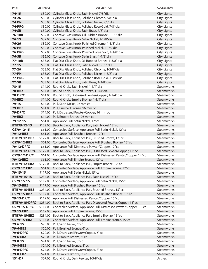| $74 - 15$<br><b>City Lights</b><br>\$30.00 Cylinder Glass Knob, Satin Nickel, 7/8" dia<br>74-26<br>\$30.00 Cylinder Glass Knob, Polished Chrome, 7/8" dia<br>City Lights<br><b>74-PN</b><br>\$30.00 Cylinder Glass Knob, Polished Nickel, 7/8" dia<br><b>City Lights</b><br>74-PRG<br>\$30.00 Cylinder Glass Knob, Polished Rose Gold, 7/8" dia<br>City Lights<br>74-SB<br>\$30.00 Cylinder Glass Knob, Satin Brass, 7/8" dia<br><b>City Lights</b><br>76-10B<br><b>City Lights</b><br>\$32.00 Concave Glass Knob, Oil Rubbed Bronze, 1-1/8" dia<br>$76 - 15$<br><b>City Lights</b><br>\$32.00 Concave Glass Knob, Satin Nickel, 1-1/8" dia<br>$76 - 26$<br><b>City Lights</b><br>\$32.00 Concave Glass Knob, Polished Chrome, 1-1/8" dia<br><b>76-PN</b><br>\$32.00 Concave Glass Knob, Polished Nickel, 1-1/8" dia<br><b>City Lights</b><br><b>76-PRG</b><br><b>City Lights</b><br>\$32.00 Concave Glass Knob, Polished Rose Gold, 1-1/8" dia<br>76-SB<br>\$32.00 Concave Glass Knob, Satin Brass, 1-1/8" dia<br><b>City Lights</b><br>77-10B<br>\$33.00 Flat Disc Glass Knob, Oil Rubbed Bronze, 1-3/8" dia<br><b>City Lights</b><br>$77 - 15$<br>\$33.00 Flat Disc Glass Knob, Satin Nickel, 1-3/8" dia<br><b>City Lights</b><br>$77 - 26$<br>\$33.00 Flat Disc Glass Knob, Polished Chrome, 1-3/8" dia<br><b>City Lights</b><br><b>77-PN</b><br>\$33.00 Flat Disc Glass Knob, Polished Nickel, 1-3/8" dia<br><b>City Lights</b><br>77-PRG<br>\$33.00 Flat Disc Glass Knob, Polished Rose Gold, 1-3/8" dia<br><b>City Lights</b><br>$77 - SB$<br>\$33.00 Flat Disc Glass Knob, Satin Brass, 1-3/8" dia<br><b>City Lights</b><br>$78 - 15$<br>Steamworks<br>\$14.00 Round Knob, Satin Nickel, 1-1/4" dia<br>78-BBZ<br>\$14.00 Round Knob, Brushed Bronze, 1-1/4" dia<br>Steamworks<br>78-DP/C<br>\$14.00 Round Knob, Distressed Pewter/Copper, 1-1/4" dia<br>Steamworks<br>78-EBZ<br>\$14.00 Round Knob, Empire Bronze, 1-1/4" dia<br>Steamworks<br>\$14.00 Pull, Satin Nickel, 96 mm cc<br>Steamworks<br>$79 - 15$<br>79-BBZ<br>\$14.00 Pull, Brushed Bronze, 96 mm cc<br>Steamworks<br><b>Steamworks</b><br>79-DP/C<br>\$14.00 Pull, Distressed Pewter/Copper, 96 mm cc<br>79-EBZ<br>Steamworks<br>\$14.00 Pull, Empire Bronze, 96 mm cc<br>$79 - 12 - 15$<br>Steamworks<br>\$61.00 Appliance Pull, Satin Nickel, 12"cc<br>Steamworks<br>BTB79-12-15<br>\$122.00 Back to Back, Appliance Pull, Satin Nickel, 12" cc<br><b>Steamworks</b><br>CS79-12-15<br>\$61.00 Concealed Surface, Appliance Pull, Satin Nickel, 12" cc<br><b>Steamworks</b><br>79-12-BBZ<br>\$61.00 Appliance Pull, Brushed Bronze, 12" cc<br>\$122.00 Back to Back, Appliance Pull, Brushed Bronze, 12" cc<br><b>Steamworks</b><br><b>BTB79-12-BBZ</b><br>Steamworks<br>CS79-12-BBZ<br>\$61.00 Concealed Surface, Appliance Pull, Brushed Bronze, 12" cc<br><b>Steamworks</b><br>79-12-DP/C<br>\$61.00 Appliance Pull, Distressed Pewter/Copper, 12"cc<br>Steamworks<br><b>BTB79-12-DP/C</b><br>\$122.00 Back to Back, Appliance Pull, Distressed Pewter/Copper, 12" cc<br>\$61.00 Concealed Surface, Appliance Pull, Distressed Pewter/Copper, 12"cc<br>Steamworks<br><b>CS79-12-DP/C</b><br>\$61.00 Appliance Pull, Empire Bronze, 12" cc<br>79-12-EBZ<br>Steamworks<br><b>BTB79-12-EBZ</b><br>\$122.00 Back to Back, Appliance Pull, Empire Bronze, 12" cc<br>Steamworks<br>\$61.00 Concealed Surface, Appliance Pull, Empire Bronze, 12" cc<br><b>CS79-12-EBZ</b><br>Steamworks<br>\$117.00 Appliance Pull, Satin Nickel, 15" cc<br>Steamworks<br>$79 - 15 - 15$<br>BTB79-15-15<br>\$234.00 Back to Back, Appliance Pull, Satin Nickel, 15" cc<br>Steamworks<br>\$117.00 Concealed Surface, Appliance Pull, Satin Nickel, 15" cc<br><b>Steamworks</b><br>CS79-15-15<br>\$117.00 Appliance Pull, Brushed Bronze, 15" cc<br>Steamworks<br>79-15-BBZ<br>\$234.00 Back to Back, Appliance Pull, Brushed Bronze, 15" cc<br><b>Steamworks</b><br><b>BTB79-15-BBZ</b><br>\$117.00 Concealed Surface, Appliance Pull, Brushed Bronze, 15" cc<br>Steamworks<br>CS79-15-BBZ<br>Steamworks<br>\$117.00 Appliance Pull, Distressed Pewter/Copper, 15"cc<br>79-15-DP/C<br>\$234.00 Back to Back, Appliance Pull, Distressed Pewter/Copper, 15" cc<br><b>BTB79-15-DP/C</b><br>Steamworks<br>\$117.00 Concealed Surface, Appliance Pull, Distressed Pewter/Copper, 15" cc<br><b>Steamworks</b><br><b>CS79-15-DP/C</b><br>Steamworks<br>79-15-EBZ<br>\$117.00 Appliance Pull, Empire Bronze, 15" cc<br>\$234.00 Back to Back, Appliance Pull, Empire Bronze, 15" cc<br>Steamworks<br><b>BTB79-15-EBZ</b><br><b>CS79-15-EBZ</b><br>\$117.00 Concealed Surface, Appliance Pull, Empire Bronze, 15" cc<br>Steamworks<br>\$20.00 Pull, Satin Nickel, 6"cc<br>Steamworks<br>$79 - 6 - 15$<br>\$20.00 Pull, Brushed Bronze, 6" cc<br>79-6-BBZ<br>Steamworks<br>\$20.00 Pull, Distressed Pewter/Copper, 6"cc<br>Steamworks<br>79-6-DP/C<br>\$20.00 Pull, Empire Bronze, 6" cc<br>Steamworks<br>79-6-EBZ<br>\$24.00 Pull, Satin Nickel, 8"cc<br>Steamworks<br>$79 - 8 - 15$<br>\$24.00 Pull, Brushed Bronze, 8" cc<br>79-8-BBZ<br>Steamworks<br>\$24.00 Pull, Distressed Pewter/Copper, 8"cc<br><b>Steamworks</b><br>79-8-DP/C<br>\$24.00 Pull, Empire Bronze, 8" cc<br>79-8-EBZ<br>Steamworks | <b>PART</b> | <b>LIST PRICE</b> | <b>DESCRIPTION</b>                          | <b>COLLECTION</b> |
|-----------------------------------------------------------------------------------------------------------------------------------------------------------------------------------------------------------------------------------------------------------------------------------------------------------------------------------------------------------------------------------------------------------------------------------------------------------------------------------------------------------------------------------------------------------------------------------------------------------------------------------------------------------------------------------------------------------------------------------------------------------------------------------------------------------------------------------------------------------------------------------------------------------------------------------------------------------------------------------------------------------------------------------------------------------------------------------------------------------------------------------------------------------------------------------------------------------------------------------------------------------------------------------------------------------------------------------------------------------------------------------------------------------------------------------------------------------------------------------------------------------------------------------------------------------------------------------------------------------------------------------------------------------------------------------------------------------------------------------------------------------------------------------------------------------------------------------------------------------------------------------------------------------------------------------------------------------------------------------------------------------------------------------------------------------------------------------------------------------------------------------------------------------------------------------------------------------------------------------------------------------------------------------------------------------------------------------------------------------------------------------------------------------------------------------------------------------------------------------------------------------------------------------------------------------------------------------------------------------------------------------------------------------------------------------------------------------------------------------------------------------------------------------------------------------------------------------------------------------------------------------------------------------------------------------------------------------------------------------------------------------------------------------------------------------------------------------------------------------------------------------------------------------------------------------------------------------------------------------------------------------------------------------------------------------------------------------------------------------------------------------------------------------------------------------------------------------------------------------------------------------------------------------------------------------------------------------------------------------------------------------------------------------------------------------------------------------------------------------------------------------------------------------------------------------------------------------------------------------------------------------------------------------------------------------------------------------------------------------------------------------------------------------------------------------------------------------------------------------------------------------------------------------------------------------------------------------------------------------------------------------------------------------------------------------------------------------------------------------------------------------------------------------------------------------------------------------------------------------------------------------------------------------------------------------------------------------------------------------------------------------------------------------------------------------------------------------------------------------------------------------------------------------------------------------------------------------------------------------------------------------------------------------------------------------------------------------------------------------------------------------------------------------------------------------------------------------------------------------------------------------------------------------------------------------------------------------------------------------------------------|-------------|-------------------|---------------------------------------------|-------------------|
|                                                                                                                                                                                                                                                                                                                                                                                                                                                                                                                                                                                                                                                                                                                                                                                                                                                                                                                                                                                                                                                                                                                                                                                                                                                                                                                                                                                                                                                                                                                                                                                                                                                                                                                                                                                                                                                                                                                                                                                                                                                                                                                                                                                                                                                                                                                                                                                                                                                                                                                                                                                                                                                                                                                                                                                                                                                                                                                                                                                                                                                                                                                                                                                                                                                                                                                                                                                                                                                                                                                                                                                                                                                                                                                                                                                                                                                                                                                                                                                                                                                                                                                                                                                                                                                                                                                                                                                                                                                                                                                                                                                                                                                                                                                                                                                                                                                                                                                                                                                                                                                                                                                                                                                                                                                     |             |                   |                                             |                   |
|                                                                                                                                                                                                                                                                                                                                                                                                                                                                                                                                                                                                                                                                                                                                                                                                                                                                                                                                                                                                                                                                                                                                                                                                                                                                                                                                                                                                                                                                                                                                                                                                                                                                                                                                                                                                                                                                                                                                                                                                                                                                                                                                                                                                                                                                                                                                                                                                                                                                                                                                                                                                                                                                                                                                                                                                                                                                                                                                                                                                                                                                                                                                                                                                                                                                                                                                                                                                                                                                                                                                                                                                                                                                                                                                                                                                                                                                                                                                                                                                                                                                                                                                                                                                                                                                                                                                                                                                                                                                                                                                                                                                                                                                                                                                                                                                                                                                                                                                                                                                                                                                                                                                                                                                                                                     |             |                   |                                             |                   |
|                                                                                                                                                                                                                                                                                                                                                                                                                                                                                                                                                                                                                                                                                                                                                                                                                                                                                                                                                                                                                                                                                                                                                                                                                                                                                                                                                                                                                                                                                                                                                                                                                                                                                                                                                                                                                                                                                                                                                                                                                                                                                                                                                                                                                                                                                                                                                                                                                                                                                                                                                                                                                                                                                                                                                                                                                                                                                                                                                                                                                                                                                                                                                                                                                                                                                                                                                                                                                                                                                                                                                                                                                                                                                                                                                                                                                                                                                                                                                                                                                                                                                                                                                                                                                                                                                                                                                                                                                                                                                                                                                                                                                                                                                                                                                                                                                                                                                                                                                                                                                                                                                                                                                                                                                                                     |             |                   |                                             |                   |
|                                                                                                                                                                                                                                                                                                                                                                                                                                                                                                                                                                                                                                                                                                                                                                                                                                                                                                                                                                                                                                                                                                                                                                                                                                                                                                                                                                                                                                                                                                                                                                                                                                                                                                                                                                                                                                                                                                                                                                                                                                                                                                                                                                                                                                                                                                                                                                                                                                                                                                                                                                                                                                                                                                                                                                                                                                                                                                                                                                                                                                                                                                                                                                                                                                                                                                                                                                                                                                                                                                                                                                                                                                                                                                                                                                                                                                                                                                                                                                                                                                                                                                                                                                                                                                                                                                                                                                                                                                                                                                                                                                                                                                                                                                                                                                                                                                                                                                                                                                                                                                                                                                                                                                                                                                                     |             |                   |                                             |                   |
|                                                                                                                                                                                                                                                                                                                                                                                                                                                                                                                                                                                                                                                                                                                                                                                                                                                                                                                                                                                                                                                                                                                                                                                                                                                                                                                                                                                                                                                                                                                                                                                                                                                                                                                                                                                                                                                                                                                                                                                                                                                                                                                                                                                                                                                                                                                                                                                                                                                                                                                                                                                                                                                                                                                                                                                                                                                                                                                                                                                                                                                                                                                                                                                                                                                                                                                                                                                                                                                                                                                                                                                                                                                                                                                                                                                                                                                                                                                                                                                                                                                                                                                                                                                                                                                                                                                                                                                                                                                                                                                                                                                                                                                                                                                                                                                                                                                                                                                                                                                                                                                                                                                                                                                                                                                     |             |                   |                                             |                   |
|                                                                                                                                                                                                                                                                                                                                                                                                                                                                                                                                                                                                                                                                                                                                                                                                                                                                                                                                                                                                                                                                                                                                                                                                                                                                                                                                                                                                                                                                                                                                                                                                                                                                                                                                                                                                                                                                                                                                                                                                                                                                                                                                                                                                                                                                                                                                                                                                                                                                                                                                                                                                                                                                                                                                                                                                                                                                                                                                                                                                                                                                                                                                                                                                                                                                                                                                                                                                                                                                                                                                                                                                                                                                                                                                                                                                                                                                                                                                                                                                                                                                                                                                                                                                                                                                                                                                                                                                                                                                                                                                                                                                                                                                                                                                                                                                                                                                                                                                                                                                                                                                                                                                                                                                                                                     |             |                   |                                             |                   |
|                                                                                                                                                                                                                                                                                                                                                                                                                                                                                                                                                                                                                                                                                                                                                                                                                                                                                                                                                                                                                                                                                                                                                                                                                                                                                                                                                                                                                                                                                                                                                                                                                                                                                                                                                                                                                                                                                                                                                                                                                                                                                                                                                                                                                                                                                                                                                                                                                                                                                                                                                                                                                                                                                                                                                                                                                                                                                                                                                                                                                                                                                                                                                                                                                                                                                                                                                                                                                                                                                                                                                                                                                                                                                                                                                                                                                                                                                                                                                                                                                                                                                                                                                                                                                                                                                                                                                                                                                                                                                                                                                                                                                                                                                                                                                                                                                                                                                                                                                                                                                                                                                                                                                                                                                                                     |             |                   |                                             |                   |
|                                                                                                                                                                                                                                                                                                                                                                                                                                                                                                                                                                                                                                                                                                                                                                                                                                                                                                                                                                                                                                                                                                                                                                                                                                                                                                                                                                                                                                                                                                                                                                                                                                                                                                                                                                                                                                                                                                                                                                                                                                                                                                                                                                                                                                                                                                                                                                                                                                                                                                                                                                                                                                                                                                                                                                                                                                                                                                                                                                                                                                                                                                                                                                                                                                                                                                                                                                                                                                                                                                                                                                                                                                                                                                                                                                                                                                                                                                                                                                                                                                                                                                                                                                                                                                                                                                                                                                                                                                                                                                                                                                                                                                                                                                                                                                                                                                                                                                                                                                                                                                                                                                                                                                                                                                                     |             |                   |                                             |                   |
|                                                                                                                                                                                                                                                                                                                                                                                                                                                                                                                                                                                                                                                                                                                                                                                                                                                                                                                                                                                                                                                                                                                                                                                                                                                                                                                                                                                                                                                                                                                                                                                                                                                                                                                                                                                                                                                                                                                                                                                                                                                                                                                                                                                                                                                                                                                                                                                                                                                                                                                                                                                                                                                                                                                                                                                                                                                                                                                                                                                                                                                                                                                                                                                                                                                                                                                                                                                                                                                                                                                                                                                                                                                                                                                                                                                                                                                                                                                                                                                                                                                                                                                                                                                                                                                                                                                                                                                                                                                                                                                                                                                                                                                                                                                                                                                                                                                                                                                                                                                                                                                                                                                                                                                                                                                     |             |                   |                                             |                   |
|                                                                                                                                                                                                                                                                                                                                                                                                                                                                                                                                                                                                                                                                                                                                                                                                                                                                                                                                                                                                                                                                                                                                                                                                                                                                                                                                                                                                                                                                                                                                                                                                                                                                                                                                                                                                                                                                                                                                                                                                                                                                                                                                                                                                                                                                                                                                                                                                                                                                                                                                                                                                                                                                                                                                                                                                                                                                                                                                                                                                                                                                                                                                                                                                                                                                                                                                                                                                                                                                                                                                                                                                                                                                                                                                                                                                                                                                                                                                                                                                                                                                                                                                                                                                                                                                                                                                                                                                                                                                                                                                                                                                                                                                                                                                                                                                                                                                                                                                                                                                                                                                                                                                                                                                                                                     |             |                   |                                             |                   |
|                                                                                                                                                                                                                                                                                                                                                                                                                                                                                                                                                                                                                                                                                                                                                                                                                                                                                                                                                                                                                                                                                                                                                                                                                                                                                                                                                                                                                                                                                                                                                                                                                                                                                                                                                                                                                                                                                                                                                                                                                                                                                                                                                                                                                                                                                                                                                                                                                                                                                                                                                                                                                                                                                                                                                                                                                                                                                                                                                                                                                                                                                                                                                                                                                                                                                                                                                                                                                                                                                                                                                                                                                                                                                                                                                                                                                                                                                                                                                                                                                                                                                                                                                                                                                                                                                                                                                                                                                                                                                                                                                                                                                                                                                                                                                                                                                                                                                                                                                                                                                                                                                                                                                                                                                                                     |             |                   |                                             |                   |
|                                                                                                                                                                                                                                                                                                                                                                                                                                                                                                                                                                                                                                                                                                                                                                                                                                                                                                                                                                                                                                                                                                                                                                                                                                                                                                                                                                                                                                                                                                                                                                                                                                                                                                                                                                                                                                                                                                                                                                                                                                                                                                                                                                                                                                                                                                                                                                                                                                                                                                                                                                                                                                                                                                                                                                                                                                                                                                                                                                                                                                                                                                                                                                                                                                                                                                                                                                                                                                                                                                                                                                                                                                                                                                                                                                                                                                                                                                                                                                                                                                                                                                                                                                                                                                                                                                                                                                                                                                                                                                                                                                                                                                                                                                                                                                                                                                                                                                                                                                                                                                                                                                                                                                                                                                                     |             |                   |                                             |                   |
|                                                                                                                                                                                                                                                                                                                                                                                                                                                                                                                                                                                                                                                                                                                                                                                                                                                                                                                                                                                                                                                                                                                                                                                                                                                                                                                                                                                                                                                                                                                                                                                                                                                                                                                                                                                                                                                                                                                                                                                                                                                                                                                                                                                                                                                                                                                                                                                                                                                                                                                                                                                                                                                                                                                                                                                                                                                                                                                                                                                                                                                                                                                                                                                                                                                                                                                                                                                                                                                                                                                                                                                                                                                                                                                                                                                                                                                                                                                                                                                                                                                                                                                                                                                                                                                                                                                                                                                                                                                                                                                                                                                                                                                                                                                                                                                                                                                                                                                                                                                                                                                                                                                                                                                                                                                     |             |                   |                                             |                   |
|                                                                                                                                                                                                                                                                                                                                                                                                                                                                                                                                                                                                                                                                                                                                                                                                                                                                                                                                                                                                                                                                                                                                                                                                                                                                                                                                                                                                                                                                                                                                                                                                                                                                                                                                                                                                                                                                                                                                                                                                                                                                                                                                                                                                                                                                                                                                                                                                                                                                                                                                                                                                                                                                                                                                                                                                                                                                                                                                                                                                                                                                                                                                                                                                                                                                                                                                                                                                                                                                                                                                                                                                                                                                                                                                                                                                                                                                                                                                                                                                                                                                                                                                                                                                                                                                                                                                                                                                                                                                                                                                                                                                                                                                                                                                                                                                                                                                                                                                                                                                                                                                                                                                                                                                                                                     |             |                   |                                             |                   |
|                                                                                                                                                                                                                                                                                                                                                                                                                                                                                                                                                                                                                                                                                                                                                                                                                                                                                                                                                                                                                                                                                                                                                                                                                                                                                                                                                                                                                                                                                                                                                                                                                                                                                                                                                                                                                                                                                                                                                                                                                                                                                                                                                                                                                                                                                                                                                                                                                                                                                                                                                                                                                                                                                                                                                                                                                                                                                                                                                                                                                                                                                                                                                                                                                                                                                                                                                                                                                                                                                                                                                                                                                                                                                                                                                                                                                                                                                                                                                                                                                                                                                                                                                                                                                                                                                                                                                                                                                                                                                                                                                                                                                                                                                                                                                                                                                                                                                                                                                                                                                                                                                                                                                                                                                                                     |             |                   |                                             |                   |
|                                                                                                                                                                                                                                                                                                                                                                                                                                                                                                                                                                                                                                                                                                                                                                                                                                                                                                                                                                                                                                                                                                                                                                                                                                                                                                                                                                                                                                                                                                                                                                                                                                                                                                                                                                                                                                                                                                                                                                                                                                                                                                                                                                                                                                                                                                                                                                                                                                                                                                                                                                                                                                                                                                                                                                                                                                                                                                                                                                                                                                                                                                                                                                                                                                                                                                                                                                                                                                                                                                                                                                                                                                                                                                                                                                                                                                                                                                                                                                                                                                                                                                                                                                                                                                                                                                                                                                                                                                                                                                                                                                                                                                                                                                                                                                                                                                                                                                                                                                                                                                                                                                                                                                                                                                                     |             |                   |                                             |                   |
|                                                                                                                                                                                                                                                                                                                                                                                                                                                                                                                                                                                                                                                                                                                                                                                                                                                                                                                                                                                                                                                                                                                                                                                                                                                                                                                                                                                                                                                                                                                                                                                                                                                                                                                                                                                                                                                                                                                                                                                                                                                                                                                                                                                                                                                                                                                                                                                                                                                                                                                                                                                                                                                                                                                                                                                                                                                                                                                                                                                                                                                                                                                                                                                                                                                                                                                                                                                                                                                                                                                                                                                                                                                                                                                                                                                                                                                                                                                                                                                                                                                                                                                                                                                                                                                                                                                                                                                                                                                                                                                                                                                                                                                                                                                                                                                                                                                                                                                                                                                                                                                                                                                                                                                                                                                     |             |                   |                                             |                   |
|                                                                                                                                                                                                                                                                                                                                                                                                                                                                                                                                                                                                                                                                                                                                                                                                                                                                                                                                                                                                                                                                                                                                                                                                                                                                                                                                                                                                                                                                                                                                                                                                                                                                                                                                                                                                                                                                                                                                                                                                                                                                                                                                                                                                                                                                                                                                                                                                                                                                                                                                                                                                                                                                                                                                                                                                                                                                                                                                                                                                                                                                                                                                                                                                                                                                                                                                                                                                                                                                                                                                                                                                                                                                                                                                                                                                                                                                                                                                                                                                                                                                                                                                                                                                                                                                                                                                                                                                                                                                                                                                                                                                                                                                                                                                                                                                                                                                                                                                                                                                                                                                                                                                                                                                                                                     |             |                   |                                             |                   |
|                                                                                                                                                                                                                                                                                                                                                                                                                                                                                                                                                                                                                                                                                                                                                                                                                                                                                                                                                                                                                                                                                                                                                                                                                                                                                                                                                                                                                                                                                                                                                                                                                                                                                                                                                                                                                                                                                                                                                                                                                                                                                                                                                                                                                                                                                                                                                                                                                                                                                                                                                                                                                                                                                                                                                                                                                                                                                                                                                                                                                                                                                                                                                                                                                                                                                                                                                                                                                                                                                                                                                                                                                                                                                                                                                                                                                                                                                                                                                                                                                                                                                                                                                                                                                                                                                                                                                                                                                                                                                                                                                                                                                                                                                                                                                                                                                                                                                                                                                                                                                                                                                                                                                                                                                                                     |             |                   |                                             |                   |
|                                                                                                                                                                                                                                                                                                                                                                                                                                                                                                                                                                                                                                                                                                                                                                                                                                                                                                                                                                                                                                                                                                                                                                                                                                                                                                                                                                                                                                                                                                                                                                                                                                                                                                                                                                                                                                                                                                                                                                                                                                                                                                                                                                                                                                                                                                                                                                                                                                                                                                                                                                                                                                                                                                                                                                                                                                                                                                                                                                                                                                                                                                                                                                                                                                                                                                                                                                                                                                                                                                                                                                                                                                                                                                                                                                                                                                                                                                                                                                                                                                                                                                                                                                                                                                                                                                                                                                                                                                                                                                                                                                                                                                                                                                                                                                                                                                                                                                                                                                                                                                                                                                                                                                                                                                                     |             |                   |                                             |                   |
|                                                                                                                                                                                                                                                                                                                                                                                                                                                                                                                                                                                                                                                                                                                                                                                                                                                                                                                                                                                                                                                                                                                                                                                                                                                                                                                                                                                                                                                                                                                                                                                                                                                                                                                                                                                                                                                                                                                                                                                                                                                                                                                                                                                                                                                                                                                                                                                                                                                                                                                                                                                                                                                                                                                                                                                                                                                                                                                                                                                                                                                                                                                                                                                                                                                                                                                                                                                                                                                                                                                                                                                                                                                                                                                                                                                                                                                                                                                                                                                                                                                                                                                                                                                                                                                                                                                                                                                                                                                                                                                                                                                                                                                                                                                                                                                                                                                                                                                                                                                                                                                                                                                                                                                                                                                     |             |                   |                                             |                   |
|                                                                                                                                                                                                                                                                                                                                                                                                                                                                                                                                                                                                                                                                                                                                                                                                                                                                                                                                                                                                                                                                                                                                                                                                                                                                                                                                                                                                                                                                                                                                                                                                                                                                                                                                                                                                                                                                                                                                                                                                                                                                                                                                                                                                                                                                                                                                                                                                                                                                                                                                                                                                                                                                                                                                                                                                                                                                                                                                                                                                                                                                                                                                                                                                                                                                                                                                                                                                                                                                                                                                                                                                                                                                                                                                                                                                                                                                                                                                                                                                                                                                                                                                                                                                                                                                                                                                                                                                                                                                                                                                                                                                                                                                                                                                                                                                                                                                                                                                                                                                                                                                                                                                                                                                                                                     |             |                   |                                             |                   |
|                                                                                                                                                                                                                                                                                                                                                                                                                                                                                                                                                                                                                                                                                                                                                                                                                                                                                                                                                                                                                                                                                                                                                                                                                                                                                                                                                                                                                                                                                                                                                                                                                                                                                                                                                                                                                                                                                                                                                                                                                                                                                                                                                                                                                                                                                                                                                                                                                                                                                                                                                                                                                                                                                                                                                                                                                                                                                                                                                                                                                                                                                                                                                                                                                                                                                                                                                                                                                                                                                                                                                                                                                                                                                                                                                                                                                                                                                                                                                                                                                                                                                                                                                                                                                                                                                                                                                                                                                                                                                                                                                                                                                                                                                                                                                                                                                                                                                                                                                                                                                                                                                                                                                                                                                                                     |             |                   |                                             |                   |
|                                                                                                                                                                                                                                                                                                                                                                                                                                                                                                                                                                                                                                                                                                                                                                                                                                                                                                                                                                                                                                                                                                                                                                                                                                                                                                                                                                                                                                                                                                                                                                                                                                                                                                                                                                                                                                                                                                                                                                                                                                                                                                                                                                                                                                                                                                                                                                                                                                                                                                                                                                                                                                                                                                                                                                                                                                                                                                                                                                                                                                                                                                                                                                                                                                                                                                                                                                                                                                                                                                                                                                                                                                                                                                                                                                                                                                                                                                                                                                                                                                                                                                                                                                                                                                                                                                                                                                                                                                                                                                                                                                                                                                                                                                                                                                                                                                                                                                                                                                                                                                                                                                                                                                                                                                                     |             |                   |                                             |                   |
|                                                                                                                                                                                                                                                                                                                                                                                                                                                                                                                                                                                                                                                                                                                                                                                                                                                                                                                                                                                                                                                                                                                                                                                                                                                                                                                                                                                                                                                                                                                                                                                                                                                                                                                                                                                                                                                                                                                                                                                                                                                                                                                                                                                                                                                                                                                                                                                                                                                                                                                                                                                                                                                                                                                                                                                                                                                                                                                                                                                                                                                                                                                                                                                                                                                                                                                                                                                                                                                                                                                                                                                                                                                                                                                                                                                                                                                                                                                                                                                                                                                                                                                                                                                                                                                                                                                                                                                                                                                                                                                                                                                                                                                                                                                                                                                                                                                                                                                                                                                                                                                                                                                                                                                                                                                     |             |                   |                                             |                   |
|                                                                                                                                                                                                                                                                                                                                                                                                                                                                                                                                                                                                                                                                                                                                                                                                                                                                                                                                                                                                                                                                                                                                                                                                                                                                                                                                                                                                                                                                                                                                                                                                                                                                                                                                                                                                                                                                                                                                                                                                                                                                                                                                                                                                                                                                                                                                                                                                                                                                                                                                                                                                                                                                                                                                                                                                                                                                                                                                                                                                                                                                                                                                                                                                                                                                                                                                                                                                                                                                                                                                                                                                                                                                                                                                                                                                                                                                                                                                                                                                                                                                                                                                                                                                                                                                                                                                                                                                                                                                                                                                                                                                                                                                                                                                                                                                                                                                                                                                                                                                                                                                                                                                                                                                                                                     |             |                   |                                             |                   |
|                                                                                                                                                                                                                                                                                                                                                                                                                                                                                                                                                                                                                                                                                                                                                                                                                                                                                                                                                                                                                                                                                                                                                                                                                                                                                                                                                                                                                                                                                                                                                                                                                                                                                                                                                                                                                                                                                                                                                                                                                                                                                                                                                                                                                                                                                                                                                                                                                                                                                                                                                                                                                                                                                                                                                                                                                                                                                                                                                                                                                                                                                                                                                                                                                                                                                                                                                                                                                                                                                                                                                                                                                                                                                                                                                                                                                                                                                                                                                                                                                                                                                                                                                                                                                                                                                                                                                                                                                                                                                                                                                                                                                                                                                                                                                                                                                                                                                                                                                                                                                                                                                                                                                                                                                                                     |             |                   |                                             |                   |
|                                                                                                                                                                                                                                                                                                                                                                                                                                                                                                                                                                                                                                                                                                                                                                                                                                                                                                                                                                                                                                                                                                                                                                                                                                                                                                                                                                                                                                                                                                                                                                                                                                                                                                                                                                                                                                                                                                                                                                                                                                                                                                                                                                                                                                                                                                                                                                                                                                                                                                                                                                                                                                                                                                                                                                                                                                                                                                                                                                                                                                                                                                                                                                                                                                                                                                                                                                                                                                                                                                                                                                                                                                                                                                                                                                                                                                                                                                                                                                                                                                                                                                                                                                                                                                                                                                                                                                                                                                                                                                                                                                                                                                                                                                                                                                                                                                                                                                                                                                                                                                                                                                                                                                                                                                                     |             |                   |                                             |                   |
|                                                                                                                                                                                                                                                                                                                                                                                                                                                                                                                                                                                                                                                                                                                                                                                                                                                                                                                                                                                                                                                                                                                                                                                                                                                                                                                                                                                                                                                                                                                                                                                                                                                                                                                                                                                                                                                                                                                                                                                                                                                                                                                                                                                                                                                                                                                                                                                                                                                                                                                                                                                                                                                                                                                                                                                                                                                                                                                                                                                                                                                                                                                                                                                                                                                                                                                                                                                                                                                                                                                                                                                                                                                                                                                                                                                                                                                                                                                                                                                                                                                                                                                                                                                                                                                                                                                                                                                                                                                                                                                                                                                                                                                                                                                                                                                                                                                                                                                                                                                                                                                                                                                                                                                                                                                     |             |                   |                                             |                   |
|                                                                                                                                                                                                                                                                                                                                                                                                                                                                                                                                                                                                                                                                                                                                                                                                                                                                                                                                                                                                                                                                                                                                                                                                                                                                                                                                                                                                                                                                                                                                                                                                                                                                                                                                                                                                                                                                                                                                                                                                                                                                                                                                                                                                                                                                                                                                                                                                                                                                                                                                                                                                                                                                                                                                                                                                                                                                                                                                                                                                                                                                                                                                                                                                                                                                                                                                                                                                                                                                                                                                                                                                                                                                                                                                                                                                                                                                                                                                                                                                                                                                                                                                                                                                                                                                                                                                                                                                                                                                                                                                                                                                                                                                                                                                                                                                                                                                                                                                                                                                                                                                                                                                                                                                                                                     |             |                   |                                             |                   |
|                                                                                                                                                                                                                                                                                                                                                                                                                                                                                                                                                                                                                                                                                                                                                                                                                                                                                                                                                                                                                                                                                                                                                                                                                                                                                                                                                                                                                                                                                                                                                                                                                                                                                                                                                                                                                                                                                                                                                                                                                                                                                                                                                                                                                                                                                                                                                                                                                                                                                                                                                                                                                                                                                                                                                                                                                                                                                                                                                                                                                                                                                                                                                                                                                                                                                                                                                                                                                                                                                                                                                                                                                                                                                                                                                                                                                                                                                                                                                                                                                                                                                                                                                                                                                                                                                                                                                                                                                                                                                                                                                                                                                                                                                                                                                                                                                                                                                                                                                                                                                                                                                                                                                                                                                                                     |             |                   |                                             |                   |
|                                                                                                                                                                                                                                                                                                                                                                                                                                                                                                                                                                                                                                                                                                                                                                                                                                                                                                                                                                                                                                                                                                                                                                                                                                                                                                                                                                                                                                                                                                                                                                                                                                                                                                                                                                                                                                                                                                                                                                                                                                                                                                                                                                                                                                                                                                                                                                                                                                                                                                                                                                                                                                                                                                                                                                                                                                                                                                                                                                                                                                                                                                                                                                                                                                                                                                                                                                                                                                                                                                                                                                                                                                                                                                                                                                                                                                                                                                                                                                                                                                                                                                                                                                                                                                                                                                                                                                                                                                                                                                                                                                                                                                                                                                                                                                                                                                                                                                                                                                                                                                                                                                                                                                                                                                                     |             |                   |                                             |                   |
|                                                                                                                                                                                                                                                                                                                                                                                                                                                                                                                                                                                                                                                                                                                                                                                                                                                                                                                                                                                                                                                                                                                                                                                                                                                                                                                                                                                                                                                                                                                                                                                                                                                                                                                                                                                                                                                                                                                                                                                                                                                                                                                                                                                                                                                                                                                                                                                                                                                                                                                                                                                                                                                                                                                                                                                                                                                                                                                                                                                                                                                                                                                                                                                                                                                                                                                                                                                                                                                                                                                                                                                                                                                                                                                                                                                                                                                                                                                                                                                                                                                                                                                                                                                                                                                                                                                                                                                                                                                                                                                                                                                                                                                                                                                                                                                                                                                                                                                                                                                                                                                                                                                                                                                                                                                     |             |                   |                                             |                   |
|                                                                                                                                                                                                                                                                                                                                                                                                                                                                                                                                                                                                                                                                                                                                                                                                                                                                                                                                                                                                                                                                                                                                                                                                                                                                                                                                                                                                                                                                                                                                                                                                                                                                                                                                                                                                                                                                                                                                                                                                                                                                                                                                                                                                                                                                                                                                                                                                                                                                                                                                                                                                                                                                                                                                                                                                                                                                                                                                                                                                                                                                                                                                                                                                                                                                                                                                                                                                                                                                                                                                                                                                                                                                                                                                                                                                                                                                                                                                                                                                                                                                                                                                                                                                                                                                                                                                                                                                                                                                                                                                                                                                                                                                                                                                                                                                                                                                                                                                                                                                                                                                                                                                                                                                                                                     |             |                   |                                             |                   |
|                                                                                                                                                                                                                                                                                                                                                                                                                                                                                                                                                                                                                                                                                                                                                                                                                                                                                                                                                                                                                                                                                                                                                                                                                                                                                                                                                                                                                                                                                                                                                                                                                                                                                                                                                                                                                                                                                                                                                                                                                                                                                                                                                                                                                                                                                                                                                                                                                                                                                                                                                                                                                                                                                                                                                                                                                                                                                                                                                                                                                                                                                                                                                                                                                                                                                                                                                                                                                                                                                                                                                                                                                                                                                                                                                                                                                                                                                                                                                                                                                                                                                                                                                                                                                                                                                                                                                                                                                                                                                                                                                                                                                                                                                                                                                                                                                                                                                                                                                                                                                                                                                                                                                                                                                                                     |             |                   |                                             |                   |
|                                                                                                                                                                                                                                                                                                                                                                                                                                                                                                                                                                                                                                                                                                                                                                                                                                                                                                                                                                                                                                                                                                                                                                                                                                                                                                                                                                                                                                                                                                                                                                                                                                                                                                                                                                                                                                                                                                                                                                                                                                                                                                                                                                                                                                                                                                                                                                                                                                                                                                                                                                                                                                                                                                                                                                                                                                                                                                                                                                                                                                                                                                                                                                                                                                                                                                                                                                                                                                                                                                                                                                                                                                                                                                                                                                                                                                                                                                                                                                                                                                                                                                                                                                                                                                                                                                                                                                                                                                                                                                                                                                                                                                                                                                                                                                                                                                                                                                                                                                                                                                                                                                                                                                                                                                                     |             |                   |                                             |                   |
|                                                                                                                                                                                                                                                                                                                                                                                                                                                                                                                                                                                                                                                                                                                                                                                                                                                                                                                                                                                                                                                                                                                                                                                                                                                                                                                                                                                                                                                                                                                                                                                                                                                                                                                                                                                                                                                                                                                                                                                                                                                                                                                                                                                                                                                                                                                                                                                                                                                                                                                                                                                                                                                                                                                                                                                                                                                                                                                                                                                                                                                                                                                                                                                                                                                                                                                                                                                                                                                                                                                                                                                                                                                                                                                                                                                                                                                                                                                                                                                                                                                                                                                                                                                                                                                                                                                                                                                                                                                                                                                                                                                                                                                                                                                                                                                                                                                                                                                                                                                                                                                                                                                                                                                                                                                     |             |                   |                                             |                   |
|                                                                                                                                                                                                                                                                                                                                                                                                                                                                                                                                                                                                                                                                                                                                                                                                                                                                                                                                                                                                                                                                                                                                                                                                                                                                                                                                                                                                                                                                                                                                                                                                                                                                                                                                                                                                                                                                                                                                                                                                                                                                                                                                                                                                                                                                                                                                                                                                                                                                                                                                                                                                                                                                                                                                                                                                                                                                                                                                                                                                                                                                                                                                                                                                                                                                                                                                                                                                                                                                                                                                                                                                                                                                                                                                                                                                                                                                                                                                                                                                                                                                                                                                                                                                                                                                                                                                                                                                                                                                                                                                                                                                                                                                                                                                                                                                                                                                                                                                                                                                                                                                                                                                                                                                                                                     |             |                   |                                             |                   |
|                                                                                                                                                                                                                                                                                                                                                                                                                                                                                                                                                                                                                                                                                                                                                                                                                                                                                                                                                                                                                                                                                                                                                                                                                                                                                                                                                                                                                                                                                                                                                                                                                                                                                                                                                                                                                                                                                                                                                                                                                                                                                                                                                                                                                                                                                                                                                                                                                                                                                                                                                                                                                                                                                                                                                                                                                                                                                                                                                                                                                                                                                                                                                                                                                                                                                                                                                                                                                                                                                                                                                                                                                                                                                                                                                                                                                                                                                                                                                                                                                                                                                                                                                                                                                                                                                                                                                                                                                                                                                                                                                                                                                                                                                                                                                                                                                                                                                                                                                                                                                                                                                                                                                                                                                                                     |             |                   |                                             |                   |
|                                                                                                                                                                                                                                                                                                                                                                                                                                                                                                                                                                                                                                                                                                                                                                                                                                                                                                                                                                                                                                                                                                                                                                                                                                                                                                                                                                                                                                                                                                                                                                                                                                                                                                                                                                                                                                                                                                                                                                                                                                                                                                                                                                                                                                                                                                                                                                                                                                                                                                                                                                                                                                                                                                                                                                                                                                                                                                                                                                                                                                                                                                                                                                                                                                                                                                                                                                                                                                                                                                                                                                                                                                                                                                                                                                                                                                                                                                                                                                                                                                                                                                                                                                                                                                                                                                                                                                                                                                                                                                                                                                                                                                                                                                                                                                                                                                                                                                                                                                                                                                                                                                                                                                                                                                                     |             |                   |                                             |                   |
|                                                                                                                                                                                                                                                                                                                                                                                                                                                                                                                                                                                                                                                                                                                                                                                                                                                                                                                                                                                                                                                                                                                                                                                                                                                                                                                                                                                                                                                                                                                                                                                                                                                                                                                                                                                                                                                                                                                                                                                                                                                                                                                                                                                                                                                                                                                                                                                                                                                                                                                                                                                                                                                                                                                                                                                                                                                                                                                                                                                                                                                                                                                                                                                                                                                                                                                                                                                                                                                                                                                                                                                                                                                                                                                                                                                                                                                                                                                                                                                                                                                                                                                                                                                                                                                                                                                                                                                                                                                                                                                                                                                                                                                                                                                                                                                                                                                                                                                                                                                                                                                                                                                                                                                                                                                     |             |                   |                                             |                   |
|                                                                                                                                                                                                                                                                                                                                                                                                                                                                                                                                                                                                                                                                                                                                                                                                                                                                                                                                                                                                                                                                                                                                                                                                                                                                                                                                                                                                                                                                                                                                                                                                                                                                                                                                                                                                                                                                                                                                                                                                                                                                                                                                                                                                                                                                                                                                                                                                                                                                                                                                                                                                                                                                                                                                                                                                                                                                                                                                                                                                                                                                                                                                                                                                                                                                                                                                                                                                                                                                                                                                                                                                                                                                                                                                                                                                                                                                                                                                                                                                                                                                                                                                                                                                                                                                                                                                                                                                                                                                                                                                                                                                                                                                                                                                                                                                                                                                                                                                                                                                                                                                                                                                                                                                                                                     |             |                   |                                             |                   |
|                                                                                                                                                                                                                                                                                                                                                                                                                                                                                                                                                                                                                                                                                                                                                                                                                                                                                                                                                                                                                                                                                                                                                                                                                                                                                                                                                                                                                                                                                                                                                                                                                                                                                                                                                                                                                                                                                                                                                                                                                                                                                                                                                                                                                                                                                                                                                                                                                                                                                                                                                                                                                                                                                                                                                                                                                                                                                                                                                                                                                                                                                                                                                                                                                                                                                                                                                                                                                                                                                                                                                                                                                                                                                                                                                                                                                                                                                                                                                                                                                                                                                                                                                                                                                                                                                                                                                                                                                                                                                                                                                                                                                                                                                                                                                                                                                                                                                                                                                                                                                                                                                                                                                                                                                                                     |             |                   |                                             |                   |
|                                                                                                                                                                                                                                                                                                                                                                                                                                                                                                                                                                                                                                                                                                                                                                                                                                                                                                                                                                                                                                                                                                                                                                                                                                                                                                                                                                                                                                                                                                                                                                                                                                                                                                                                                                                                                                                                                                                                                                                                                                                                                                                                                                                                                                                                                                                                                                                                                                                                                                                                                                                                                                                                                                                                                                                                                                                                                                                                                                                                                                                                                                                                                                                                                                                                                                                                                                                                                                                                                                                                                                                                                                                                                                                                                                                                                                                                                                                                                                                                                                                                                                                                                                                                                                                                                                                                                                                                                                                                                                                                                                                                                                                                                                                                                                                                                                                                                                                                                                                                                                                                                                                                                                                                                                                     |             |                   |                                             |                   |
|                                                                                                                                                                                                                                                                                                                                                                                                                                                                                                                                                                                                                                                                                                                                                                                                                                                                                                                                                                                                                                                                                                                                                                                                                                                                                                                                                                                                                                                                                                                                                                                                                                                                                                                                                                                                                                                                                                                                                                                                                                                                                                                                                                                                                                                                                                                                                                                                                                                                                                                                                                                                                                                                                                                                                                                                                                                                                                                                                                                                                                                                                                                                                                                                                                                                                                                                                                                                                                                                                                                                                                                                                                                                                                                                                                                                                                                                                                                                                                                                                                                                                                                                                                                                                                                                                                                                                                                                                                                                                                                                                                                                                                                                                                                                                                                                                                                                                                                                                                                                                                                                                                                                                                                                                                                     |             |                   |                                             |                   |
|                                                                                                                                                                                                                                                                                                                                                                                                                                                                                                                                                                                                                                                                                                                                                                                                                                                                                                                                                                                                                                                                                                                                                                                                                                                                                                                                                                                                                                                                                                                                                                                                                                                                                                                                                                                                                                                                                                                                                                                                                                                                                                                                                                                                                                                                                                                                                                                                                                                                                                                                                                                                                                                                                                                                                                                                                                                                                                                                                                                                                                                                                                                                                                                                                                                                                                                                                                                                                                                                                                                                                                                                                                                                                                                                                                                                                                                                                                                                                                                                                                                                                                                                                                                                                                                                                                                                                                                                                                                                                                                                                                                                                                                                                                                                                                                                                                                                                                                                                                                                                                                                                                                                                                                                                                                     |             |                   |                                             |                   |
|                                                                                                                                                                                                                                                                                                                                                                                                                                                                                                                                                                                                                                                                                                                                                                                                                                                                                                                                                                                                                                                                                                                                                                                                                                                                                                                                                                                                                                                                                                                                                                                                                                                                                                                                                                                                                                                                                                                                                                                                                                                                                                                                                                                                                                                                                                                                                                                                                                                                                                                                                                                                                                                                                                                                                                                                                                                                                                                                                                                                                                                                                                                                                                                                                                                                                                                                                                                                                                                                                                                                                                                                                                                                                                                                                                                                                                                                                                                                                                                                                                                                                                                                                                                                                                                                                                                                                                                                                                                                                                                                                                                                                                                                                                                                                                                                                                                                                                                                                                                                                                                                                                                                                                                                                                                     |             |                   |                                             |                   |
|                                                                                                                                                                                                                                                                                                                                                                                                                                                                                                                                                                                                                                                                                                                                                                                                                                                                                                                                                                                                                                                                                                                                                                                                                                                                                                                                                                                                                                                                                                                                                                                                                                                                                                                                                                                                                                                                                                                                                                                                                                                                                                                                                                                                                                                                                                                                                                                                                                                                                                                                                                                                                                                                                                                                                                                                                                                                                                                                                                                                                                                                                                                                                                                                                                                                                                                                                                                                                                                                                                                                                                                                                                                                                                                                                                                                                                                                                                                                                                                                                                                                                                                                                                                                                                                                                                                                                                                                                                                                                                                                                                                                                                                                                                                                                                                                                                                                                                                                                                                                                                                                                                                                                                                                                                                     |             |                   |                                             |                   |
|                                                                                                                                                                                                                                                                                                                                                                                                                                                                                                                                                                                                                                                                                                                                                                                                                                                                                                                                                                                                                                                                                                                                                                                                                                                                                                                                                                                                                                                                                                                                                                                                                                                                                                                                                                                                                                                                                                                                                                                                                                                                                                                                                                                                                                                                                                                                                                                                                                                                                                                                                                                                                                                                                                                                                                                                                                                                                                                                                                                                                                                                                                                                                                                                                                                                                                                                                                                                                                                                                                                                                                                                                                                                                                                                                                                                                                                                                                                                                                                                                                                                                                                                                                                                                                                                                                                                                                                                                                                                                                                                                                                                                                                                                                                                                                                                                                                                                                                                                                                                                                                                                                                                                                                                                                                     |             |                   |                                             |                   |
|                                                                                                                                                                                                                                                                                                                                                                                                                                                                                                                                                                                                                                                                                                                                                                                                                                                                                                                                                                                                                                                                                                                                                                                                                                                                                                                                                                                                                                                                                                                                                                                                                                                                                                                                                                                                                                                                                                                                                                                                                                                                                                                                                                                                                                                                                                                                                                                                                                                                                                                                                                                                                                                                                                                                                                                                                                                                                                                                                                                                                                                                                                                                                                                                                                                                                                                                                                                                                                                                                                                                                                                                                                                                                                                                                                                                                                                                                                                                                                                                                                                                                                                                                                                                                                                                                                                                                                                                                                                                                                                                                                                                                                                                                                                                                                                                                                                                                                                                                                                                                                                                                                                                                                                                                                                     |             |                   |                                             |                   |
|                                                                                                                                                                                                                                                                                                                                                                                                                                                                                                                                                                                                                                                                                                                                                                                                                                                                                                                                                                                                                                                                                                                                                                                                                                                                                                                                                                                                                                                                                                                                                                                                                                                                                                                                                                                                                                                                                                                                                                                                                                                                                                                                                                                                                                                                                                                                                                                                                                                                                                                                                                                                                                                                                                                                                                                                                                                                                                                                                                                                                                                                                                                                                                                                                                                                                                                                                                                                                                                                                                                                                                                                                                                                                                                                                                                                                                                                                                                                                                                                                                                                                                                                                                                                                                                                                                                                                                                                                                                                                                                                                                                                                                                                                                                                                                                                                                                                                                                                                                                                                                                                                                                                                                                                                                                     |             |                   |                                             |                   |
|                                                                                                                                                                                                                                                                                                                                                                                                                                                                                                                                                                                                                                                                                                                                                                                                                                                                                                                                                                                                                                                                                                                                                                                                                                                                                                                                                                                                                                                                                                                                                                                                                                                                                                                                                                                                                                                                                                                                                                                                                                                                                                                                                                                                                                                                                                                                                                                                                                                                                                                                                                                                                                                                                                                                                                                                                                                                                                                                                                                                                                                                                                                                                                                                                                                                                                                                                                                                                                                                                                                                                                                                                                                                                                                                                                                                                                                                                                                                                                                                                                                                                                                                                                                                                                                                                                                                                                                                                                                                                                                                                                                                                                                                                                                                                                                                                                                                                                                                                                                                                                                                                                                                                                                                                                                     |             |                   |                                             |                   |
|                                                                                                                                                                                                                                                                                                                                                                                                                                                                                                                                                                                                                                                                                                                                                                                                                                                                                                                                                                                                                                                                                                                                                                                                                                                                                                                                                                                                                                                                                                                                                                                                                                                                                                                                                                                                                                                                                                                                                                                                                                                                                                                                                                                                                                                                                                                                                                                                                                                                                                                                                                                                                                                                                                                                                                                                                                                                                                                                                                                                                                                                                                                                                                                                                                                                                                                                                                                                                                                                                                                                                                                                                                                                                                                                                                                                                                                                                                                                                                                                                                                                                                                                                                                                                                                                                                                                                                                                                                                                                                                                                                                                                                                                                                                                                                                                                                                                                                                                                                                                                                                                                                                                                                                                                                                     |             |                   |                                             |                   |
|                                                                                                                                                                                                                                                                                                                                                                                                                                                                                                                                                                                                                                                                                                                                                                                                                                                                                                                                                                                                                                                                                                                                                                                                                                                                                                                                                                                                                                                                                                                                                                                                                                                                                                                                                                                                                                                                                                                                                                                                                                                                                                                                                                                                                                                                                                                                                                                                                                                                                                                                                                                                                                                                                                                                                                                                                                                                                                                                                                                                                                                                                                                                                                                                                                                                                                                                                                                                                                                                                                                                                                                                                                                                                                                                                                                                                                                                                                                                                                                                                                                                                                                                                                                                                                                                                                                                                                                                                                                                                                                                                                                                                                                                                                                                                                                                                                                                                                                                                                                                                                                                                                                                                                                                                                                     |             |                   |                                             |                   |
|                                                                                                                                                                                                                                                                                                                                                                                                                                                                                                                                                                                                                                                                                                                                                                                                                                                                                                                                                                                                                                                                                                                                                                                                                                                                                                                                                                                                                                                                                                                                                                                                                                                                                                                                                                                                                                                                                                                                                                                                                                                                                                                                                                                                                                                                                                                                                                                                                                                                                                                                                                                                                                                                                                                                                                                                                                                                                                                                                                                                                                                                                                                                                                                                                                                                                                                                                                                                                                                                                                                                                                                                                                                                                                                                                                                                                                                                                                                                                                                                                                                                                                                                                                                                                                                                                                                                                                                                                                                                                                                                                                                                                                                                                                                                                                                                                                                                                                                                                                                                                                                                                                                                                                                                                                                     |             |                   |                                             |                   |
|                                                                                                                                                                                                                                                                                                                                                                                                                                                                                                                                                                                                                                                                                                                                                                                                                                                                                                                                                                                                                                                                                                                                                                                                                                                                                                                                                                                                                                                                                                                                                                                                                                                                                                                                                                                                                                                                                                                                                                                                                                                                                                                                                                                                                                                                                                                                                                                                                                                                                                                                                                                                                                                                                                                                                                                                                                                                                                                                                                                                                                                                                                                                                                                                                                                                                                                                                                                                                                                                                                                                                                                                                                                                                                                                                                                                                                                                                                                                                                                                                                                                                                                                                                                                                                                                                                                                                                                                                                                                                                                                                                                                                                                                                                                                                                                                                                                                                                                                                                                                                                                                                                                                                                                                                                                     | 131-DP      |                   | \$67.00 Round Knob, Dark Pewter, 1-3/8" dia | Artifex           |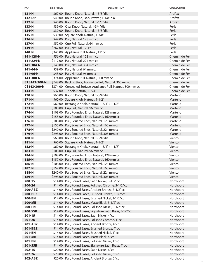| <b>PART</b>          | <b>LIST PRICE</b> | <b>DESCRIPTION</b>                                                                                            | <b>COLLECTION</b>      |
|----------------------|-------------------|---------------------------------------------------------------------------------------------------------------|------------------------|
| $131 - N$            |                   | \$67.00 Round Knob, Natural, 1-3/8" dia                                                                       | Artifex                |
| 132-DP               |                   | \$40.00 Round Knob, Dark Pewter, 1-1/8" dia                                                                   | Artifex                |
| 132-N                |                   | \$40.00 Round Knob, Natural, 1-1/8" dia                                                                       | Artifex                |
| $133-N$              |                   | \$39.00 Oval Knob, Natural, 1-3/4" dia                                                                        | Perla                  |
| 134-N                |                   | \$39.00 Round Knob, Natural, 1-3/8" dia                                                                       | Perla                  |
| $135-N$              |                   | \$39.00 Square Knob, Natural, 1-3/8"                                                                          | Perla                  |
| 136-N                |                   | \$49.00 Pull, Natural, 128 mm cc                                                                              | Perla                  |
| $137-N$              |                   | \$52.00 Cup Pull, Natural, 64 mm cc                                                                           | Perla                  |
| 139-N                |                   | \$262.00 Pull, Natural, 12" cc                                                                                | Perla                  |
| 140-N                |                   | \$345.00 Appliance Pull, Natural, 12" cc                                                                      | Perla                  |
| 141-128-N            |                   | \$56.00 Pull, Natural, 128 mm cc                                                                              | Chemin de Fer          |
| 141-224-N            |                   | \$112.00 Pull, Natural, 224 mm cc                                                                             | Chemin de Fer          |
| 141-384-N            |                   | \$140.00 Pull, Natural, 384 mm cc                                                                             | Chemin de Fer          |
| 141-64-N             |                   | \$39.00 Pull, Natural, 64 mm cc                                                                               | Chemin de Fer          |
| 141-96-N             |                   | \$48.00 Pull, Natural, 96 mm cc                                                                               | Chemin de Fer          |
| 143-300-N            |                   | \$374.00 Appliance Pull, Natural, 300 mm cc                                                                   | Chemin de Fer          |
| <b>BTB143-300-N</b>  |                   | \$748.00 Back to Back, Appliance Pull, Natural, 300 mm cc                                                     | Chemin de Fer          |
| CS143-300-N          |                   | \$374.00 Concealed Surface, Appliance Pull, Natural, 300 mm cc                                                | Chemin de Fer          |
| $144-N$              |                   | \$37.00 T-Knob, Natural, 1-3/4"                                                                               | Chemin de Fer          |
| 170-N                |                   | \$60.00 Round Knob, Natural, 1-3/4" dia                                                                       | Martello               |
| $171 - N$            |                   | \$60.00 Square Knob, Natural, 1-1/2"                                                                          | Martello               |
| $172-N$              |                   | \$60.00 Rectangle Knob, Natural, 1-3/4" x 1-1/8"                                                              | Martello               |
| $173-N$              |                   | \$108.00 Cup Pull, Natural, 96 mm cc                                                                          | Martello               |
| $174-N$              |                   | \$108.00 Pull, Rounded Ends, Natural, 128 mm cc                                                               | Martello               |
| $175-N$              |                   | \$155.00 Pull, Rounded Ends, Natural, 160 mm cc                                                               | Martello               |
| $176-N$              |                   | \$108.00 Pull, Squared Ends, Natural, 128 mm cc                                                               | Martello               |
| $177 - N$            |                   | \$155.00 Pull, Squared Ends, Natural, 160 mm cc                                                               | Martello               |
| 178-N                |                   | \$240.00 Pull, Squared Ends, Natural, 224 mm cc                                                               | Martello               |
| 179-N                |                   | \$298.00 Pull, Squared Ends, Natural, 305 mm cc                                                               | Martello               |
| 180-N                |                   | \$60.00 Round Knob, Natural, 1-3/4" dia                                                                       | Viento                 |
| $181 - N$            |                   | \$60.00 Square Knob, Natural, 1-1/2"                                                                          | Viento                 |
| 182-N                |                   | \$60.00 Rectangle Knob, Natural, 1-3/4" x 1-1/8"                                                              | Viento                 |
| 183-N                |                   | \$108.00 Cup Pull, Natural, 96 mm cc                                                                          | Viento                 |
| 184-N                |                   | \$108.00 Pull, Rounded Ends, Natural, 128 mm cc                                                               | Viento                 |
| $185-N$              |                   | \$157.00 Pull, Rounded Ends, Natural, 160 mm cc                                                               | Viento                 |
| 186-N                |                   | \$108.00 Pull, Squared Ends, Natural, 128 mm cc                                                               | Viento                 |
| 187-N                |                   | \$157.00 Pull, Squared Ends, Natural, 160 mm cc                                                               | Viento                 |
| 188-N                |                   | \$240.00 Pull, Squared Ends, Natural, 224 mm cc                                                               | Viento                 |
| 189-N                |                   | \$298.00 Pull, Squared Ends, Natural, 305 mm cc<br>\$14.00 Pull, Round Bases, Satin Nickel, 3-1/2" cc         | Viento                 |
| $200 - 15$<br>200-26 |                   |                                                                                                               | Northport              |
| 200-ABZ              |                   | \$14.00 Pull, Round Bases, Polished Chrome, 3-1/2" cc<br>\$14.00 Pull, Round Bases, Ancient Bronze, 3-1/2" cc | Northport<br>Northport |
| 200-BBZ              |                   | \$14.00 Pull, Round Bases, Brushed Bronze, 3-1/2" cc                                                          | Northport              |
| 200-BN               |                   | \$14.00 Pull, Round Bases, Brushed Nickel, 3-1/2" cc                                                          | Northport              |
| 200-MB               |                   | \$14.00 Pull, Round Bases, Matte Black, 3-1/2" cc                                                             | Northport              |
| 200-PN               |                   | \$14.00 Pull, Round Bases, Polished Nickel, 3-1/2" cc                                                         | Northport              |
| 200-SSB              |                   | \$14.00 Pull, Round Bases, Signature Satin Brass, 3-1/2" cc                                                   | Northport              |
| $201 - 15$           |                   | \$14.00 Pull, Round Bases, Satin Nickel, 4" cc                                                                | Northport              |
| $201 - 26$           |                   | \$14.00 Pull, Round Bases, Polished Chrome, 4" cc                                                             | Northport              |
| 201-ABZ              |                   | \$14.00 Pull, Round Bases, Ancient Bronze, 4" cc                                                              | Northport              |
| 201-BBZ              |                   | \$14.00 Pull, Round Bases, Brushed Bronze, 4" cc                                                              | Northport              |
| 201-BN               |                   | \$14.00 Pull, Round Bases, Brushed Nickel, 4" cc                                                              | Northport              |
| 201-MB               |                   | \$14.00 Pull, Round Bases, Matte Black, 4" cc                                                                 | Northport              |
| 201-PN               |                   | \$14.00 Pull, Round Bases, Polished Nickel, 4" cc                                                             | Northport              |
| 201-SSB              |                   | \$14.00 Pull, Round Bases, Signature Satin Brass, 4" cc                                                       | Northport              |
| $202 - 15$           |                   | \$20.00 Pull, Round Bases, Satin Nickel, 6"cc                                                                 | Northport              |
| 202-26               |                   | \$20.00 Pull, Round Bases, Polished Nickel, 6" cc                                                             | Northport              |
| 202-ABZ              |                   | \$20.00 Pull, Round Bases, Ancient Bronze, 6" cc                                                              | Northport              |
|                      |                   |                                                                                                               | 7                      |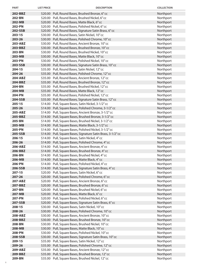| <b>PART</b>       | <b>LIST PRICE</b> | <b>DESCRIPTION</b>                                                                                      | <b>COLLECTION</b>      |
|-------------------|-------------------|---------------------------------------------------------------------------------------------------------|------------------------|
| 202-BBZ           |                   | \$20.00 Pull, Round Bases, Brushed Bronze, 6" cc                                                        | Northport              |
| 202-BN            |                   | \$20.00 Pull, Round Bases, Brushed Nickel, 6" cc                                                        | Northport              |
| 202-MB            |                   | \$20.00 Pull, Round Bases, Matte Black, 6" cc                                                           | Northport              |
| 202-PN            |                   | \$20.00 Pull, Round Bases, Polished Nickel, 6" cc                                                       | Northport              |
| 202-SSB           |                   | \$20.00 Pull, Round Bases, Signature Satin Brass, 6" cc                                                 | Northport              |
| $203 - 15$        |                   | \$30.00 Pull, Round Bases, Satin Nickel, 10" cc                                                         | Northport              |
| 203-26            |                   | \$30.00 Pull, Round Bases, Polished Chrome, 10" cc                                                      | Northport              |
| 203-ABZ           |                   | \$30.00 Pull, Round Bases, Ancient Bronze, 10" cc                                                       | Northport              |
| 203-BBZ           |                   | \$30.00 Pull, Round Bases, Brushed Bronze, 10" cc                                                       | Northport              |
| 203-BN            |                   | \$30.00 Pull, Round Bases, Brushed Nickel, 10" cc                                                       | Northport              |
| 203-MB            |                   | \$30.00 Pull, Round Bases, Matte Black, 10" cc                                                          | Northport              |
| 203-PN            |                   | \$30.00 Pull, Round Bases, Polished Nickel, 10" cc                                                      | Northport              |
| 203-SSB           |                   | \$30.00 Pull, Round Bases, Signature Satin Brass, 10" cc                                                | Northport              |
| $204 - 15$        |                   | \$35.00 Pull, Round Bases, Satin Nickel, 12" cc                                                         | Northport              |
| 204-26            |                   | \$35.00 Pull, Round Bases, Polished Chrome, 12" cc                                                      | Northport              |
| 204-ABZ           |                   | \$35.00 Pull, Round Bases, Ancient Bronze, 12" cc                                                       | Northport              |
| 204-BBZ           |                   | \$35.00 Pull, Round Bases, Brushed Bronze, 12" cc                                                       | Northport              |
| 204-BN            |                   | \$35.00 Pull, Round Bases, Brushed Nickel, 12" cc                                                       | Northport              |
| 204-MB            |                   | \$35.00 Pull, Round Bases, Matte Black, 12" cc                                                          | Northport              |
| <b>204-PN</b>     |                   | \$35.00 Pull, Round Bases, Polished Nickel, 12" cc                                                      | Northport              |
| 204-SSB           |                   | \$35.00 Pull, Round Bases, Signature Satin Brass, 12" cc                                                | Northport              |
| $205 - 15$        |                   | \$14.00 Pull, Square Bases, Satin Nickel, 3-1/2" cc                                                     | Northport              |
| 205-26            |                   | \$14.00 Pull, Square Bases, Polished Chrome, 3-1/2" cc                                                  | Northport              |
| 205-ABZ           |                   | \$14.00 Pull, Square Bases, Ancient Bronze, 3-1/2" cc                                                   | Northport              |
| 205-BBZ           |                   | \$14.00 Pull, Square Bases, Brushed Bronze, 3-1/2" cc                                                   | Northport              |
| 205-BN            |                   | \$14.00 Pull, Square Bases, Brushed Nickel, 3-1/2" cc                                                   | Northport              |
| 205-MB            |                   | \$14.00 Pull, Square Bases, Matte Black, 3-1/2" cc                                                      | Northport              |
| 205-PN            |                   | \$14.00 Pull, Square Bases, Polished Nickel, 3-1/2" cc                                                  | Northport              |
| 205-SSB           |                   | \$14.00 Pull, Square Bases, Signature Satin Brass, 3-1/2" cc                                            | Northport              |
| $206 - 15$        |                   | \$14.00 Pull, Square Bases, Satin Nickel, 4" cc                                                         | Northport              |
| 206-26<br>206-ABZ |                   | \$14.00 Pull, Square Bases, Polished Chrome, 4" cc<br>\$14.00 Pull, Square Bases, Ancient Bronze, 4" cc | Northport<br>Northport |
| 206-BBZ           |                   | \$14.00 Pull, Square Bases, Brushed Bronze, 4" cc                                                       | Northport              |
| 206-BN            |                   | \$14.00 Pull, Square Bases, Brushed Nickel, 4" cc                                                       | Northport              |
| 206-MB            |                   | \$14.00 Pull, Square Bases, Matte Black, 4" cc                                                          | Northport              |
| 206-PN            |                   | \$14.00 Pull, Square Bases, Polished Nickel, 4" cc                                                      | Northport              |
| 206-SSB           |                   | \$14.00 Pull, Square Bases, Signature Satin Brass, 4"cc                                                 | Northport              |
| $207 - 15$        |                   | \$20.00 Pull, Square Bases, Satin Nickel, 6" cc                                                         | Northport              |
| $207 - 26$        |                   | \$20.00 Pull, Square Bases, Polished Chrome, 6" cc                                                      | Northport              |
| 207-ABZ           |                   | \$20.00 Pull, Square Bases, Ancient Bronze, 6" cc                                                       | Northport              |
| 207-BBZ           |                   | \$20.00 Pull, Square Bases, Brushed Bronze, 6" cc                                                       | Northport              |
| 207-BN            |                   | \$20.00 Pull, Square Bases, Brushed Nickel, 6" cc                                                       | Northport              |
| 207-MB            |                   | \$20.00 Pull, Square Bases, Matte Black, 6" cc                                                          | Northport              |
| <b>207-PN</b>     |                   | \$20.00 Pull, Square Bases, Polished Nickel, 6" cc                                                      | Northport              |
| 207-SSB           |                   | \$20.00 Pull, Square Bases, Signature Satin Brass, 6" cc                                                | Northport              |
| $208 - 15$        |                   | \$30.00 Pull, Square Bases, Satin Nickel, 10" cc                                                        | Northport              |
| 208-26            |                   | \$30.00 Pull, Square Bases, Polished Chrome, 10" cc                                                     | Northport              |
| 208-ABZ           |                   | \$30.00 Pull, Square Bases, Ancient Bronze, 10" cc                                                      | Northport              |
| 208-BBZ           |                   | \$30.00 Pull, Square Bases, Brushed Bronze, 10" cc                                                      | Northport              |
| 208-BN            |                   | \$30.00 Pull, Square Bases, Brushed Nickel, 10" cc                                                      | Northport              |
| 208-MB            |                   | \$30.00 Pull, Square Bases, Matte Black, 10" cc                                                         | Northport              |
| 208-PN            |                   | \$30.00 Pull, Square Bases, Polished Nickel, 10" cc                                                     | Northport              |
| 208-SSB           |                   | \$30.00 Pull, Square Bases, Signature Satin Brass, 10" cc                                               | Northport              |
| 209-15            |                   | \$35.00 Pull, Square Bases, Satin Nickel, 12"cc                                                         | Northport              |
| 209-26            |                   | \$35.00 Pull, Square Bases, Polished Chrome, 12" cc                                                     | Northport              |
| 209-ABZ           |                   | \$35.00 Pull, Square Bases, Ancient Bronze, 12" cc                                                      | Northport              |
| 209-BBZ<br>209-BN |                   | \$35.00 Pull, Square Bases, Brushed Bronze, 12" cc                                                      | Northport              |
|                   |                   | \$35.00 Pull, Square Bases, Brushed Nickel, 12" cc                                                      | Northport              |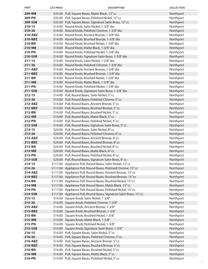| <b>PART</b>        | <b>LIST PRICE</b> | <b>DESCRIPTION</b>                                                                                  | <b>COLLECTION</b>      |
|--------------------|-------------------|-----------------------------------------------------------------------------------------------------|------------------------|
| 209-MB             |                   | \$35.00 Pull, Square Bases, Matte Black, 12" cc                                                     | Northport              |
| 209-PN             |                   | \$35.00 Pull, Square Bases, Polished Nickel, 12" cc                                                 | Northport              |
| 209-SSB            |                   | \$35.00 Pull, Square Bases, Signature Satin Brass, 12" cc                                           | Northport              |
| $210 - 15$         |                   | \$14.00 Round Knob, Satin Nickel, 1-3/8" dia                                                        | Northport              |
| 210-26             |                   | \$14.00 Round Knob, Polished Chrome, 1-3/8" dia                                                     | Northport              |
| 210-ABZ            |                   | \$14.00 Round Knob, Ancient Bronze, 1-3/8" dia                                                      | Northport              |
| 210-BBZ            |                   | \$14.00 Round Knob, Brushed Bronze, 1-3/8" dia                                                      | Northport              |
| 210-BN             |                   | \$14.00 Round Knob, Brushed Nickel, 1-3/8" dia                                                      | Northport              |
| 210-MB             |                   | \$14.00 Round Knob, Matte Black, 1-3/8" dia                                                         | Northport              |
| 210-PN             |                   | \$14.00 Round Knob, Polished Nickel, 1-3/8" dia                                                     | Northport              |
| 210-SSB            |                   | \$14.00 Round Knob, Signature Satin Brass, 1-3/8" dia                                               | Northport              |
| $211 - 15$         |                   | \$14.00 Round Knob, Satin Nickel, 1-3/8" dia                                                        | Northport              |
| $211 - 26$         |                   | \$14.00 Round Knob, Polished Chrome, 1-3/8" dia                                                     | Northport              |
| 211-ABZ            |                   | \$14.00 Round Knob, Ancient Bronze, 1-3/8" dia                                                      | Northport              |
| 211-BBZ            |                   | \$14.00 Round Knob, Brushed Bronze, 1 3/8" dia                                                      | Northport              |
| 211-BN             |                   | \$14.00 Round Knob, Brushed Nickel, 1-3/8" dia                                                      | Northport              |
| 211-MB             |                   | \$14.00 Round Knob, Matte Black, 1-3/8" dia                                                         | Northport              |
| 211-PN             |                   | \$14.00 Round Knob, Polished Nickel, 1 3/8" dia                                                     | Northport              |
| 211-SSB            |                   | \$14.00 Round Knob, Signature Satin Brass, 1-3/8" dia                                               | Northport              |
| $212 - 15$         |                   | \$14.00 Pull, Round Bases, Satin Nickel, 5" cc                                                      | Northport              |
| 212-26             |                   | \$14.00 Pull, Round Bases, Polished Chrome, 5" cc                                                   | Northport              |
| 212-ABZ            |                   | \$14.00 Pull, Round Bases, Ancient Bronze, 5" cc                                                    | Northport              |
| 212-BBZ            |                   | \$14.00 Pull, Round Bases, Brushed Bronze, 5" cc                                                    | Northport              |
| 212-BN             |                   | \$14.00 Pull, Round Bases, Brushed Nickel, 5" cc                                                    | Northport              |
| 212-MB             |                   | \$14.00 Pull, Round Bases, Matte Black, 5"cc                                                        | Northport              |
| 212-PN             |                   | \$14.00 Pull, Round Bases, Polished Nickel, 5" cc                                                   | Northport              |
| 212-SSB            |                   | \$14.00 Pull, Round Bases, Signature Satin Brass, 5" cc                                             | Northport              |
| $213 - 15$         |                   | \$24.00 Pull, Round Bases, Satin Nickel, 8" cc                                                      | Northport              |
| 213-26             |                   | \$24.00 Pull, Round Bases, Polished Chrome, 8" cc                                                   | Northport              |
| 213-ABZ<br>213-BBZ |                   | \$24.00 Pull, Round Bases, Ancient Bronze, 8" cc                                                    | Northport              |
| 213-BN             |                   | \$24.00 Pull, Round Bases, Brushed Bronze, 8" cc<br>\$24.00 Pull, Round Bases, Brushed Nickel, 8"cc | Northport<br>Northport |
| 213-MB             |                   | \$24.00 Pull, Round Bases, Matte Black, 8"cc                                                        | Northport              |
| 213-PN             |                   | \$24.00 Pull, Round Bases, Polished Nickel, 8"cc                                                    | Northport              |
| 213-SSB            |                   | \$24.00 Pull, Round Bases, Signature Satin Brass, 8" cc                                             | Northport              |
| $214 - 15$         |                   | \$117.00 Appliance Pull, Round Bases, Satin Nickel, 15" cc                                          | Northport              |
| 214-26             |                   | \$117.00 Appliance Pull, Round Bases, Polished Chrome, 15" cc                                       | Northport              |
| 214-ABZ            |                   | \$117.00 Appliance Pull, Round Bases, Ancient Bronze, 15" cc                                        | Northport              |
| 214-BBZ            |                   | \$117.00 Appliance Pull, Round Bases, Brushed Bronze, 15" cc                                        | Northport              |
| 214-BN             |                   | \$117.00 Appliance Pull, Round Bases, Brushed Nickel, 15" cc                                        | Northport              |
| 214-MB             |                   | \$117.00 Appliance Pull, Round Bases, Matte Black, 15" cc                                           | Northport              |
| 214-PN             |                   | \$117.00 Appliance Pull, Round Bases, Polished Nickel, 15" cc                                       | Northport              |
| 214-SSB            |                   | \$117.00 Appliance Pull, Round Bases, Signature Satin Brass, 15" cc                                 | Northport              |
| $215 - 15$         |                   | \$14.00 Square Knob, Satin Nickel, 1-3/8"                                                           | Northport              |
| 215-26             |                   | \$14.00 Square Knob, Polished Chrome, 1-3/8"                                                        | Northport              |
| 215-ABZ            |                   | \$14.00 Square Knob, Ancient Bronze, 1-3/8"                                                         | Northport              |
| 215-BBZ            |                   | \$14.00 Square Knob, Brushed Bronze, 1-3/8"                                                         | Northport              |
| 215-BN             |                   | \$14.00 Square Knob, Brushed Nickel, 1-3/8"                                                         | Northport              |
| 215-MB             |                   | \$14.00 Square Knob, Matte Black, 1-3/8"                                                            | Northport              |
| 215-PN             |                   | \$14.00 Square Knob, Polished Nickel, 1-3/8"                                                        | Northport              |
| 215-SSB            |                   | \$14.00 Square Knob, Signature Satin Brass, 1-3/8"                                                  | Northport              |
| $216 - 15$         |                   | \$14.00 Pull, Square Bases, Satin Nickel, 5" cc                                                     | Northport              |
| 216-26             |                   | \$14.00 Pull, Square Bases, Polished Chrome, 5" cc                                                  | Northport              |
| 216-ABZ            |                   | \$14.00 Pull, Square Bases, Ancient Bronze, 5" cc                                                   | Northport              |
| 216-BBZ            |                   | \$14.00 Pull, Square Bases, Brushed Bronze, 5" cc                                                   | Northport              |
| 216-BN             |                   | \$14.00 Pull, Square Bases, Brushed Nickel, 5" cc                                                   | Northport              |
| 216-MB             |                   | \$14.00 Pull, Square Bases, Matte Black, 5" cc                                                      | Northport              |
| 216-PN             |                   | \$14.00 Pull, Square Bases, Polished Nickel, 5" cc                                                  | Northport              |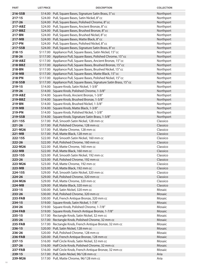| <b>PART</b>       | <b>LIST PRICE</b> | <b>DESCRIPTION</b>                                                            | <b>COLLECTION</b>    |
|-------------------|-------------------|-------------------------------------------------------------------------------|----------------------|
| 216-SSB           |                   | \$14.00 Pull, Square Bases, Signature Satin Brass, 5" cc                      | Northport            |
| $217 - 15$        |                   | \$24.00 Pull, Square Bases, Satin Nickel, 8" cc                               | Northport            |
| 217-26            |                   | \$24.00 Pull, Square Bases, Polished Chrome, 8" cc                            | Northport            |
| 217-ABZ           |                   | \$24.00 Pull, Square Bases, Ancient Bronze, 8" cc                             | Northport            |
| 217-BBZ           |                   | \$24.00 Pull, Square Bases, Brushed Bronze, 8" cc                             | Northport            |
| 217-BN            |                   | \$24.00 Pull, Square Bases, Brushed Nickel, 8" cc                             | Northport            |
| 217-MB            |                   | \$24.00 Pull, Square Bases, Matte Black, 8" cc                                | Northport            |
| 217-PN            |                   | \$24.00 Pull, Square Bases, Polished Nickel, 8" cc                            | Northport            |
| 217-SSB           |                   | \$24.00 Pull, Square Bases, Signature Satin Brass, 8"cc                       | Northport            |
| 218-15            |                   | \$117.00 Appliance Pull, Square Bases, Satin Nickel, 15" cc                   | Northport            |
| 218-26            |                   | \$117.00 Appliance Pull, Square Bases, Polished Chrome, 15" cc                | Northport            |
| 218-ABZ           |                   | \$117.00 Appliance Pull, Square Bases, Ancient Bronze, 15" cc                 | Northport            |
| 218-BBZ           |                   | \$117.00 Appliance Pull, Square Bases, Brushed Bronze, 15" cc                 | Northport            |
| 218-BN            |                   | \$117.00 Appliance Pull, Square Bases, Brushed Nickel, 15" cc                 | Northport            |
| 218-MB            |                   | \$117.00 Appliance Pull, Square Bases, Matte Black, 15" cc                    | Northport            |
| 218-PN            |                   | \$117.00 Appliance Pull, Square Bases, Polished Nickel, 15" cc                | Northport            |
| 218-SSB           |                   | \$117.00 Appliance Pull, Square Bases, Signature Satin Brass, 15" cc          | Northport            |
| 219-15            |                   | \$14.00 Square Knob, Satin Nickel, 1-3/8"                                     | Northport            |
| 219-26            |                   | \$14.00 Square Knob, Polished Chrome, 1-3/8"                                  | Northport            |
| 219-ABZ           |                   | \$14.00 Square Knob, Ancient Bronze, 1-3/8"                                   | Northport            |
| 219-BBZ           |                   | \$14.00 Square Knob, Brushed Bronze, 1-3/8"                                   | Northport            |
| 219-BN            |                   | \$14.00 Square Knob, Brushed Nickel, 1-3/8"                                   | Northport            |
| 219-MB            |                   | \$14.00 Square Knob, Matte Black, 1-3/8"                                      | Northport            |
| 219-PN            |                   | \$14.00 Square Knob, Polished Nickel, 1-3/8"                                  | Northport            |
| 219-SSB           |                   | \$14.00 Square Knob, Signature Satin Brass, 1-3/8"                            | Northport            |
| 221-15S           |                   | \$17.00 Pull, Smooth Satin Nickel, 128 mm cc                                  | Classico             |
| $221 - 26$        |                   | \$17.00 Pull, Polished Chrome, 128 mm cc                                      | Classico             |
| 221-M26           |                   | \$17.00 Pull, Matte Chrome, 128 mm cc                                         | Classico             |
| $221 - MB$        |                   | \$17.00 Pull, Matte Black, 128 mm cc                                          | Classico             |
| 222-15S           |                   | \$22.00 Pull, Smooth Satin Nickel, 160 mm cc                                  | Classico             |
| 222-26            |                   | \$22.00 Pull, Polished Chrome, 160 mm cc                                      | Classico             |
| 222-M26           |                   | \$22.00 Pull, Matte Chrome, 160 mm cc                                         | Classico             |
| 222-MB            |                   | \$22.00 Pull, Matte Black, 160 mm cc                                          | Classico             |
| 223-15S           |                   | \$23.00 Pull, Smooth Satin Nickel, 192 mm cc                                  | Classico             |
| 223-26            |                   | \$23.00 Pull, Polished Chrome, 192 mm cc                                      | Classico             |
| 223-M26           |                   | \$23.00 Pull, Matte Chrome, 192 mm cc                                         | Classico             |
| 223-MB            |                   | \$23.00 Pull, Matte Black, 192 mm cc                                          | Classico             |
| 224-15S           |                   | \$29.00 Pull, Smooth Satin Nickel, 320 mm cc                                  | Classico             |
| 224-26            |                   | \$29.00 Pull, Polished Chrome, 320 mm cc                                      | Classico<br>Classico |
| 224-M26<br>224-MB |                   | \$29.00 Pull, Matte Chrome, 320 mm cc<br>\$29.00 Pull, Matte Black, 320 mm cc | Classico             |
| $233 - 15$        |                   | \$30.00 Pull, Satin Nickel, 320 mm cc                                         | Mosaic               |
| 233-26            |                   | \$30.00 Pull, Polished Chrome, 320 mm cc                                      | Mosaic               |
| 233-FAB           |                   | \$30.00 Pull, French Antique Bronze, 320 mm cc                                | Mosaic               |
| 234-15            |                   | \$19.00 Square Knob, Satin Nickel, 1-7/8"                                     | Mosaic               |
| 234-26            |                   | \$19.00 Square Knob, Polished Chrome, 1-7/8"                                  | Mosaic               |
| <b>234-FAB</b>    |                   | \$19.00 Square Knob, French Antique Bronze, 1-7/8"                            | Mosaic               |
| 235-15            |                   | \$17.00 Rectangle Knob, Satin Nickel, 32 mm cc                                | Mosaic               |
| 235-26            |                   | \$17.00 Rectangle Knob, Polished Chrome, 32 mm cc                             | Mosaic               |
| 235-FAB           |                   | \$17.00 Rectangle Knob, French Antique Bronze, 32 mm cc                       | Mosaic               |
| 236-15            |                   | \$20.00 Pull, Satin Nickel, 128 mm cc                                         | Mosaic               |
| 236-26            |                   | \$20.00 Pull, Polished Chrome, 128 mm cc                                      | Mosaic               |
| <b>236-FAB</b>    |                   | \$20.00 Pull, French Antique Bronze, 128 mm cc                                | Mosaic               |
| $237 - 15$        |                   | \$16.00 Half Circle Knob, Satin Nickel, 32 mm cc                              | Mosaic               |
| 237-26            |                   | \$16.00 Half Circle Knob, Polished Chrome, 32 mm cc                           | Mosaic               |
| <b>237-FAB</b>    |                   | \$16.00 Half Circle Knob, French Antique Bronze, 32 mm cc                     | Mosaic               |
| 239-15            |                   | \$17.00 Pull, Satin Nickel, 96/128 mm cc                                      | Aria                 |
| 239-M26           |                   | \$17.00 Pull, Matte Chrome, 96/128 mm cc                                      | Aria                 |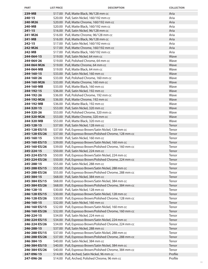| 239-MB<br>\$17.00 Pull, Matte Black, 96/128 mm cc<br>Aria<br>$240 - 15$<br>\$20.00 Pull, Satin Nickel, 160/192 mm cc<br>Aria<br>Aria<br>240-M26<br>\$20.00 Pull, Matte Chrome, 160/192 mm cc<br>Aria<br>240-MB<br>\$20.00 Pull, Matte Black, 160/192 mm cc<br>$241 - 15$<br>Aria<br>\$16.00 Pull, Satin Nickel, 96/128 mm cc<br>Aria<br>241-M26<br>\$16.00 Pull, Matte Chrome, 96/128 mm cc<br>Aria<br>241-MB<br>\$16.00 Pull, Matte Black, 96/128 mm cc<br>Aria<br>$242 - 15$<br>\$17.00 Pull, Satin Nickel, 160/192 mm cc<br>242-M26<br>\$17.00 Pull, Matte Chrome, 160/192 mm cc<br>Aria<br>Aria<br>242-MB<br>\$17.00 Pull, Matte Black, 160/192 mm cc<br>Wave<br>244-064-15<br>\$19.00 Pull, Satin Nickel, 64 mm cc<br>Wave<br>244-064-26<br>\$19.00 Pull, Polished Chrome, 64 mm cc<br>244-064-M26<br>\$19.00 Pull, Matte Chrome, 64 mm cc<br>Wave<br>244-064-MB<br>\$19.00 Pull, Matte Black, 64 mm cc<br>Wave<br>Wave<br>244-160-15<br>\$33.00 Pull, Satin Nickel, 160 mm cc<br>Wave<br>244-160-26<br>\$33.00 Pull, Polished Chrome, 160 mm cc<br>Wave<br>244-160-M26<br>\$33.00 Pull, Matte Chrome, 160 mm cc<br>\$33.00 Pull, Matte Black, 160 mm cc<br>Wave<br>244-160-MB<br>Wave<br>244-192-15<br>\$36.00 Pull, Satin Nickel, 192 mm cc<br>Wave<br>244-192-26<br>\$36.00 Pull, Polished Chrome, 192 mm cc<br>244-192-M26<br>\$36.00 Pull, Matte Chrome, 192 mm cc<br>Wave<br>244-192-MB<br>\$36.00 Pull, Matte Black, 192 mm cc<br>Wave<br>244-320-15<br>\$53.00 Pull, Satin Nickel, 320 mm cc<br>Wave<br>Wave<br>244-320-26<br>\$53.00 Pull, Polished Chrome, 320 mm cc<br>Wave<br>244-320-M26<br>\$53.00 Pull, Matte Chrome, 320 mm cc<br>Wave<br>244-320-MB<br>\$53.00 Pull, Matte Black, 320 mm cc<br>245-128-15<br>\$37.00 Pull, Satin Nickel, 128 mm cc<br>Tenor<br>245-128-ES/15<br>\$37.00 Pull, Espresso Brown/Satin Nickel, 128 mm cc<br>Tenor<br>Tenor<br>245-128-ES/26<br>\$37.00 Pull, Espresso Brown/Polished Chrome, 128 mm cc<br>Tenor<br>245-160-15<br>\$39.00 Pull, Satin Nickel, 160 mm cc<br>245-160-ES/15<br>\$39.00 Pull, Espresso Brown/Satin Nickel, 160 mm cc<br>Tenor<br>245-160-ES/26<br>\$39.00 Pull, Espresso Brown/Polished Chrome, 160 mm cc<br>Tenor<br>245-224-15<br>\$50.00 Pull, Satin Nickel, 224 mm cc<br>Tenor<br>245-224-ES/15<br>\$50.00 Pull, Espresso Brown/Satin Nickel, 224 mm cc<br>Tenor<br>\$50.00 Pull, Espresso Brown/Polished Chrome, 224 mm cc<br>245-224-ES/26<br>Tenor<br>245-288-15<br>\$55.00 Pull, Satin Nickel, 288 mm cc<br>Tenor<br>\$55.00 Pull, Espresso Brown/Satin Nickel, 288 mm cc<br>Tenor<br>245-288-ES/15<br>Tenor<br>245-288-ES/26<br>\$55.00 Pull, Espresso Brown/Polished Chrome, 288 mm cc<br>245-384-15<br>\$68.00 Pull, Satin Nickel, 384 mm cc<br>Tenor<br>Tenor<br>\$68.00 Pull, Espresso Brown/Satin Nickel, 384 mm cc<br>245-384-ES/15<br>245-384-ES/26<br>\$68.00 Pull, Espresso Brown/Polished Chrome, 384 mm cc<br>Tenor<br>\$30.00 Pull, Satin Nickel, 128 mm cc<br>Tenor<br>246-128-15<br>Tenor<br>246-128-ES/15<br>\$30.00 Pull, Espresso Brown/Satin Nickel, 128 mm cc<br>\$30.00 Pull, Espresso Brown/Polished Chrome, 128 mm cc<br>Tenor<br>246-128-ES/26<br>\$32.00 Pull, Satin Nickel, 160 mm cc<br>Tenor<br>246-160-15<br>\$32.00 Pull, Espresso Brown/Satin Nickel, 160 mm cc<br>246-160-ES/15<br>Tenor<br>Tenor<br>246-160-ES/26<br>\$32.00 Pull, Espresso Brown/Polished Chrome, 160 mm cc<br>Tenor<br>246-224-15<br>\$34.00 Pull, Satin Nickel, 224 mm cc<br>Tenor<br>246-224-ES/15<br>\$34.00 Pull, Espresso Brown/Satin Nickel, 224 mm cc<br>246-224-ES/26<br>\$34.00 Pull, Espresso Brown/Polished Chrome, 224 mm cc<br>Tenor<br>246-288-15<br>\$37.00 Pull, Satin Nickel, 288 mm cc<br>Tenor<br>Tenor<br>246-288-ES/15<br>\$37.00 Pull, Espresso Brown/Satin Nickel, 288 mm cc<br>246-288-ES/26<br>\$37.00 Pull, Espresso Brown/Polished Chrome, 288 mm cc<br>Tenor<br>\$40.00 Pull, Satin Nickel, 384 mm cc<br>Tenor<br>246-384-15<br>246-384-ES/15<br>\$40.00 Pull, Espresso Brown/Satin Nickel, 384 mm cc<br>Tenor<br>246-384-ES/26<br>\$40.00 Pull, Espresso Brown/Polished Chrome, 384 mm cc<br>Tenor<br>Profile<br>247-096-15<br>\$14.00 Pull, Arched, Satin Nickel, 96 mm cc<br>\$14.00 Pull, Arched, Polished Chrome, 96 mm cc | <b>PART</b> | <b>LIST PRICE</b> | <b>DESCRIPTION</b> | <b>COLLECTION</b> |
|-----------------------------------------------------------------------------------------------------------------------------------------------------------------------------------------------------------------------------------------------------------------------------------------------------------------------------------------------------------------------------------------------------------------------------------------------------------------------------------------------------------------------------------------------------------------------------------------------------------------------------------------------------------------------------------------------------------------------------------------------------------------------------------------------------------------------------------------------------------------------------------------------------------------------------------------------------------------------------------------------------------------------------------------------------------------------------------------------------------------------------------------------------------------------------------------------------------------------------------------------------------------------------------------------------------------------------------------------------------------------------------------------------------------------------------------------------------------------------------------------------------------------------------------------------------------------------------------------------------------------------------------------------------------------------------------------------------------------------------------------------------------------------------------------------------------------------------------------------------------------------------------------------------------------------------------------------------------------------------------------------------------------------------------------------------------------------------------------------------------------------------------------------------------------------------------------------------------------------------------------------------------------------------------------------------------------------------------------------------------------------------------------------------------------------------------------------------------------------------------------------------------------------------------------------------------------------------------------------------------------------------------------------------------------------------------------------------------------------------------------------------------------------------------------------------------------------------------------------------------------------------------------------------------------------------------------------------------------------------------------------------------------------------------------------------------------------------------------------------------------------------------------------------------------------------------------------------------------------------------------------------------------------------------------------------------------------------------------------------------------------------------------------------------------------------------------------------------------------------------------------------------------------------------------------------------------------------------------------------------------------------------------------------------------------------------------------------------------------------------------------------------------------------------------------------------------------------------------------------------------------------------------------------------------------------------------------------------------------------------------------------------------------------------------------------------------------------------------------------------------------------------------------------------------------------------------------------------------------------------------------|-------------|-------------------|--------------------|-------------------|
|                                                                                                                                                                                                                                                                                                                                                                                                                                                                                                                                                                                                                                                                                                                                                                                                                                                                                                                                                                                                                                                                                                                                                                                                                                                                                                                                                                                                                                                                                                                                                                                                                                                                                                                                                                                                                                                                                                                                                                                                                                                                                                                                                                                                                                                                                                                                                                                                                                                                                                                                                                                                                                                                                                                                                                                                                                                                                                                                                                                                                                                                                                                                                                                                                                                                                                                                                                                                                                                                                                                                                                                                                                                                                                                                                                                                                                                                                                                                                                                                                                                                                                                                                                                                                                                     |             |                   |                    |                   |
|                                                                                                                                                                                                                                                                                                                                                                                                                                                                                                                                                                                                                                                                                                                                                                                                                                                                                                                                                                                                                                                                                                                                                                                                                                                                                                                                                                                                                                                                                                                                                                                                                                                                                                                                                                                                                                                                                                                                                                                                                                                                                                                                                                                                                                                                                                                                                                                                                                                                                                                                                                                                                                                                                                                                                                                                                                                                                                                                                                                                                                                                                                                                                                                                                                                                                                                                                                                                                                                                                                                                                                                                                                                                                                                                                                                                                                                                                                                                                                                                                                                                                                                                                                                                                                                     |             |                   |                    |                   |
|                                                                                                                                                                                                                                                                                                                                                                                                                                                                                                                                                                                                                                                                                                                                                                                                                                                                                                                                                                                                                                                                                                                                                                                                                                                                                                                                                                                                                                                                                                                                                                                                                                                                                                                                                                                                                                                                                                                                                                                                                                                                                                                                                                                                                                                                                                                                                                                                                                                                                                                                                                                                                                                                                                                                                                                                                                                                                                                                                                                                                                                                                                                                                                                                                                                                                                                                                                                                                                                                                                                                                                                                                                                                                                                                                                                                                                                                                                                                                                                                                                                                                                                                                                                                                                                     |             |                   |                    |                   |
|                                                                                                                                                                                                                                                                                                                                                                                                                                                                                                                                                                                                                                                                                                                                                                                                                                                                                                                                                                                                                                                                                                                                                                                                                                                                                                                                                                                                                                                                                                                                                                                                                                                                                                                                                                                                                                                                                                                                                                                                                                                                                                                                                                                                                                                                                                                                                                                                                                                                                                                                                                                                                                                                                                                                                                                                                                                                                                                                                                                                                                                                                                                                                                                                                                                                                                                                                                                                                                                                                                                                                                                                                                                                                                                                                                                                                                                                                                                                                                                                                                                                                                                                                                                                                                                     |             |                   |                    |                   |
|                                                                                                                                                                                                                                                                                                                                                                                                                                                                                                                                                                                                                                                                                                                                                                                                                                                                                                                                                                                                                                                                                                                                                                                                                                                                                                                                                                                                                                                                                                                                                                                                                                                                                                                                                                                                                                                                                                                                                                                                                                                                                                                                                                                                                                                                                                                                                                                                                                                                                                                                                                                                                                                                                                                                                                                                                                                                                                                                                                                                                                                                                                                                                                                                                                                                                                                                                                                                                                                                                                                                                                                                                                                                                                                                                                                                                                                                                                                                                                                                                                                                                                                                                                                                                                                     |             |                   |                    |                   |
|                                                                                                                                                                                                                                                                                                                                                                                                                                                                                                                                                                                                                                                                                                                                                                                                                                                                                                                                                                                                                                                                                                                                                                                                                                                                                                                                                                                                                                                                                                                                                                                                                                                                                                                                                                                                                                                                                                                                                                                                                                                                                                                                                                                                                                                                                                                                                                                                                                                                                                                                                                                                                                                                                                                                                                                                                                                                                                                                                                                                                                                                                                                                                                                                                                                                                                                                                                                                                                                                                                                                                                                                                                                                                                                                                                                                                                                                                                                                                                                                                                                                                                                                                                                                                                                     |             |                   |                    |                   |
|                                                                                                                                                                                                                                                                                                                                                                                                                                                                                                                                                                                                                                                                                                                                                                                                                                                                                                                                                                                                                                                                                                                                                                                                                                                                                                                                                                                                                                                                                                                                                                                                                                                                                                                                                                                                                                                                                                                                                                                                                                                                                                                                                                                                                                                                                                                                                                                                                                                                                                                                                                                                                                                                                                                                                                                                                                                                                                                                                                                                                                                                                                                                                                                                                                                                                                                                                                                                                                                                                                                                                                                                                                                                                                                                                                                                                                                                                                                                                                                                                                                                                                                                                                                                                                                     |             |                   |                    |                   |
|                                                                                                                                                                                                                                                                                                                                                                                                                                                                                                                                                                                                                                                                                                                                                                                                                                                                                                                                                                                                                                                                                                                                                                                                                                                                                                                                                                                                                                                                                                                                                                                                                                                                                                                                                                                                                                                                                                                                                                                                                                                                                                                                                                                                                                                                                                                                                                                                                                                                                                                                                                                                                                                                                                                                                                                                                                                                                                                                                                                                                                                                                                                                                                                                                                                                                                                                                                                                                                                                                                                                                                                                                                                                                                                                                                                                                                                                                                                                                                                                                                                                                                                                                                                                                                                     |             |                   |                    |                   |
|                                                                                                                                                                                                                                                                                                                                                                                                                                                                                                                                                                                                                                                                                                                                                                                                                                                                                                                                                                                                                                                                                                                                                                                                                                                                                                                                                                                                                                                                                                                                                                                                                                                                                                                                                                                                                                                                                                                                                                                                                                                                                                                                                                                                                                                                                                                                                                                                                                                                                                                                                                                                                                                                                                                                                                                                                                                                                                                                                                                                                                                                                                                                                                                                                                                                                                                                                                                                                                                                                                                                                                                                                                                                                                                                                                                                                                                                                                                                                                                                                                                                                                                                                                                                                                                     |             |                   |                    |                   |
|                                                                                                                                                                                                                                                                                                                                                                                                                                                                                                                                                                                                                                                                                                                                                                                                                                                                                                                                                                                                                                                                                                                                                                                                                                                                                                                                                                                                                                                                                                                                                                                                                                                                                                                                                                                                                                                                                                                                                                                                                                                                                                                                                                                                                                                                                                                                                                                                                                                                                                                                                                                                                                                                                                                                                                                                                                                                                                                                                                                                                                                                                                                                                                                                                                                                                                                                                                                                                                                                                                                                                                                                                                                                                                                                                                                                                                                                                                                                                                                                                                                                                                                                                                                                                                                     |             |                   |                    |                   |
|                                                                                                                                                                                                                                                                                                                                                                                                                                                                                                                                                                                                                                                                                                                                                                                                                                                                                                                                                                                                                                                                                                                                                                                                                                                                                                                                                                                                                                                                                                                                                                                                                                                                                                                                                                                                                                                                                                                                                                                                                                                                                                                                                                                                                                                                                                                                                                                                                                                                                                                                                                                                                                                                                                                                                                                                                                                                                                                                                                                                                                                                                                                                                                                                                                                                                                                                                                                                                                                                                                                                                                                                                                                                                                                                                                                                                                                                                                                                                                                                                                                                                                                                                                                                                                                     |             |                   |                    |                   |
|                                                                                                                                                                                                                                                                                                                                                                                                                                                                                                                                                                                                                                                                                                                                                                                                                                                                                                                                                                                                                                                                                                                                                                                                                                                                                                                                                                                                                                                                                                                                                                                                                                                                                                                                                                                                                                                                                                                                                                                                                                                                                                                                                                                                                                                                                                                                                                                                                                                                                                                                                                                                                                                                                                                                                                                                                                                                                                                                                                                                                                                                                                                                                                                                                                                                                                                                                                                                                                                                                                                                                                                                                                                                                                                                                                                                                                                                                                                                                                                                                                                                                                                                                                                                                                                     |             |                   |                    |                   |
|                                                                                                                                                                                                                                                                                                                                                                                                                                                                                                                                                                                                                                                                                                                                                                                                                                                                                                                                                                                                                                                                                                                                                                                                                                                                                                                                                                                                                                                                                                                                                                                                                                                                                                                                                                                                                                                                                                                                                                                                                                                                                                                                                                                                                                                                                                                                                                                                                                                                                                                                                                                                                                                                                                                                                                                                                                                                                                                                                                                                                                                                                                                                                                                                                                                                                                                                                                                                                                                                                                                                                                                                                                                                                                                                                                                                                                                                                                                                                                                                                                                                                                                                                                                                                                                     |             |                   |                    |                   |
|                                                                                                                                                                                                                                                                                                                                                                                                                                                                                                                                                                                                                                                                                                                                                                                                                                                                                                                                                                                                                                                                                                                                                                                                                                                                                                                                                                                                                                                                                                                                                                                                                                                                                                                                                                                                                                                                                                                                                                                                                                                                                                                                                                                                                                                                                                                                                                                                                                                                                                                                                                                                                                                                                                                                                                                                                                                                                                                                                                                                                                                                                                                                                                                                                                                                                                                                                                                                                                                                                                                                                                                                                                                                                                                                                                                                                                                                                                                                                                                                                                                                                                                                                                                                                                                     |             |                   |                    |                   |
|                                                                                                                                                                                                                                                                                                                                                                                                                                                                                                                                                                                                                                                                                                                                                                                                                                                                                                                                                                                                                                                                                                                                                                                                                                                                                                                                                                                                                                                                                                                                                                                                                                                                                                                                                                                                                                                                                                                                                                                                                                                                                                                                                                                                                                                                                                                                                                                                                                                                                                                                                                                                                                                                                                                                                                                                                                                                                                                                                                                                                                                                                                                                                                                                                                                                                                                                                                                                                                                                                                                                                                                                                                                                                                                                                                                                                                                                                                                                                                                                                                                                                                                                                                                                                                                     |             |                   |                    |                   |
|                                                                                                                                                                                                                                                                                                                                                                                                                                                                                                                                                                                                                                                                                                                                                                                                                                                                                                                                                                                                                                                                                                                                                                                                                                                                                                                                                                                                                                                                                                                                                                                                                                                                                                                                                                                                                                                                                                                                                                                                                                                                                                                                                                                                                                                                                                                                                                                                                                                                                                                                                                                                                                                                                                                                                                                                                                                                                                                                                                                                                                                                                                                                                                                                                                                                                                                                                                                                                                                                                                                                                                                                                                                                                                                                                                                                                                                                                                                                                                                                                                                                                                                                                                                                                                                     |             |                   |                    |                   |
|                                                                                                                                                                                                                                                                                                                                                                                                                                                                                                                                                                                                                                                                                                                                                                                                                                                                                                                                                                                                                                                                                                                                                                                                                                                                                                                                                                                                                                                                                                                                                                                                                                                                                                                                                                                                                                                                                                                                                                                                                                                                                                                                                                                                                                                                                                                                                                                                                                                                                                                                                                                                                                                                                                                                                                                                                                                                                                                                                                                                                                                                                                                                                                                                                                                                                                                                                                                                                                                                                                                                                                                                                                                                                                                                                                                                                                                                                                                                                                                                                                                                                                                                                                                                                                                     |             |                   |                    |                   |
|                                                                                                                                                                                                                                                                                                                                                                                                                                                                                                                                                                                                                                                                                                                                                                                                                                                                                                                                                                                                                                                                                                                                                                                                                                                                                                                                                                                                                                                                                                                                                                                                                                                                                                                                                                                                                                                                                                                                                                                                                                                                                                                                                                                                                                                                                                                                                                                                                                                                                                                                                                                                                                                                                                                                                                                                                                                                                                                                                                                                                                                                                                                                                                                                                                                                                                                                                                                                                                                                                                                                                                                                                                                                                                                                                                                                                                                                                                                                                                                                                                                                                                                                                                                                                                                     |             |                   |                    |                   |
|                                                                                                                                                                                                                                                                                                                                                                                                                                                                                                                                                                                                                                                                                                                                                                                                                                                                                                                                                                                                                                                                                                                                                                                                                                                                                                                                                                                                                                                                                                                                                                                                                                                                                                                                                                                                                                                                                                                                                                                                                                                                                                                                                                                                                                                                                                                                                                                                                                                                                                                                                                                                                                                                                                                                                                                                                                                                                                                                                                                                                                                                                                                                                                                                                                                                                                                                                                                                                                                                                                                                                                                                                                                                                                                                                                                                                                                                                                                                                                                                                                                                                                                                                                                                                                                     |             |                   |                    |                   |
|                                                                                                                                                                                                                                                                                                                                                                                                                                                                                                                                                                                                                                                                                                                                                                                                                                                                                                                                                                                                                                                                                                                                                                                                                                                                                                                                                                                                                                                                                                                                                                                                                                                                                                                                                                                                                                                                                                                                                                                                                                                                                                                                                                                                                                                                                                                                                                                                                                                                                                                                                                                                                                                                                                                                                                                                                                                                                                                                                                                                                                                                                                                                                                                                                                                                                                                                                                                                                                                                                                                                                                                                                                                                                                                                                                                                                                                                                                                                                                                                                                                                                                                                                                                                                                                     |             |                   |                    |                   |
|                                                                                                                                                                                                                                                                                                                                                                                                                                                                                                                                                                                                                                                                                                                                                                                                                                                                                                                                                                                                                                                                                                                                                                                                                                                                                                                                                                                                                                                                                                                                                                                                                                                                                                                                                                                                                                                                                                                                                                                                                                                                                                                                                                                                                                                                                                                                                                                                                                                                                                                                                                                                                                                                                                                                                                                                                                                                                                                                                                                                                                                                                                                                                                                                                                                                                                                                                                                                                                                                                                                                                                                                                                                                                                                                                                                                                                                                                                                                                                                                                                                                                                                                                                                                                                                     |             |                   |                    |                   |
|                                                                                                                                                                                                                                                                                                                                                                                                                                                                                                                                                                                                                                                                                                                                                                                                                                                                                                                                                                                                                                                                                                                                                                                                                                                                                                                                                                                                                                                                                                                                                                                                                                                                                                                                                                                                                                                                                                                                                                                                                                                                                                                                                                                                                                                                                                                                                                                                                                                                                                                                                                                                                                                                                                                                                                                                                                                                                                                                                                                                                                                                                                                                                                                                                                                                                                                                                                                                                                                                                                                                                                                                                                                                                                                                                                                                                                                                                                                                                                                                                                                                                                                                                                                                                                                     |             |                   |                    |                   |
|                                                                                                                                                                                                                                                                                                                                                                                                                                                                                                                                                                                                                                                                                                                                                                                                                                                                                                                                                                                                                                                                                                                                                                                                                                                                                                                                                                                                                                                                                                                                                                                                                                                                                                                                                                                                                                                                                                                                                                                                                                                                                                                                                                                                                                                                                                                                                                                                                                                                                                                                                                                                                                                                                                                                                                                                                                                                                                                                                                                                                                                                                                                                                                                                                                                                                                                                                                                                                                                                                                                                                                                                                                                                                                                                                                                                                                                                                                                                                                                                                                                                                                                                                                                                                                                     |             |                   |                    |                   |
|                                                                                                                                                                                                                                                                                                                                                                                                                                                                                                                                                                                                                                                                                                                                                                                                                                                                                                                                                                                                                                                                                                                                                                                                                                                                                                                                                                                                                                                                                                                                                                                                                                                                                                                                                                                                                                                                                                                                                                                                                                                                                                                                                                                                                                                                                                                                                                                                                                                                                                                                                                                                                                                                                                                                                                                                                                                                                                                                                                                                                                                                                                                                                                                                                                                                                                                                                                                                                                                                                                                                                                                                                                                                                                                                                                                                                                                                                                                                                                                                                                                                                                                                                                                                                                                     |             |                   |                    |                   |
|                                                                                                                                                                                                                                                                                                                                                                                                                                                                                                                                                                                                                                                                                                                                                                                                                                                                                                                                                                                                                                                                                                                                                                                                                                                                                                                                                                                                                                                                                                                                                                                                                                                                                                                                                                                                                                                                                                                                                                                                                                                                                                                                                                                                                                                                                                                                                                                                                                                                                                                                                                                                                                                                                                                                                                                                                                                                                                                                                                                                                                                                                                                                                                                                                                                                                                                                                                                                                                                                                                                                                                                                                                                                                                                                                                                                                                                                                                                                                                                                                                                                                                                                                                                                                                                     |             |                   |                    |                   |
|                                                                                                                                                                                                                                                                                                                                                                                                                                                                                                                                                                                                                                                                                                                                                                                                                                                                                                                                                                                                                                                                                                                                                                                                                                                                                                                                                                                                                                                                                                                                                                                                                                                                                                                                                                                                                                                                                                                                                                                                                                                                                                                                                                                                                                                                                                                                                                                                                                                                                                                                                                                                                                                                                                                                                                                                                                                                                                                                                                                                                                                                                                                                                                                                                                                                                                                                                                                                                                                                                                                                                                                                                                                                                                                                                                                                                                                                                                                                                                                                                                                                                                                                                                                                                                                     |             |                   |                    |                   |
|                                                                                                                                                                                                                                                                                                                                                                                                                                                                                                                                                                                                                                                                                                                                                                                                                                                                                                                                                                                                                                                                                                                                                                                                                                                                                                                                                                                                                                                                                                                                                                                                                                                                                                                                                                                                                                                                                                                                                                                                                                                                                                                                                                                                                                                                                                                                                                                                                                                                                                                                                                                                                                                                                                                                                                                                                                                                                                                                                                                                                                                                                                                                                                                                                                                                                                                                                                                                                                                                                                                                                                                                                                                                                                                                                                                                                                                                                                                                                                                                                                                                                                                                                                                                                                                     |             |                   |                    |                   |
|                                                                                                                                                                                                                                                                                                                                                                                                                                                                                                                                                                                                                                                                                                                                                                                                                                                                                                                                                                                                                                                                                                                                                                                                                                                                                                                                                                                                                                                                                                                                                                                                                                                                                                                                                                                                                                                                                                                                                                                                                                                                                                                                                                                                                                                                                                                                                                                                                                                                                                                                                                                                                                                                                                                                                                                                                                                                                                                                                                                                                                                                                                                                                                                                                                                                                                                                                                                                                                                                                                                                                                                                                                                                                                                                                                                                                                                                                                                                                                                                                                                                                                                                                                                                                                                     |             |                   |                    |                   |
|                                                                                                                                                                                                                                                                                                                                                                                                                                                                                                                                                                                                                                                                                                                                                                                                                                                                                                                                                                                                                                                                                                                                                                                                                                                                                                                                                                                                                                                                                                                                                                                                                                                                                                                                                                                                                                                                                                                                                                                                                                                                                                                                                                                                                                                                                                                                                                                                                                                                                                                                                                                                                                                                                                                                                                                                                                                                                                                                                                                                                                                                                                                                                                                                                                                                                                                                                                                                                                                                                                                                                                                                                                                                                                                                                                                                                                                                                                                                                                                                                                                                                                                                                                                                                                                     |             |                   |                    |                   |
|                                                                                                                                                                                                                                                                                                                                                                                                                                                                                                                                                                                                                                                                                                                                                                                                                                                                                                                                                                                                                                                                                                                                                                                                                                                                                                                                                                                                                                                                                                                                                                                                                                                                                                                                                                                                                                                                                                                                                                                                                                                                                                                                                                                                                                                                                                                                                                                                                                                                                                                                                                                                                                                                                                                                                                                                                                                                                                                                                                                                                                                                                                                                                                                                                                                                                                                                                                                                                                                                                                                                                                                                                                                                                                                                                                                                                                                                                                                                                                                                                                                                                                                                                                                                                                                     |             |                   |                    |                   |
|                                                                                                                                                                                                                                                                                                                                                                                                                                                                                                                                                                                                                                                                                                                                                                                                                                                                                                                                                                                                                                                                                                                                                                                                                                                                                                                                                                                                                                                                                                                                                                                                                                                                                                                                                                                                                                                                                                                                                                                                                                                                                                                                                                                                                                                                                                                                                                                                                                                                                                                                                                                                                                                                                                                                                                                                                                                                                                                                                                                                                                                                                                                                                                                                                                                                                                                                                                                                                                                                                                                                                                                                                                                                                                                                                                                                                                                                                                                                                                                                                                                                                                                                                                                                                                                     |             |                   |                    |                   |
|                                                                                                                                                                                                                                                                                                                                                                                                                                                                                                                                                                                                                                                                                                                                                                                                                                                                                                                                                                                                                                                                                                                                                                                                                                                                                                                                                                                                                                                                                                                                                                                                                                                                                                                                                                                                                                                                                                                                                                                                                                                                                                                                                                                                                                                                                                                                                                                                                                                                                                                                                                                                                                                                                                                                                                                                                                                                                                                                                                                                                                                                                                                                                                                                                                                                                                                                                                                                                                                                                                                                                                                                                                                                                                                                                                                                                                                                                                                                                                                                                                                                                                                                                                                                                                                     |             |                   |                    |                   |
|                                                                                                                                                                                                                                                                                                                                                                                                                                                                                                                                                                                                                                                                                                                                                                                                                                                                                                                                                                                                                                                                                                                                                                                                                                                                                                                                                                                                                                                                                                                                                                                                                                                                                                                                                                                                                                                                                                                                                                                                                                                                                                                                                                                                                                                                                                                                                                                                                                                                                                                                                                                                                                                                                                                                                                                                                                                                                                                                                                                                                                                                                                                                                                                                                                                                                                                                                                                                                                                                                                                                                                                                                                                                                                                                                                                                                                                                                                                                                                                                                                                                                                                                                                                                                                                     |             |                   |                    |                   |
|                                                                                                                                                                                                                                                                                                                                                                                                                                                                                                                                                                                                                                                                                                                                                                                                                                                                                                                                                                                                                                                                                                                                                                                                                                                                                                                                                                                                                                                                                                                                                                                                                                                                                                                                                                                                                                                                                                                                                                                                                                                                                                                                                                                                                                                                                                                                                                                                                                                                                                                                                                                                                                                                                                                                                                                                                                                                                                                                                                                                                                                                                                                                                                                                                                                                                                                                                                                                                                                                                                                                                                                                                                                                                                                                                                                                                                                                                                                                                                                                                                                                                                                                                                                                                                                     |             |                   |                    |                   |
|                                                                                                                                                                                                                                                                                                                                                                                                                                                                                                                                                                                                                                                                                                                                                                                                                                                                                                                                                                                                                                                                                                                                                                                                                                                                                                                                                                                                                                                                                                                                                                                                                                                                                                                                                                                                                                                                                                                                                                                                                                                                                                                                                                                                                                                                                                                                                                                                                                                                                                                                                                                                                                                                                                                                                                                                                                                                                                                                                                                                                                                                                                                                                                                                                                                                                                                                                                                                                                                                                                                                                                                                                                                                                                                                                                                                                                                                                                                                                                                                                                                                                                                                                                                                                                                     |             |                   |                    |                   |
|                                                                                                                                                                                                                                                                                                                                                                                                                                                                                                                                                                                                                                                                                                                                                                                                                                                                                                                                                                                                                                                                                                                                                                                                                                                                                                                                                                                                                                                                                                                                                                                                                                                                                                                                                                                                                                                                                                                                                                                                                                                                                                                                                                                                                                                                                                                                                                                                                                                                                                                                                                                                                                                                                                                                                                                                                                                                                                                                                                                                                                                                                                                                                                                                                                                                                                                                                                                                                                                                                                                                                                                                                                                                                                                                                                                                                                                                                                                                                                                                                                                                                                                                                                                                                                                     |             |                   |                    |                   |
|                                                                                                                                                                                                                                                                                                                                                                                                                                                                                                                                                                                                                                                                                                                                                                                                                                                                                                                                                                                                                                                                                                                                                                                                                                                                                                                                                                                                                                                                                                                                                                                                                                                                                                                                                                                                                                                                                                                                                                                                                                                                                                                                                                                                                                                                                                                                                                                                                                                                                                                                                                                                                                                                                                                                                                                                                                                                                                                                                                                                                                                                                                                                                                                                                                                                                                                                                                                                                                                                                                                                                                                                                                                                                                                                                                                                                                                                                                                                                                                                                                                                                                                                                                                                                                                     |             |                   |                    |                   |
|                                                                                                                                                                                                                                                                                                                                                                                                                                                                                                                                                                                                                                                                                                                                                                                                                                                                                                                                                                                                                                                                                                                                                                                                                                                                                                                                                                                                                                                                                                                                                                                                                                                                                                                                                                                                                                                                                                                                                                                                                                                                                                                                                                                                                                                                                                                                                                                                                                                                                                                                                                                                                                                                                                                                                                                                                                                                                                                                                                                                                                                                                                                                                                                                                                                                                                                                                                                                                                                                                                                                                                                                                                                                                                                                                                                                                                                                                                                                                                                                                                                                                                                                                                                                                                                     |             |                   |                    |                   |
|                                                                                                                                                                                                                                                                                                                                                                                                                                                                                                                                                                                                                                                                                                                                                                                                                                                                                                                                                                                                                                                                                                                                                                                                                                                                                                                                                                                                                                                                                                                                                                                                                                                                                                                                                                                                                                                                                                                                                                                                                                                                                                                                                                                                                                                                                                                                                                                                                                                                                                                                                                                                                                                                                                                                                                                                                                                                                                                                                                                                                                                                                                                                                                                                                                                                                                                                                                                                                                                                                                                                                                                                                                                                                                                                                                                                                                                                                                                                                                                                                                                                                                                                                                                                                                                     |             |                   |                    |                   |
|                                                                                                                                                                                                                                                                                                                                                                                                                                                                                                                                                                                                                                                                                                                                                                                                                                                                                                                                                                                                                                                                                                                                                                                                                                                                                                                                                                                                                                                                                                                                                                                                                                                                                                                                                                                                                                                                                                                                                                                                                                                                                                                                                                                                                                                                                                                                                                                                                                                                                                                                                                                                                                                                                                                                                                                                                                                                                                                                                                                                                                                                                                                                                                                                                                                                                                                                                                                                                                                                                                                                                                                                                                                                                                                                                                                                                                                                                                                                                                                                                                                                                                                                                                                                                                                     |             |                   |                    |                   |
|                                                                                                                                                                                                                                                                                                                                                                                                                                                                                                                                                                                                                                                                                                                                                                                                                                                                                                                                                                                                                                                                                                                                                                                                                                                                                                                                                                                                                                                                                                                                                                                                                                                                                                                                                                                                                                                                                                                                                                                                                                                                                                                                                                                                                                                                                                                                                                                                                                                                                                                                                                                                                                                                                                                                                                                                                                                                                                                                                                                                                                                                                                                                                                                                                                                                                                                                                                                                                                                                                                                                                                                                                                                                                                                                                                                                                                                                                                                                                                                                                                                                                                                                                                                                                                                     |             |                   |                    |                   |
|                                                                                                                                                                                                                                                                                                                                                                                                                                                                                                                                                                                                                                                                                                                                                                                                                                                                                                                                                                                                                                                                                                                                                                                                                                                                                                                                                                                                                                                                                                                                                                                                                                                                                                                                                                                                                                                                                                                                                                                                                                                                                                                                                                                                                                                                                                                                                                                                                                                                                                                                                                                                                                                                                                                                                                                                                                                                                                                                                                                                                                                                                                                                                                                                                                                                                                                                                                                                                                                                                                                                                                                                                                                                                                                                                                                                                                                                                                                                                                                                                                                                                                                                                                                                                                                     |             |                   |                    |                   |
|                                                                                                                                                                                                                                                                                                                                                                                                                                                                                                                                                                                                                                                                                                                                                                                                                                                                                                                                                                                                                                                                                                                                                                                                                                                                                                                                                                                                                                                                                                                                                                                                                                                                                                                                                                                                                                                                                                                                                                                                                                                                                                                                                                                                                                                                                                                                                                                                                                                                                                                                                                                                                                                                                                                                                                                                                                                                                                                                                                                                                                                                                                                                                                                                                                                                                                                                                                                                                                                                                                                                                                                                                                                                                                                                                                                                                                                                                                                                                                                                                                                                                                                                                                                                                                                     |             |                   |                    |                   |
|                                                                                                                                                                                                                                                                                                                                                                                                                                                                                                                                                                                                                                                                                                                                                                                                                                                                                                                                                                                                                                                                                                                                                                                                                                                                                                                                                                                                                                                                                                                                                                                                                                                                                                                                                                                                                                                                                                                                                                                                                                                                                                                                                                                                                                                                                                                                                                                                                                                                                                                                                                                                                                                                                                                                                                                                                                                                                                                                                                                                                                                                                                                                                                                                                                                                                                                                                                                                                                                                                                                                                                                                                                                                                                                                                                                                                                                                                                                                                                                                                                                                                                                                                                                                                                                     |             |                   |                    |                   |
|                                                                                                                                                                                                                                                                                                                                                                                                                                                                                                                                                                                                                                                                                                                                                                                                                                                                                                                                                                                                                                                                                                                                                                                                                                                                                                                                                                                                                                                                                                                                                                                                                                                                                                                                                                                                                                                                                                                                                                                                                                                                                                                                                                                                                                                                                                                                                                                                                                                                                                                                                                                                                                                                                                                                                                                                                                                                                                                                                                                                                                                                                                                                                                                                                                                                                                                                                                                                                                                                                                                                                                                                                                                                                                                                                                                                                                                                                                                                                                                                                                                                                                                                                                                                                                                     |             |                   |                    |                   |
|                                                                                                                                                                                                                                                                                                                                                                                                                                                                                                                                                                                                                                                                                                                                                                                                                                                                                                                                                                                                                                                                                                                                                                                                                                                                                                                                                                                                                                                                                                                                                                                                                                                                                                                                                                                                                                                                                                                                                                                                                                                                                                                                                                                                                                                                                                                                                                                                                                                                                                                                                                                                                                                                                                                                                                                                                                                                                                                                                                                                                                                                                                                                                                                                                                                                                                                                                                                                                                                                                                                                                                                                                                                                                                                                                                                                                                                                                                                                                                                                                                                                                                                                                                                                                                                     |             |                   |                    |                   |
|                                                                                                                                                                                                                                                                                                                                                                                                                                                                                                                                                                                                                                                                                                                                                                                                                                                                                                                                                                                                                                                                                                                                                                                                                                                                                                                                                                                                                                                                                                                                                                                                                                                                                                                                                                                                                                                                                                                                                                                                                                                                                                                                                                                                                                                                                                                                                                                                                                                                                                                                                                                                                                                                                                                                                                                                                                                                                                                                                                                                                                                                                                                                                                                                                                                                                                                                                                                                                                                                                                                                                                                                                                                                                                                                                                                                                                                                                                                                                                                                                                                                                                                                                                                                                                                     |             |                   |                    |                   |
|                                                                                                                                                                                                                                                                                                                                                                                                                                                                                                                                                                                                                                                                                                                                                                                                                                                                                                                                                                                                                                                                                                                                                                                                                                                                                                                                                                                                                                                                                                                                                                                                                                                                                                                                                                                                                                                                                                                                                                                                                                                                                                                                                                                                                                                                                                                                                                                                                                                                                                                                                                                                                                                                                                                                                                                                                                                                                                                                                                                                                                                                                                                                                                                                                                                                                                                                                                                                                                                                                                                                                                                                                                                                                                                                                                                                                                                                                                                                                                                                                                                                                                                                                                                                                                                     |             |                   |                    |                   |
|                                                                                                                                                                                                                                                                                                                                                                                                                                                                                                                                                                                                                                                                                                                                                                                                                                                                                                                                                                                                                                                                                                                                                                                                                                                                                                                                                                                                                                                                                                                                                                                                                                                                                                                                                                                                                                                                                                                                                                                                                                                                                                                                                                                                                                                                                                                                                                                                                                                                                                                                                                                                                                                                                                                                                                                                                                                                                                                                                                                                                                                                                                                                                                                                                                                                                                                                                                                                                                                                                                                                                                                                                                                                                                                                                                                                                                                                                                                                                                                                                                                                                                                                                                                                                                                     |             |                   |                    |                   |
|                                                                                                                                                                                                                                                                                                                                                                                                                                                                                                                                                                                                                                                                                                                                                                                                                                                                                                                                                                                                                                                                                                                                                                                                                                                                                                                                                                                                                                                                                                                                                                                                                                                                                                                                                                                                                                                                                                                                                                                                                                                                                                                                                                                                                                                                                                                                                                                                                                                                                                                                                                                                                                                                                                                                                                                                                                                                                                                                                                                                                                                                                                                                                                                                                                                                                                                                                                                                                                                                                                                                                                                                                                                                                                                                                                                                                                                                                                                                                                                                                                                                                                                                                                                                                                                     |             |                   |                    |                   |
|                                                                                                                                                                                                                                                                                                                                                                                                                                                                                                                                                                                                                                                                                                                                                                                                                                                                                                                                                                                                                                                                                                                                                                                                                                                                                                                                                                                                                                                                                                                                                                                                                                                                                                                                                                                                                                                                                                                                                                                                                                                                                                                                                                                                                                                                                                                                                                                                                                                                                                                                                                                                                                                                                                                                                                                                                                                                                                                                                                                                                                                                                                                                                                                                                                                                                                                                                                                                                                                                                                                                                                                                                                                                                                                                                                                                                                                                                                                                                                                                                                                                                                                                                                                                                                                     |             |                   |                    |                   |
|                                                                                                                                                                                                                                                                                                                                                                                                                                                                                                                                                                                                                                                                                                                                                                                                                                                                                                                                                                                                                                                                                                                                                                                                                                                                                                                                                                                                                                                                                                                                                                                                                                                                                                                                                                                                                                                                                                                                                                                                                                                                                                                                                                                                                                                                                                                                                                                                                                                                                                                                                                                                                                                                                                                                                                                                                                                                                                                                                                                                                                                                                                                                                                                                                                                                                                                                                                                                                                                                                                                                                                                                                                                                                                                                                                                                                                                                                                                                                                                                                                                                                                                                                                                                                                                     |             |                   |                    |                   |
|                                                                                                                                                                                                                                                                                                                                                                                                                                                                                                                                                                                                                                                                                                                                                                                                                                                                                                                                                                                                                                                                                                                                                                                                                                                                                                                                                                                                                                                                                                                                                                                                                                                                                                                                                                                                                                                                                                                                                                                                                                                                                                                                                                                                                                                                                                                                                                                                                                                                                                                                                                                                                                                                                                                                                                                                                                                                                                                                                                                                                                                                                                                                                                                                                                                                                                                                                                                                                                                                                                                                                                                                                                                                                                                                                                                                                                                                                                                                                                                                                                                                                                                                                                                                                                                     |             |                   |                    |                   |
|                                                                                                                                                                                                                                                                                                                                                                                                                                                                                                                                                                                                                                                                                                                                                                                                                                                                                                                                                                                                                                                                                                                                                                                                                                                                                                                                                                                                                                                                                                                                                                                                                                                                                                                                                                                                                                                                                                                                                                                                                                                                                                                                                                                                                                                                                                                                                                                                                                                                                                                                                                                                                                                                                                                                                                                                                                                                                                                                                                                                                                                                                                                                                                                                                                                                                                                                                                                                                                                                                                                                                                                                                                                                                                                                                                                                                                                                                                                                                                                                                                                                                                                                                                                                                                                     |             |                   |                    |                   |
|                                                                                                                                                                                                                                                                                                                                                                                                                                                                                                                                                                                                                                                                                                                                                                                                                                                                                                                                                                                                                                                                                                                                                                                                                                                                                                                                                                                                                                                                                                                                                                                                                                                                                                                                                                                                                                                                                                                                                                                                                                                                                                                                                                                                                                                                                                                                                                                                                                                                                                                                                                                                                                                                                                                                                                                                                                                                                                                                                                                                                                                                                                                                                                                                                                                                                                                                                                                                                                                                                                                                                                                                                                                                                                                                                                                                                                                                                                                                                                                                                                                                                                                                                                                                                                                     | 247-096-26  |                   |                    | Profile           |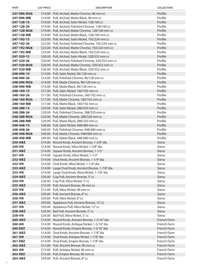| <b>PART</b>       | <b>LIST PRICE</b> | <b>DESCRIPTION</b>                                                                         | <b>COLLECTION</b> |
|-------------------|-------------------|--------------------------------------------------------------------------------------------|-------------------|
| 247-096-M26       |                   | \$14.00 Pull, Arched, Matte Chrome, 96 mm cc                                               | Profile           |
| 247-096-MB        |                   | \$14.00 Pull, Arched, Matte Black, 96 mm cc                                                | Profile           |
| 247-128-15        |                   | \$19.00 Pull, Arched, Satin Nickel, 128/160 cc                                             | Profile           |
| 247-128-26        |                   | \$19.00 Pull, Arched, Polished Chrome, 128/160 cc                                          | Profile           |
| 247-128-M26       |                   | \$19.00 Pull, Arched, Matte Chrome, 128/160 mm cc                                          | Profile           |
| 247-128-MB        |                   | \$19.00 Pull, Arched, Matte Black, 128/160 mm cc                                           | Profile           |
| 247-192-15        |                   | \$23.00 Pull, Arched, Satin Nickel, 192/224 mm cc                                          | Profile           |
| 247-192-26        |                   | \$23.00 Pull, Arched, Polished Chrome, 192/224 mm cc                                       | Profile           |
| 247-192-M26       |                   | \$23.00 Pull, Arched, Matte Chrome, 192/224 mm cc                                          | Profile           |
| 247-192-MB        |                   | \$23.00 Pull, Arched, Matte Black, 192/224 mm cc                                           | Profile           |
| 247-320-15        |                   | \$30.00 Pull, Arched, Satin Nickel, 320/352 mm cc                                          | Profile           |
| 247-320-26        |                   | \$30.00 Pull, Arched, Polished Chrome, 320/352 mm cc                                       | Profile           |
| 247-320-M26       |                   | \$30.00 Pull, Arched, Matte Chrome, 320/352 mm cc                                          | Profile           |
| 247-320-MB        |                   | \$30.00 Pull, Arched, Matte Black, 320/352 mm cc                                           | Profile           |
| 248-096-15        |                   | \$14.00 Pull, Satin Nickel, 96/128 mm cc                                                   | Profile           |
| 248-096-26        |                   | \$14.00 Pull, Polished Chrome, 96/128 mm cc                                                | Profile           |
| 248-096-M26       |                   | \$14.00 Pull, Matte Chrome, 96/128 mm cc                                                   | Profile           |
| 248-096-MB        |                   | \$14.00 Pull, Matte Black, 96/128 mm cc                                                    | Profile           |
| 248-160-15        |                   | \$17.00 Pull, Satin Nickel, 160/192 mm cc                                                  | Profile           |
| 248-160-26        |                   | \$17.00 Pull, Polished Chrome, 160/192 mm cc                                               | Profile           |
| 248-160-M26       |                   | \$17.00 Pull, Matte Chrome, 160/192 mm cc                                                  | Profile           |
| 248-160-MB        |                   | \$17.00 Pull, Matte Black, 160/192 mm cc                                                   | Profile           |
| 248-288-15        |                   | \$29.00 Pull, Satin Nickel, 288/320 mm cc                                                  | Profile           |
| 248-288-26        |                   | \$29.00 Pull, Polished Chrome, 288/320 mm cc                                               | Profile           |
| 248-288-M26       |                   | \$29.00 Pull, Matte Chrome, 288/320 mm cc                                                  | Profile           |
| 248-288-MB        |                   | \$29.00 Pull, Matte Black, 288/320 mm cc                                                   | Profile           |
| 248-448-15        |                   | \$40.00 Pull, Satin Nickel, 448/480 mm cc                                                  | Profile           |
| 248-448-26        |                   | \$40.00 Pull, Polished Chrome, 448/480 mm cc                                               | Profile           |
| 248-448-M26       |                   | \$40.00 Pull, Matte Chrome, 448/480 mm cc                                                  | Profile           |
| 248-448-MB        |                   | \$40.00 Pull, Matte Black, 448/480 mm cc                                                   | Profile           |
| 250-ABZ           |                   | \$14.00 Round Knob, Ancient Bronze, 1-3/8" dia                                             | Siena             |
| 250-VN            |                   | \$14.00 Round Knob, Vibra Nickel, 1-3/8" dia                                               | Siena             |
| 251-ABZ           |                   | \$14.00 Square Knob, Ancient Bronze, 1-1/2"                                                | Siena             |
| 251-VN<br>252-ABZ |                   | \$14.00 Square Knob, Vibra Nickel, 1-1/2"<br>\$14.00 Oval Knob, Ancient Bronze, 1-1/4" dia | Siena<br>Siena    |
| <b>252-VN</b>     |                   | \$14.00 Oval Knob, Vibra Nickel, 1-1/4" dia                                                | Siena             |
| 253-ABZ           |                   | \$14.00 Large Oval Knob, Ancient Bronze, 1-7/8" dia                                        | Siena             |
| 253-VN            |                   | \$14.00 Large Oval Knob, Vibra Nickel, 1-7/8" dia                                          | Siena             |
| 254-ABZ           |                   | \$20.00 Cup Pull, Ancient Bronze, 3" cc                                                    | Siena             |
| 254-VN            |                   | \$20.00 Cup Pull, Vibra Nickel, 3" cc                                                      | Siena             |
| 255-ABZ           |                   | \$15.00 Pull, Ancient Bronze, 96 mm cc                                                     | Siena             |
| 255-VN            |                   | \$15.00 Pull, Vibra Nickel, 96 mm cc                                                       | Siena             |
| 256-ABZ           |                   | \$29.00 Pull, Ancient Bronze, 8" cc                                                        | Siena             |
| 256-VN            |                   | \$29.00 Pull, Vibra Nickel, 8" cc                                                          | Siena             |
| 257-ABZ           |                   | \$59.00 Appliance Pull, Ancient Bronze, 12" cc                                             | Siena             |
| 257-VN            |                   | \$59.00 Appliance Pull, Vibra Nickel, 12" cc                                               | Siena             |
| 258-ABZ           |                   | \$24.00 Bail Pull, Ancient Bronze, 5" cc                                                   | Siena             |
| 258-VN            |                   | \$24.00 Bail Pull, Vibra Nickel, 5"cc                                                      | Siena             |
| 260-ABZ           |                   | \$14.00 Round Knob, Ancient Bronze, 1-5/16" dia                                            | French Farm       |
| 260-AN            |                   | \$14.00 Round Knob, Antique Nickel, 1-5/16" dia                                            | French Farm       |
| 260-EBZ           |                   | \$14.00 Round Knob, Empire Bronze, 1-5/16" dia                                             | French Farm       |
| 261-ABZ           |                   | \$14.00 Oval Knob, Ancient Bronze, 1-7/8" dia                                              | French Farm       |
| 261-AN            |                   | \$14.00 Oval Knob, Antique Nickel, 1-7/8" dia                                              | French Farm       |
| 261-EBZ           |                   | \$14.00 Oval Knob, Empire Bronze, 1-7/8" dia                                               | French Farm       |
| 262-ABZ           |                   | \$15.00 Pull, Ancient Bronze, 96 mm cc                                                     | French Farm       |
| 262-AN            |                   | \$15.00 Pull, Antique Nickel, 96 mm cc                                                     | French Farm       |
| 262-EBZ           |                   | \$15.00 Pull, Empire Bronze, 96 mm cc                                                      | French Farm       |
| 263-ABZ           |                   | \$59.00 Pull, Ancient Bronze, 8" cc                                                        | French Farm       |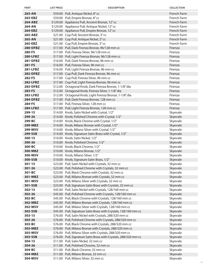| <b>PART</b>                        | <b>LIST PRICE</b> | <b>DESCRIPTION</b>                                                                                                    | <b>COLLECTION</b>    |
|------------------------------------|-------------------|-----------------------------------------------------------------------------------------------------------------------|----------------------|
| 263-AN                             |                   | \$59.00 Pull, Antique Nickel, 8"cc                                                                                    | French Farm          |
| 263-EBZ                            |                   | \$59.00 Pull, Empire Bronze, 8" cc                                                                                    | French Farm          |
| 264-ABZ                            |                   | \$129.00 Appliance Pull, Ancient Bronze, 12" cc                                                                       | French Farm          |
| 264-AN                             |                   | \$129.00 Appliance Pull, Antique Nickel, 12" cc                                                                       | French Farm          |
| 264-EBZ                            |                   | \$129.00 Appliance Pull, Empire Bronze, 12" cc                                                                        | French Farm          |
| 265-ABZ                            |                   | \$21.00 Cup Pull, Ancient Bronze, 3" cc                                                                               | French Farm          |
| 265-AN                             |                   | \$21.00 Cup Pull, Antique Nickel, 3" cc                                                                               | French Farm          |
| 265-EBZ                            |                   | \$21.00 Cup Pull, Empire Bronze, 3" cc                                                                                | French Farm          |
| <b>280-DFBZ</b>                    |                   | \$17.00 Pull, Dark Firenza Bronze, 96/128 mm cc                                                                       | Firenza              |
| 280-FS                             |                   | \$17.00 Pull, Firenza Silver, 96/128 mm cc                                                                            | Firenza              |
| <b>280-LFBZ</b>                    |                   | \$17.00 Pull, Light Firenza Bronze, 96/128 mm cc                                                                      | Firenza              |
| <b>281-DFBZ</b>                    |                   | \$16.00 Pull, Dark Firenza Bronze, 96 mm cc                                                                           | Firenza              |
| 281-FS                             |                   | \$16.00 Pull, Firenza Silver, 96 mm cc                                                                                | Firenza              |
| <b>281-LFBZ</b>                    |                   | \$16.00 Pull, Light Firenza Bronze, 96 mm cc                                                                          | Firenza              |
| <b>282-DFBZ</b>                    |                   | \$17.00 Cup Pull, Dark Firenza Bronze, 96 mm cc                                                                       | Firenza              |
| 282-FS                             |                   | \$17.00 Cup Pull, Firenza Silver, 96 mm cc                                                                            | Firenza              |
| <b>282-LFBZ</b>                    |                   | \$17.00 Cup Pull, Light Firenza Bronze, 96 mm cc                                                                      | Firenza              |
| 283-DFBZ                           |                   | \$12.00 Octagonal Knob, Dark Firenza Bronze, 1-1/8" dia                                                               | Firenza              |
| 283-FS                             |                   | \$12.00 Octagonal Knob, Firenza Silver, 1-1/8" dia                                                                    | Firenza<br>Firenza   |
| <b>283-LFBZ</b><br><b>284-DFBZ</b> |                   | \$12.00 Octagonal Knob, Light Firenza Bronze, 1-1/8" dia<br>\$17.00 Pull, Dark Firenza Bronze, 128 mm cc              | Firenza              |
| 284-FS                             |                   | \$17.00 Pull, Firenza Silver, 128 mm cc                                                                               | Firenza              |
| <b>284-LFBZ</b>                    |                   | \$17.00 Pull, Light Firenza Bronze, 128 mm cc                                                                         | Firenza              |
| 299-15                             |                   | \$14.00 Knob, Satin Nickel with Crystal, 1/2"                                                                         | Skyevale             |
| 299-26                             |                   | \$14.00 Knob, Polished Chrome with Crystal, 1/2"                                                                      | Skyevale             |
| 299-BC                             |                   | \$14.00 Knob, Black Chrome with Crystal, 1/2"                                                                         | Skyevale             |
| 299-MBZ                            |                   | \$14.00 Knob, Milano Bronze with Crystal, 1/2"                                                                        | Skyevale             |
| 299-MSV                            |                   | \$14.00 Knob, Milano Silver with Crystal, 1/2"                                                                        | Skyevale             |
| 299-SSB                            |                   | \$14.00 Knob, Signature Satin Brass with Crystal, 1/2"                                                                | Skyevale             |
| $300 - 15$                         |                   | \$10.00 Knob, Satin Nickel, 1/2"                                                                                      | Skyevale             |
| 300-26                             |                   | \$10.00 Knob, Polished Chrome, 1/2"                                                                                   | Skyevale             |
| 300-BC                             |                   | \$10.00 Knob, Black Chrome, 1/2"                                                                                      | Skyevale             |
| 300-MBZ                            |                   | \$10.00 Knob, Milano Bronze, 1/2"                                                                                     | Skyevale             |
| 300-MSV                            |                   | \$10.00 Knob, Milano Silver, 1/2"                                                                                     | Skyevale             |
| 300-SSB                            |                   | \$10.00 Knob, Signature Satin Brass, 1/2"                                                                             | Skyevale             |
| $301 - 15$                         |                   | \$23.00 Pull, Satin Nickel with Crystals, 32 mm cc                                                                    | Skyevale             |
| 301-26                             |                   | \$23.00 Pull, Polished Chrome with Crystals, 32 mm cc                                                                 | Skyevale             |
| 301-BC                             |                   | \$23.00 Pull, Black Chrome with Crystals, 32 mm cc                                                                    | Skyevale             |
| 301-MBZ                            |                   | \$23.00 Pull, Milano Bronze with Crystals, 32 mm cc                                                                   | Skyevale             |
| 301-MSV                            |                   | \$23.00 Pull, Milano Silver with Crystals, 32 mm cc                                                                   | Skyevale             |
| 301-SSB                            |                   | \$23.00 Pull, Signature Satin Brass with Crystals, 32 mm cc                                                           | Skyevale             |
| $302 - 15$                         |                   | \$45.00 Pull, Satin Nickel with Crystals, 128/160 mm cc                                                               | Skyevale             |
| 302-26                             |                   | \$45.00 Pull, Polished Chrome with Crystals, 128/160 mm cc                                                            | Skyevale             |
| 302-BC                             |                   | \$45.00 Pull, Black Chrome with Crystals, 128/160 mm cc                                                               | Skyevale             |
| 302-MBZ                            |                   | \$45.00 Pull, Milano Bronze with Crystals, 128/160 mm cc                                                              | Skyevale             |
| 302-MSV                            |                   | \$45.00 Pull, Milano Silver with Crystals, 128/160 mm cc                                                              | Skyevale             |
| 302-SSB                            |                   | \$45.00 Pull, Signature Satin Brass with Crystals, 128/160 mm cc                                                      | Skyevale             |
| $303 - 15$<br>303-26               |                   | \$76.00 Pull, Satin Nickel with Crystals, 288/320 mm cc<br>\$76.00 Pull, Polished Chrome with Crystals, 288/320 mm cc | Skyevale<br>Skyevale |
| 303-BC                             |                   | \$76.00 Pull, Black Chrome with Crystals, 288/320 mm cc                                                               | Skyevale             |
| 303-MBZ                            |                   | \$76.00 Pull, Milano Bronze with Crystals, 288/320 mm cc                                                              | Skyevale             |
| 303-MSV                            |                   | \$76.00 Pull, Milano Silver with Crystals, 288/320 mm cc                                                              | Skyevale             |
| 303-SSB                            |                   | \$76.00 Pull, Signature Satin Brass with Crystals, 288/320 mm cc                                                      | Skyevale             |
| 304-15                             |                   | \$11.00 Pull, Satin Nickel, 32 mm cc                                                                                  | Skyevale             |
| 304-26                             |                   | \$11.00 Pull, Polished Chrome, 32 mm cc                                                                               | Skyevale             |
| 304-BC                             |                   | \$11.00 Pull, Black Chrome, 32 mm cc                                                                                  | Skyevale             |
| 304-MBZ                            |                   | \$11.00 Pull, Milano Bronze, 32 mm cc                                                                                 | Skyevale             |
| 304-MSV                            |                   | \$11.00 Pull, Milano Silver, 32 mm cc                                                                                 | Skyevale             |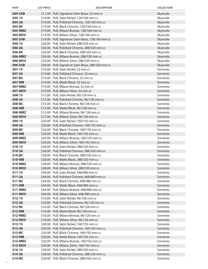| <b>PART</b>          | <b>LIST PRICE</b> | <b>DESCRIPTION</b>                                                                        | <b>COLLECTION</b>    |
|----------------------|-------------------|-------------------------------------------------------------------------------------------|----------------------|
| 304-SSB              |                   | \$11.00 Pull, Signature Satin Brass, 32 mm cc                                             | Skyevale             |
| $305 - 15$           |                   | \$19.00 Pull, Satin Nickel, 128/160 mm cc                                                 | Skyevale             |
| 305-26               |                   | \$19.00 Pull, Polished Chrome, 128/160 mm cc                                              | Skyevale             |
| 305-BC               |                   | \$19.00 Pull, Black Chrome, 128/160 mm cc                                                 | Skyevale             |
| 305-MBZ              |                   | \$19.00 Pull, Milano Bronze, 128/160 mm cc                                                | Skyevale             |
| 305-MSV              |                   | \$19.00 Pull, Milano Silver, 128/160 mm cc                                                | Skyevale             |
| 305-SSB              |                   | \$19.00 Pull, Signature Satin Brass, 128/160 mm cc                                        | Skyevale             |
| 306-15               |                   | \$26.00 Pull, Satin Nickel, 288/320 mm cc                                                 | Skyevale             |
| 306-26               |                   | \$26.00 Pull, Polished Chrome, 288/320 mm cc                                              | Skyevale             |
| 306-BC               |                   | \$26.00 Pull, Black Chrome, 288/320 mm cc                                                 | Skyevale             |
| 306-MBZ              |                   | \$26.00 Pull, Milano Bronze, 288/320 mm cc                                                | Skyevale             |
| 306-MSV              |                   | \$26.00 Pull, Milano Silver, 288/320 mm cc                                                | Skyevale             |
| 306-SSB              |                   | \$26.00 Pull, Signature Satin Brass, 288/320 mm cc                                        | Skyevale             |
| $307 - 15$           |                   | \$19.00 Pull, Satin Nickel, 32 mm cc                                                      | Sorrento             |
| 307-26               |                   | \$19.00 Pull, Polished Chrome, 32 mm cc                                                   | Sorrento             |
| 307-BC               |                   | \$19.00 Pull, Black Chrome, 32 mm cc                                                      | Sorrento             |
| 307-MB               |                   | \$19.00 Pull, Matte Black, 32 mm cc                                                       | Sorrento             |
| 307-MBZ              |                   | \$19.00 Pull, Milano Bronze, 32 mm cc                                                     | Sorrento             |
| 307-MSV              |                   | \$19.00 Pull, Milano Silver, 32 mm cc                                                     | Sorrento             |
| 308-15               |                   | \$15.00 Pull, Satin Nickel, 96/128 mm cc                                                  | Sorrento             |
| 308-26               |                   | \$15.00 Pull, Polished Chrome, 96/128 mm cc                                               | Sorrento             |
| 308-BC               |                   | \$15.00 Pull, Black Chrome, 96/128 mm cc                                                  | Sorrento             |
| 308-MB               |                   | \$15.00 Pull, Matte Black, 96/128 mm cc                                                   | Sorrento             |
| 308-MBZ              |                   | \$15.00 Pull, Milano Bronze, 96/128 mm cc                                                 | Sorrento             |
| 308-MSV              |                   | \$15.00 Pull, Milano Silver, 96/128 mm cc                                                 | Sorrento             |
| 309-15               |                   | \$20.00 Pull, Satin Nickel, 160/192 mm cc                                                 | Sorrento             |
| 309-26               |                   | \$20.00 Pull, Polished Chrome, 160/192 mm cc                                              | Sorrento             |
| 309-BC               |                   | \$20.00 Pull, Black Chrome, 160/192 mm cc                                                 | Sorrento             |
| 309-MB               |                   | \$20.00 Pull, Matte Black, 160/192 mm cc                                                  | Sorrento             |
| 309-MBZ              |                   | \$20.00 Pull, Milano Bronze, 160/192 mm cc                                                | Sorrento             |
| 309-MSV              |                   | \$20.00 Pull, Milano Silver, 160/192 mm cc                                                | Sorrento<br>Sorrento |
| $310 - 15$<br>310-26 |                   | \$28.00 Pull, Satin Nickel, 288/320 mm cc                                                 | Sorrento             |
| 310-BC               |                   | \$28.00 Pull, Polished Chrome, 288/320 mm cc<br>\$28.00 Pull, Black Chrome, 288/320 mm cc | Sorrento             |
| 310-MB               |                   | \$28.00 Pull, Matte Black, 288/320 mm cc                                                  | Sorrento             |
| 310-MBZ              |                   | \$28.00 Pull, Milano Bronze, 288/320 mm cc                                                | Sorrento             |
| 310-MSV              |                   | \$28.00 Pull, Milano Silver, 288/320 mm cc                                                | Sorrento             |
| $311 - 15$           |                   | \$44.00 Pull, Satin Nickel, 448/480 mm cc                                                 | Sorrento             |
| 311-26               |                   | \$44.00 Pull, Polished Chrome, 448/480 mm cc                                              | Sorrento             |
| 311-BC               |                   | \$44.00 Pull, Black Chrome, 448/480 mm cc                                                 | Sorrento             |
| 311-MB               |                   | \$44.00 Pull, Matte Black, 448/480 mm cc                                                  | Sorrento             |
| 311-MBZ              |                   | \$44.00 Pull, Milano Bronze, 448/480 mm cc                                                | Sorrento             |
| 311-MSV              |                   | \$44.00 Pull, Milano Silver, 448/480 mm cc                                                | Sorrento             |
| 312-15               |                   | \$16.00 Pull, Satin Nickel, 96/128 mm cc                                                  | Sorrento             |
| 312-26               |                   | \$16.00 Pull, Polished Chrome, 96/128 mm cc                                               | Sorrento             |
| 312-BC               |                   | \$16.00 Pull, Black Chrome, 96/128 mm cc                                                  | Sorrento             |
| 312-MB               |                   | \$16.00 Pull, Matte Black, 96/128 mm cc                                                   | Sorrento             |
| 312-MBZ              |                   | \$16.00 Pull, Milano Bronze, 96/128 mm cc                                                 | Sorrento             |
| 312-MSV              |                   | \$16.00 Pull, Milano Silver, 96/128 mm cc                                                 | Sorrento             |
| $313 - 15$           |                   | \$20.00 Pull, Satin Nickel, 160/192 mm cc                                                 | Sorrento             |
| 313-26               |                   | \$20.00 Pull, Polished Chrome, 160/192 mm cc                                              | Sorrento             |
| 313-BC               |                   | \$20.00 Pull, Black Chrome, 160/192 mm cc                                                 | Sorrento             |
| 313-MB               |                   | \$20.00 Pull, Matte Black, 160/192 mm cc                                                  | Sorrento             |
| 313-MBZ              |                   | \$20.00 Pull, Milano Bronze, 160/192 mm cc                                                | Sorrento             |
| 313-MSV              |                   | \$20.00 Pull, Milano Silver, 160/192 mm cc                                                | Sorrento             |
| 314-15               |                   | \$28.00 Pull, Satin Nickel, 288/320 mm cc                                                 | Sorrento             |
| 314-26               |                   | \$28.00 Pull, Polished Chrome, 288/320 mm cc                                              | Sorrento             |
| 314-BC               |                   | \$28.00 Pull, Black Chrome, 288/320 mm cc                                                 | Sorrento             |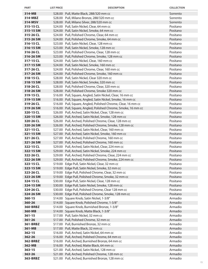| <b>PART</b>            | <b>LIST PRICE</b> | <b>DESCRIPTION</b>                                                                                       | <b>COLLECTION</b>    |
|------------------------|-------------------|----------------------------------------------------------------------------------------------------------|----------------------|
| 314-MB                 |                   | \$28.00 Pull, Matte Black, 288/320 mm cc                                                                 | Sorrento             |
| 314-MBZ                |                   | \$28.00 Pull, Milano Bronze, 288/320 mm cc                                                               | Sorrento             |
| 314-MSV                |                   | \$28.00 Pull, Milano Silver, 288/320 mm cc                                                               | Sorrento             |
| 315-15 CL              |                   | \$24.00 Pull, Satin Nickel, Clear, 64 mm cc                                                              | Positano             |
| 315-15 SM              |                   | \$24.00 Pull, Satin Nickel, Smoke, 64 mm cc                                                              | Positano             |
| 315-26 CL              |                   | \$24.00 Pull, Polished Chrome, Clear, 64 mm cc                                                           | Positano             |
| 315-26 SM              |                   | \$24.00 Pull, Polished Chrome, Smoke, 64 mm cc                                                           | Positano             |
| 316-15 CL              |                   | \$23.00 Pull, Satin Nickel, Clear, 128 mm cc                                                             | Positano             |
| 316-15 SM              |                   | \$23.00 Pull, Satin Nickel, Smoke, 128 mm cc                                                             | Positano             |
| 316-26 CL              |                   | \$23.00 Pull, Polished Chrome, Clear, 128 mm cc                                                          | Positano             |
| 316-26 SM              |                   | \$23.00 Pull, Polished Chrome, Smoke, 128 mm cc                                                          | Positano             |
| 317-15 CL              |                   | \$24.00 Pull, Satin Nickel, Clear, 160 mm cc                                                             | Positano             |
| 317-15 SM              |                   | \$24.00 Pull, Satin Nickel, Smoke, 160 mm cc                                                             | Positano             |
| 317-26 CL              |                   | \$24.00 Pull, Polished Chrome, Clear, 160 mm cc                                                          | Positano             |
| 317-26 SM              |                   | \$24.00 Pull, Polished Chrome, Smoke, 160 mm cc                                                          | Positano             |
| 318-15 CL              |                   | \$28.00 Pull, Satin Nickel, Clear 320 mm cc                                                              | Positano             |
| 318-15 SM              |                   | \$28.00 Pull, Satin Nickel, Smoke, 320 mm cc                                                             | Positano             |
| 318-26 CL              |                   | \$28.00 Pull, Polished Chrome, Clear, 320 mm cc                                                          | Positano             |
| 318-26 SM              |                   | \$28.00 Pull, Polished Chrome, Smoke 320 mm cc                                                           | Positano             |
| 319-15 CL              |                   | \$16.00 Pull, Square, Angled, Satin Nickel, Clear, 16 mm cc                                              | Positano             |
| 319-15 SM              |                   | \$16.00 Pull, Square, Angled, Satin Nickel, Smoke, 16 mm cc                                              | Positano             |
| 319-26 CL              |                   | \$16.00 Pull, Square, Angled, Polished Chrome, Clear, 16 mm cc                                           | Positano             |
| 319-26 SM              |                   | \$16.00 Pull, Square, Angled, Polished Chrome, Smoke, 16 mm cc                                           | Positano             |
| 320-15 CL              |                   | \$26.00 Pull, Arched, Satin Nickel, Clear, 128 mm cc                                                     | Positano             |
| 320-15 SM              |                   | \$26.00 Pull, Arched, Satin Nickel, Smoke, 128 mm cc                                                     | Positano             |
| 320-26 CL              |                   | \$26.00 Pull, Arched, Polished Chrome, Clear, 128 mm cc                                                  | Positano             |
| 320-26 SM              |                   | \$26.00 Pull, Arched, Polished Chrome, Smoke, 128 mm cc                                                  | Positano             |
| 321-15 CL              |                   | \$27.00 Pull, Arched, Satin Nickel, Clear, 160 mm cc                                                     | Positano             |
| 321-15 SM              |                   | \$27.00 Pull, Arched, Satin Nickel, Smoke, 160 mm cc                                                     | Positano             |
| 321-26 CL              |                   | \$27.00 Pull, Arched, Polished Chrome, 160 mm cc                                                         | Positano             |
| 321-26 SM              |                   | \$27.00 Pull, Arched, Polished Chrome, 160 mm cc                                                         | Positano             |
| 322-15 CL              |                   | \$29.00 Pull, Arched, Satin Nickel, Clear, 224 mm cc                                                     | Positano             |
| 322-15 SM              |                   | \$29.00 Pull, Arched, Satin Nickel, Smoke, 224 mm cc                                                     | Positano             |
| 322-26 CL              |                   | \$29.00 Pull, Arched, Polished Chrome, Clear, 224 mm cc                                                  | Positano             |
| 322-26 SM              |                   | \$29.00 Pull, Arched, Polished Chrome, Smoke, 224 mm cc                                                  | Positano             |
| 323-15 CL              |                   | \$19.00 Edge Pull, Satin Nickel, Clear, 32 mm cc                                                         | Positano             |
| 323-15 SM              |                   | \$19.00 Edge Pull, Satin Nickel, Smoke, 32 mm cc                                                         | Positano<br>Positano |
| 323-26 CL<br>323-26 SM |                   | \$19.00 Edge Pull, Polished Chrome, Clear, 32 mm cc                                                      | Positano             |
| 324-15 CL              |                   | \$19.00 Edge Pull, Polished Chrome, Smoke, 32 mm cc<br>\$30.00 Edge Pull, Satin Nickel, Clear, 128 mm cc | Positano             |
| 324-15 SM              |                   | \$30.00 Edge Pull, Satin Nickel, Smoke, 128 mm cc                                                        | Positano             |
| 324-26 CL              |                   | \$30.00 Edge Pull, Polished Chrome, Clear 128 mm cc                                                      | Positano             |
| 324-26 SM              |                   | \$30.00 Edge Pull, Polished Chrome, Smoke, 128 mm cc                                                     | Positano             |
| 360-15                 |                   | \$14.00 Square Knob, Satin Nickel, 1-3/8"                                                                | Armadio              |
| 360-26                 |                   | \$14.00 Square Knob, Polished Chrome, 1-3/8"                                                             | Armadio              |
| 360-BRBZ               |                   | \$14.00 Square Knob, Burnished Bronze, 1-3/8"                                                            | Armadio              |
| 360-MB                 |                   | \$14.00 Square Knob, Matte Black, 1-3/8"                                                                 | Armadio              |
| $361 - 15$             |                   | \$17.00 Pull, Satin Nickel, 32 mm cc                                                                     | Armadio              |
| $361 - 26$             |                   | \$17.00 Pull, Polished Chrome, 32 mm cc                                                                  | Armadio              |
| 361-BRBZ               |                   | \$17.00 Pull, Burnished Bronze, 32 mm cc                                                                 | Armadio              |
| 361-MB                 |                   | \$17.00 Pull, Matte Black, 32 mm cc                                                                      | Armadio              |
| $362 - 15$             |                   | \$16.00 Pull, Arched, Satin Nickel, 64 mm cc                                                             | Armadio              |
| 362-26                 |                   | \$16.00 Pull, Arched, Polished Chrome, 64 mm cc                                                          | Armadio              |
| 362-BRBZ               |                   | \$16.00 Pull, Arched, Burnished Bronze, 64 mm cc                                                         | Armadio              |
| 362-MB                 |                   | \$16.00 Pull, Arched, Matte Black, 64 mm cc                                                              | Armadio              |
| $363 - 15$             |                   | \$21.00 Pull, Arched, Satin Nickel, 128 mm cc                                                            | Armadio              |
| 363-26                 |                   | \$21.00 Pull, Arched, Polished Chrome, 128 mm cc                                                         | Armadio              |
| 363-BRBZ               |                   | \$21.00 Pull, Arched, Burnished Bronze, 128 mm cc                                                        | Armadio              |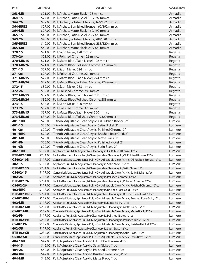| <b>PART</b>       | <b>LIST PRICE</b> | <b>DESCRIPTION</b>                                                                                                         | <b>COLLECTION</b>  |
|-------------------|-------------------|----------------------------------------------------------------------------------------------------------------------------|--------------------|
| 363-MB            |                   | \$21.00 Pull, Arched, Matte Black, 128 mm cc                                                                               | Armadio            |
| $364 - 15$        |                   | \$27.00 Pull, Arched, Satin Nickel, 160/192 mm cc                                                                          | Armadio            |
| 364-26            |                   | \$27.00 Pull, Arched, Polished Chrome, 160/192 mm cc                                                                       | Armadio            |
| 364-BRBZ          |                   | \$27.00 Pull, Arched, Burnished Bronze, 160/192 mm cc                                                                      | Armadio            |
| 364-MB            |                   | \$27.00 Pull, Arched, Matte Black, 160/192 mm cc                                                                           | Armadio            |
| $365 - 15$        |                   | \$40.00 Pull, Arched, Satin Nickel, 288/320 mm cc                                                                          | Armadio            |
| 365-26            |                   | \$40.00 Pull, Arched, Polished Chrome, 288/320 mm cc                                                                       | Armadio            |
| 365-BRBZ          |                   | \$40.00 Pull, Arched, Burnished Bronze, 288/320 mm cc                                                                      | Armadio            |
| 365-MB            |                   | \$40.00 Pull, Arched, Matte Black, 288/320 mm cc                                                                           | Armadio            |
| $370 - 15$        |                   | \$21.00 Pull, Satin Nickel, 128 mm cc                                                                                      | Regatta            |
| 370-26            |                   | \$21.00 Pull, Polished Chrome, 128 mm cc                                                                                   | Regatta            |
| 370-MB/15         |                   | \$21.00 Pull, Matte Black/Satin Nickel, 128 mm cc                                                                          | Regatta            |
| 370-MB/26         |                   | \$21.00 Pull, Matte Black/Polished Chrome, 128 mm cc                                                                       | Regatta            |
| $371 - 15$        |                   | \$27.00 Pull, Satin Nickel, 224 mm cc                                                                                      | Regatta            |
| 371-26            |                   | \$27.00 Pull, Polished Chrome, 224 mm cc                                                                                   | Regatta            |
| 371-MB/15         |                   | \$27.00 Pull, Matte Black/Satin Nickel, 224 mm cc                                                                          | Regatta            |
| 371-MB/26         |                   | \$27.00 Pull, Matte Black/Polished Chrome, 224 mm cc                                                                       | Regatta            |
| $372 - 15$        |                   | \$32.00 Pull, Satin Nickel, 288 mm cc                                                                                      | Regatta            |
| 372-26            |                   | \$32.00 Pull, Polished Chrome, 288 mm cc                                                                                   | Regatta            |
| 372-MB/15         |                   | \$32.00 Pull, Matte Black/Satin Nickel, 288 mm cc                                                                          | Regatta            |
| 372-MB/26         |                   | \$32.00 Pull, Matte Black/Polished Chrome, 288 mm cc                                                                       | Regatta            |
| $373 - 15$        |                   | \$37.00 Pull, Satin Nickel, 320 mm cc                                                                                      | Regatta            |
| 373-26            |                   | \$37.00 Pull, Polished Chrome, 320 mm cc                                                                                   | Regatta            |
| 373-MB/15         |                   | \$37.00 Pull, Matte Black/Satin Nickel, 320 mm cc                                                                          | Regatta            |
| 373-MB/26         |                   | \$37.00 Pull, Matte Black/Polished Chrome, 320 mm cc                                                                       | Regatta            |
| 401-10B           |                   | \$20.00 T-Knob, Adjustable Clear Acrylic, Oil Rubbed Bronze, 2"                                                            | Lumiere            |
| $401 - 15$        |                   | \$20.00 T-Knob, Adjustable Clear Acrylic, Satin Nickel, 2"                                                                 | Lumiere            |
| 401-26            |                   | \$20.00 T-Knob, Adjustable Clear Acrylic, Polished Chrome, 2"                                                              | Lumiere            |
| 401-BRG           |                   | \$20.00 T-Knob, Adjustable Clear Acrylic, Brushed Rose Gold, 2"                                                            | Lumiere<br>Lumiere |
| 401-MB<br>401-PN  |                   | \$20.00 T-Knob, Adjustable Clear Acrylic, Matte Black, 2"                                                                  |                    |
| 401-SB            |                   | \$20.00 T-Knob, Adjustable Clear Acrylic, Polished Nickel, 2"<br>\$20.00 T-Knob, Adjustable Clear Acrylic, Satin Brass, 2" | Lumiere<br>Lumiere |
| 402-10B           |                   | \$117.00 Appliance Pull, NON-Adjustable Clear Acrylic, Oil Rubbed Bronze, 12" cc                                           | Lumiere            |
| <b>BTB402-10B</b> |                   | \$234.00 Back to Back, Appliance Pull, NON-Adjustable Clear Acrylic, Oil Rubbed Bronze, 12" cc                             | Lumiere            |
| <b>CS402-10B</b>  | \$117.00          | Concealed Surface, Appliance Pull, NON-Adjustable Clear Acrylic, Oil Rubbed Bronze, 12"cc                                  | Lumiere            |
| 402-15            | \$117.00          | Appliance Pull, NON-Adjustable Clear Acrylic, Satin Nickel. 12" cc                                                         | Lumiere            |
| BTB402-15         | \$234.00          | Back to Back, Appliance Pull, NON-Adjustable Clear Acrylic, Satin Nickel. 12" cc                                           | Lumiere            |
| CS402-15          | \$117.00          | Concealed Surface, Appliance Pull, NON-Adjustable Clear Acrylic, Satin Nickel. 12"cc                                       | Lumiere            |
| 402-26            | \$117.00          | Appliance Pull, NON-Adjustable Clear Acrylic, Polished Chrome, 12" cc                                                      | Lumiere            |
| BTB402-26         | \$234.00          | Back to Back, Appliance Pull, NON-Adjustable Clear Acrylic, Polished Chrome, 12" cc                                        | Lumiere            |
| CS402-26          | \$117.00          | Concealed Surface, Appliance Pull, NON-Adjustable Clear Acrylic, Polished Chrome, 12" cc                                   | Lumiere            |
| 402-BRG           | \$117.00          | Appliance Pull, NON-Adjustable Clear Acrylic, Brushed Rose Gold, 12" cc                                                    | Lumiere            |
| BTB402-BRG        | \$234.00          | Back to Back, Appliance Pull, NON-Adjustable Clear Acrylic, Brushed Rose Gold, 12" cc                                      | Lumiere            |
| <b>CS402-BRG</b>  | \$117.00          | Concealed Surface, Appliance Pull, NON-Adjustable Clear Acrylic, Brushed Rose Gold, 12"cc                                  | Lumiere            |
| 402-MB            | \$117.00          | Appliance Pull, NON-Adjustable Clear Acrylic, Matte Black, 12" cc                                                          | Lumiere            |
| <b>BTB402-MB</b>  | \$234.00          | Back to Back, Appliance Pull, NON-Adjustable Clear Acrylic, Matte Black, 12" cc                                            | Lumiere            |
| <b>CS402-MB</b>   | \$117.00          | Concealed Surface, Appliance Pull, NON-Adjustable Clear Acrylic, Matte Black, 12"cc                                        | Lumiere            |
| 402-PN            | \$117.00          | Appliance Pull, NON-Adjustable Clear Acrylic, Polished Nickel, 12" cc                                                      | Lumiere            |
| <b>BTB402-PN</b>  | \$234.00          | Back to Back, Appliance Pull, NON-Adjustable Clear Acrylic, Polished Nickel, 12" cc                                        | Lumiere            |
| <b>CS402-PN</b>   | \$117.00          | Concealed Surface, Appliance Pull, NON-Adjustable Clear Acrylic, Polished Nickel, 12" cc                                   | Lumiere            |
| 402-SB            | \$117.00          | Appliance Pull, NON-Adjustable Clear Acrylic, Satin Brass, 12" cc                                                          | Lumiere            |
| <b>BTB402-SB</b>  | \$234.00          | Back to Back, Appliance Pull, NON-Adjustable Clear Acrylic, Satin Brass, 12" cc                                            | Lumiere            |
| <b>CS402-SB</b>   | \$117.00          | Concealed Surface, Appliance Pull, NON-Adjustable Clear Acrylic, Satin Brass, 12" cc                                       | Lumiere            |
| 404-10B           | \$42.00           | Pull, Adjustable Clear Acrylic, Oil Rubbed Bronze, 4" cc                                                                   | Lumiere            |
| 404-15            | \$42.00           | Pull, Adjustable Clear Acrylic, Satin Nickel, 4" cc                                                                        | Lumiere            |
| 404-26            | \$42.00           | Pull, Adjustable Clear Acrylic, Polished Chrome, 4" cc                                                                     | Lumiere            |
| 404-BRG           | \$42.00           | Pull, Adjustable Clear Acrylic, Brushed Rose Gold, 4" cc                                                                   | Lumiere            |
| 404-MB            | \$42.00           | Pull, Adjustable Clear Acrylic, Matte Black, 4" cc                                                                         | Lumiere            |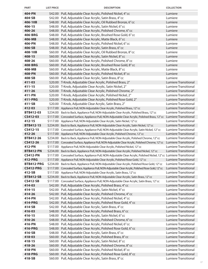| <b>PART</b>           | <b>LIST PRICE</b>    | <b>DESCRIPTION</b>                                                                                                                                                                                | <b>COLLECTION</b>                                   |
|-----------------------|----------------------|---------------------------------------------------------------------------------------------------------------------------------------------------------------------------------------------------|-----------------------------------------------------|
| 404-PN                |                      | \$42.00 Pull, Adjustable Clear Acrylic, Polished Nickel, 4" cc                                                                                                                                    | Lumiere                                             |
| 404-SB                |                      | \$42.00 Pull, Adjustable Clear Acrylic, Satin Brass, 4" cc                                                                                                                                        | Lumiere                                             |
| 406-10B               |                      | \$48.00 Pull, Adjustable Clear Acrylic, Oil Rubbed Bronze, 6" cc                                                                                                                                  | Lumiere                                             |
| 406-15                |                      | \$48.00 Pull, Adjustable Clear Acrylic, Satin Nickel, 6" cc                                                                                                                                       | Lumiere                                             |
| 406-26                |                      | \$48.00 Pull, Adjustable Clear Acrylic, Polished Chrome, 6" cc                                                                                                                                    | Lumiere                                             |
| 406-BRG               |                      | \$48.00 Pull, Adjustable Clear Acrylic, Brushed Rose Gold, 6" cc                                                                                                                                  | Lumiere                                             |
| 406-MB                |                      | \$48.00 Pull, Adjustable Clear Acrylic, Matte Black, 6" cc                                                                                                                                        | Lumiere                                             |
| 406-PN                |                      | \$48.00 Pull, Adjustable Clear Acrylic, Polished Nickel, 6" cc                                                                                                                                    | Lumiere                                             |
| 406-SB                |                      | \$48.00 Pull, Adjustable Clear Acrylic, Satin Brass, 6" cc                                                                                                                                        | Lumiere                                             |
| 408-10B               |                      | \$60.00 Pull, Adjustable Clear Acrylic, Oil Rubbed Bronze, 8" cc                                                                                                                                  | Lumiere                                             |
| $408 - 15$            |                      | \$60.00 Pull, Adjustable Clear Acrylic, Satin Nickel, 8" cc                                                                                                                                       | Lumiere                                             |
| 408-26                |                      | \$60.00 Pull, Adjustable Clear Acrylic, Polished Chrome, 8" cc                                                                                                                                    | Lumiere                                             |
| 408-BRG               |                      | \$60.00 Pull, Adjustable Clear Acrylic, Brushed Rose Gold, 8" cc                                                                                                                                  | Lumiere                                             |
| 408-MB                |                      | \$60.00 Pull, Adjustable Clear Acrylic, Matte Black, 8" cc                                                                                                                                        | Lumiere                                             |
| 408-PN                |                      | \$60.00 Pull, Adjustable Clear Acrylic, Polished Nickel, 8" cc                                                                                                                                    | Lumiere                                             |
| 408-SB                |                      | \$60.00 Pull, Adjustable Clear Acrylic, Satin Brass, 8" cc                                                                                                                                        | Lumiere                                             |
| 411-03                |                      | \$20.00 T-Knob, Adjustable Clear Acrylic, Polished Brass, 2"                                                                                                                                      | <b>Lumiere Transitional</b>                         |
| $411 - 15$            |                      | \$20.00 T-Knob, Adjustable Clear Acrylic, Satin Nickel, 2"                                                                                                                                        | Lumiere Transitional                                |
| $411 - 26$            |                      | \$20.00 T-Knob, Adjustable Clear Acrylic, Polished Chrome, 2"                                                                                                                                     | <b>Lumiere Transitional</b>                         |
| 411-PN                |                      | \$20.00 T-Knob, Adjustable Clear Acrylic, Polished Nickel, 2"                                                                                                                                     | Lumiere Transitional                                |
| 411-PRG               |                      | \$20.00 T-Knob, Adjustable Clear Acrylic, Polished Rose Gold, 2"                                                                                                                                  | Lumiere Transitional                                |
| 411-SB                | \$20.00              | T-Knob, Adjustable Clear Acrylic, Satin Brass, 2"                                                                                                                                                 | <b>Lumiere Transitional</b>                         |
| 412-03                | \$117.00             | Appliance Pull, NON-Adjustable Clear Acrylic, Polished Brass, 12" cc                                                                                                                              | <b>Lumiere Transitional</b>                         |
| BTB412-03<br>CS412-03 | \$234.00<br>\$117.00 | Back to Back, Appliance Pull, NON-Adjustable Clear Acrylic, Polished Brass, 12" cc<br>Concealed Surface, Appliance Pull, NON-Adjustable Clear Acrylic, Polished Brass, 12"cc Lumiere Transitional | Lumiere Transitional                                |
| $412 - 15$            | \$117.00             | Appliance Pull, NON-Adjustable Clear Acrylic, Satin Nickel, 12" cc                                                                                                                                | Lumiere Transitional                                |
| <b>BTB412-15</b>      | \$234.00             | Back to Back, Appliance Pull, NON-Adjustable Clear Acrylic, Satin Nickel, 12" cc                                                                                                                  | <b>Lumiere Transitional</b>                         |
| CS412-15              | \$117.00             | Concealed Surface, Appliance Pull, NON-Adjustable Clear Acrylic, Satin Nickel, 12" cc                                                                                                             | Lumiere Transitional                                |
| 412-26                | \$117.00             | Appliance Pull, NON-Adjustable Clear Acrylic, Polished Chrome, 12" cc                                                                                                                             | Lumiere Transitional                                |
| <b>BTB412-26</b>      | \$234.00             | Back to Back, Appliance Pull, NON-Adjustable Clear Acrylic, Polished Chrome, 12" cc                                                                                                               | Lumiere Transitional                                |
| CS412-26              | \$117.00             | Concealed Surface, Appliance Pull, NON-Adjustable Clear Acrylic, Polished Chrome, 12"cc                                                                                                           | <b>Lumiere Transitional</b>                         |
| 412-PN                | \$117.00             | Appliance Pull, NON-Adjustable Clear Acrylic, Polished Nickel, 12" cc                                                                                                                             | Lumiere Transitional                                |
| <b>BTB412-PN</b>      |                      | \$234.00 Back to Back, Appliance Pull, NON-Adjustable Clear Acrylic, Polished Nickel, 12"cc                                                                                                       | Lumiere Transitional                                |
| <b>CS412-PN</b>       |                      | \$117.00 Concealed Surface, Appliance Pull, NON-Adjustable Clear Acrylic, Polished Nickel, 12" cc Lumiere Transitional                                                                            |                                                     |
| 412-PRG               |                      | \$117.00 Appliance Pull, NON-Adjustable Clear Acrylic, Polished Rose Gold, 12"cc                                                                                                                  | Lumiere Transitional                                |
| BTB412-PRG            | \$234.00             | Back to Back, Appliance Pull, NON-Adjustable Clear Acrylic, Polished Rose Gold, 12" cc                                                                                                            | <b>Lumiere Transitional</b>                         |
| <b>CS412-PRG</b>      | \$117.00             | Concealed Surface, Appliance Pull, NON-Adjustable Clear Acrylic, Polished Rose Gold, 12"cc                                                                                                        | Lumiere Transitional                                |
| 412-SB                | \$117.00             | Appliance Pull, NON-Adjustable Clear Acrylic, Satin Brass, 12" cc                                                                                                                                 | <b>Lumiere Transitional</b>                         |
| <b>BTB412-SB</b>      | \$234.00             | Back to Back, Appliance Pull, NON-Adjustable Clear Acrylic, Satin Brass, 12"cc                                                                                                                    | <b>Lumiere Transitional</b>                         |
| <b>CS412-SB</b>       | \$117.00             | Concealed Surface, Appliance Pull, NON-Adjustable Clear Acrylic, Satin Brass, 12" cc                                                                                                              | <b>Lumiere Transitional</b>                         |
| 414-03                | \$42.00              | Pull, Adjustable Clear Acrylic, Polished Brass, 4" cc                                                                                                                                             | <b>Lumiere Transitional</b>                         |
| 414-15                |                      | \$42.00 Pull, Adjustable Clear Acrylic, Satin Nickel, 4" cc                                                                                                                                       | <b>Lumiere Transitional</b>                         |
| 414-26                |                      | \$42.00 Pull, Adjustable Clear Acrylic, Polished Chrome, 4" cc                                                                                                                                    | Lumiere Transitional                                |
| 414-PN                |                      | \$42.00 Pull, Adjustable Clear Acrylic, Polished Nickel, 4" cc                                                                                                                                    | <b>Lumiere Transitional</b>                         |
| 414-PRG               |                      | \$42.00 Pull, Adjustable Clear Acrylic, Polished Rose Gold, 4" cc                                                                                                                                 | <b>Lumiere Transitional</b>                         |
| 414-SB                |                      | \$42.00 Pull, Adjustable Clear Acrylic, Satin Brass, 4" cc                                                                                                                                        | <b>Lumiere Transitional</b>                         |
| 416-03                |                      | \$48.00 Pull, Adjustable Clear Acrylic, Polished Brass, 6" cc                                                                                                                                     | Lumiere Transitional                                |
| 416-15                | \$48.00              | Pull, Adjustable Clear Acrylic, Satin Nickel, 6" cc                                                                                                                                               | <b>Lumiere Transitional</b>                         |
| 416-26                | \$48.00              | Pull, Adjustable Clear Acrylic, Polished Chrome, 6" cc                                                                                                                                            | <b>Lumiere Transitional</b>                         |
| 416-PN                | \$48.00<br>\$48.00   | Pull, Adjustable Clear Acrylic, Polished Nickel, 6" cc                                                                                                                                            | <b>Lumiere Transitional</b><br>Lumiere Transitional |
| 416-PRG<br>416-SB     |                      | Pull, Adjustable Clear Acrylic, Polished Rose Gold, 6" cc                                                                                                                                         | Lumiere Transitional                                |
| 418-03                |                      | \$48.00 Pull, Adjustable Clear Acrylic, Satin Brass, 6" cc<br>\$60.00 Pull, Adjustable Clear Acrylic, Polished Brass, 8" cc                                                                       | <b>Lumiere Transitional</b>                         |
| 418-15                |                      | \$60.00 Pull, Adjustable Clear Acrylic, Satin Nickel, 8"cc                                                                                                                                        | <b>Lumiere Transitional</b>                         |
| 418-26                | \$60.00              | Pull, Adjustable Clear Acrylic, Polished Chrome, 8" cc                                                                                                                                            | Lumiere Transitional                                |
| 418-PN                | \$60.00              | Pull, Adjustable Clear Acrylic, Polished Nickel, 8" cc                                                                                                                                            | Lumiere Transitional                                |
| 418-PRG               |                      | \$60.00 Pull, Adjustable Clear Acrylic, Polished Rose Gold, 8" cc                                                                                                                                 | <b>Lumiere Transitional</b>                         |
| 418-SB                |                      | \$60.00 Pull, Adjustable Clear Acrylic, Satin Brass, 8" cc                                                                                                                                        | <b>Lumiere Transitional</b>                         |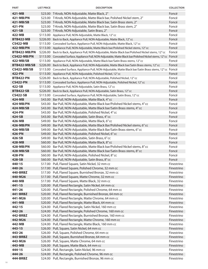| <b>PART</b>      | <b>LIST PRICE</b> | <b>DESCRIPTION</b>                                                                                             | <b>COLLECTION</b> |
|------------------|-------------------|----------------------------------------------------------------------------------------------------------------|-------------------|
| 421-MB           |                   | \$23.00 T-Knob, NON-Adjustable, Matte Black, 2"                                                                | Foncé             |
| 421-MB/PN        |                   | \$23.00 T-Knob, NON-Adjustable, Matte Black bar, Polished Nickel stem, 2"                                      | Foncé             |
| 421-MB/SB        |                   | \$23.00 T-Knob, NON-Adjustable, Matte Black bar, Satin Brass stem, 2"                                          | Foncé             |
| 421-PN           |                   | \$23.00 T-Knob, NON-Adjustable, Matte Black bar, Satin Brass stem, 2"                                          | Foncé             |
| 421-SB           |                   | \$23.00 T-Knob, NON-Adjustable, Satin Brass, 2"                                                                | Foncé             |
| 422-MB           |                   | \$113.00 Appliance Pull, NON-Adjustable, Matte Black, 12" cc                                                   | Foncé             |
| <b>BTB422-MB</b> |                   | \$226.00 Back to Back, Appliance Pull, NON-Adjustable, Matte Black, 12" cc                                     | Foncé             |
| <b>CS422-MB</b>  |                   | \$113.00 Concealed Surface, Appliance Pull, NON-Adjustable, Matte Black, 12" cc                                | Foncé             |
| <b>422-MB/PN</b> |                   | \$113.00 Appliance Pull, NON-Adjustable, Matte Black bar/Polished Nickel stems, 12" cc                         | Foncé             |
| BTB422-MB/PN     |                   | \$226.00 Back to Back, Appliance Pull, NON-Adjustable, Matte Black bar/Polished Nickel stems, 12" cc           | Foncé             |
| CS422-MB/PN      |                   | \$113.00 Concealed Surface, Appliance Pull, NON-Adjustable, Matte Black bar/Polished Nickel stems, 12"cc Foncé |                   |
| 422-MB/SB        |                   | \$113.00 Appliance Pull, NON-Adjustable, Matte Black bar/Satin Brass stems, 12" cc                             | Foncé             |
| BTB422-MB/SB     | \$226.00          | Back to Back, Appliance Pull, NON-Adjustable, Matte Black bar/Satin Brass stems, 12" cc                        | Foncé             |
| CS422-MB/SB      |                   | \$113.00 Concealed Surface, Appliance Pull, NON-Adjustable, Matte Black bar/Satin Brass stems, 12" cc Foncé    |                   |
| 422-PN           | \$113.00          | Appliance Pull, NON-Adjustable, Polished Nickel, 12" cc                                                        | Foncé             |
| <b>BTB422-PN</b> | \$226.00          | Back to Back, Appliance Pull, NON-Adjustable, Polished Nickel, 12" cc                                          | Foncé             |
| <b>CS422-PN</b>  |                   | \$113.00 Concealed Surface, Appliance Pull, NON-Adjustable, Polished Nickel, 12" cc                            | Foncé             |
| 422-SB           | \$113.00          | Appliance Pull, NON-Adjustable, Satin Brass, 12" cc                                                            | Foncé             |
| <b>BTB422-SB</b> | \$226.00          | Back to Back, Appliance Pull, NON-Adjustable, Satin Brass, 12" cc                                              | Foncé             |
| <b>CS422-SB</b>  |                   | \$113.00 Concealed Surface, Appliance Pull, NON-Adjustable, Satin Brass, 12" cc                                | Foncé             |
| 424-MB           |                   | \$43.00 Bar Pull, NON-Adjustable, Matte Black, 4" cc                                                           | Foncé             |
| 424-MB/PN        |                   | \$43.00 Bar Pull, NON-Adjustable, Matte Black bar/Polished Nickel stems, 4" cc                                 | Foncé             |
| 424-MB/SB        | \$43.00           | Bar Pull, NON-Adjustable, Matte Black bar/Satin Brass stems, 4" cc                                             | Foncé             |
| 424-PN           | \$43.00           | Bar Pull, NON-Adjustable, Polished Nickel, 4" cc                                                               | Foncé             |
| 424-SB           | \$43.00           | Bar Pull, NON-Adjustable, Satin Brass, 4" cc                                                                   | Foncé             |
| 426-MB           | \$49.00           | Bar Pull, NON-Adjustable, Matte Black, 6" cc                                                                   | Foncé             |
| 426-MB/PN        | \$49.00           | Bar Pull, NON-Adjustable, Matte Black Bar/Polished Nickel stems, 6" cc                                         | Foncé             |
| 426-MB/SB        | \$49.00           | Bar Pull, NON-Adjustable, Matte Black Bar/Satin Brass stems, 6" cc                                             | Foncé             |
| 426-PN           |                   | \$49.00 Bar Pull, NON-Adjustable, Polished Nickel, 6" cc                                                       | Foncé             |
| 426-SB           |                   | \$49.00 Bar Pull, NON-Adjustable, Satin Brass, 6" cc                                                           | Foncé             |
| 428-MB           |                   | \$60.00 Bar Pull, NON-Adjustable, Matte Black, 8" cc                                                           | Foncé             |
| 428-MB/PN        |                   | \$60.00 Bar Pull, NON-Adjustable, Matte Black bar/Polished Nickel stems, 8" cc                                 | Foncé             |
| 428-MB/SB        |                   | \$60.00 Bar Pull, NON-Adjustable, Matte Black bar/Satin Brass stems, 8" cc                                     | Foncé             |
| 428-PN           |                   | \$60.00 Bar Pull, NON-Adjustable, Polished Nickel, 8" cc                                                       | Foncé             |
| 428-SB           |                   | \$60.00 Bar Pull, NON-Adjustable, Satin Brass, 8" cc                                                           | Foncé             |
| 440-15           |                   | \$17.00 Pull, Flared Square, Satin Nickel, 32 mm cc                                                            | Finestrino        |
| 440-26           |                   | \$17.00 Pull, Flared Square, Polished Chrome, 32 mm cc                                                         | Finestrino        |
| 440-BRBZ         |                   | \$17.00 Pull, Flared Square, Burnished Bronze, 32 mm cc                                                        | Finestrino        |
| 440-M26          |                   | \$17.00 Pull, Flared Square, Matte Chrome, 32 mm cc                                                            | Finestrino        |
| 440-MB           |                   | \$17.00 Pull, Flared Square, Matte Black, 32 mm cc                                                             | Finestrino        |
| $441 - 15$       |                   | \$20.00 Pull, Flared Rectangle, Satin Nickel, 64 mm cc                                                         | Finestrino        |
| 441-26           |                   | \$20.00 Pull, Flared Rectangle, Polished Chrome, 64 mm cc                                                      | Finestrino        |
| 441-BRBZ         |                   | \$20.00 Pull, Flared Rectangle, Burnished Bronze, 64 mm cc                                                     | Finestrino        |
| 441-M26          |                   | \$20.00 Pull, Flared Rectangle, Matte Chrome, 64 mm cc                                                         | Finestrino        |
| 441-MB           |                   | \$20.00 Pull, Flared Rectangle, Matte Black, 64 mm cc                                                          | Finestrino        |
| 442-15           |                   | \$24.00 Pull, Flared Rectangle, Satin Nickel, 160 mm cc                                                        | Finestrino        |
| 442-26           |                   | \$24.00 Pull, Flared Rectangle, Polished Chrome, 160 mm cc                                                     | Finestrino        |
| 442-BRBZ         |                   | \$24.00 Pull, Flared Rectangle, Burnished Bronze, 160 mm cc                                                    | Finestrino        |
| 442-M26          |                   | \$24.00 Pull, Flared Rectangle, Matte Chrome, 160 mm cc                                                        | Finestrino        |
| 442-MB           |                   | \$24.00 Pull, Flared Rectangle, Matte Black, 160 mm cc                                                         | Finestrino        |
| 443-15           |                   | \$26.00 Pull, Square, Satin Nickel, 64 mm cc                                                                   | Finestrino        |
| 443-26           |                   | \$26.00 Pull, Square, Polished Chrome, 64 mm cc                                                                | Finestrino        |
| 443-BRBZ         |                   | \$26.00 Pull, Square, Burnished Bronze, 64 mm cc                                                               | Finestrino        |
| 443-M26          |                   | \$26.00 Pull, Square, Matte Chrome, 64 mm cc                                                                   | Finestrino        |
| 443-MB           |                   | \$26.00 Pull, Square, Matte Black, 64 mm cc                                                                    | Finestrino        |
| 444-15           |                   | \$24.00 Pull, Rectangle, Satin Nickel, 96 mm cc                                                                | Finestrino        |
| 444-26           |                   | \$24.00 Pull, Rectangle, Polished Chrome, 96 mm cc                                                             | Finestrino        |
| 444-BRBZ         |                   | \$24.00 Pull, Rectangle, Burnished Bronze, 96 mm cc                                                            | Finestrino        |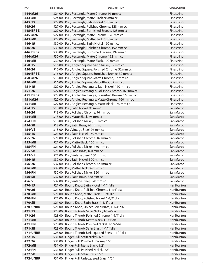| <b>PART</b>               | <b>LIST PRICE</b> | <b>DESCRIPTION</b>                                                                                          | <b>COLLECTION</b>        |
|---------------------------|-------------------|-------------------------------------------------------------------------------------------------------------|--------------------------|
| 444-M26                   |                   | \$24.00 Pull, Rectangle, Matte Chrome, 96 mm cc                                                             | Finestrino               |
| 444-MB                    |                   | \$24.00 Pull, Rectangle, Matte Black, 96 mm cc                                                              | Finestrino               |
| 445-15                    |                   | \$27.00 Pull, Rectangle, Satin Nickel, 128 mm cc                                                            | Finestrino               |
| 445-26                    |                   | \$27.00 Pull, Rectangle, Polished Chrome, 128 mm cc                                                         | Finestrino               |
| 445-BRBZ                  |                   | \$27.00 Pull, Rectangle, Burnished Bronze, 128 mm cc                                                        | Finestrino               |
| 445-M26                   |                   | \$27.00 Pull, Rectangle, Matte Chrome, 128 mm cc                                                            | Finestrino               |
| 445-MB                    |                   | \$27.00 Pull, Rectangle, Matte Black, 128 mm cc                                                             | Finestrino               |
| 446-15<br>446-26          |                   | \$30.00 Pull, Rectangle, Satin Nickel, 192 mm cc                                                            | Finestrino<br>Finestrino |
| 446-BRBZ                  |                   | \$30.00 Pull, Rectangle, Polished Chrome, 192 mm cc<br>\$30.00 Pull, Rectangle, Burnished Bronze, 192 mm cc | Finestrino               |
| 446-M26                   |                   | \$30.00 Pull, Rectangle, Matte Chrome, 192 mm cc                                                            | Finestrino               |
| 446-MB                    |                   | \$30.00 Pull, Rectangle, Matte Black, 192 mm cc                                                             | Finestrino               |
| $450 - 15$                |                   | \$16.00 Pull, Angled Square, Satin Nickel, 32 mm cc                                                         | Finestrino               |
| 450-26                    |                   | \$16.00 Pull, Angled Square, Polished Chrome, 32 mm cc                                                      | Finestrino               |
| 450-BRBZ                  |                   | \$16.00 Pull, Angled Square, Burnished Bronze, 32 mm cc                                                     | Finestrino               |
| 450-M26                   |                   | \$16.00 Pull, Angled Square, Matte Chrome, 32 mm cc                                                         | Finestrino               |
| 450-MB                    |                   | \$16.00 Pull, Angled Square, Matte Black, 32 mm cc                                                          | Finestrino               |
| $451 - 15$                |                   | \$22.00 Pull, Angled Rectangle, Satin Nickel, 160 mm cc                                                     | Finestrino               |
| 451-26                    |                   | \$22.00 Pull, Angled Rectangle, Polished Chrome, 160 mm cc                                                  | Finestrino               |
| 451-BRBZ                  |                   | \$22.00 Pull, Angled Rectangle, Burnished Bronze, 160 mm cc                                                 | Finestrino               |
| 451-M26                   |                   | \$22.00 Pull, Angled Rectangle, Matte Chrome, 160 mm cc                                                     | Finestrino               |
| 451-MB                    |                   | \$22.00 Pull, Angled Rectangle, Matte Black, 160 mm cc                                                      | Finestrino               |
| 454-15                    |                   | \$18.00 Pull, Satin Nickel, 96 mm cc                                                                        | San Marco                |
| 454-26                    |                   | \$18.00 Pull, Polished Chrome, 96 mm cc                                                                     | San Marco                |
| 454-MB                    |                   | \$18.00 Pull, Matte Black, 96 mm cc                                                                         | San Marco                |
| 454-PN                    |                   | \$18.00 Pull, Polished Nickel, 96 mm cc                                                                     | San Marco                |
| 454-SB                    |                   | \$18.00 Pull, Satin Brass, 96 mm cc                                                                         | San Marco                |
| 454-VS                    |                   | \$18.00 Pull, Vintage Steel, 96 mm cc                                                                       | San Marco<br>San Marco   |
| $455 - 15$<br>455-26      |                   | \$21.00 Pull, Satin Nickel, 160 mm cc<br>\$21.00 Pull, Polished Chrome, 160 mm cc                           | San Marco                |
| 455-MB                    |                   | \$21.00 Pull, Matte Black, 160 mm cc                                                                        | San Marco                |
| 455-PN                    |                   | \$21.00 Pull, Polished Nickel, 160 mm cc                                                                    | San Marco                |
| 455-SB                    |                   | \$21.00 Pull, Satin Brass, 160 mm cc                                                                        | San Marco                |
| 455-VS                    |                   | \$21.00 Pull, Vintage Steel, 160 mm cc                                                                      | San Marco                |
| $456 - 15$                |                   | \$32.00 Pull, Satin Nickel, 320 mm cc                                                                       | San Marco                |
| 456-26                    |                   | \$32.00 Pull, Polished Chrome, 320 mm cc                                                                    | San Marco                |
| 456-MB                    |                   | \$32.00 Pull, Matte Black, 320 mm cc                                                                        | San Marco                |
| 456-PN                    |                   | \$32.00 Pull, Polished Nickel, 320 mm cc                                                                    | San Marco                |
| 456-SB                    |                   | \$32.00 Pull, Satin Brass, 320 mm cc                                                                        | San Marco                |
| 456-VS                    |                   | \$32.00 Pull, Vintage Steel, 320 mm cc                                                                      | San Marco                |
| 470-15                    |                   | \$21.00 Round Knob, Satin Nickel, 1-1/4" dia                                                                | Haniburton               |
| 470-26                    |                   | \$21.00 Round Knob, Polished Chrome, 1-1/4" dia                                                             | Haniburton               |
| 470-MB                    |                   | \$21.00 Round Knob, Matte Black, 1-1/4" dia                                                                 | Haniburton               |
| 470-PN                    |                   | \$21.00 Round Knob, Polished Nickel, 1-1/4" dia                                                             | Haniburton               |
| 470-SB<br><b>470-UNBR</b> |                   | \$21.00 Round Knob, Satin Brass, 1-1/4" dia<br>\$21.00 Round Knob, Unlacquered Brass, 1-1/4" dia            | Haniburton<br>Haniburton |
| $471 - 15$                |                   | \$28.00 Round T-Knob, Satin Nickel, 1-1/4" dia                                                              | Haniburton               |
| 471-26                    |                   | \$28.00 Round T-Knob, Polished Chrome, 1-1/4" dia                                                           | Haniburton               |
| 471-MB                    |                   | \$28.00 Round T-Knob, Matte Black, 1-1/4" dia                                                               | Haniburton               |
| 471-PN                    |                   | \$28.00 Round T-Knob, Polished Nickel, 1-1/4" dia                                                           | Haniburton               |
| 471-SB                    |                   | \$28.00 Round T-Knob, Satin Brass, 1-1/4" dia                                                               | Haniburton               |
| <b>471-UNBR</b>           |                   | \$28.00 Round T-Knob, Unlacquered Brass, 1-1/4" dia                                                         | Haniburton               |
| 472-15                    |                   | \$31.00 Finger Pull, Satin Nickel, 1/2"                                                                     | Haniburton               |
| 472-26                    |                   | \$31.00 Finger Pull, Polished Chrome, 1/2"                                                                  | Haniburton               |
| 472-MB                    |                   | \$31.00 Finger Pull, Matte Black, 1/2"                                                                      | Haniburton               |
| 472-PN                    |                   | \$31.00 Finger Pull, Polished Nickel, 1/2"                                                                  | Haniburton               |
| 472-SB                    |                   | \$31.00 Finger Pull, Satin Brass, 1/2"                                                                      | Haniburton               |
| <b>472-UNBR</b>           |                   | \$31.00 Finger Pull, Unlacquered Brass, 1/2"                                                                | Haniburton               |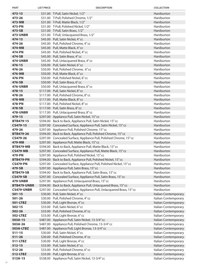| <b>PART</b>        | <b>LIST PRICE</b> | <b>DESCRIPTION</b>                                                                                                                    | <b>COLLECTION</b>        |
|--------------------|-------------------|---------------------------------------------------------------------------------------------------------------------------------------|--------------------------|
| $473 - 15$         |                   | \$31.00 T-Pull, Satin Nickel, 1/2"                                                                                                    | Haniburton               |
| 473-26             |                   | \$31.00 T-Pull, Polished Chrome, 1/2"                                                                                                 | Haniburton               |
| 473-MB             |                   | \$31.00 T-Pull, Matte Black, 1/2"                                                                                                     | Haniburton               |
| 473-PN             |                   | \$31.00 T-Pull, Polished Nickel, 1/2"                                                                                                 | Haniburton               |
| 473-SB             |                   | \$31.00 T-Pull, Satin Brass, 1/2"                                                                                                     | Haniburton               |
| <b>473-UNBR</b>    |                   | \$31.00 T-Pull, Unlacquered Brass, 1/2"                                                                                               | Haniburton               |
| 474-15             |                   | \$45.00 Pull, Satin Nickel, 4"cc                                                                                                      | Haniburton               |
| 474-26             |                   | \$45.00 Pull, Polished Chrome, 4" cc                                                                                                  | Haniburton               |
| 474-MB             |                   | \$45.00 Pull, Matte Black, 4" cc                                                                                                      | Haniburton               |
| 474-PN             |                   | \$45.00 Pull, Polished Nickel, 4" cc                                                                                                  | Haniburton               |
| 474-SB             |                   | \$45.00 Pull, Satin Brass, 4" cc                                                                                                      | Haniburton               |
| <b>474-UNBR</b>    |                   | \$45.00 Pull, Unlacquered Brass, 4" cc                                                                                                | Haniburton               |
| 476-15             |                   | \$50.00 Pull, Satin Nickel, 6"cc                                                                                                      | Haniburton               |
| 476-26             |                   | \$50.00 Pull, Polished Chrome, 6"cc                                                                                                   | Haniburton               |
| 476-MB             |                   | \$50.00 Pull, Matte Black, 6" cc                                                                                                      | Haniburton               |
| 476-PN             |                   | \$50.00 Pull, Polished Nickel, 6" cc                                                                                                  | Haniburton               |
| 476-SB             |                   | \$50.00 Pull, Satin Brass, 6" cc                                                                                                      | Haniburton               |
| <b>476-UNBR</b>    |                   | \$50.00 Pull, Unlacquered Brass, 6" cc                                                                                                | Haniburton               |
| 478-15             |                   | \$117.00 Pull, Satin Nickel, 8"cc                                                                                                     | Haniburton               |
| 478-26             |                   | \$117.00 Pull, Polished Chrome, 8" cc                                                                                                 | Haniburton               |
| 478-MB             |                   | \$117.00 Pull, Matte Black, 8" cc                                                                                                     | Haniburton               |
| 478-PN             |                   | \$117.00 Pull, Polished Nickel, 8" cc                                                                                                 | Haniburton               |
| 478-SB             |                   | \$117.00 Pull, Satin Brass, 8" cc                                                                                                     | Haniburton               |
| <b>478-UNBR</b>    |                   | \$117.00 Pull, Unlacquered Brass, 8" cc                                                                                               | Haniburton               |
| 479-15             |                   | \$297.00 Appliance Pull, Satin Nickel, 15"cc                                                                                          | Haniburton               |
| BTB479-15          |                   | \$594.00 Back to Back, Appliance Pull, Satin Nickel, 15" cc                                                                           | Haniburton               |
| CS479-15           |                   | \$297.00 Concealed Surface, Appliance Pull, Satin Nickel, 15" cc                                                                      | Haniburton               |
| 479-26             |                   | \$297.00 Appliance Pull, Polished Chrome, 15" cc                                                                                      | Haniburton               |
| <b>BTB479-26</b>   |                   | \$594.00 Back to Back, Appliance Pull, Polished Chrome, 15" cc<br>\$297.00 Concealed Surface, Appliance Pull, Polished Chrome, 15" cc | Haniburton<br>Haniburton |
| CS479-26<br>479-MB |                   | \$297.00 Appliance Pull, Matte Black, 15" cc                                                                                          | Haniburton               |
| <b>BTB479-MB</b>   |                   | \$594.00 Back to Back, Appliance Pull, Matte Black, 15" cc                                                                            | Haniburton               |
| <b>CS479-MB</b>    |                   | \$297.00 Concealed Surface, Appliance Pull, Matte Black, 15" cc                                                                       | Haniburton               |
| 479-PN             |                   | \$297.00 Appliance Pull, Polished Nickel, 15" cc                                                                                      | Haniburton               |
| <b>BTB479-PN</b>   |                   | \$594.00 Back to Back, Appliance Pull, Polished Nickel, 15" cc                                                                        | Haniburton               |
| <b>CS479-PN</b>    |                   | \$297.00 Concealed Surface, Appliance Pull, Polished Nickel, 15" cc                                                                   | Haniburton               |
| 479-SB             |                   | \$297.00 Appliance Pull, Satin Brass, 15" cc                                                                                          | Haniburton               |
| <b>BTB479-SB</b>   |                   | \$594.00 Back to Back, Appliance Pull, Satin Brass, 15" cc                                                                            | Haniburton               |
| <b>CS479-SB</b>    |                   | \$297.00 Concealed Surface, Appliance Pull, Satin Brass, 15" cc                                                                       | Haniburton               |
| <b>479-UNBR</b>    |                   | \$297.00 Appliance Pull, Unlacquered Brass, 15" cc                                                                                    | Haniburton               |
| <b>BTB479-UNBR</b> |                   | \$594.00 Back to Back, Appliance Pull, Unlacquered Brass, 15" cc                                                                      | Haniburton               |
| <b>CS479-UNBR</b>  |                   | \$297.00 Concealed Surface, Appliance Pull, Unlacquered Brass, 15" cc                                                                 | Haniburton               |
| $501 - 15$         |                   | \$30.00 Pull, Satin Nickel, 4"cc                                                                                                      | Italian Contemporary     |
| 501-26             |                   | \$30.00 Pull, Polished Chrome, 4" cc                                                                                                  | Italian Contemporary     |
| 501-LTBZ           |                   | \$30.00 Pull, Light Bronze, 4"cc                                                                                                      | Italian Contemporary     |
| $502 - 15$         |                   | \$33.00 Pull, Satin Nickel, 6"cc                                                                                                      | Italian Contemporary     |
| 502-26             |                   | \$33.00 Pull, Polished Chrome, 6" cc                                                                                                  | Italian Contemporary     |
| 502-LTBZ           |                   | \$33.00 Pull, Light Bronze, 6" cc                                                                                                     | Italian Contemporary     |
| 503A-15            |                   | \$487.00 Appliance Pull, Satin Nickel, 13-3/4" cc                                                                                     | Italian Contemporary     |
| 503A-26            |                   | \$487.00 Appliance Pull, Polished Chrome, 13-3/4" cc                                                                                  | Italian Contemporary     |
| 503A-LTBZ          |                   | \$487.00 Appliance Pull, Light Bronze, 13-3/4" cc                                                                                     | Italian Contemporary     |
| $511 - 15$         |                   | \$30.00 Pull, Satin Nickel, 4"cc                                                                                                      | Italian Contemporary     |
| $511 - 26$         |                   | \$30.00 Pull, Polished Chrome, 4" cc                                                                                                  | Italian Contemporary     |
| 511-LTBZ           |                   | \$30.00 Pull, Light Bronze, 4" cc                                                                                                     | Italian Contemporary     |
| $512 - 15$         |                   | \$33.00 Pull, Satin Nickel, 6"cc                                                                                                      | Italian Contemporary     |
| 512-26             |                   | \$33.00 Pull, Polished Chrome, 6" cc                                                                                                  | Italian Contemporary     |
| 512-LTBZ           |                   | \$33.00 Pull, Light Bronze, 6" cc                                                                                                     | Italian Contemporary     |
| 513A-15            |                   | \$538.00 Appliance Pull, Satin Nickel, 13-3/4" cc                                                                                     | Italian Contemporary     |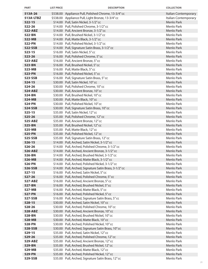| <b>PART</b> | <b>LIST PRICE</b> | <b>DESCRIPTION</b>                                     | <b>COLLECTION</b>    |
|-------------|-------------------|--------------------------------------------------------|----------------------|
| 513A-26     |                   | \$538.00 Appliance Pull, Polished Chrome, 13-3/4" cc   | Italian Contemporary |
| 513A-LTBZ   |                   | \$538.00 Appliance Pull, Light Bronze, 13-3/4" cc      | Italian Contemporary |
| $522 - 15$  |                   | \$14.00 Pull, Satin Nickel, 3-1/2" cc                  | Menlo Park           |
| 522-26      |                   | \$14.00 Pull, Polished Chrome, 3-1/2" cc               | Menlo Park           |
| 522-ABZ     |                   | \$14.00 Pull, Ancient Bronze, 3-1/2" cc                | Menlo Park           |
| 522-BN      |                   | \$14.00 Pull, Brushed Nickel, 3-1/2" cc                | Menlo Park           |
| 522-MB      |                   | \$14.00 Pull, Matte Black, 3-1/2" cc                   | Menlo Park           |
| 522-PN      |                   | \$14.00 Pull, Polished Nickel, 3-1/2" cc               | Menlo Park           |
| 522-SSB     |                   | \$14.00 Pull, Signature Satin Brass, 3-1/2" cc         | Menlo Park           |
| $523 - 15$  |                   | \$16.00 Pull, Satin Nickel, 5"cc                       | Menlo Park           |
| 523-26      |                   | \$16.00 Pull, Polished Chrome, 5" cc                   | Menlo Park           |
| 523-ABZ     |                   | \$16.00 Pull, Ancient Bronze, 5" cc                    | Menlo Park           |
| 523-BN      |                   | \$16.00 Pull, Brushed Nickel, 5"cc                     | Menlo Park           |
| 523-MB      |                   | \$16.00 Pull, Matte Black, 5" cc                       | Menlo Park           |
| 523-PN      |                   | \$16.00 Pull, Polished Nickel, 5" cc                   | <b>Menlo Park</b>    |
| 523-SSB     |                   | \$16.00 Pull, Signature Satin Brass, 5" cc             | Menlo Park           |
| 524-15      |                   | \$30.00 Pull, Satin Nickel, 10" cc                     | Menlo Park           |
| 524-26      |                   | \$30.00 Pull, Polished Chrome, 10" cc                  | Menlo Park           |
| 524-ABZ     |                   | \$30.00 Pull, Ancient Bronze, 10" cc                   | Menlo Park           |
| 524-BN      |                   | \$30.00 Pull, Brushed Nickel, 10"cc                    | Menlo Park           |
| 524-MB      |                   | \$30.00 Pull, Matte Black, 10" cc                      | Menlo Park           |
| 524-PN      |                   | \$30.00 Pull, Polished Nickel, 10" cc                  | Menlo Park           |
| 524-SSB     |                   | \$30.00 Pull, Signature Satin Brass, 10" cc            | Menlo Park           |
| $525 - 15$  |                   | \$35.00 Pull, Satin Nickel, 12" cc                     | Menlo Park           |
| 525-26      |                   | \$35.00 Pull, Polished Chrome, 12" cc                  | Menlo Park           |
| 525-ABZ     |                   | \$35.00 Pull, Ancient Bronze, 12" cc                   | Menlo Park           |
| 525-BN      |                   | \$35.00 Pull, Brushed Nickel, 12"cc                    | Menlo Park           |
| 525-MB      |                   | \$35.00 Pull, Matte Black, 12" cc                      | Menlo Park           |
| 525-PN      |                   | \$35.00 Pull, Polished Nickel, 12" cc                  | Menlo Park           |
| 525-SSB     |                   | \$35.00 Pull, Signature Satin Brass, 12" cc            | Menlo Park           |
| $526 - 15$  |                   | \$14.00 Pull, Arched, Satin Nickel, 3-1/2" cc          | Menlo Park           |
| 526-26      |                   | \$14.00 Pull, Arched, Polished Chrome, 3-1/2" cc       | Menlo Park           |
| 526-ABZ     |                   | \$14.00 Pull, Arched, Ancient Bronze, 3-1/2" cc        | Menlo Park           |
| 526-BN      |                   | \$14.00 Pull, Arched, Brushed Nickel, 3-1/2" cc        | Menlo Park           |
| 526-MB      |                   | \$14.00 Pull, Arched, Matte Black, 3-1/2" cc           | Menlo Park           |
| 526-PN      |                   | \$14.00 Pull, Arched, Polished Nickel, 3-1/2" cc       | Menlo Park           |
| 526-SSB     |                   | \$14.00 Pull, Arched, Signature Satin Brass, 3-1/2" cc | Menlo Park           |
| $527 - 15$  |                   | \$16.00 Pull, Arched, Satin Nickel, 5" cc              | Menlo Park           |
| 527-26      |                   | \$16.00 Pull, Arched, Polished Chrome, 5" cc           | Menlo Park           |
| 527-ABZ     |                   | \$16.00 Pull, Arched, Ancient Bronze, 5" cc            | Menlo Park           |
| 527-BN      |                   | \$16.00 Pull, Arched, Brushed Nickel, 5"cc             | Menlo Park           |
| 527-MB      |                   | \$16.00 Pull, Arched, Matte Black, 5" cc               | Menlo Park           |
| 527-PN      |                   | \$16.00 Pull, Arched, Polished Nickel, 5" cc           | Menlo Park           |
| 527-SSB     |                   | \$16.00 Pull, Arched, Signature Satin Brass, 5" cc     | Menlo Park           |
| 528-15      |                   | \$30.00 Pull, Arched, Satin Nickel, 10" cc             | Menlo Park           |
| 528-26      |                   | \$30.00 Pull, Arched, Polished Chrome, 10" cc          | Menlo Park           |
| 528-ABZ     |                   | \$30.00 Pull, Arched, Ancient Bronze, 10" cc           | Menlo Park           |
| 528-BN      |                   | \$30.00 Pull, Arched, Brushed Nickel, 10" cc           | Menlo Park           |
| 528-MB      |                   | \$30.00 Pull, Arched, Matte Black, 10" cc              | Menlo Park           |
| 528-PN      |                   | \$30.00 Pull, Arched, Polished Nickel, 10" cc          | Menlo Park           |
| 528-SSB     |                   | \$30.00 Pull, Arched, Signature Satin Brass, 10" cc    | Menlo Park           |
| 529-15      |                   | \$35.00 Pull, Arched, Satin Nickel, 12" cc             | Menlo Park           |
| 529-26      |                   | \$35.00 Pull, Arched, Polished Chrome, 12" cc          | Menlo Park           |
| 529-ABZ     |                   | \$35.00 Pull, Arched, Ancient Bronze, 12" cc           | Menlo Park           |
| 529-BN      |                   | \$35.00 Pull, Arched, Brushed Nickel, 12" cc           | Menlo Park           |
| 529-MB      |                   | \$35.00 Pull, Arched, Matte Black, 12" cc              | Menlo Park           |
| 529-PN      |                   | \$35.00 Pull, Arched, Polished Nickel, 12" cc          | Menlo Park           |
| 529-SSB     |                   | \$35.00 Pull, Arched, Signature Satin Brass, 12" cc    | Menlo Park           |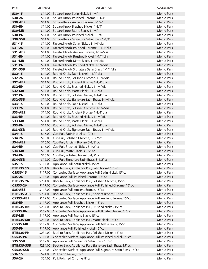| <b>PART</b>      | <b>LIST PRICE</b> | <b>DESCRIPTION</b>                                                        | <b>COLLECTION</b>        |
|------------------|-------------------|---------------------------------------------------------------------------|--------------------------|
| 530-15           |                   | \$14.00 Square Knob, Satin Nickel, 1-1/4"                                 | Menlo Park               |
| 530-26           |                   | \$14.00 Square Knob, Polished Chrome, 1-1/4"                              | Menlo Park               |
| 530-ABZ          |                   | \$14.00 Square Knob, Ancient Bronze, 1-1/4"                               | Menlo Park               |
| 530-BN           |                   | \$14.00 Square Knob, Brushed Nickel, 1-1/4"                               | Menlo Park               |
| 530-MB           |                   | \$14.00 Square Knob, Matte Black, 1-1/4"                                  | Menlo Park               |
| 530-PN           |                   | \$14.00 Square Knob, Polished Nickel, 1-1/4"                              | Menlo Park               |
| 530-SSB          |                   | \$14.00 Square Knob, Signature Satin Brass, 1-1/4"                        | Menlo Park               |
| $531 - 15$       |                   | \$14.00 Faceted Knob, Satin Nickel, 1-1/4" dia                            | Menlo Park               |
| 531-26           |                   | \$14.00 Faceted Knob, Polished Chrome, 1-1/4" dia                         | <b>Menlo Park</b>        |
| 531-ABZ          |                   | \$14.00 Faceted Knob, Ancient Bronze, 1-1/4" dia                          | Menlo Park               |
| 531-BN           |                   | \$14.00 Faceted Knob, Brushed Nickel, 1-1/4" dia                          | Menlo Park               |
| 531-MB           |                   | \$14.00 Faceted Knob, Matte Black, 1-1/4" dia                             | Menlo Park               |
| 531-PN           |                   | \$14.00 Faceted Knob, Polished Nickel, 1-1/4" dia                         | Menlo Park               |
| 531-SSB          |                   | \$14.00 Faceted Knob, Signature Satin Brass, 1-1/4" dia                   | Menlo Park               |
| 532-15           |                   | \$14.00 Round Knob, Satin Nickel, 1-1/4" dia                              | Menlo Park               |
| 532-26           |                   | \$14.00 Round Knob, Polished Chrome, 1-1/4" dia                           | Menlo Park               |
| 532-ABZ          |                   | \$14.00 Round Knob, Ancient Bronze, 1-1/4" dia                            | Menlo Park               |
| 532-BN           |                   | \$14.00 Round Knob, Brushed Nickel, 1-1/4" dia                            | Menlo Park               |
| 532-MB           |                   | \$14.00 Round Knob, Matte Black, 1-1/4" dia                               | Menlo Park               |
| 532-PN           |                   | \$14.00 Round Knob, Polished Nickel, 1-1/4" dia                           | Menlo Park               |
| 532-SSB          |                   | \$14.00 Round Knob, Signature Satin Brass, 1-1/4" dia                     | Menlo Park               |
| 533-15           |                   | \$14.00 Round Knob, Satin Nickel, 1-1/4" dia                              | Menlo Park               |
| 533-26           |                   | \$14.00 Round Knob, Polished Chrome, 1-1/4" dia                           | Menlo Park               |
| 533-ABZ          |                   | \$14.00 Round Knob, Ancient Bronze, 1-1/4" dia                            | Menlo Park               |
| 533-BN           |                   | \$14.00 Round Knob, Brushed Nickel, 1-1/4" dia                            | Menlo Park               |
| 533-MB           |                   | \$14.00 Round Knob, Matte Black, 1-1/4" dia                               | Menlo Park               |
| 533-PN           |                   | \$14.00 Round Knob, Polished Nickel, 1-1/4" dia                           | <b>Menlo Park</b>        |
| 533-SSB          |                   | \$14.00 Round Knob, Signature Satin Brass, 1-1/4" dia                     | Menlo Park               |
| 534-15           |                   | \$16.00 Cup Pull, Satin Nickel, 3-1/2" cc                                 | <b>Menlo Park</b>        |
| 534-26           |                   | \$16.00 Cup Pull, Polished Chrome, 3-1/2" cc                              | Menlo Park               |
| 534-ABZ          |                   | \$16.00 Cup Pull, Ancient Bronze, 3-1/2" cc                               | Menlo Park               |
| 534-BN           |                   | \$16.00 Cup Pull, Brushed Nickel, 3-1/2" cc                               | Menlo Park               |
| 534-MB           |                   | \$16.00 Cup Pull, Matte Black, 3-1/2" cc                                  | Menlo Park               |
| 534-PN           |                   | \$16.00 Cup Pull, Polished Nickel, 3-1/2" cc                              | Menlo Park               |
| 534-SSB          |                   | \$16.00 Cup Pull, Signature Satin Brass, 3-1/2" cc                        | Menlo Park               |
| $535 - 15$       |                   | \$117.00 Appliance Pull, Satin Nickel, 15" cc                             | Menlo Park               |
| BTB535-15        |                   | \$234.00 Back to Back, Appliance Pull, Satin Nickel, 15" cc               | Menlo Park               |
| CS535-15         |                   | \$117.00 Concealed Surface, Appliance Pull, Satin Nickel, 15" cc          | Menlo Park               |
| 535-26           |                   | \$117.00 Appliance Pull, Polished Chrome, 15" cc                          | Menlo Park               |
| BTB535-26        |                   | \$234.00 Back to Back, Appliance Pull, Polished Chrome, 15" cc            | Menlo Park               |
| CS535-26         |                   | \$117.00 Concealed Surface, Appliance Pull, Polished Chrome, 15" cc       | Menlo Park               |
| 535-ABZ          |                   | \$117.00 Appliance Pull, Ancient Bronze, 15" cc                           | Menlo Park               |
| BTB535-ABZ       |                   | \$234.00 Back to Back, Appliance Pull, Ancient Bronze, 15" cc             | Menlo Park               |
| <b>CS535-ABZ</b> |                   | \$117.00 Concealed Surface, Appliance Pull, Ancient Bronze, 15" cc        | Menlo Park               |
| 535-BN           |                   | \$117.00 Appliance Pull, Brushed Nickel, 15" cc                           | Menlo Park               |
| <b>BTB535-BN</b> |                   | \$234.00 Back to Back, Appliance Pull, Brushed Nickel, 15" cc             | Menlo Park               |
| <b>CS535-BN</b>  |                   | \$117.00 Concealed Surface, Appliance Pull, Brushed Nickel, 15" cc        | Menlo Park               |
| 535-MB           |                   | \$117.00 Appliance Pull, Matte Black, 15" cc                              | Menlo Park               |
| <b>BTB535-MB</b> |                   | \$234.00 Back to Back, Appliance Pull, Matte Black, 15" cc                | Menlo Park               |
| <b>CS535-MB</b>  |                   | \$117.00 Concealed Surface, Appliance Pull, Matte Black, 15" cc           | Menlo Park               |
| 535-PN           |                   | \$117.00 Appliance Pull, Polished Nickel, 15" cc                          | Menlo Park               |
| <b>BTB535-PN</b> |                   | \$234.00 Back to Back, Appliance Pull, Polished Nickel, 15" cc            | Menlo Park               |
| <b>CS535-PN</b>  |                   | \$117.00 Concealed Surface, Appliance Pull, Polished Nickel, 15" cc       | Menlo Park               |
| 535-SSB          |                   | \$117.00 Appliance Pull, Signature Satin Brass, 15" cc                    | Menlo Park               |
| BTB535-SSB       |                   | \$234.00 Back to Back, Appliance Pull, Signature Satin Brass, 15" cc      | Menlo Park               |
| <b>CS535-SSB</b> |                   | \$117.00 Concealed Surface, Appliance Pull, Signature Satin Brass, 15" cc | Menlo Park<br>Menlo Park |
| 536-15           |                   | \$24.00 Pull, Satin Nickel, 8"cc<br>\$24.00 Pull, Polished Chrome, 8" cc  | Menlo Park               |
| 536-26           |                   |                                                                           |                          |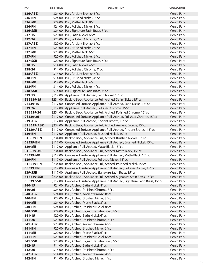| <b>PART</b>                | <b>LIST PRICE</b> | <b>DESCRIPTION</b>                                                                                                                             | <b>COLLECTION</b>        |
|----------------------------|-------------------|------------------------------------------------------------------------------------------------------------------------------------------------|--------------------------|
| 536-ABZ                    |                   | \$24.00 Pull, Ancient Bronze, 8" cc                                                                                                            | Menlo Park               |
| 536-BN                     |                   | \$24.00 Pull, Brushed Nickel, 8" cc                                                                                                            | Menlo Park               |
| 536-MB                     |                   | \$24.00 Pull, Matte Black, 8" cc                                                                                                               | Menlo Park               |
| 536-PN                     |                   | \$24.00 Pull, Polished Nickel, 8" cc                                                                                                           | Menlo Park               |
| 536-SSB                    |                   | \$24.00 Pull, Signature Satin Brass, 8" cc                                                                                                     | Menlo Park               |
| 537-15                     |                   | \$20.00 Pull, Satin Nickel, 6"cc                                                                                                               | Menlo Park               |
| 537-26                     |                   | \$20.00 Pull, Polished Chrome, 6" cc                                                                                                           | Menlo Park               |
| 537-ABZ                    |                   | \$20.00 Pull, Ancient Bronze, 6" cc                                                                                                            | Menlo Park               |
| 537-BN                     |                   | \$20.00 Pull, Brushed Nickel, 6"cc                                                                                                             | Menlo Park               |
| 537-MB                     |                   | \$20.00 Pull, Matte Black, 6" cc                                                                                                               | Menlo Park               |
| 537-PN                     |                   | \$20.00 Pull, Polished Nickel, 6" cc                                                                                                           | Menlo Park               |
| 537-SSB                    |                   | \$20.00 Pull, Signature Satin Brass, 6" cc                                                                                                     | Menlo Park               |
| 538-15                     |                   | \$14.00 Pull, Satin Nickel, 4"cc                                                                                                               | Menlo Park               |
| 538-26                     |                   | \$14.00 Pull, Polished Chrome, 4" cc                                                                                                           | Menlo Park               |
| 538-ABZ                    |                   | \$14.00 Pull, Ancient Bronze, 4" cc                                                                                                            | Menlo Park               |
| 538-BN                     |                   | \$14.00 Pull, Brushed Nickel, 4"cc                                                                                                             | Menlo Park               |
| 538-MB                     |                   | \$14.00 Pull, Matte Black, 4" cc                                                                                                               | Menlo Park               |
| 538-PN                     |                   | \$14.00 Pull, Polished Nickel, 4" cc                                                                                                           | Menlo Park               |
| 538-SSB                    |                   | \$14.00 Pull, Signature Satin Brass, 4" cc                                                                                                     | Menlo Park               |
| 539-15                     |                   | \$117.00 Appliance Pull, Arched, Satin Nickel, 15" cc                                                                                          | Menlo Park               |
| <b>BTB539-15</b>           |                   | \$234.00 Back to Back, Appliance Pull, Arched, Satin Nickel, 15" cc                                                                            | Menlo Park               |
| CS539-15                   |                   | \$117.00 Concealed Surface, Appliance Pull, Arched, Satin Nickel, 15" cc                                                                       | Menlo Park               |
| 539-26                     |                   | \$117.00 Appliance Pull, Arched, Polished Chrome, 15" cc                                                                                       | Menlo Park               |
| BTB539-26                  |                   | \$234.00 Back to Back, Appliance Pull, Arched, Polished Chrome, 15" cc                                                                         | Menlo Park               |
| CS539-26                   |                   | \$117.00 Concealed Surface, Appliance Pull, Arched, Polished Chrome, 15" cc                                                                    | Menlo Park               |
| 539-ABZ                    |                   | \$117.00 Appliance Pull, Arched, Ancient Bronze, 15" cc                                                                                        | Menlo Park               |
| BTB539-ABZ                 |                   | \$234.00 Back to Back, Appliance Pull, Arched, Ancient Bronze, 15" cc                                                                          | Menlo Park               |
| <b>CS539-ABZ</b>           |                   | \$117.00 Concealed Surface, Appliance Pull, Arched, Ancient Bronze, 15" cc                                                                     | Menlo Park               |
| 539-BN                     |                   | \$117.00 Appliance Pull, Arched, Brushed Nickel, 15" cc                                                                                        | Menlo Park               |
| <b>BTB539-BN</b>           |                   | \$234.00 Back to Back, Appliance Pull, Arched, Brushed Nickel, 15" cc                                                                          | Menlo Park               |
| <b>CS539-BN</b>            |                   | \$117.00 Concealed Surface, Appliance Pull, Arched, Brushed Nickel, 15" cc                                                                     | Menlo Park               |
| 539-MB                     |                   | \$117.00 Appliance Pull, Arched, Matte Black, 15" cc                                                                                           | Menlo Park               |
| <b>BTB539-MB</b>           |                   | \$234.00 Back to Back, Appliance Pull, Arched, Matte Black, 15" cc                                                                             | Menlo Park               |
| <b>CS539-MB</b>            |                   | \$117.00 Concealed Surface, Appliance Pull, Arched, Matte Black, 15" cc                                                                        | Menlo Park               |
| 539-PN                     |                   | \$117.00 Appliance Pull, Arched, Polished Nickel, 15" cc                                                                                       | Menlo Park               |
| <b>BTB539-PN</b>           |                   | \$234.00 Back to Back, Appliance Pull, Arched, Polished Nickel, 15"cc                                                                          | Menlo Park               |
| <b>CS539-PN</b><br>539-SSB |                   | \$117.00 Concealed Surface, Appliance Pull, Arched, Polished Nickel, 15" cc                                                                    | Menlo Park<br>Menlo Park |
| <b>BTB539-SSB</b>          |                   | \$117.00 Appliance Pull, Arched, Signature Satin Brass, 15" cc<br>\$234.00 Back to Back, Appliance Pull, Arched, Signature Satin Brass, 15" cc | Menlo Park               |
| <b>CS539-SSB</b>           |                   | \$117.00 Concealed Surface, Appliance Pull, Arched, Signature Satin Brass, 15" cc                                                              | Menlo Park               |
| $540 - 15$                 |                   | \$24.00 Pull, Arched, Satin Nickel, 8" cc                                                                                                      | Menlo Park               |
| 540-26                     |                   | \$24.00 Pull, Arched, Polished Chrome, 8" cc                                                                                                   | Menlo Park               |
| 540-ABZ                    |                   | \$24.00 Pull, Arched, Ancient Bronze, 8" cc                                                                                                    | Menlo Park               |
| 540-BN                     |                   | \$24.00 Pull, Arched, Brushed Nickel, 8"cc                                                                                                     | Menlo Park               |
| 540-MB                     |                   | \$24.00 Pull, Arched, Matte Black, 8" cc                                                                                                       | Menlo Park               |
| 540-PN                     |                   | \$24.00 Pull, Arched, Polished Nickel, 8" cc                                                                                                   | Menlo Park               |
| 540-SSB                    |                   | \$24.00 Pull, Arched, Signature Satin Brass, 8" cc                                                                                             | Menlo Park               |
| $541 - 15$                 |                   | \$20.00 Pull, Arched, Satin Nickel, 6" cc                                                                                                      | Menlo Park               |
| 541-26                     |                   | \$20.00 Pull, Arched, Polished Chrome, 6" cc                                                                                                   | Menlo Park               |
| 541-ABZ                    |                   | \$20.00 Pull, Arched, Ancient Bronze, 6" cc                                                                                                    | Menlo Park               |
| 541-BN                     |                   | \$20.00 Pull, Arched, Brushed Nickel, 6" cc                                                                                                    | Menlo Park               |
| 541-MB                     |                   | \$20.00 Pull, Arched, Matte Black, 6" cc                                                                                                       | Menlo Park               |
| 541-PN                     |                   | \$20.00 Pull, Arched, Polished Nickel, 6" cc                                                                                                   | Menlo Park               |
| 541-SSB                    |                   | \$20.00 Pull, Arched, Signature Satin Brass, 6" cc                                                                                             | Menlo Park               |
| 542-15                     |                   | \$14.00 Pull, Arched, Satin Nickel, 4" cc                                                                                                      | Menlo Park               |
| 542-26                     |                   | \$14.00 Pull, Arched, Polished Chrome, 4" cc                                                                                                   | Menlo Park               |
| 542-ABZ                    |                   | \$14.00 Pull, Arched, Ancient Bronze, 4" cc                                                                                                    | Menlo Park               |
| 542-BN                     |                   | \$14.00 Pull, Arched, Brushed Nickel, 4" cc                                                                                                    | Menlo Park               |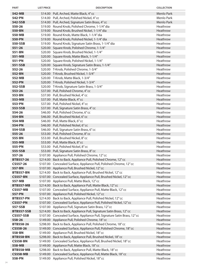| <b>PART</b>       | <b>LIST PRICE</b> | <b>DESCRIPTION</b>                                                        | <b>COLLECTION</b>    |
|-------------------|-------------------|---------------------------------------------------------------------------|----------------------|
| 542-MB            |                   | \$14.00 Pull, Arched, Matte Black, 4" cc                                  | Menlo Park           |
| 542-PN            |                   | \$14.00 Pull, Arched, Polished Nickel, 4" cc                              | Menlo Park           |
| 542-SSB           |                   | \$14.00 Pull, Arched, Signature Satin Brass, 4" cc                        | Menlo Park           |
| 550-26            |                   | \$19.00 Round Knob, Polished Chrome, 1-1/4" dia                           | Heathrow             |
| 550-BN            |                   | \$19.00 Round Knob, Brushed Nickel, 1-1/4" dia                            | Heathrow             |
| 550-MB            |                   | \$19.00 Round Knob, Matte Black, 1-1/4" dia                               | Heathrow             |
| 550-PN            |                   | \$19.00 Round Knob, Polished Nickel, 1-1/4" dia                           | Heathrow             |
| 550-SSB           |                   | \$19.00 Round Knob, Signature Satin Brass, 1-1/4" dia                     | Heathrow             |
| 551-26            |                   | \$20.00 Square Knob, Polished Chrome, 1-1/4"                              | Heathrow             |
| 551-BN            |                   | \$20.00 Square Knob, Brushed Nickel, 1-1/4"                               | Heathrow             |
| 551-MB            |                   | \$20.00 Square Knob, Matte Black, 1-1/4"                                  | Heathrow             |
| 551-PN            |                   | \$20.00 Square Knob, Polished Nickel, 1-1/4"                              | Heathrow             |
| 551-SSB           |                   | \$20.00 Square Knob, Signature Satin Brass, 1-1/4"                        | <b>Heathrow</b>      |
| 552-26            |                   | \$20.00 T-Knob, Polished Chrome, 1-3/4"                                   | Heathrow             |
| 552-BN            |                   | \$20.00 T-Knob, Brushed Nickel, 1-3/4"                                    | Heathrow             |
| 552-MB            |                   | \$20.00 T-Knob, Matte Black, 1-3/4"                                       | Heathrow             |
| 552-PN            |                   | \$20.00 T-Knob, Polished Nickel, 1-3/4"                                   | Heathrow             |
| 552-SSB           |                   | \$20.00 T-Knob, Signature Satin Brass, 1-3/4"                             | Heathrow             |
| 553-26            |                   | \$37.00 Pull, Polished Chrome, 4" cc                                      | Heathrow             |
| 553-BN            |                   | \$37.00 Pull, Brushed Nickel, 4"cc                                        | Heathrow             |
| 553-MB            |                   | \$37.00 Pull, Matte Black, 4" cc                                          | Heathrow             |
| 553-PN            |                   | \$37.00 Pull, Polished Nickel, 4" cc                                      | Heathrow             |
| 553-SSB           |                   | \$37.00 Pull, Signature Satin Brass, 4" cc                                | Heathrow             |
| 554-26            |                   | \$46.00 Pull, Polished Chrome, 6" cc                                      | Heathrow             |
| 554-BN            |                   | \$46.00 Pull, Brushed Nickel, 6" cc                                       | Heathrow             |
| 554-MB            |                   | \$46.00 Pull, Matte Black, 6" cc                                          | Heathrow             |
| 554-PN            |                   | \$46.00 Pull, Polished Nickel, 6" cc                                      | Heathrow             |
| 554-SSB           |                   | \$46.00 Pull, Signature Satin Brass, 6" cc                                | Heathrow             |
| 555-26            |                   | \$53.00 Pull, Polished Chrome, 8" cc                                      | Heathrow             |
| 555-BN            |                   | \$53.00 Pull, Brushed Nickel, 8" cc                                       | Heathrow             |
| 555-MB            |                   | \$53.00 Pull, Matte Black, 8" cc<br>\$53.00 Pull, Polished Nickel, 8" cc  | Heathrow             |
| 555-PN<br>555-SSB |                   | \$53.00 Pull, Signature Satin Brass, 8" cc                                | Heathrow<br>Heathrow |
| 557-26            |                   | \$107.00 Appliance Pull, Polished Chrome, 12" cc                          | Heathrow             |
| <b>BTB557-26</b>  |                   | \$214.00 Back to Back, Appliance Pull, Polished Chrome, 12" cc            | Heathrow             |
| CS557-26          |                   | \$107.00 Concealed Surface, Appliance Pull, Polished Chrome, 12" cc       | Heathrow             |
| 557-BN            |                   | \$107.00 Appliance Pull, Brushed Nickel, 12" cc                           | Heathrow             |
| <b>BTB557-BN</b>  |                   | \$214.00 Back to Back, Appliance Pull, Brushed Nickel, 12" cc             | Heathrow             |
| <b>CS557-BN</b>   |                   | \$107.00 Concealed Surface, Appliance Pull, Brushed Nickel, 12" cc        | Heathrow             |
| 557-MB            |                   | \$107.00 Appliance Pull, Matte Black, 12" cc                              | Heathrow             |
| <b>BTB557-MB</b>  |                   | \$214.00 Back to Back, Appliance Pull, Matte Black, 12" cc                | Heathrow             |
| <b>CS557-MB</b>   |                   | \$107.00 Concealed Surface, Appliance Pull, Matte Black, 12" cc           | Heathrow             |
| 557-PN            |                   | \$107.00 Appliance Pull, Polished Nickel, 12" cc                          | Heathrow             |
| <b>BTB557-PN</b>  |                   | \$214.00 Back to Back, Appliance Pull, Polished Nickel, 12" cc            | Heathrow             |
| <b>CS557-PN</b>   |                   | \$107.00 Concealed Surface, Appliance Pull, Polished Nickel, 12" cc       | Heathrow             |
| 557-SSB           |                   | \$107.00 Appliance Pull, Signature Satin Brass, 12" cc                    | Heathrow             |
| BTB557-SSB        |                   | \$214.00 Back to Back, Appliance Pull, Signature Satin Brass, 12" cc      | Heathrow             |
| <b>CS557-SSB</b>  |                   | \$107.00 Concealed Surface, Appliance Pull, Signature Satin Brass, 12" cc | Heathrow             |
| 558-26            |                   | \$149.00 Appliance Pull, Polished Chrome, 18" cc                          | Heathrow             |
| <b>BTB558-26</b>  |                   | \$298.00 Back to Back, Appliance Pull, Polished Chrome, 18" cc            | Heathrow             |
| CS558-26          |                   | \$149.00 Concealed Surface, Appliance Pull, Polished Chrome, 18" cc       | Heathrow             |
| 558-BN            |                   | \$149.00 Appliance Pull, Brushed Nickel, 18" cc                           | Heathrow             |
| <b>BTB558-BN</b>  |                   | \$298.00 Back to Back, Appliance Pull, Brushed Nickel, 18" cc             | Heathrow             |
| <b>CS558-BN</b>   |                   | \$149.00 Concealed Surface, Appliance Pull, Brushed Nickel, 18" cc        | Heathrow             |
| 558-MB            |                   | \$149.00 Appliance Pull, Matte Black, 18" cc                              | Heathrow             |
| <b>BTB558-MB</b>  |                   | \$298.00 Back to Back, Appliance Pull, Matte Black, 18" cc                | Heathrow             |
| <b>CS558-MB</b>   |                   | \$149.00 Concealed Surface, Appliance Pull, Matte Black, 18" cc           | Heathrow             |
| 558-PN            |                   | \$149.00 Appliance Pull, Polished Nickel, 18" cc                          | Heathrow             |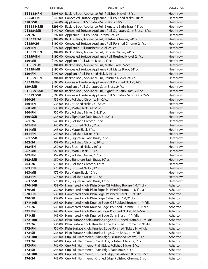| <b>PART</b>       | <b>LIST PRICE</b> | <b>DESCRIPTION</b>                                                            | <b>COLLECTION</b>    |
|-------------------|-------------------|-------------------------------------------------------------------------------|----------------------|
| <b>BTB558-PN</b>  |                   | \$298.00 Back to Back, Appliance Pull, Polished Nickel, 18" cc                | Heathrow             |
| <b>CS558-PN</b>   |                   | \$149.00 Concealed Surface, Appliance Pull, Polished Nickel, 18" cc           | Heathrow             |
| 558-SSB           |                   | \$149.00 Appliance Pull, Signature Satin Brass, 18" cc                        | Heathrow             |
| <b>BTB558-SSB</b> |                   | \$298.00 Back to Back, Appliance Pull, Signature Satin Brass, 18" cc          | Heathrow             |
| <b>CS558-SSB</b>  |                   | \$149.00 Concealed Surface, Appliance Pull, Signature Satin Brass, 18" cc     | Heathrow             |
| 559-26            |                   | \$192.00 Appliance Pull, Polished Chrome, 24" cc                              | Heathrow             |
| <b>BTB559-26</b>  |                   | \$384.00 Back to Back, Appliance Pull, Polished Chrome, 24" cc                | Heathrow             |
| CS559-26          |                   | \$192.00 Concealed Surface, Appliance Pull, Polished Chrome, 24" cc           | Heathrow             |
| 559-BN            |                   | \$192.00 Appliance Pull, Brushed Nickel, 24" cc                               | Heathrow             |
| <b>BTB559-BN</b>  |                   | \$384.00 Back to Back, Appliance Pull, Brushed Nickel, 24" cc                 | Heathrow             |
| <b>CS559-BN</b>   |                   | \$192.00 Concealed Surface, Appliance Pull, Brushed Nickel, 24" cc            | Heathrow             |
| 559-MB            |                   | \$192.00 Appliance Pull, Matte Black, 24" cc                                  | Heathrow             |
| <b>BTB559-MB</b>  |                   | \$384.00 Back to Back, Appliance Pull, Matte Black, 24" cc                    | Heathrow             |
| <b>CS559-MB</b>   |                   | \$192.00 Concealed Surface, Appliance Pull, Matte Black, 24" cc               | Heathrow             |
| 559-PN            |                   | \$192.00 Appliance Pull, Polished Nickel, 24" cc                              | Heathrow             |
| <b>BTB559-PN</b>  |                   | \$384.00 Back to Back, Appliance Pull, Polished Nickel, 24" cc                | Heathrow             |
| <b>CS559-PN</b>   |                   | \$192.00 Concealed Surface, Appliance Pull, Polished Nickel, 24" cc           | Heathrow             |
| 559-SSB           |                   | \$192.00 Appliance Pull, Signature Satin Brass, 24" cc                        | Heathrow             |
| <b>BTB559-SSB</b> |                   | \$384.00 Back to Back, Appliance Pull, Signature Satin Brass, 24" cc          | Heathrow             |
| <b>CS559-SSB</b>  |                   | \$192.00 Concealed Surface, Appliance Pull, Signature Satin Brass, 24" cc     | Heathrow             |
| 560-26            |                   | \$35.00 Pull, Polished Chrome, 3-1/2" cc                                      | Heathrow             |
| 560-BN            |                   | \$35.00 Pull, Brushed Nickel, 3-1/2" cc                                       | Heathrow             |
| 560-MB            |                   | \$35.00 Pull, Matte Black, 3-1/2" cc                                          | Heathrow             |
| 560-PN            |                   | \$35.00 Pull, Polished Nickel, 3-1/2" cc                                      | Heathrow             |
| 560-SSB           |                   | \$35.00 Pull, Signature Satin Brass, 3-1/2" cc                                | Heathrow             |
| $561 - 26$        |                   | \$43.00 Pull, Polished Chrome, 5" cc                                          | Heathrow             |
| 561-BN            |                   | \$43.00 Pull, Brushed Nickel, 5" cc                                           | Heathrow             |
| 561-MB            |                   | \$43.00 Pull, Matte Black, 5" cc                                              | Heathrow             |
| 561-PN            |                   | \$43.00 Pull, Polished Nickel, 5" cc                                          | Heathrow             |
| 561-SSB           |                   | \$43.00 Pull, Signature Satin Brass, 5" cc                                    | Heathrow             |
| 562-26<br>562-BN  |                   | \$59.00 Pull, Polished Chrome, 10" cc<br>\$59.00 Pull, Brushed Nickel, 10" cc | Heathrow<br>Heathrow |
| 562-MB            |                   | \$59.00 Pull, Matte Black, 10" cc                                             | Heathrow             |
| 562-PN            |                   | \$59.00 Pull, Polished Nickel, 10" cc                                         | Heathrow             |
| 562-SSB           |                   | \$59.00 Pull, Signature Satin Brass, 10" cc                                   | Heathrow             |
| 563-26            |                   | \$75.00 Pull, Polished Chrome, 12" cc                                         | Heathrow             |
| 563-BN            |                   | \$75.00 Pull, Brushed Nickel, 12" cc                                          | Heathrow             |
| 563-MB            |                   | \$75.00 Pull, Matte Black, 12" cc                                             | Heathrow             |
| 563-PN            |                   | \$75.00 Pull, Polished Nickel, 12" cc                                         | Heathrow             |
| 563-SSB           |                   | \$75.00 Pull, Signature Satin Brass, 12" cc                                   | Heathrow             |
| 570-10B           |                   | \$39.00 Hammered Knob, Plain Edge, Oil Rubbed Bronze, 1-1/4" dia              | Atherton             |
| 570-26            |                   | \$39.00 Hammered Knob, Plain Edge, Polished Chrome, 1-1/4" dia                | Atherton             |
| 570-PN            |                   | \$39.00 Hammered Knob, Plain Edge, Polished Nickel, 1-1/4" dia                | Atherton             |
| 570-SB            |                   | \$39.00 Hammered Knob, Plain Edge, Satin Brass, 1-1/4" dia                    | Atherton             |
| 571-10B           |                   | \$45.00 Hammered Knob, Knurled Edge, Oil Rubbed Bronze, 1-1/4" dia            | Atherton             |
| 571-26            |                   | \$45.00 Hammered Knob, Knurled Edge, Polished Chrome, 1-1/4" dia              | Atherton             |
| 571-PN            |                   | \$45.00 Hammered Knob, Knurled Edge, Polished Nickel, 1-1/4" dia              | Atherton             |
| 571-SB            |                   | \$45.00 Hammered Knob, Knurled Edge, Satin Brass, 1-1/4" dia                  | Atherton             |
| 572-10B           |                   | \$36.00 Plain Surface Knob, Knurled Edge, Oil Rubbed Bronze, 1-1/4" dia       | Atherton             |
| 572-26            | \$36.00           | Plain Surface Knob, Knurled Edge, Polished Chrome, 1-1/4" dia                 | Atherton             |
| 572-PN            | \$36.00           | Plain Surface Knob, Knurled Edge, Polished Nickel, 1-1/4" dia                 | Atherton             |
| 572-SB            |                   | \$36.00 Plain Surface Knob, Knurled Edge, Satin Brass, 1-1/4" dia             | Atherton             |
| 573-10B           |                   | \$46.00 Cup Pull, Hammered, Plain Edge, Oil Rubbed Bronze, 3" cc              | Atherton             |
| 573-26            | \$46.00           | Cup Pull, Hammered, Plain Edge, Polished Chrome, 3" cc                        | Atherton             |
| 573-PN            | \$46.00           | Cup Pull, Hammered, Plain Edge, Polished Nickel, 3" cc                        | Atherton             |
| 573-SB            | \$46.00           | Cup Pull, Hammered, Plain Edge, Satin Brass, 3" cc                            | Atherton             |
| 574-10B           | \$48.00           | Cup Pull, Hammered, Knurled Edge, Oil Rubbed Bronze, 3" cc                    | Atherton             |
| 574-26            | \$48.00           | Cup Pull, Hammered, Knurled Edge, Polished Chrome, 3" cc                      | Atherton             |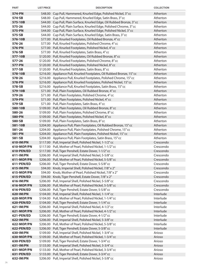| <b>PART</b>             | <b>LIST PRICE</b> | <b>DESCRIPTION</b>                                                                                                    | <b>COLLECTION</b>      |
|-------------------------|-------------------|-----------------------------------------------------------------------------------------------------------------------|------------------------|
| 574-PN                  |                   | \$48.00 Cup Pull, Hammered, Knurled Edge, Polished Nickel, 3" cc                                                      | Atherton               |
| 574-SB                  |                   | \$48.00 Cup Pull, Hammered, Knurled Edge, Satin Brass, 3" cc                                                          | Atherton               |
| 575-10B                 |                   | \$44.00 Cup Pull, Plain Surface, Knurled Edge, Oil Rubbed Bronze, 3" cc                                               | Atherton               |
| 575-26                  |                   | \$44.00 Cup Pull, Plain Surface, Knurled Edge, Polished Chrome, 3" cc                                                 | Atherton               |
| 575-PN                  |                   | \$44.00 Cup Pull, Plain Surface, Knurled Edge, Polished Nickel, 3" cc                                                 | Atherton               |
| 575-SB                  | \$44.00           | Cup Pull, Plain Surface, Knurled Edge, Satin Brass, 3" cc                                                             | Atherton               |
| 576-10B                 |                   | \$77.00 Pull, Knurled Footplates, Oil Rubbed Bronze, 4" cc                                                            | Atherton               |
| 576-26                  |                   | \$77.00 Pull, Knurled Footplates, Polished Chrome, 4" cc                                                              | Atherton               |
| 576-PN                  |                   | \$77.00 Pull, Knurled Footplates, Polished Nickel, 4" cc                                                              | Atherton               |
| 576-SB                  |                   | \$77.00 Pull, Knurled Footplates, Satin Brass, 4" cc                                                                  | Atherton               |
| 577-10B                 |                   | \$120.00 Pull, Knurled Footplates, Oil Rubbed Bronze, 8" cc                                                           | Atherton               |
| 577-26                  |                   | \$120.00 Pull, Knurled Footplates, Polished Chrome, 8" cc                                                             | Atherton               |
| 577-PN                  |                   | \$120.00 Pull, Knurled Footplates, Polished Nickel, 8" cc                                                             | Atherton               |
| 577-SB                  |                   | \$120.00 Pull, Knurled Footplates, Satin Brass, 8" cc                                                                 | Atherton               |
| 578-10B                 |                   | \$216.00 Appliance Pull, Knurled Footplates, Oil Rubbed Bronze, 15" cc                                                | Atherton               |
| 578-26                  |                   | \$216.00 Appliance Pull, Knurled Footplates, Polished Chrome, 15" cc                                                  | Atherton               |
| 578-PN                  |                   | \$216.00 Appliance Pull, Knurled Footplates, Polished Nickel, 15" cc                                                  | Atherton               |
| 578-SB                  |                   | \$216.00 Appliance Pull, Knurled Footplates, Satin Brass, 15" cc                                                      | Atherton               |
| 579-10B                 |                   | \$71.00 Pull, Plain Footplates, Oil Rubbed Bronze, 4" cc                                                              | Atherton               |
| 579-26                  |                   | \$71.00 Pull, Plain Footplates, Polished Chrome, 4" cc                                                                | Atherton               |
| 579-PN                  |                   | \$71.00 Pull, Plain Footplates, Polished Nickel, 4" cc                                                                | Atherton               |
| 579-SB                  |                   | \$71.00 Pull, Plain Footplates, Satin Brass, 4" cc                                                                    | Atherton               |
| 580-10B                 |                   | \$109.00 Pull, Plain Footplates, Oil Rubbed Bronze, 8" cc                                                             | Atherton               |
| 580-26                  |                   | \$109.00 Pull, Plain Footplates, Polished Chrome, 8" cc                                                               | Atherton               |
| 580-PN                  |                   | \$109.00 Pull, Plain Footplates, Polished Nickel, 8" cc                                                               | Atherton               |
| 580-SB                  |                   | \$109.00 Pull, Plain Footplates, Satin Brass, 8" cc                                                                   | Atherton               |
| 581-10B                 |                   | \$204.00 Appliance Pull, Plain Footplates, Oil Rubbed Bronze, 15" cc                                                  | Atherton               |
| 581-26                  |                   | \$204.00 Appliance Pull, Plain Footplates, Polished Chrome, 15" cc                                                    | Atherton               |
| 581-PN                  |                   | \$204.00 Appliance Pull, Plain Footplates, Polished Nickel, 15" cc                                                    | Atherton               |
| 581-SB                  |                   | \$204.00 Appliance Pull, Plain Footplates, Satin Brass, 15" cc                                                        | Atherton               |
| 610-IM/PN               |                   | \$117.00 Pull, Imperial Shell, Polished Nickel, 1-1/2" cc                                                             | Crescendo              |
| 610-MOP/PN              |                   | \$117.00 Pull, Mother of Pearl, Polished Nickel, 1-1/2" cc                                                            | Crescendo              |
| 610-PEN/ED              |                   | \$117.00 Pull, Tiger Penshell, Estate Dover, 1-1/2" cc                                                                | Crescendo              |
| 611-IM/PN               |                   | \$206.00 Pull, Imperial Shell, Polished Nickel, 5-5/8" cc                                                             | Crescendo              |
| 611-MOP/PN              |                   | \$206.00 Pull, Mother of Pearl, Polished Nickel, 5-5/8" cc                                                            | Crescendo              |
| 611-PEN/ED              |                   | \$206.00 Pull, Tiger Penshell, Estate Dover, 5-5/8" cc                                                                | Crescendo<br>Crescendo |
| 615-IM/PN<br>615-MOP/PN |                   | \$94.00 Knob, Imperial Shell, Polished Nickel, 7/8" x 2"<br>\$94.00 Knob, Mother of Pearl, Polished Nickel, 7/8" x 2" | Crescendo              |
| 615-PEN/ED              |                   | \$94.00 Knob, Tiger Penshell, Estate Dover, 7/8" x 2"                                                                 | Crescendo              |
| 616-IM/PN               |                   | \$206.00 Pull, Imperial Shell, Polished Nickel, 5-5/8" cc                                                             | Crescendo              |
| 616-MOP/PN              |                   | \$206.00 Pull, Mother of Pearl, Polished Nickel, 5-5/8" cc                                                            | Crescendo              |
| 616-PEN/ED              |                   | \$206.00 Pull, Tiger Penshell, Estate Dover, 5-5/8" cc                                                                | Crescendo              |
| 620-IM/PN               |                   | \$104.00 Pull, Imperial Shell, Polished Nickel, 1-1/4" cc                                                             | Interlude              |
| 620-MOP/PN              |                   | \$104.00 Pull, Mother of Pearl, Polished Nickel, 1-1/4" cc                                                            | Interlude              |
| 620-PEN/ED              |                   | \$104.00 Pull, Tiger Penshell, Estate Dover, 1-1/4" cc                                                                | Interlude              |
| 621-IM/PN               |                   | \$206.00 Pull, Imperial Shell, Polished Nickel, 4-1/2" cc                                                             | Interlude              |
| 621-MOP/PN              |                   | \$206.00 Pull, Mother of Pearl, Polished Nickel, 4-1/2" cc                                                            | Interlude              |
| 621-PEN/ED              |                   | \$206.00 Pull, Tiger Penshell, Estate Dover, 4-1/2" cc                                                                | Interlude              |
| 622-IM/PN               |                   | \$206.00 Pull, Imperial Shell, Polished Nickel, 5-3/8" cc                                                             | Interlude              |
| 622-MOP/PN              |                   | \$206.00 Pull, Mother of Pearl, Polished Nickel, 5-3/8" cc                                                            | Interlude              |
| 622-PEN/ED              |                   | \$206.00 Pull, Tiger Penshell, Estate Dover, 5-3/8" cc                                                                | Interlude              |
| 630-IM/PN               |                   | \$109.00 Pull, Imperial Shell, Polished Nickel, 1-3/4" cc                                                             | Arioso                 |
| 630-MOP/PN              |                   | \$109.00 Pull, Mother of Pearl, Polished Nickel, 1-3/4" cc                                                            | Arioso                 |
| 630-PEN/ED              |                   | \$109.00 Pull, Tiger Penshell, Estate Dover, 1-3/4" cc                                                                | Arioso                 |
| 631-IM/PN               |                   | \$133.00 Pull, Imperial Shell, Polished Nickel, 3-3/4" cc                                                             | Arioso                 |
| 631-MOP/PN              |                   | \$133.00 Pull, Mother of Pearl, Polished Nickel, 3-3/4" cc                                                            | Arioso                 |
| 631-PEN/ED              |                   | \$133.00 Pull, Tiger Penshell, Estate Dover, 3-3/4" cc                                                                | Arioso                 |
| 632-IM/PN               |                   | \$206.00 Pull, Imperial Shell, Polished Nickel, 5-5/8" cc                                                             | Arioso                 |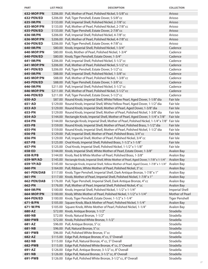| <b>PART</b>                    | <b>LIST PRICE</b> | <b>DESCRIPTION</b>                                                                                                                                        | <b>COLLECTION</b>               |
|--------------------------------|-------------------|-----------------------------------------------------------------------------------------------------------------------------------------------------------|---------------------------------|
| 632-MOP/PN                     |                   | \$206.00 Pull, Mother of Pearl, Polished Nickel, 5-5/8" cc                                                                                                | Arioso                          |
| 632-PEN/ED                     |                   | \$206.00 Pull, Tiger Penshell, Estate Dover, 5-5/8" cc                                                                                                    | Arioso                          |
| 635-IM/PN                      |                   | \$133.00 Pull, Imperial Shell, Polished Nickel, 2-7/8" cc                                                                                                 | Arioso                          |
| 635-MOP/PN                     |                   | \$133.00 Pull, Mother of Pearl, Polished Nickel, 2-7/8" cc                                                                                                | Arioso                          |
| 635-PEN/ED                     |                   | \$133.00 Pull, Tiger Penshell, Estate Dover, 2-7/8" cc                                                                                                    | Arioso                          |
| 636-IM/PN                      |                   | \$206.00 Pull, Imperial Shell, Polished Nickel, 4-7/8" cc                                                                                                 | Arioso                          |
| <b>636-MOP/PN</b>              |                   | \$206.00 Pull, Mother of Pearl, Polished Nickel, 4-7/8" cc                                                                                                | Arioso                          |
| 636-PEN/ED                     |                   | \$206.00 Pull, Tiger Penshell, Estate Dover, 4-7/8" cc                                                                                                    | Arioso                          |
| 640-IM/PN                      |                   | \$80.00 Knob, Imperial Shell, Polished Nickel, 1-3/4"                                                                                                     | Cadence                         |
| 640-MOP/PN                     |                   | \$80.00 Knob, Mother of Pearl, Polished Nickel, 1-3/4"                                                                                                    | Cadence                         |
| 640-PEN/ED                     |                   | \$80.00 Knob, Tiger Penshell, Estate Dover, 1-3/4"                                                                                                        | Cadence                         |
| 641-IM/PN                      |                   | \$206.00 Pull, Imperial Shell, Polished Nickel, 5-1/2" cc                                                                                                 | Cadence                         |
| 641-MOP/PN                     |                   | \$206.00 Pull, Mother of Pearl, Polished Nickel, 5-1/2" cc                                                                                                | Cadence                         |
| 641-PEN/ED                     |                   | \$206.00 Pull, Tiger Penshell, Estate Dover, 5-1/2" cc<br>\$88.00 Pull, Imperial Shell, Polished Nickel, 1-3/8" cc                                        | Cadence<br>Cadence              |
| 645-IM/PN<br><b>645-MOP/PN</b> |                   | \$88.00 Pull, Mother of Pearl, Polished Nickel, 1-3/8" cc                                                                                                 | Cadence                         |
| <b>645-PEN/ED</b>              |                   | \$88.00 Pull, Tiger Penshell, Estate Dover, 1-3/8" cc                                                                                                     | Cadence                         |
| 646-IM/PN                      |                   | \$211.00 Pull, Imperial Shell, Polished Nickel, 5-1/2" cc                                                                                                 | Cadence                         |
| 646-MOP/PN                     |                   | \$211.00 Pull, Mother of Pearl, Polished Nickel, 5-1/2" cc                                                                                                | Cadence                         |
| 646-PEN/ED                     |                   | \$211.00 Pull, Tiger Penshell, Estate Dover, 5-1/2" cc                                                                                                    | Cadence                         |
| 650-AD                         |                   | \$87.00 Round Knob, Imperial Shell, White/Yellow Pearl, Aged Dover, 1-1/8" dia                                                                            | Fair Isle                       |
| 651-AD                         |                   | \$129.00 Round Knob, Imperial Shell, White/Yellow Pearl, Aged Dover, 1-1/2" dia                                                                           | Fair Isle                       |
| 653-AD                         |                   | \$129.00 Round Knob, Imperial Shell, Mother of Pearl, Aged Dover, 1-3/8" dia                                                                              | Fair Isle                       |
| 653-PN                         |                   | \$129.00 Round Knob, Imperial Shell, Mother of Pearl, Polished Nickel, 1-3/8" dia                                                                         | Fair Isle                       |
| 654-AD                         |                   | \$144.00 Rectangle Knob, Imperial Shell, Mother of Pearl, Aged Dover, 1-1/4" x 7/8"                                                                       | Fair Isle                       |
| 654-PN                         |                   | \$144.00 Rectangle Knob, Imperial Shell, Mother of Pearl, Polished Nickel, 1-1/4" x 7/8"                                                                  | Fair Isle                       |
| 655-PB                         |                   | \$159.00 Round Knob, Imperial Shell, Mother of Pearl, Polished Brass, 1-1/2" dia                                                                          | Fair Isle                       |
| 655-PN                         |                   | \$159.00 Round Knob, Imperial Shell, Mother of Pearl, Polished Nickel, 1-1/2" dia                                                                         | Fair Isle                       |
| 656-PB                         |                   | \$129.00 Pull, Imperial Shell, Mother of Pearl, Polished Brass, 3/4" cc                                                                                   | Fair Isle                       |
| 656-PN                         |                   | \$129.00 Pull, Imperial Shell, Mother of Pearl, Polished Nickel, 3/4" cc                                                                                  | Fair Isle                       |
| 657-PB                         |                   | \$125.00 Oval Knob, Imperial Shell, Polished Brass, 1-1/2" x 1-1/8"                                                                                       | Fair Isle                       |
| 657-PN                         |                   | \$125.00 Oval Knob, Imperial Shell, Polished Nickel, 1-1/2" x 1-1/8"                                                                                      | Fair Isle                       |
| 658-ED                         |                   | \$144.00 Knob, Imperial Shell, White Mother of Pearl, Estate Dover, 1-3/8"                                                                                | <b>Avalon Bay</b>               |
| 658-R/PB                       |                   | \$144.00 Knob, Red & White Mother of Pearl, Polished Brass, 1-3/8"                                                                                        | Avalon Bay                      |
| 659-WP/AD                      |                   | \$145.00 Rectangle Knob, Imperial Shell, White Mother of Pearl, Aged Dover, 1-7/8" x 1-1/4"                                                               | <b>Avalon Bay</b>               |
| 659-YP/AD                      |                   | \$145.00 Rectangle Knob, Imperial Shell, Yellow Mother of Pearl, Aged Dover, 1-7/8" x 1-1/4"                                                              | Avalon Bay                      |
| 660-PN                         |                   | \$164.00 Pull, Ribbon, White Mother of Pearl, Polished Nickel, 3" cc                                                                                      | Avalon Bay                      |
| 661-PEN/DAB                    |                   | \$117.00 Knob, Tiger Penshell, Imperial Shell, Dark Antique Bronze, 1-7/8" x 1"                                                                           | Avalon Bay                      |
| 661-PN                         |                   | \$117.00 Knob, Mother of Pearl, Imperial Shell, Polished Nickel, 1-7/8" x 1"<br>\$176.00 Pull, Tiger Penshell, Imperial Shell, Dark Antique Bronze, 4" cc | <b>Avalon Bay</b><br>Avalon Bay |
| 662-PEN/DAB<br>662-PN          |                   | \$176.00 Pull, Mother of Pearl, Imperial Shell, Polished Nickel, 4" cc                                                                                    | <b>Avalon Bay</b>               |
| 664-IM/PN                      |                   | \$100.00 Knob, Imperial Shell, Polished Nickel, 1-1/2" x 1-1/4"                                                                                           | <b>Imperial Shell</b>           |
| <b>664-MOP/PN</b>              |                   | \$100.00 Knob, White Mother of Pearl, Polished Nickel, 1-1/2" x 1-1/4"                                                                                    | Mother of Pearl                 |
| 664-PEN/ED                     |                   | \$100.00 Knob, Tiger Penshell, Estate Dover, 1-1/2" x 1-1/4"                                                                                              | <b>Tiger Penshell</b>           |
| 671-B/PN                       |                   | \$105.00 Square Knob, Black Mother of Pearl, Polished Nickel, 1-1/4"                                                                                      | <b>Avalon Bay</b>               |
| 671-W/PN                       |                   | \$105.00 Square Knob, White Mother of Pearl, Polished Nickel, 1-1/4"                                                                                      | Avalon Bay                      |
| 680-AZ                         |                   | \$72.00 Knob, Antique Bronze, 1-1/2"                                                                                                                      | Stradella                       |
| 680-NB                         |                   | \$72.00 Knob, Natural Bronze, 1-1/2"                                                                                                                      | Stradella                       |
| 680-PWB                        |                   | \$72.00 Knob, Polished White Bronze, 1-1/2"                                                                                                               | Stradella                       |
| 681-AZ                         |                   | \$96.00 Pull, Antique Bronze, 5" cc                                                                                                                       | Stradella                       |
| 681-NB                         |                   | \$96.00 Pull, Natural Bronze, 5" cc                                                                                                                       | Stradella                       |
| 681-PWB                        |                   | \$96.00 Pull, Polished White Bronze, 5" cc                                                                                                                | Stradella                       |
| 682-AZ                         |                   | \$115.00 Edge Pull, Antique Bronze, 4" cc, 5" Overall                                                                                                     | Stradella                       |
| 682-NB                         |                   | \$115.00 Edge Pull, Natural Bronze, 4" cc, 5" Overall                                                                                                     | Stradella                       |
| 682-PWB                        |                   | \$115.00 Edge Pull, Polished White Bronze, 4" cc, 5" Overall                                                                                              | Stradella                       |
| 691-AZ                         |                   | \$126.00 Edge Pull, Antique Bronze, 3-1/2" cc, 8" Overall                                                                                                 | Stradella                       |
| 691-NB                         |                   | \$126.00 Edge Pull, Natural Bronze, 3-1/2" cc, 8" Overall                                                                                                 | Stradella                       |
| 691-PWB                        |                   | \$126.00 Edge Pull, Polished White Bronze, 3-1/2" cc, 8" Overall                                                                                          | Stradella                       |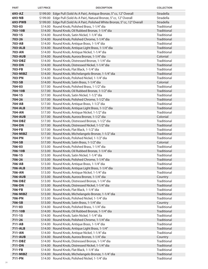| <b>PART</b>      | <b>LIST PRICE</b> | <b>DESCRIPTION</b>                                                                                     | <b>COLLECTION</b>          |
|------------------|-------------------|--------------------------------------------------------------------------------------------------------|----------------------------|
| 693-AZ           |                   | \$199.00 Edge Pull (Sold As A Pair), Antique Bronze, 5" cc, 12" Overall                                | Stradella                  |
| 693-NB           |                   | \$199.00 Edge Pull (Sold As A Pair), Natural Bronze, 5" cc, 12" Overall                                | Stradella                  |
| 693-PWB          |                   | \$199.00 Edge Pull (Sold As A Pair), Polished White Bronze, 5" cc, 12" Overall                         | Stradella                  |
| 703-03           |                   | \$14.00 Round Knob, Polished Brass, 1-1/4" dia                                                         | <b>Traditional</b>         |
| 703-10B          |                   | \$14.00 Round Knob, Oil Rubbed Bronze, 1-1/4" dia                                                      | Traditional                |
| 703-15           |                   | \$14.00 Round Knob, Satin Nickel, 1-1/4" dia                                                           | Traditional                |
| 703-26           |                   | \$14.00 Round Knob, Polished Chrome, 1-1/4" dia                                                        | Traditional                |
| 703-AB           |                   | \$14.00 Round Knob, Antique Brass, 1-1/4" dia                                                          | Traditional                |
| <b>703-ALB</b>   |                   | \$14.00 Round Knob, Antique Light Brass, 1-1/4" dia                                                    | Traditional                |
| 703-AN           |                   | \$14.00 Round Knob, Antique Nickel, 1-1/4" dia                                                         | Traditional                |
| <b>703-AUB</b>   |                   | \$14.00 Round Knob, Aurora Bronze, 1-1/4" dia                                                          | Colonial                   |
| 703-DBZ          |                   | \$14.00 Round Knob, Distressed Bronze, 1-1/4" dia                                                      | Traditional                |
| 703-DN           |                   | \$14.00 Round Knob, Distressed Nickel, 1-1/4" dia                                                      | Traditional                |
| 703-FB           |                   | \$14.00 Round Knob, Flat Black, 1-1/4" dia                                                             | Traditional                |
| 703-MIBZ         |                   | \$14.00 Round Knob, Michelangelo Bronze, 1-1/4" dia                                                    | Traditional                |
| 703-PN           |                   | \$14.00 Round Knob, Polished Nickel, 1-1/4" dia                                                        | Traditional                |
| 703-SB           |                   | \$14.00 Round Knob, Satin Brass, 1-1/4" dia                                                            | Colonial                   |
| 704-03           |                   | \$17.00 Round Knob, Polished Brass, 1-1/2" dia                                                         | Traditional                |
| 704-10B          |                   | \$17.00 Round Knob, Oil Rubbed Bronze, 1-1/2" dia                                                      | Traditional<br>Traditional |
| 704-15<br>704-26 |                   | \$17.00 Round Knob, Satin Nickel, 1-1/2" dia                                                           | Traditional                |
| 704-AB           |                   | \$17.00 Round Knob, Polished Chrome, 1-1/2" dia<br>\$17.00 Round Knob, Antique Brass, 1-1/2" dia       | Traditional                |
| <b>704-ALB</b>   |                   | \$17.00 Round Knob, Antique Light Brass, 1-1/2" dia                                                    | Traditional                |
| 704-AN           |                   | \$17.00 Round Knob, Antique Nickel, 1-1/2" dia                                                         | Traditional                |
| <b>704-AUB</b>   |                   | \$17.00 Round Knob, Aurora Bronze, 1-1/2" dia                                                          | Colonial                   |
| 704-DBZ          |                   | \$17.00 Round Knob, Distressed Bronze, 1-1/2" dia                                                      | Traditional                |
| 704-DN           |                   | \$17.00 Round Knob, Distressed Nickel, 1-1/2" dia                                                      | Traditional                |
| 704-FB           |                   | \$17.00 Round Knob, Flat Black, 1-1/2" dia                                                             | Traditional                |
| 704-MIBZ         |                   | \$17.00 Round Knob, Michelangelo Bronze, 1-1/2" dia                                                    | Traditional                |
| 704-PN           |                   | \$17.00 Round Knob, Polished Nickel, 1-1/2" dia                                                        | Traditional                |
| 704-SB           |                   | \$17.00 Round Knob, Satin Brass, 1-1/2" dia                                                            | Colonial                   |
| 706-03           |                   | \$13.00 Round Knob, Polished Brass, 1-1/4" dia                                                         | Traditional                |
| 706-10B          |                   | \$13.00 Round Knob, Oil Rubbed Bronze, 1-1/4" dia                                                      | Traditional                |
| 706-15           |                   | \$13.00 Round Knob, Satin Nickel, 1-1/4" dia                                                           | Traditional                |
| 706-26           |                   | \$13.00 Round Knob, Polished Chrome, 1-1/4" dia                                                        | Traditional                |
| 706-AB           |                   | \$13.00 Round Knob, Antique Brass, 1-1/4" dia                                                          | Traditional                |
| <b>706-ALB</b>   |                   | \$13.00 Round Knob, Antique Light Brass, 1-1/4" dia                                                    | Traditional                |
| 706-AN           |                   | \$13.00 Round Knob, Antique Nickel, 1-1/4" dia                                                         | Traditional                |
| <b>706-AUB</b>   |                   | \$13.00 Round Knob, Aurora Bronze, 1-1/4" dia                                                          | Country                    |
| 706-DBZ          |                   | \$13.00 Round Knob, Distressed Bronze, 1-1/4" dia                                                      | Traditional                |
| 706-DN           |                   | \$13.00 Round Knob, Distressed Nickel, 1-1/4" dia                                                      | Traditional                |
| 706-FB           |                   | \$13.00 Round Knob, Flat Black, 1-1/4" dia                                                             | Traditional                |
| 706-MIBZ         |                   | \$13.00 Round Knob, Michelangelo Bronze, 1-1/4" dia<br>\$13.00 Round Knob, Polished Nickel, 1-1/4" dia | Traditional<br>Traditional |
| 706-PN<br>706-SB |                   | \$13.00 Round Knob, Satin Brass, 1-1/4" dia                                                            | Country                    |
| 711-03           |                   | \$14.00 Round Knob, Polished Brass, 1-1/4" dia                                                         | Traditional                |
| 711-10B          |                   | \$14.00 Round Knob, Oil Rubbed Bronze, 1-1/4" dia                                                      | Traditional                |
| $711 - 15$       |                   | \$14.00 Round Knob, Satin Nickel, 1-1/4" dia                                                           | Traditional                |
| 711-26           |                   | \$14.00 Round Knob, Polished Chrome, 1-1/4" dia                                                        | Traditional                |
| 711-AB           |                   | \$14.00 Round Knob, Antique Brass, 1-1/4" dia                                                          | Traditional                |
| <b>711-ALB</b>   |                   | \$14.00 Round Knob, Antique Light Brass, 1-1/4"                                                        | Traditional                |
| 711-AN           |                   | \$14.00 Round Knob, Antique Nickel, 1-1/4" dia                                                         | Traditional                |
| <b>711-AUB</b>   |                   | \$14.00 Round Knob, Aurora Bronze, 1-1/4" dia                                                          | Country                    |
| 711-DBZ          |                   | \$14.00 Round Knob, Distressed Bronze, 1-1/4" dia                                                      | Traditional                |
| 711-DN           |                   | \$14.00 Round Knob, Distressed Nickel, 1-1/4" dia                                                      | Traditional                |
| 711-FB           |                   | \$14.00 Round Knob, Flat Black, 1-1/4" dia                                                             | Traditional                |
| 711-MIBZ         |                   | \$14.00 Round Knob, Michelangelo Bronze, 1-1/4" dia                                                    | Traditional                |
| 711-PN           |                   | \$14.00 Round Knob, Polished Nickel, 1-1/4" dia                                                        | Traditional                |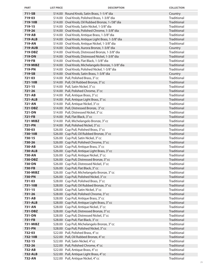| <b>PART</b>              | <b>LIST PRICE</b> | <b>DESCRIPTION</b>                                                                      | <b>COLLECTION</b>          |
|--------------------------|-------------------|-----------------------------------------------------------------------------------------|----------------------------|
| 711-SB                   |                   | \$14.00 Round Knob, Satin Brass, 1-1/4" dia                                             | Country                    |
| 719-03                   |                   | \$14.00 Oval Knob, Polished Brass, 1-3/8" dia                                           | Traditional                |
| 719-10B                  |                   | \$14.00 Oval Knob, Oil Rubbed Bronze, 1-/38" dia                                        | Traditional                |
| 719-15                   |                   | \$14.00 Oval Knob, Satin Nickel, 1-3/8" dia                                             | Traditional                |
| 719-26                   |                   | \$14.00 Oval Knob, Polished Chrome, 1-3/8" dia                                          | Traditional                |
| 719-AB                   |                   | \$14.00 Oval Knob, Antique Brass, 1-3/8" dia                                            | Traditional                |
| <b>719-ALB</b>           |                   | \$14.00 Oval Knob, Antique Light Brass, 1-3/8" dia                                      | Traditional                |
| 719-AN                   |                   | \$14.00 Oval Knob, Antique Nickel, 1-3/8" dia                                           | Traditional                |
| <b>719-AUB</b>           |                   | \$14.00 Oval Knob, Aurora Bronze, 1-3/8" dia                                            | Country                    |
| 719-DBZ                  |                   | \$14.00 Oval Knob, Distressed Bronze, 1-3/8" dia                                        | Traditional                |
| 719-DN                   |                   | \$14.00 Oval Knob, Distressed Nickel, 1-3/8" dia                                        | Traditional                |
| 719-FB                   |                   | \$14.00 Oval Knob, Flat Black, 1-3/8" dia                                               | Traditional                |
| 719-MIBZ                 |                   | \$14.00 Oval Knob, Michelangelo Bronze, 1-3/8" dia                                      | Traditional                |
| 719-PN                   |                   | \$14.00 Oval Knob, Polished Nickel, 1-3/8" dia                                          | Traditional                |
| 719-SB                   |                   | \$14.00 Oval Knob, Satin Brass, 1-3/8" dia                                              | Country<br>Traditional     |
| 721-03<br>721-10B        |                   | \$14.00 Pull, Polished Brass, 3" cc                                                     | Traditional                |
| $721 - 15$               |                   | \$14.00 Pull, Oil Rubbed Bronze, 3" cc<br>\$14.00 Pull, Satin Nickel, 3"cc              | Traditional                |
| 721-26                   |                   | \$14.00 Pull, Polished Chrome, 3" cc                                                    | Traditional                |
| 721-AB                   |                   | \$14.00 Pull, Antique Brass, 3" cc                                                      | Traditional                |
| <b>721-ALB</b>           |                   | \$14.00 Pull, Antique Light Brass, 3" cc                                                | Traditional                |
| 721-AN                   |                   | \$14.00 Pull, Antique Nickel, 3"cc                                                      | Traditional                |
| 721-DBZ                  |                   | \$14.00 Pull, Distressed Bronze, 3"cc                                                   | Traditional                |
| 721-DN                   |                   | \$14.00 Pull, Distressed Nickel, 3" cc                                                  | Traditional                |
| 721-FB                   |                   | \$14.00 Pull, Flat Black, 3"cc                                                          | Traditional                |
| <b>721-MIBZ</b>          |                   | \$14.00 Pull, Michelangelo Bronze, 3" cc                                                | Traditional                |
| <b>721-PN</b>            |                   | \$14.00 Pull, Polished Nickel, 3" cc                                                    | Traditional                |
| 730-03                   |                   | \$26.00 Cup Pull, Polished Brass, 3" cc                                                 | Traditional                |
| 730-10B                  |                   | \$26.00 Cup Pull, Oil Rubbed Bronze, 3" cc                                              | Traditional                |
| 730-15                   |                   | \$26.00 Cup Pull, Satin Nickel, 3" cc                                                   | Traditional                |
| 730-26                   |                   | \$26.00 Cup Pull, Polished Chrome, 3" cc                                                | Traditional                |
| 730-AB                   |                   | \$26.00 Cup Pull, Antique Brass, 3" cc                                                  | Traditional                |
| <b>730-ALB</b>           |                   | \$26.00 Cup Pull, Antique Light Brass, 3" cc                                            | Traditional                |
| 730-AN                   |                   | \$26.00 Cup Pull, Antique Nickel, 3" cc                                                 | Traditional                |
| 730-DBZ                  |                   | \$26.00 Cup Pull, Distressed Bronze, 3" cc                                              | Traditional                |
| 730-DN                   |                   | \$26.00 Cup Pull, Distressed Nickel, 3" cc                                              | Traditional                |
| 730-FB                   |                   | \$26.00 Cup Pull, Flat Black, 3" cc                                                     | Traditional                |
| 730-MIBZ                 |                   | \$26.00 Cup Pull, Michelangelo Bronze, 3" cc                                            | Traditional                |
| 730-PN                   |                   | \$26.00 Cup Pull, Polished Nickel, 3" cc                                                | Traditional                |
| 731-03                   |                   | \$28.00 Cup Pull, Polished Brass, 3" cc                                                 | Traditional                |
| 731-10B                  |                   | \$28.00 Cup Pull, Oil Rubbed Bronze, 3" cc                                              | Traditional                |
| $731 - 15$               |                   | \$28.00 Cup Pull, Satin Nickel, 3" cc                                                   | Traditional                |
| 731-26                   |                   | \$28.00 Cup Pull, Polished Chrome, 3" cc                                                | Traditional                |
| 731-AB                   |                   | \$28.00 Cup Pull, Antique Brass, 3" cc                                                  | Traditional                |
| <b>731-ALB</b><br>731-AN |                   | \$28.00 Cup Pull, Antique Light Brass, 3" cc<br>\$28.00 Cup Pull, Antique Nickel, 3" cc | Traditional<br>Traditional |
| 731-DBZ                  |                   | \$28.00 Cup Pull, Distressed Bronze, 3" cc                                              | Traditional                |
| 731-DN                   |                   | \$28.00 Cup Pull, Distressed Nickel, 3" cc                                              | Traditional                |
| 731-FB                   |                   | \$28.00 Cup Pull, Flat Black, 3" cc                                                     | Traditional                |
| 731-MIBZ                 |                   | \$28.00 Cup Pull, Michelangelo Bronze, 3" cc                                            | Traditional                |
| 731-PN                   |                   | \$28.00 Cup Pull, Polished Nickel, 3" cc                                                | Traditional                |
| 732-03                   |                   | \$22.00 Pull, Polished Brass, 4" cc                                                     | Traditional                |
| 732-10B                  |                   | \$22.00 Pull, Oil Rubbed Bronze, 4" cc                                                  | <b>Traditional</b>         |
| 732-15                   |                   | \$22.00 Pull, Satin Nickel, 4"cc                                                        | Traditional                |
| 732-26                   |                   | \$22.00 Pull, Polished Chrome, 4" cc                                                    | Traditional                |
| 732-AB                   |                   | \$22.00 Pull, Antique Brass, 4" cc                                                      | Traditional                |
| <b>732-ALB</b>           |                   | \$22.00 Pull, Antique Light Brass, 4" cc                                                | <b>Traditional</b>         |
| 732-AN                   |                   | \$22.00 Pull, Antique Nickel, 4"cc                                                      | Traditional                |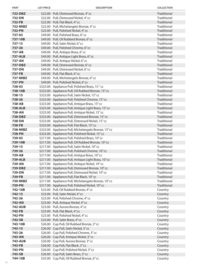| <b>PART</b>              | <b>LIST PRICE</b> | <b>DESCRIPTION</b>                                                                                    | <b>COLLECTION</b>          |
|--------------------------|-------------------|-------------------------------------------------------------------------------------------------------|----------------------------|
| 732-DBZ                  |                   | \$22.00 Pull, Distressed Bronze, 4" cc                                                                | Traditional                |
| 732-DN                   |                   | \$22.00 Pull, Distressed Nickel, 4" cc                                                                | Traditional                |
| 732-FB                   |                   | \$22.00 Pull, Flat Black, 4"cc                                                                        | Traditional                |
| 732-MIBZ                 |                   | \$22.00 Pull, Michelangelo Bronze, 4" cc                                                              | Traditional                |
| <b>732-PN</b>            |                   | \$22.00 Pull, Polished Nickel, 4" cc                                                                  | Traditional                |
| 737-03                   |                   | \$49.00 Pull, Polished Brass, 6" cc                                                                   | Traditional                |
| 737-10B                  |                   | \$49.00 Pull, Oil Rubbed Bronze, 6" cc                                                                | Traditional                |
| 737-15                   |                   | \$49.00 Pull, Satin Nickel, 6"cc                                                                      | Traditional                |
| 737-26                   |                   | \$49.00 Pull, Polished Chrome, 6" cc                                                                  | Traditional                |
| 737-AB                   |                   | \$49.00 Pull, Antique Brass, 6" cc                                                                    | Traditional                |
| <b>737-ALB</b>           |                   | \$49.00 Pull, Antique Light Brass, 6" cc                                                              | Traditional                |
| 737-AN                   |                   | \$49.00 Pull, Antique Nickel, 6"cc                                                                    | Traditional                |
| 737-DBZ                  |                   | \$49.00 Pull, Distressed Bronze, 6" cc                                                                | Traditional                |
| 737-DN                   |                   | \$49.00 Pull, Distressed Nickel, 6" cc                                                                | Traditional                |
| 737-FB                   |                   | \$49.00 Pull, Flat Black, 6"cc                                                                        | Traditional                |
| 737-MIBZ                 |                   | \$49.00 Pull, Michelangelo Bronze, 6" cc                                                              | <b>Traditional</b>         |
| 737-PN                   |                   | \$49.00 Pull, Polished Nickel, 6" cc                                                                  | Traditional                |
| 738-03                   |                   | \$323.00 Appliance Pull, Polished Brass, 15" cc                                                       | Traditional                |
| 738-10B                  |                   | \$323.00 Appliance Pull, Oil Rubbed Bronze, 15" cc                                                    | Traditional                |
| 738-15                   |                   | \$323.00 Appliance Pull, Satin Nickel, 15" cc                                                         | Traditional                |
| 738-26                   |                   | \$323.00 Appliance Pull, Polished Chrome, 15" cc                                                      | <b>Traditional</b>         |
| 738-AB                   |                   | \$323.00 Appliance Pull, Antique Brass, 15" cc                                                        | Traditional                |
| <b>738-ALB</b>           |                   | \$323.00 Appliance Pull, Antique Light Brass, 15" cc                                                  | Traditional                |
| 738-AN                   |                   | \$323.00 Appliance Pull, Antique Nickel, 15"cc                                                        | Traditional                |
| 738-DBZ                  |                   | \$323.00 Appliance Pull, Distressed Bronze, 15" cc                                                    | Traditional                |
| 738-DN                   |                   | \$323.00 Appliance Pull, Distressed Nickel, 15" cc                                                    | Traditional                |
| 738-FB                   |                   | \$323.00 Appliance Pull, Flat Black, 15" cc                                                           | Traditional                |
| 738-MIBZ                 |                   | \$323.00 Appliance Pull, Michelangelo Bronze, 15" cc                                                  | Traditional                |
| 738-PN                   |                   | \$323.00 Appliance Pull, Polished Nickel, 15" cc                                                      | Traditional                |
| 739-03                   |                   | \$217.00 Appliance Pull, Polished Brass, 10" cc                                                       | Traditional                |
| 739-10B                  |                   | \$217.00 Appliance Pull, Oil Rubbed Bronze, 10" cc                                                    | Traditional                |
| 739-15                   |                   | \$217.00 Appliance Pull, Satin Nickel, 10"cc                                                          | Traditional                |
| 739-26                   |                   | \$217.00 Appliance Pull, Polished Chrome, 10" cc                                                      | Traditional                |
| 739-AB                   |                   | \$217.00 Appliance Pull, Antique Brass, 10" cc                                                        | Traditional                |
| <b>739-ALB</b><br>739-AN |                   | \$217.00 Appliance Pull, Antique Light Brass, 10" cc                                                  | Traditional                |
| 739-DBZ                  |                   | \$217.00 Appliance Pull, Antique Nickel, 10" cc<br>\$217.00 Appliance Pull, Distressed Bronze, 10" cc | Traditional<br>Traditional |
| 739-DN                   |                   | \$217.00 Appliance Pull, Distressed Nickel, 10" cc                                                    | Traditional                |
| 739-FB                   |                   | \$217.00 Appliance Pull, Flat Black, 10" cc                                                           | Traditional                |
| 739-MIBZ                 |                   | \$217.00 Appliance Pull, Michelangelo Bronze, 10" cc                                                  | Traditional                |
| 739-PN                   |                   | \$217.00 Appliance Pull, Polished Nickel, 10" cc                                                      | Traditional                |
| 742-10B                  |                   | \$23.00 Pull, Oil Rubbed Bronze, 4" cc                                                                | Country                    |
| 742-15                   |                   | \$23.00 Pull, Satin Nickel, 4"cc                                                                      | Country                    |
| 742-26                   |                   | \$23.00 Pull, Polished Chrome, 4" cc                                                                  | Country                    |
| 742-AN                   |                   | \$23.00 Pull, Antique Nickel, 4"cc                                                                    | Country                    |
| <b>742-AUB</b>           |                   | \$23.00 Pull, Aurora Bronze, 4" cc                                                                    | Country                    |
| 742-FB                   |                   | \$23.00 Pull, Flat Black, 4"cc                                                                        | Country                    |
| 742-PN                   |                   | \$23.00 Pull, Polished Nickel, 4" cc                                                                  | Country                    |
| 742-SB                   |                   | \$23.00 Pull, Satin Brass, 4" cc                                                                      | Country                    |
| 743-10B                  |                   | \$26.00 Cup Pull, Oil Rubbed Bronze, 3" cc                                                            | Country                    |
| 743-15                   |                   | \$26.00 Cup Pull, Satin Nickel, 3" cc                                                                 | Country                    |
| 743-26                   |                   | \$26.00 Cup Pull, Polished Chrome, 3" cc                                                              | Country                    |
| 743-AN                   |                   | \$26.00 Cup Pull, Antique Nickel, 3" cc                                                               | Country                    |
| <b>743-AUB</b>           |                   | \$26.00 Cup Pull, Aurora Bronze, 3" cc                                                                | Country                    |
| 743-FB                   |                   | \$26.00 Cup Pull, Flat Black, 3" cc                                                                   | Country                    |
| 743-PN                   |                   | \$26.00 Cup Pull, Polished Nickel, 3" cc                                                              | Country                    |
| 743-SB                   |                   | \$26.00 Cup Pull, Satin Brass, 3" cc                                                                  | Country                    |
| 744-10B                  |                   | \$35.00 Cup Pull, Oil Rubbed Bronze, 6" cc                                                            | Country                    |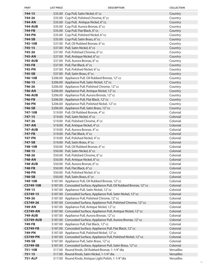| <b>PART</b>      | <b>LIST PRICE</b> | <b>DESCRIPTION</b>                                                     | <b>COLLECTION</b>    |
|------------------|-------------------|------------------------------------------------------------------------|----------------------|
| 744-15           |                   | \$35.00 Cup Pull, Satin Nickel, 6" cc                                  | Country              |
| 744-26           |                   | \$35.00 Cup Pull, Polished Chrome, 6" cc                               | Country              |
| 744-AN           |                   | \$35.00 Cup Pull, Antique Nickel, 6"cc                                 | Country              |
| <b>744-AUB</b>   |                   | \$35.00 Cup Pull, Aurora Bronze, 6" cc                                 | Country              |
| 744-FB           |                   | \$35.00 Cup Pull, Flat Black, 6" cc                                    | Country              |
| 744-PN           |                   | \$35.00 Cup Pull, Polished Nickel, 6" cc                               | Country              |
| 744-SB           |                   | \$35.00 Cup Pull, Satin Brass, 6" cc                                   | Country              |
| 745-10B          |                   | \$37.00 Pull, Oil Rubbed Bronze, 6" cc                                 | Country              |
| $745 - 15$       |                   | \$37.00 Pull, Satin Nickel, 6"cc                                       | Country              |
| 745-26           |                   | \$37.00 Pull, Polished Chrome, 6" cc                                   | Country              |
| 745-AN           |                   | \$37.00 Pull, Antique Nickel, 6"cc                                     | Country              |
| <b>745-AUB</b>   |                   | \$37.00 Pull, Aurora Bronze, 6" cc                                     | Country              |
| 745-FB           |                   | \$37.00 Pull, Flat Black, 6" cc                                        | Country              |
| 745-PN           |                   | \$37.00 Pull, Polished Nickel, 6" cc                                   | Country              |
| 745-SB           |                   | \$37.00 Pull, Satin Brass, 6" cc                                       | Country              |
| 746-10B          |                   | \$206.00 Appliance Pull, Oil Rubbed Bronze, 12" cc                     | Country              |
| 746-15           |                   | \$206.00 Appliance Pull, Satin Nickel, 12" cc                          | Country              |
| 746-26           |                   | \$206.00 Appliance Pull, Polished Chrome, 12" cc                       | Country              |
| 746-AN           |                   | \$206.00 Appliance Pull, Antique Nickel, 12" cc                        | Country              |
| <b>746-AUB</b>   |                   | \$206.00 Appliance Pull, Aurora Bronze, 12" cc                         | Country              |
| 746-FB           |                   | \$206.00 Appliance Pull, Flat Black, 12" cc                            | Country              |
| 746-PN           |                   | \$206.00 Appliance Pull, Polished Nickel, 12" cc                       | Country              |
| 746-SB           |                   | \$206.00 Appliance Pull, Satin Brass, 12" cc                           | Country              |
| 747-10B          |                   | \$19.00 Pull, Oil Rubbed Bronze, 4" cc                                 | Colonial             |
| $747 - 15$       |                   | \$19.00 Pull, Satin Nickel, 4"cc                                       | Colonial             |
| 747-26           |                   | \$19.00 Pull, Polished Chrome, 4" cc                                   | Colonial             |
| 747-AN           |                   | \$19.00 Pull, Antique Nickel, 4"cc                                     | Colonial             |
| <b>747-AUB</b>   |                   | \$19.00 Pull, Aurora Bronze, 4" cc                                     | Colonial<br>Colonial |
| 747-FB<br>747-PN |                   | \$19.00 Pull, Flat Black, 4"cc<br>\$19.00 Pull, Polished Nickel, 4" cc | Colonial             |
| 747-SB           |                   | \$19.00 Pull, Satin Brass, 4" cc                                       | Colonial             |
| 748-10B          |                   | \$50.00 Pull, Oil Rubbed Bronze, 6" cc                                 | Colonial             |
| 748-15           |                   | \$50.00 Pull, Satin Nickel, 6"cc                                       | Colonial             |
| 748-26           |                   | \$50.00 Pull, Polished Chrome, 6" cc                                   | Colonial             |
| 748-AN           |                   | \$50.00 Pull, Antique Nickel, 6"cc                                     | Colonial             |
| <b>748-AUB</b>   |                   | \$50.00 Pull, Aurora Bronze, 6" cc                                     | Colonial             |
| 748-FB           |                   | \$50.00 Pull, Flat Black, 6"cc                                         | Colonial             |
| 748-PN           |                   | \$50.00 Pull, Polished Nickel, 6" cc                                   | Colonial             |
| 748-SB           |                   | \$50.00 Pull, Satin Brass, 6" cc                                       | Colonial             |
| 749-10B          |                   | \$187.00 Appliance Pull, Oil Rubbed Bronze, 12" cc                     | Colonial             |
| <b>CS749-10B</b> |                   | \$187.00 Concealed Surface, Appliance Pull, Oil Rubbed Bronze, 12" cc  | Colonial             |
| 749-15           |                   | \$187.00 Appliance Pull, Satin Nickel, 12" cc                          | Colonial             |
| CS749-15         |                   | \$187.00 Concealed Surface, Appliance Pull, Satin Nickel, 12" cc       | Colonial             |
| 749-26           |                   | \$187.00 Appliance Pull, Polished Chrome, 12" cc                       | Colonial             |
| CS749-26         |                   | \$187.00 Concealed Surface, Appliance Pull, Polished Chrome, 12" cc    | Colonial             |
| 749-AN           |                   | \$187.00 Appliance Pull, Antique Nickel, 12" cc                        | Colonial             |
| <b>CS749-AN</b>  |                   | \$187.00 Concealed Surface, Appliance Pull, Antique Nickel, 12" cc     | Colonial             |
| <b>749-AUB</b>   |                   | \$187.00 Appliance Pull, Aurora Bronze, 12" cc                         | Colonial             |
| <b>CS749-AUB</b> |                   | \$187.00 Concealed Surface, Appliance Pull, Aurora Bronze, 12" cc      | Colonial             |
| 749-FB           |                   | \$187.00 Appliance Pull, Flat Black, 12" cc                            | Colonial             |
| <b>CS749-FB</b>  |                   | \$187.00 Concealed Surface, Appliance Pull, Flat Black, 12" cc         | Colonial             |
| 749-PN           |                   | \$187.00 Appliance Pull, Polished Nickel, 12" cc                       | Colonial             |
| <b>CS749-PN</b>  |                   | \$187.00 Concealed Surface, Appliance Pull, Polished Nickel, 12" cc    | Colonial             |
| 749-SB           |                   | \$187.00 Appliance Pull, Satin Brass, 12" cc                           | Colonial             |
| <b>CS749-SB</b>  |                   | \$187.00 Concealed Surface, Appliance Pull, Satin Brass, 12" cc        | Colonial             |
| 751-10B          |                   | \$17.00 Round Knob, Oil Rubbed Bronze, 1-1/4" dia                      | Versailles           |
| $751 - 15$       |                   | \$17.00 Round Knob, Satin Nickel, 1-1/4" dia                           | Versailles           |
| <b>751-ALP</b>   |                   | \$17.00 Round Knob, Antique Light Polish, 1-1/4" dia                   | Versailles           |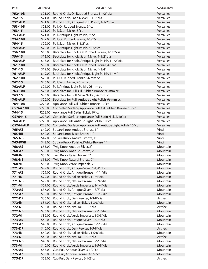| <b>PART</b>       | <b>LIST PRICE</b> | <b>DESCRIPTION</b>                                                                        | <b>COLLECTION</b> |
|-------------------|-------------------|-------------------------------------------------------------------------------------------|-------------------|
| 752-10B           |                   | \$21.00 Round Knob, Oil Rubbed Bronze, 1-1/2" dia                                         | Versailles        |
| 752-15            |                   | \$21.00 Round Knob, Satin Nickel, 1-1/2" dia                                              | Versailles        |
| <b>752-ALP</b>    |                   | \$21.00 Round Knob, Antique Light Polish, 1-1/2" dia                                      | Versailles        |
| 753-10B           |                   | \$21.00 Pull, Oil Rubbed Bronze, 3"cc                                                     | Versailles        |
| $753 - 15$        |                   | \$21.00 Pull, Satin Nickel, 3"cc                                                          | Versailles        |
| <b>753-ALP</b>    |                   | \$21.00 Pull, Antique Light Polish, 3" cc                                                 | Versailles        |
| 754-10B           |                   | \$22.00 Pull, Oil Rubbed Bronze, 3-1/2" cc                                                | Versailles        |
| 754-15            |                   | \$22.00 Pull, Satin Nickel, 3-1/2" cc                                                     | Versailles        |
| <b>754-ALP</b>    |                   | \$22.00 Pull, Antique Light Polish, 3-1/2" cc                                             | Versailles        |
| 756-10B           |                   | \$13.00 Backplate for Knob, Oil Rubbed Bronze, 1-1/2" dia                                 | Versailles        |
| 756-15            |                   | \$13.00 Backplate for Knob, Satin Nickel, 1-1/2" dia                                      | Versailles        |
| <b>756-ALP</b>    |                   | \$13.00 Backplate for Knob, Antique Light Polish, 1-1/2" dia                              | Versailles        |
| 761-10B           |                   | \$19.00 Backplate for Knob, Oil Rubbed Bronze, 4-1/4"                                     | <b>Versailles</b> |
| $761 - 15$        |                   | \$19.00 Backplate for Knob, Satin Nickel, 4-1/4"                                          | Versailles        |
| 761-ALP           |                   | \$19.00 Backplate for Knob, Antique Light Polish, 4-1/4"                                  | Versailles        |
| 762-10B           |                   | \$26.00 Pull, Oil Rubbed Bronze, 96 mm cc                                                 | Versailles        |
| $762 - 15$        |                   | \$26.00 Pull, Satin Nickel, 96 mm cc                                                      | Versailles        |
| 762-ALP           |                   | \$26.00 Pull, Antique Light Polish, 96 mm cc                                              | Versailles        |
| 763-10B           |                   | \$26.00 Backplate for Pull, Oil Rubbed Bronze, 96 mm cc                                   | Versailles        |
| $763 - 15$        |                   | \$26.00 Backplate for Pull, Satin Nickel, 96 mm cc                                        | Versailles        |
| 763-ALP           |                   | \$26.00 Backplate for Pull, Antique Light Polish, 96 mm cc                                | Versailles        |
| 764-10B           |                   | \$228.00 Appliance Pull, Oil Rubbed Bronze, 10" cc                                        | Versailles        |
| <b>CS764-10B</b>  |                   | \$228.00 Concealed Surface, Appliance Pull, Oil Rubbed Bronze, 10" cc                     | Versailles        |
| 764-15            |                   | \$228.00 Appliance Pull, Satin Nickel, 10" cc                                             | Versailles        |
| CS764-15          |                   | \$228.00 Concealed Surface, Appliance Pull, Satin Nickel, 10" cc                          | Versailles        |
| <b>764-ALP</b>    |                   | \$228.00 Appliance Pull, Antique Light Polish, 10" cc                                     | Versailles        |
| <b>CS764-ALP</b>  |                   | \$228.00 Concealed Surface, Appliance Pull, Antique Light Polish, 10" cc                  | Versailles        |
| 765-AZ            |                   | \$42.00 Square Knob, Antique Bronze, 1"                                                   | Vinci             |
| 765-BB            |                   | \$42.00 Square Knob, Black Bronze, 1"                                                     | Vinci             |
| 765-NB<br>765-PWB |                   | \$42.00 Square Knob, Natural Bronze, 1"<br>\$42.00 Square Knob, Polished White Bronze, 1" | Vinci<br>Vinci    |
| 768-AS            |                   | \$55.00 Twig Knob, Antique Silver, 2"                                                     | Mountain          |
| 768-AZ            |                   | \$55.00 Twig Knob, Antique Bronze, 2"                                                     | Mountain          |
| 768-IN            |                   | \$55.00 Twig Knob, Italian Nickel, 2"                                                     | Mountain          |
| 768-NB            |                   | \$55.00 Twig Knob, Natural Bronze, 2"                                                     | Mountain          |
| 768-VI            |                   | \$55.00 Twig Knob, Verde Imperiale, 2"                                                    | Mountain          |
| 771-AS            |                   | \$29.00 Round Knob, Antique Silver, 1-1/4" dia                                            | Mountain          |
| 771-AZ            |                   | \$29.00 Round Knob, Antique Bronze, 1-1/4" dia                                            | Mountain          |
| 771-IN            |                   | \$29.00 Round Knob, Italian Nickel, 1-1/4" dia                                            | Mountain          |
| 771-NB            |                   | \$29.00 Round Knob, Natural Bronze, 1-1/4" dia                                            | Mountain          |
| 771-VI            |                   | \$29.00 Round Knob, Verde Imperiale, 1-1/4" dia                                           | Mountain          |
| 772-AS            |                   | \$36.00 Round Knob, Antique Silver, 1-3/8" dia                                            | Mountain          |
| 772-AZ            |                   | \$36.00 Round Knob, Antique Bronze, 1-3/8" dia                                            | Mountain          |
| 772-DP            |                   | \$36.00 Round Knob, Dark Pewter, 1-3/8" dia                                               | Artifex           |
| 772-IN            |                   | \$36.00 Round Knob, Italian Nickel, 1-3/8" dia                                            | Mountain          |
| 772-N             |                   | \$36.00 Round Knob, Natural, 1-3/8" dia                                                   | Artifex           |
| 772-NB            |                   | \$36.00 Round Knob, Natural Bronze, 1-3/8" dia                                            | Mountain          |
| 772-VI            |                   | \$36.00 Round Knob, Verde Imperiale, 1-3/8" dia                                           | Mountain          |
| 773-AS            |                   | \$40.00 Round Knob, Antique Silver, 1-5/8" dia                                            | Mountain          |
| 773-AZ            |                   | \$40.00 Round Knob, Antique Bronze, 1-5/8" dia                                            | Mountain          |
| 773-DP            |                   | \$40.00 Round Knob, Dark Pewter, 1-5/8" dia                                               | Artifex           |
| 773-IN            |                   | \$40.00 Round Knob, Italian Nickel, 1-5/8" dia                                            | Mountain          |
| 773-N             |                   | \$40.00 Round Knob, Natural, 1-5/8" dia                                                   | Artifex           |
| 773-NB            |                   | \$40.00 Round Knob, Natural Bronze, 1-5/8" dia                                            | Mountain          |
| 773-VI            |                   | \$40.00 Round Knob, Verde Imperiale, 1-5/8" dia                                           | Mountain          |
| 775-AS            |                   | \$53.00 Cup Pull, Antique Silver, 3-1/2" cc                                               | Mountain          |
| 775-AZ            |                   | \$53.00 Cup Pull, Antique Bronze, 3-1/2"cc                                                | Mountain          |
| 775-DP            |                   | \$53.00 Cup Pull, Dark Pewter, 3-1/2" cc                                                  | Artifex           |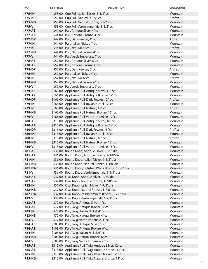| <b>PART</b>      | <b>LIST PRICE</b> | <b>DESCRIPTION</b>                                                                              | <b>COLLECTION</b>    |
|------------------|-------------------|-------------------------------------------------------------------------------------------------|----------------------|
| 775-IN           |                   | \$53.00 Cup Pull, Italian Nickel, 3-1/2" cc                                                     | Mountain             |
| 775-N            |                   | \$53.00 Cup Pull, Natural, 3-1/2" cc                                                            | Artifex              |
| 775-NB           |                   | \$53.00 Cup Pull, Natural Bronze, 3-1/2" cc                                                     | Mountain             |
| 775-VI           |                   | \$53.00 Cup Pull, Verde Imperiale, 3-1/2" cc                                                    | Mountain             |
| 777-AS           |                   | \$44.00 Pull, Antique Silver, 4" cc                                                             | Mountain             |
| 777-AZ           |                   | \$44.00 Pull, Antique Bronze, 4" cc                                                             | Mountain             |
| 777-DP           |                   | \$44.00 Pull, Dark Pewter, 4"cc                                                                 | Artifex              |
| 777-IN           |                   | \$44.00 Pull, Italian Nickel, 4"cc                                                              | Mountain             |
| 777-N            |                   | \$44.00 Pull, Natural, 4" cc                                                                    | Artifex              |
| 777-NB           |                   | \$44.00 Pull, Natural Bronze, 4" cc                                                             | Mountain             |
| 777-VI           |                   | \$44.00 Pull, Verde Imperiale, 4" cc                                                            | Mountain             |
| 778-AS           |                   | \$52.00 Pull, Antique Silver, 6" cc                                                             | Mountain             |
| 778-AZ           |                   | \$52.00 Pull, Antique Bronze, 6" cc                                                             | Mountain             |
| 778-DP           |                   | \$52.00 Pull, Dark Pewter, 6"cc                                                                 | Artifex              |
| 778-IN           |                   | \$52.00 Pull, Italian Nickel, 6" cc                                                             | Mountain             |
| 778-N            |                   | \$52.00 Pull, Natural, 6" cc                                                                    | Artifex              |
| 778-NB           |                   | \$52.00 Pull, Natural Bronze, 6" cc                                                             | Mountain             |
| 778-VI           |                   | \$52.00 Pull, Verde Imperiale, 6" cc                                                            | Mountain             |
| 779-AS<br>779-AZ |                   | \$166.00 Appliance Pull, Antique Silver, 12" cc                                                 | Mountain<br>Mountain |
| 779-DP           |                   | \$166.00 Appliance Pull, Antique Bronze, 12" cc<br>\$166.00 Appliance Pull, Dark Pewter, 12" cc | Artifex              |
| 779-IN           |                   | \$166.00 Appliance Pull, Italian Nickel, 12" cc                                                 | Mountain             |
| 779-N            |                   | \$166.00 Appliance Pull, Natural, 12" cc                                                        | Artifex              |
| 779-NB           |                   | \$166.00 Appliance Pull, Natural Bronze, 12" cc                                                 | Mountain             |
| 779-VI           |                   | \$166.00 Appliance Pull, Verde Imperiale, 12" cc                                                | Mountain             |
| 780-AS           |                   | \$315.00 Appliance Pull, Antique Silver, 18" cc                                                 | Mountain             |
| 780-AZ           |                   | \$315.00 Appliance Pull, Antique Bronze, 18" cc                                                 | Mountain             |
| 780-DP           |                   | \$315.00 Appliance Pull, Dark Pewter, 18" cc                                                    | Artifex              |
| 780-IN           |                   | \$315.00 Appliance Pull, Italian Nickel, 18" cc                                                 | Mountain             |
| 780-N            |                   | \$315.00 Appliance Pull, Natural, 18" cc                                                        | Artifex              |
| <b>780-NB</b>    |                   | \$315.00 Appliance Pull, Natural Bronze, 18" cc                                                 | Mountain             |
| 780-VI           |                   | \$315.00 Appliance Pull, Verde Imperiale, 18" cc                                                | Mountain             |
| 781-AS           |                   | \$36.00 Round Knob, Antique Silver, 1-3/8" dia                                                  | Mountain             |
| 781-AZ           |                   | \$36.00 Round Knob, Antique Bronze, 1-3/8" dia                                                  | Mountain             |
| 781-IN           |                   | \$36.00 Round Knob, Italian Nickel, 1-3/8" dia                                                  | Mountain             |
| 781-NB           |                   | \$36.00 Round Knob, Natural Bronze, 1-3/8" dia                                                  | Mountain             |
| <b>781-PWB</b>   |                   | \$36.00 Round Knob, Polished White Bronze, 1-3/8" dia                                           | Mountain             |
| 781-VI           |                   | \$36.00 Round Knob, Verde Imperiale, 1-3/8" dia                                                 | Mountain             |
| 782-AS           |                   | \$37.00 Oval Knob, Antique Silver, 1-7/8" dia                                                   | Mountain             |
| 782-AZ           |                   | \$37.00 Oval Knob, Antique Bronze, 1-7/8" dia                                                   | Mountain             |
| 782-IN           |                   | \$37.00 Oval Knob, Italian Nickel, 1-7/8" dia                                                   | Mountain             |
| 782-NB           |                   | \$37.00 Oval Knob, Natural Bronze, 1-7/8" dia                                                   | Mountain             |
| <b>782-PWB</b>   |                   | \$37.00 Oval Knob, Polished White Bronze, 1-7/8" dia                                            | Mountain             |
| 782-VI           |                   | \$37.00 Oval Knob, Verde Imperiale, 1-7/8" dia                                                  | Mountain             |
| 783-AS           |                   | \$72.00 Pull, Twig, Antique Silver, 4" cc                                                       | Mountain             |
| 783-AZ           |                   | \$72.00 Pull, Twig, Antique Bronze, 4" cc                                                       | Mountain             |
| 783-IN           |                   | \$72.00 Pull, Twig, Italian Nickel, 4"cc                                                        | Mountain<br>Mountain |
| 783-NB<br>783-VI |                   | \$72.00 Pull, Twig, Natural Bronze, 4" cc<br>\$72.00 Pull, Twig, Verde Imperiale, 4" cc         | Mountain             |
| 784-AS           |                   | \$108.00 Pull, Twig, Antique Silver, 6" cc                                                      | Mountain             |
| 784-AZ           |                   | \$108.00 Pull, Twig, Antique Bronze, 6" cc                                                      | Mountain             |
| 784-IN           |                   | \$108.00 Pull, Twig, Italian Nickel, 6"cc                                                       | Mountain             |
| 784-NB           |                   | \$108.00 Pull, Twig, Natural Bronze, 6" cc                                                      | Mountain             |
| 784-VI           |                   | \$108.00 Pull, Twig, Verde Imperiale, 6" cc                                                     | Mountain             |
| 785-AS           |                   | \$315.00 Appliance Pull, Twig, Antique Silver, 12" cc                                           | Mountain             |
| 785-AZ           |                   | \$315.00 Appliance Pull, Twig, Antique Bronze, 12" cc                                           | Mountain             |
| 785-IN           |                   | \$315.00 Appliance Pull, Twig, Italian Nickel, 12" cc                                           | Mountain             |
| 785-NB           |                   | \$315.00 Appliance Pull, Twig, Natural Bronze, 12" cc                                           | Mountain             |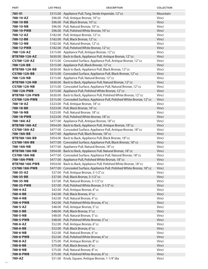| <b>PART</b>                       | <b>LIST PRICE</b> | <b>DESCRIPTION</b>                                                                                           | <b>COLLECTION</b> |
|-----------------------------------|-------------------|--------------------------------------------------------------------------------------------------------------|-------------------|
| 785-VI                            |                   | \$315.00 Appliance Pull, Twig, Verde Imperiale, 12" cc                                                       | Mountain          |
| 788-10-AZ                         |                   | \$96.00 Pull, Antique Bronze, 10" cc                                                                         | Vinci             |
| 788-10-BB                         |                   | \$96.00 Pull, Black Bronze, 10" cc                                                                           | Vinci             |
| 788-10-NB                         |                   | \$96.00 Pull, Natural Bronze, 10" cc                                                                         | Vinci             |
| 788-10-PWB                        |                   | \$96.00 Pull, Polished White Bronze, 10" cc                                                                  | Vinci             |
| 788-12-AZ                         |                   | \$182.00 Pull, Antique Bronze, 12" cc                                                                        | Vinci             |
| 788-12-BB                         |                   | \$182.00 Pull, Black Bronze, 12" cc                                                                          | Vinci             |
| 788-12-NB                         |                   | \$182.00 Pull, Natural Bronze, 12" cc                                                                        | Vinci             |
| 788-12-PWB                        |                   | \$182.00 Pull, Polished White Bronze, 12" cc                                                                 | Vinci             |
| 788-12A-AZ                        |                   | \$315.00 Appliance Pull, Antique Bronze, 12" cc                                                              | Vinci             |
| <b>BTB788-12A-AZ</b>              |                   | \$630.00 Back to Back, Appliance Pull, Antique Bronze, 12" cc                                                | Vinci             |
| CS788-12A-AZ                      |                   | \$315.00 Concealed Surface, Appliance Pull, Antique Bronze, 12" cc                                           | Vinci             |
| 788-12A-BB                        |                   | \$315.00 Appliance Pull, Black Bronze, 12" cc                                                                | Vinci             |
| BTB788-12A-BB                     |                   | \$630.00 Back to Back, Appliance Pull, Black Bronze, 12" cc                                                  | Vinci             |
| <b>CS788-12A-BB</b>               |                   | \$315.00 Concealed Surface, Appliance Pull, Black Bronze, 12" cc                                             | Vinci             |
| 788-12A-NB                        |                   | \$315.00 Appliance Pull, Natural Bronze, 12" cc                                                              | Vinci             |
| <b>BTB788-12A-NB</b>              |                   | \$630.00 Back to Back, Appliance Pull, Natural Bronze, 12" cc                                                | Vinci             |
| <b>CS788-12A-NB</b>               |                   | \$315.00 Concealed Surface, Appliance Pull, Natural Bronze, 12" cc                                           | Vinci             |
| 788-12A-PWB                       |                   | \$315.00 Appliance Pull, Polished White Bronze, 12" cc                                                       | Vinci             |
| <b>BTB788-12A-PWB</b>             |                   | \$630.00 Back to Back, Appliance Pull, Polished White Bronze, 12" cc                                         | Vinci             |
| <b>CS788-12A-PWB</b>              |                   | \$315.00 Concealed Surface, Appliance Pull, Polished White Bronze, 12" cc                                    | Vinci             |
| 788-18-AZ                         |                   | \$323.00 Pull, Antique Bronze, 18" cc                                                                        | Vinci             |
| 788-18-BB                         |                   | \$323.00 Pull, Black Bronze, 18" cc                                                                          | Vinci             |
| 788-18-NB                         |                   | \$323.00 Pull, Natural Bronze, 18" cc                                                                        | Vinci             |
| 788-18-PWB                        |                   | \$323.00 Pull, Polished White Bronze, 18" cc                                                                 | Vinci<br>Vinci    |
| 788-18A-AZ                        |                   | \$477.00 Appliance Pull, Antique Bronze, 18" cc                                                              | Vinci             |
| <b>BTB788-18A-AZ</b>              |                   | \$954.00 Back to Back, Appliance Pull, Antique Bronze, 18" cc                                                | Vinci             |
| <b>CS788-18A-AZ</b><br>788-18A-BB |                   | \$477.00 Concealed Surface, Appliance Pull, Antique Bronze, 18" cc                                           | Vinci             |
| <b>BTB788-18A-BB</b>              |                   | \$477.00 Appliance Pull, Black Bronze, 18" cc<br>\$954.00 Back to Back, Appliance Pull, Black Bronze, 18" cc | Vinci             |
| <b>CS788-18A-BB</b>               |                   | \$477.00 Concealed Surface, Appliance Pull, Black Bronze, 18" cc                                             | Vinci             |
| 788-18A-NB                        |                   | \$477.00 Appliance Pull, Natural Bronze, 18" cc                                                              | Vinci             |
| <b>BTB788-18A-NB</b>              |                   | \$954.00 Back to Back, Appliance Pull, Natural Bronze, 18" cc                                                | Vinci             |
| <b>CS788-18A-NB</b>               |                   | \$477.00 Concealed Surface, Appliance Pull, Natural Bronze, 18" cc                                           | Vinci             |
| 788-18A-PWB                       |                   | \$477.00 Appliance Pull, Polished White Bronze, 18" cc                                                       | Vinci             |
| <b>BTB788-18A-PWB</b>             |                   | \$954.00 Back to Back, Appliance Pull, Polished White Bronze, 18" cc                                         | Vinci             |
| <b>CS788-18A-PWB</b>              |                   | \$477.00 Concealed Surface, Appliance Pull, Polished White Bronze, 18" cc                                    | Vinci             |
| 788-35-AZ                         |                   | \$37.00 Pull, Antique Bronze, 3-1/2" cc                                                                      | Vinci             |
| 788-35-BB                         |                   | \$37.00 Pull, Black Bronze, 3-1/2" cc                                                                        | Vinci             |
| 788-35-NB                         |                   | \$37.00 Pull, Natural Bronze, 3-1/2" cc                                                                      | Vinci             |
| 788-35-PWB                        |                   | \$37.00 Pull, Polished White Bronze, 3-1/2" cc                                                               | Vinci             |
| 788-4-AZ                          |                   | \$42.00 Pull, Antique Bronze, 4" cc                                                                          | Vinci             |
| 788-4-BB                          |                   | \$42.00 Pull, Black Bronze, 4" cc                                                                            | Vinci             |
| 788-4-NB                          |                   | \$42.00 Pull, Natural Bronze, 4" cc                                                                          | Vinci             |
| 788-4-PWB                         |                   | \$42.00 Pull, Polished White Bronze, 4" cc                                                                   | Vinci             |
| 788-5-AZ                          |                   | \$48.00 Pull, Antique Bronze, 5" cc                                                                          | Vinci             |
| 788-5-BB                          |                   | \$48.00 Pull, Black Bronze, 5" cc                                                                            | Vinci             |
| 788-5-NB                          |                   | \$48.00 Pull, Natural Bronze, 5" cc                                                                          | Vinci             |
| 788-5-PWB                         |                   | \$48.00 Pull, Polished White Bronze, 5" cc                                                                   | Vinci             |
| 788-6-AZ                          |                   | \$52.00 Pull, Antique Bronze, 6" cc                                                                          | Vinci             |
| 788-6-BB                          |                   | \$52.00 Pull, Black Bronze, 6" cc                                                                            | Vinci             |
| 788-6-NB                          |                   | \$52.00 Pull, Natural Bronze, 6" cc                                                                          | Vinci             |
| 788-6-PWB                         |                   | \$52.00 Pull, Polished White Bronze, 6" cc                                                                   | Vinci             |
| 788-8-AZ                          |                   | \$75.00 Pull, Antique Bronze, 8" cc                                                                          | Vinci             |
| 788-8-BB                          |                   | \$75.00 Pull, Black Bronze, 8" cc                                                                            | Vinci             |
| 788-8-NB                          |                   | \$75.00 Pull, Natural Bronze, 8" cc                                                                          | Vinci             |
| 788-8-PWB                         |                   | \$75.00 Pull, Polished White Bronze, 8" cc                                                                   | Vinci             |
| 789-AZ                            |                   | \$51.00 Knob, Square, Antique Bronze, 1-1/4" dia                                                             | Vinci             |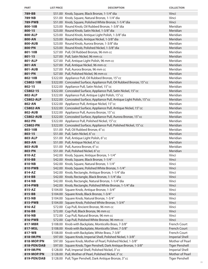| <b>PART</b>                | <b>LIST PRICE</b> | <b>DESCRIPTION</b>                                                                                                   | <b>COLLECTION</b>            |
|----------------------------|-------------------|----------------------------------------------------------------------------------------------------------------------|------------------------------|
| 789-BB                     |                   | \$51.00 Knob, Square, Black Bronze, 1-1/4" dia                                                                       | Vinci                        |
| 789-NB                     |                   | \$51.00 Knob, Square, Natural Bronze, 1-1/4" dia                                                                     | Vinci                        |
| 789-PWB                    |                   | \$51.00 Knob, Square, Polished White Bronze, 1-1/4" dia                                                              | Vinci                        |
| 800-10B                    |                   | \$23.00 Round Knob, Oil Rubbed Bronze, 1-3/8" dia                                                                    | Meridian                     |
| 800-15                     |                   | \$23.00 Round Knob, Satin Nickel, 1-3/8" dia                                                                         | Meridian                     |
| 800-ALP                    |                   | \$23.00 Round Knob, Antique Light Polish, 1-3/8" dia                                                                 | Meridian                     |
| 800-AN                     |                   | \$23.00 Round Knob, Antique Nickel, 1-3/8" dia                                                                       | Meridian                     |
| <b>800-AUB</b>             |                   | \$23.00 Round Knob, Aurora Bronze, 1-3/8" dia                                                                        | Meridian                     |
| 800-PN                     |                   | \$23.00 Round Knob, Polished Nickel, 1-3/8" dia                                                                      | Meridian                     |
| 801-10B                    |                   | \$27.00 Pull, Oil Rubbed Bronze, 96 mm cc                                                                            | Meridian                     |
| $801 - 15$                 |                   | \$27.00 Pull, Satin Nickel, 96 mm cc                                                                                 | Meridian                     |
| 801-ALP                    |                   | \$27.00 Pull, Antique Light Polish, 96 mm cc                                                                         | Meridian                     |
| 801-AN                     |                   | \$27.00 Pull, Antique Nickel, 96 mm cc                                                                               | Meridian                     |
| 801-AUB                    |                   | \$27.00 Pull, Aurora Bronze, 96 mm cc                                                                                | Meridian                     |
| 801-PN                     |                   | \$27.00 Pull, Polished Nickel, 96 mm cc                                                                              | Meridian                     |
| 802-10B                    |                   | \$322.00 Appliance Pull, Oil Rubbed Bronze, 15" cc                                                                   | Meridian                     |
| <b>CS802-10B</b>           |                   | \$322.00 Concealed Surface, Appliance Pull, Oil Rubbed Bronze, 15" cc                                                | Meridian                     |
| 802-15                     |                   | \$322.00 Appliance Pull, Satin Nickel, 15" cc                                                                        | Meridian                     |
| CS802-15                   |                   | \$322.00 Concealed Surface, Appliance Pull, Satin Nickel, 15" cc                                                     | Meridian<br>Meridian         |
| 802-ALP                    |                   | \$322.00 Appliance Pull, Antique Light Polish, 15" cc                                                                | Meridian                     |
| <b>CS802-ALP</b><br>802-AN |                   | \$322.00 Concealed Surface, Appliance Pull, Antique Light Polish, 15" cc                                             | Meridian                     |
| <b>CS802-AN</b>            |                   | \$322.00 Appliance Pull, Antique Nickel, 15" cc                                                                      | Meridian                     |
| 802-AUB                    |                   | \$322.00 Concealed Surface, Appliance Pull, Antique Nickel, 15" cc<br>\$322.00 Appliance Pull, Aurora Bronze, 15" cc | Meridian                     |
| <b>CS802-AUB</b>           |                   | \$322.00 Concealed Surface, Appliance Pull, Aurora Bronze, 15" cc                                                    | Meridian                     |
| 802-PN                     |                   | \$322.00 Appliance Pull, Polished Nickel, 15" cc                                                                     | Meridian                     |
| <b>CS802-PN</b>            |                   | \$322.00 Concealed Surface, Appliance Pull, Polished Nickel, 15" cc                                                  | Meridian                     |
| 803-10B                    |                   | \$51.00 Pull, Oil Rubbed Bronze, 6" cc                                                                               | Meridian                     |
| $803 - 15$                 |                   | \$51.00 Pull, Satin Nickel, 6"cc                                                                                     | Meridian                     |
| 803-ALP                    |                   | \$51.00 Pull, Antique Light Polish, 6" cc                                                                            | Meridian                     |
| 803-AN                     |                   | \$51.00 Pull, Antique Nickel, 6"cc                                                                                   | Meridian                     |
| 803-AUB                    |                   | \$51.00 Pull, Aurora Bronze, 6" cc                                                                                   | Meridian                     |
| 803-PN                     |                   | \$51.00 Pull, Polished Nickel, 6" cc                                                                                 | Meridian                     |
| 810-AZ                     |                   | \$42.00 Knob, Square, Antique Bronze, 1-1/4"                                                                         | Vinci                        |
| 810-BB                     |                   | \$42.00 Knob, Square, Black Bronze, 1-1/4"                                                                           | Vinci                        |
| 810-NB                     |                   | \$42.00 Knob, Square, Natural Bronze, 1-1/4"                                                                         | Vinci                        |
| 810-PWB                    |                   | \$42.00 Knob, Square, Polished White Bronze, 1-1/4"                                                                  | Vinci                        |
| 814-AZ                     |                   | \$42.00 Knob, Rectangle, Antique Bronze, 1-1/4" dia                                                                  | Vinci                        |
| 814-BB                     |                   | \$42.00 Knob, Rectangle, Black Bronze, 1-1/4" dia                                                                    | Vinci                        |
| 814-NB                     |                   | \$42.00 Knob, Rectangle, Natural Bronze, 1-1/4" dia                                                                  | Vinci                        |
| 814-PWB                    |                   | \$42.00 Knob, Rectangle, Polished White Bronze, 1-1/4" dia                                                           | Vinci                        |
| 815-AZ                     |                   | \$104.00 Square Knob, Antique Bronze, 1-3/4"                                                                         | Vinci                        |
| 815-BB                     |                   | \$104.00 Square Knob, Black Bronze, 1-3/4"                                                                           | Vinci                        |
| 815-NB                     |                   | \$104.00 Square Knob, Natural Bronze, 1-3/4"                                                                         | Vinci                        |
| 815-PWB                    |                   | \$104.00 Square Knob, Polished White Bronze, 1-3/4"                                                                  | Vinci                        |
| 816-AZ                     |                   | \$72.00 Cup Pull, Ancient Bronze, 96 mm cc                                                                           | Vinci                        |
| 816-BB                     |                   | \$72.00 Cup Pull, Black Bronze, 96 mm cc                                                                             | Vinci                        |
| 816-NB                     |                   | \$72.00 Cup Pull, Natural Bronze, 96 mm cc                                                                           | Vinci                        |
| 816-PWB                    |                   | \$72.00 Cup Pull, Polished White Bronze, 96 mm cc                                                                    | Vinci                        |
| 817-MBR<br>817-MSL         |                   | \$108.00 Knob with Backplate, Monticello Brass, 7-3/8"<br>\$108.00 Knob with Backplate, Monticello Silver, 7-3/8"    | French Court<br>French Court |
| 817-WB                     |                   | \$108.00 Knob with Backplate, White Brass, 7-3/8"                                                                    | French Court                 |
| 818-IM/PN                  |                   | \$97.00 Square Knob, Imperial Shell, Polished Nickel, 1-3/8"                                                         | <b>Imperial Shell</b>        |
| 818-MOP/PN                 |                   | \$97.00 Square Knob, Mother of Pearl, Polished Nickel, 1-3/8"                                                        | Mother of Pearl              |
| 818-PEN/DAB                |                   | \$97.00 Square Knob, Tiger Penshell, Dark Antique Bronze, 1-3/8"                                                     | <b>Tiger Penshell</b>        |
| 819-IM/PN                  |                   | \$128.00 Pull, Imperial Shell, Polished Nickel, 3" cc                                                                | <b>Imperial Shell</b>        |
| 819-MOP/PN                 |                   | \$128.00 Pull, Mother of Pearl, Polished Nickel, 3" cc                                                               | Mother of Pearl              |
| 819-PEN/DAB                |                   | \$128.00 Pull, Tiger Penshell, Dark Antique Bronze, 3" cc                                                            | <b>Tiger Penshell</b>        |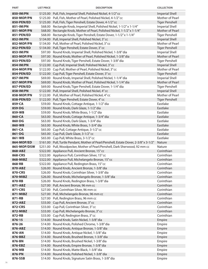| <b>PART</b>              | <b>LIST PRICE</b> | <b>DESCRIPTION</b>                                                                                                               | <b>COLLECTION</b>                        |
|--------------------------|-------------------|----------------------------------------------------------------------------------------------------------------------------------|------------------------------------------|
| 850-IM/PN                |                   | \$125.00 Pull, Fish, Imperial Shell, Polished Nickel, 4-1/2" cc                                                                  | <b>Imperial Shell</b>                    |
| 850-MOP/PN               |                   | \$125.00 Pull, Fish, Mother of Pearl, Polished Nickel, 4-1/2" cc                                                                 | Mother of Pearl                          |
| 850-PEN/ED               |                   | \$125.00 Pull, Fish, Tiger Penshell, Estate Dover, 4-1/2" cc                                                                     | <b>Tiger Penshell</b>                    |
| 851-IM/PN                |                   | \$68.00 Rectangle Knob, Imperial Shell, Polished Nickel, 1-1/2" x 1-1/4"                                                         | <b>Imperial Shell</b>                    |
| 851-MOP/PN               |                   | \$68.00 Rectangle Knob, Mother of Pearl, Polished Nickel, 1-1/2" x 1-1/4"                                                        | Mother of Pearl                          |
| 851-PEN/ED               |                   | \$68.00 Rectangle Knob, Tiger Penshell, Estate Dover, 1-1/2" x 1-1/4"                                                            | <b>Tiger Penshell</b>                    |
| 852-IM/PN                |                   | \$134.00 Pull, Imperial Shell, Polished Nickel, 3" cc                                                                            | <b>Imperial Shell</b>                    |
| 852-MOP/PN               |                   | \$134.00 Pull, Mother of Pearl, Polished Nickel, 3" cc                                                                           | Mother of Pearl                          |
| 852-PEN/ED               |                   | \$134.00 Pull, Tiger Penshell, Estate Dover, 3" cc                                                                               | <b>Tiger Penshell</b>                    |
| 853-IM/PN                |                   | \$97.00 Round Knob, Imperial Shell, Polished Nickel, 1-3/8" dia                                                                  | <b>Imperial Shell</b><br>Mother of Pearl |
| 853-MOP/PN<br>853-PEN/ED |                   | \$97.00 Round Knob, Mother of Pearl, Polished Nickel, 1-3/8" dia<br>\$97.00 Round Knob, Tiger Penshell, Estate Dover, 1-3/8" dia | <b>Tiger Penshell</b>                    |
| 854-IM/PN                |                   | \$122.00 Cup Pull, Imperial Shell, Polished Nickel, 3" cc                                                                        | <b>Imperial Shell</b>                    |
| 854-MOP/PN               |                   | \$122.00 Cup Pull, Mother of Pearl, Polished Nickel, 3"cc                                                                        | Mother of Pearl                          |
| 854-PEN/ED               |                   | \$122.00 Cup Pull, Tiger Penshell, Estate Dover, 3" cc                                                                           | <b>Tiger Penshell</b>                    |
| 857-IM/PN                |                   | \$69.00 Round Knob, Imperial Shell, Polished Nickel, 1-1/4" dia                                                                  | <b>Imperial Shell</b>                    |
| 857-MOP/PN               |                   | \$69.00 Round Knob, Mother of Pearl, Polished Nickel, 1-1/4" dia                                                                 | Mother of Pearl                          |
| 857-PEN/ED               |                   | \$69.00 Round Knob, Tiger Penshell, Estate Dover, 1-1/4" dia                                                                     | <b>Tiger Penshell</b>                    |
| 858-IM/PN                |                   | \$122.00 Pull, Imperial Shell, Polished Nickel, 4" cc                                                                            | <b>Imperial Shell</b>                    |
| 858-MOP/PN               |                   | \$122.00 Pull, Mother of Pearl, Polished Nickel, 4"cc                                                                            | Mother of Pearl                          |
| 858-PEN/ED               |                   | \$122.00 Pull, Tiger Penshell, Estate Dover, 4" cc                                                                               | <b>Tiger Penshell</b>                    |
| 859-CA                   |                   | \$59.00 Round Knob, Cottage Antique, 1-1/2" dia                                                                                  | Eastlake                                 |
| 859-DG                   |                   | \$59.00 Round Knob, Dark Glaze, 1-1/2" dia                                                                                       | Eastlake                                 |
| 859-WB                   |                   | \$59.00 Round Knob, White Brass, 1-1/2" dia                                                                                      | Eastlake                                 |
| 860-CA                   |                   | \$63.00 Round Knob, Cottage Antique, 1-3/4" dia                                                                                  | Eastlake                                 |
| 860-DG                   |                   | \$63.00 Round Knob, Dark Glaze, 1-3/4" dia                                                                                       | Eastlake                                 |
| 860-WB                   |                   | \$63.00 Round Knob, White Brass, 1-3/4" dia                                                                                      | Eastlake                                 |
| 861-CA                   |                   | \$65.00 Cup Pull, Cottage Antique, 3-1/2" cc                                                                                     | Eastlake                                 |
| 861-DG                   |                   | \$65.00 Cup Pull, Dark Glaze, 3-1/2" cc                                                                                          | Eastlake                                 |
| 861-WB                   |                   | \$65.00 Cup Pull, White Brass, 3-1/2" cc                                                                                         | Eastlake                                 |
| 864-MOP/ED               |                   | \$161.00 Pull, Turtle Pendant, Mother of Pearl/Penshell, Estate Dover, 2-3/8" x 3-1/2"                                           | Nature                                   |
| 865-MOP/DSW              |                   | \$251.00 Pull, Woodpecker, Mother of Pearl/Penshell, Dark Sherwood, 92 mm cc                                                     | Nature                                   |
| 868-ABZ                  |                   | \$322.00 Appliance Pull, Ancient Bronze, 15" cc                                                                                  | Corinthian                               |
| <b>868-CRS</b>           |                   | \$322.00 Appliance Pull, Corinthian Silver, 15" cc                                                                               | Corinthian                               |
| 868-MIBZ                 |                   | \$322.00 Appliance Pull, Michelangelo Bronze, 15" cc                                                                             | Corinthian                               |
| 868-RB                   |                   | \$322.00 Appliance Pull, Redington Brass, 15" cc                                                                                 | Corinthian                               |
| 870-ABZ                  |                   | \$26.00 Round Knob, Ancient Bronze, 1-3/8" dia                                                                                   | Corinthian                               |
| 870-CRS                  |                   | \$26.00 Round Knob, Corinthian Silver, 1-3/8" dia                                                                                | Corinthian                               |
| 870-MIBZ<br>870-RB       |                   | \$26.00 Round Knob, Michelangelo Bronze, 1-3/8" dia<br>\$26.00 Round Knob, Redington Brass, 1-3/8" dia                           | Corinthian<br>Corinthian                 |
| 871-ABZ                  |                   | \$27.00 Pull, Ancient Bronze, 96 mm cc                                                                                           | Corinthian                               |
| 871-CRS                  |                   | \$27.00 Pull, Corinthian Silver, 96 mm cc                                                                                        | Corinthian                               |
| 871-MIBZ                 |                   | \$27.00 Pull, Michelangelo Bronze, 96 mm cc                                                                                      | Corinthian                               |
| 871-RB                   |                   | \$27.00 Pull, Redington Brass, 96 mm cc                                                                                          | Corinthian                               |
| 872-ABZ                  |                   | \$33.00 Cup Pull, Ancient Bronze, 3" cc                                                                                          | Corinthian                               |
| 872-CRS                  |                   | \$33.00 Cup Pull, Corinthian Silver, 3" cc                                                                                       | Corinthian                               |
| 872-MIBZ                 |                   | \$33.00 Cup Pull, Michelangelo Bronze, 3" cc                                                                                     | Corinthian                               |
| 872-RB                   |                   | \$33.00 Cup Pull, Redington Brass, 3" cc                                                                                         | Corinthian                               |
| 876-15                   |                   | \$14.00 Round Knob, Satin Nickel, 1-3/8" dia                                                                                     | Empire                                   |
| 876-26                   |                   | \$14.00 Round Knob, Polished Chrome, 1-3/8" dia                                                                                  | Empire                                   |
| 876-ABZ                  |                   | \$14.00 Round Knob, Antique Bronze, 1-3/8" dia                                                                                   | Empire                                   |
| 876-AN                   |                   | \$14.00 Round Knob, Antique Nickel, 1-3/8" dia                                                                                   | Empire                                   |
| 876-BBZ                  |                   | \$14.00 Round Knob, Brushed Bronze, 1-3/8" dia                                                                                   | Empire                                   |
| 876-BN                   |                   | \$14.00 Round Knob, Brushed Nickel, 1-3/8" dia                                                                                   | Empire                                   |
| 876-EBZ                  |                   | \$14.00 Round Knob, Empire Bronze, 1-3/8" dia                                                                                    | Empire                                   |
| 876-MB                   |                   | \$14.00 Round Knob, Matte Black, 1-3/8" dia                                                                                      | Empire                                   |
| 876-PN                   |                   | \$14.00 Round Knob, Polished Nickel, 1-3/8" dia                                                                                  | Empire                                   |
| 876-SSB                  |                   | \$14.00 Round Knob, Signature Satin Brass, 1-3/8" dia                                                                            | Empire                                   |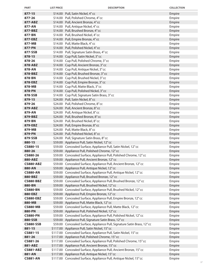| <b>PART</b>                | <b>LIST PRICE</b> | <b>DESCRIPTION</b>                                                                                                  | <b>COLLECTION</b> |
|----------------------------|-------------------|---------------------------------------------------------------------------------------------------------------------|-------------------|
| $877 - 15$                 |                   | \$14.00 Pull, Satin Nickel, 4"cc                                                                                    | Empire            |
| 877-26                     |                   | \$14.00 Pull, Polished Chrome, 4" cc                                                                                | Empire            |
| 877-ABZ                    |                   | \$14.00 Pull, Ancient Bronze, 4" cc                                                                                 | Empire            |
| 877-AN                     |                   | \$14.00 Pull, Antique Nickel, 4"cc                                                                                  | Empire            |
| 877-BBZ                    |                   | \$14.00 Pull, Brushed Bronze, 4" cc                                                                                 | Empire            |
| 877-BN                     |                   | \$14.00 Pull, Brushed Nickel, 4" cc                                                                                 | Empire            |
| 877-EBZ                    |                   | \$14.00 Pull, Empire Bronze, 4" cc                                                                                  | Empire            |
| 877-MB                     |                   | \$14.00 Pull, Matte Black, 4" cc                                                                                    | Empire            |
| 877-PN                     |                   | \$14.00 Pull, Polished Nickel, 4" cc                                                                                | Empire            |
| 877-SSB                    |                   | \$14.00 Pull, Signature Satin Brass, 4" cc                                                                          | Empire            |
| 878-15                     |                   | \$14.00 Cup Pull, Satin Nickel, 3" cc                                                                               | Empire            |
| 878-26                     |                   | \$14.00 Cup Pull, Polished Chrome, 3" cc                                                                            | Empire            |
| 878-ABZ                    |                   | \$14.00 Cup Pull, Ancient Bronze, 3" cc                                                                             | Empire            |
| 878-AN                     |                   | \$14.00 Cup Pull, Antique Nickel, 3" cc                                                                             | Empire            |
| 878-BBZ                    |                   | \$14.00 Cup Pull, Brushed Bronze, 3" cc                                                                             | Empire            |
| 878-BN                     |                   | \$14.00 Cup Pull, Brushed Nickel, 3" cc                                                                             | Empire            |
| 878-EBZ                    |                   | \$14.00 Cup Pull, Empire Bronze, 3" cc                                                                              | Empire            |
| 878-MB                     |                   | \$14.00 Cup Pull, Matte Black, 3" cc                                                                                | Empire            |
| 878-PN                     |                   | \$14.00 Cup Pull, Polished Nickel, 3" cc                                                                            | Empire            |
| 878-SSB                    |                   | \$14.00 Cup Pull, Signature Satin Brass, 3"cc                                                                       | Empire            |
| 879-15                     |                   | \$24.00 Pull, Satin Nickel, 8"cc                                                                                    | Empire            |
| 879-26                     |                   | \$24.00 Pull, Polished Chrome, 8" cc                                                                                | Empire            |
| 879-ABZ                    |                   | \$24.00 Pull, Ancient Bronze, 8" cc                                                                                 | Empire            |
| 879-AN                     |                   | \$24.00 Pull, Antique Nickel, 8"cc                                                                                  | Empire            |
| 879-BBZ                    |                   | \$24.00 Pull, Brushed Bronze, 8"cc                                                                                  | Empire            |
| 879-BN                     |                   | \$24.00 Pull, Brushed Nickel, 8"cc                                                                                  | Empire            |
| 879-EBZ                    |                   | \$24.00 Pull, Empire Bronze, 8" cc                                                                                  | Empire            |
| 879-MB                     |                   | \$24.00 Pull, Matte Black, 8" cc                                                                                    | Empire            |
| 879-PN                     |                   | \$24.00 Pull, Polished Nickel, 8" cc                                                                                | Empire            |
| 879-SSB                    |                   | \$24.00 Pull, Signature Satin Brass, 8" cc                                                                          | Empire            |
| 880-15                     |                   | \$59.00 Appliance Pull, Satin Nickel, 12"cc                                                                         | Empire            |
| CS880-15                   |                   | \$59.00 Concealed Surface, Appliance Pull, Satin Nickel, 12" cc                                                     | Empire            |
| 880-26                     |                   | \$59.00 Appliance Pull, Polished Chrome, 12" cc                                                                     | Empire            |
| CS880-26                   |                   | \$59.00 Concealed Surface, Appliance Pull, Polished Chrome, 12" cc                                                  | Empire            |
| 880-ABZ                    |                   | \$59.00 Appliance Pull, Ancient Bronze, 12" cc                                                                      | Empire            |
| <b>CS880-ABZ</b>           |                   | \$59.00 Concealed Surface, Appliance Pull, Ancient Bronze, 12" cc                                                   | Empire            |
| 880-AN                     |                   | \$59.00 Appliance Pull, Antique Nickel, 12" cc                                                                      | Empire            |
| <b>CS880-AN</b><br>880-BBZ |                   | \$59.00 Concealed Surface, Appliance Pull, Antique Nickel, 12" cc<br>\$59.00 Appliance Pull, Brushed Bronze, 12" cc | Empire<br>Empire  |
| CS880-BBZ                  |                   | \$59.00 Concealed Surface, Appliance Pull, Brushed Bronze, 12" cc                                                   | Empire            |
| 880-BN                     |                   | \$59.00 Appliance Pull, Brushed Nickel, 12" cc                                                                      | Empire            |
| <b>CS880-BN</b>            |                   | \$59.00 Concealed Surface, Appliance Pull, Brushed Nickel, 12" cc                                                   | Empire            |
| 880-EBZ                    |                   | \$59.00 Appliance Pull, Empire Bronze, 12" cc                                                                       | Empire            |
| <b>CS880-EBZ</b>           |                   | \$59.00 Concealed Surface, Appliance Pull, Empire Bronze, 12" cc                                                    | Empire            |
| 880-MB                     |                   | \$59.00 Appliance Pull, Matte Black, 12" cc                                                                         | Empire            |
| <b>CS880-MB</b>            |                   | \$59.00 Concealed Surface, Appliance Pull, Matte Black, 12" cc                                                      | Empire            |
| 880-PN                     |                   | \$59.00 Appliance Pull, Polished Nickel, 12" cc                                                                     | Empire            |
| <b>CS880-PN</b>            |                   | \$59.00 Concealed Surface, Appliance Pull, Polished Nickel, 12" cc                                                  | Empire            |
| 880-SSB                    |                   | \$59.00 Appliance Pull, Signature Satin Brass, 12" cc                                                               | Empire            |
| <b>CS880-SSB</b>           |                   | \$59.00 Concealed Surface, Appliance Pull, Signature Satin Brass, 12" cc                                            | Empire            |
| 881-15                     |                   | \$117.00 Appliance Pull, Satin Nickel, 15" cc                                                                       | Empire            |
| CS881-15                   |                   | \$117.00 Concealed Surface, Appliance Pull, Satin Nickel, 15" cc                                                    | Empire            |
| 881-26                     |                   | \$117.00 Appliance Pull, Polished Chrome, 15" cc                                                                    | Empire            |
| CS881-26                   |                   | \$117.00 Concealed Surface, Appliance Pull, Polished Chrome, 15" cc                                                 | Empire            |
| 881-ABZ                    |                   | \$117.00 Appliance Pull, Ancient Bronze, 15" cc                                                                     | Empire            |
| <b>CS881-ABZ</b>           |                   | \$117.00 Concealed Surface, Appliance Pull, Ancient Bronze, 15" cc                                                  | Empire            |
| 881-AN                     |                   | \$117.00 Appliance Pull, Antique Nickel, 15" cc                                                                     | Empire            |
| <b>CS881-AN</b>            |                   | \$117.00 Concealed Surface, Appliance Pull, Antique Nickel, 15" cc                                                  | Empire            |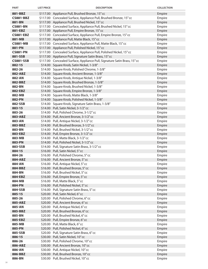| <b>PART</b>       | <b>LIST PRICE</b> | <b>DESCRIPTION</b>                                                                         | <b>COLLECTION</b> |
|-------------------|-------------------|--------------------------------------------------------------------------------------------|-------------------|
| 881-BBZ           |                   | \$117.00 Appliance Pull, Brushed Bronze, 15" cc                                            | Empire            |
| <b>CS881-BBZ</b>  |                   | \$117.00 Concealed Surface, Appliance Pull, Brushed Bronze, 15" cc                         | Empire            |
| 881-BN            |                   | \$117.00 Appliance Pull, Brushed Nickel, 15" cc                                            | Empire            |
| <b>CS881-BN</b>   |                   | \$117.00 Concealed Surface, Appliance Pull, Brushed Nickel, 15" cc                         | Empire            |
| 881-EBZ           |                   | \$117.00 Appliance Pull, Empire Bronze, 15" cc                                             | Empire            |
| <b>CS881-EBZ</b>  |                   | \$117.00 Concealed Surface, Appliance Pull, Empire Bronze, 15" cc                          | Empire            |
| 881-MB            |                   | \$117.00 Appliance Pull, Matte Black, 15" cc                                               | Empire            |
| <b>CS881-MB</b>   |                   | \$117.00 Concealed Surface, Appliance Pull, Matte Black, 15" cc                            | Empire            |
| 881-PN            |                   | \$117.00 Appliance Pull, Polished Nickel, 15" cc                                           | Empire            |
| <b>CS881-PN</b>   |                   | \$117.00 Concealed Surface, Appliance Pull, Polished Nickel, 15" cc                        | Empire            |
| 881-SSB           |                   | \$117.00 Appliance Pull, Signature Satin Brass, 15" cc                                     | Empire            |
| <b>CS881-SSB</b>  |                   | \$117.00 Concealed Surface, Appliance Pull, Signature Satin Brass, 15" cc                  | Empire            |
| 882-15            |                   | \$14.00 Square Knob, Satin Nickel, 1-3/8"                                                  | Empire            |
| 882-26            |                   | \$14.00 Square Knob, Polished Chrome, 1-3/8"                                               | Empire            |
| 882-ABZ<br>882-AN |                   | \$14.00 Square Knob, Ancient Bronze, 1-3/8"                                                | Empire            |
| 882-BBZ           |                   | \$14.00 Square Knob, Antique Nickel, 1-3/8"                                                | Empire<br>Empire  |
| 882-BN            |                   | \$14.00 Square Knob, Brushed Bronze, 1-3/8"<br>\$14.00 Square Knob, Brushed Nickel, 1-3/8" | Empire            |
| 882-EBZ           |                   | \$14.00 Square Knob, Empire Bronze, 1-3/8"                                                 | Empire            |
| 882-MB            |                   | \$14.00 Square Knob, Matte Black, 1-3/8"                                                   | Empire            |
| 882-PN            |                   | \$14.00 Square Knob, Polished Nickel, 1-3/8"                                               | Empire            |
| 882-SSB           |                   | \$14.00 Square Knob, Signature Satin Brass, 1-3/8"                                         | Empire            |
| 883-15            |                   | \$14.00 Pull, Satin Nickel, 3-1/2" cc                                                      | Empire            |
| 883-26            |                   | \$14.00 Pull, Polished Chrome, 3-1/2" cc                                                   | Empire            |
| 883-ABZ           |                   | \$14.00 Pull, Ancient Bronze, 3-1/2" cc                                                    | Empire            |
| 883-AN            |                   | \$14.00 Pull, Antique Nickel, 3-1/2" cc                                                    | Empire            |
| 883-BBZ           |                   | \$14.00 Pull, Brushed Bronze, 3-1/2" cc                                                    | Empire            |
| 883-BN            |                   | \$14.00 Pull, Brushed Nickel, 3-1/2" cc                                                    | Empire            |
| 883-EBZ           |                   | \$14.00 Pull, Empire Bronze, 3-1/2" cc                                                     | Empire            |
| 883-MB            |                   | \$14.00 Pull, Matte Black, 3-1/2" cc                                                       | Empire            |
| 883-PN            |                   | \$14.00 Pull, Polished Nickel, 3-1/2" cc                                                   | Empire            |
| 883-SSB           |                   | \$14.00 Pull, Signature Satin Brass, 3-1/2" cc                                             | Empire            |
| 884-15            |                   | \$16.00 Pull, Satin Nickel, 5"cc                                                           | Empire            |
| 884-26            |                   | \$16.00 Pull, Polished Chrome, 5" cc                                                       | Empire            |
| 884-ABZ           |                   | \$16.00 Pull, Ancient Bronze, 5" cc                                                        | Empire            |
| 884-AN            |                   | \$16.00 Pull, Antique Nickel, 5"cc                                                         | Empire            |
| 884-BBZ           |                   | \$16.00 Pull, Brushed Bronze, 5"cc                                                         | Empire            |
| 884-BN            |                   | \$16.00 Pull, Brushed Nickel, 5"cc                                                         | Empire            |
| 884-EBZ           |                   | \$16.00 Pull, Empire Bronze, 5" cc                                                         | Empire            |
| 884-MB            |                   | \$16.00 Pull, Matte Black, 5" cc                                                           | Empire            |
| 884-PN            |                   | \$16.00 Pull, Polished Nickel, 5" cc                                                       | Empire            |
| 884-SSB           |                   | \$16.00 Pull, Signature Satin Brass, 5" cc                                                 | Empire            |
| 885-15<br>885-26  |                   | \$20.00 Pull, Satin Nickel, 6"cc<br>\$20.00 Pull, Polished Chrome, 6" cc                   | Empire            |
| 885-ABZ           |                   | \$20.00 Pull, Ancient Bronze, 6" cc                                                        | Empire<br>Empire  |
| 885-AN            |                   | \$20.00 Pull, Antique Nickel, 6"cc                                                         | Empire            |
| 885-BBZ           |                   | \$20.00 Pull, Brushed Bronze, 6"cc                                                         | Empire            |
| 885-BN            |                   | \$20.00 Pull, Brushed Nickel, 6" cc                                                        | Empire            |
| 885-EBZ           |                   | \$20.00 Pull, Empire Bronze, 6" cc                                                         | Empire            |
| 885-MB            |                   | \$20.00 Pull, Matte Black, 6" cc                                                           | Empire            |
| 885-PN            |                   | \$20.00 Pull, Polished Nickel, 6" cc                                                       | Empire            |
| 885-SSB           |                   | \$20.00 Pull, Signature Satin Brass, 6" cc                                                 | Empire            |
| 886-15            |                   | \$30.00 Pull, Satin Nickel, 10" cc                                                         | Empire            |
| 886-26            |                   | \$30.00 Pull, Polished Chrome, 10" cc                                                      | Empire            |
| 886-ABZ           |                   | \$30.00 Pull, Ancient Bronze, 10" cc                                                       | Empire            |
| 886-AN            |                   | \$30.00 Pull, Antique Nickel, 10" cc                                                       | Empire            |
| 886-BBZ           |                   | \$30.00 Pull, Brushed Bronze, 10" cc                                                       | Empire            |
| 886-BN            |                   | \$30.00 Pull, Brushed Nickel, 10" cc                                                       | Empire            |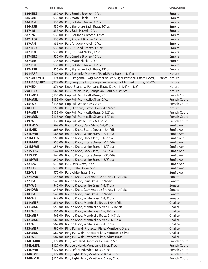| <b>PART</b>        | <b>LIST PRICE</b> | <b>DESCRIPTION</b>                                                                          | <b>COLLECTION</b>      |
|--------------------|-------------------|---------------------------------------------------------------------------------------------|------------------------|
| 886-EBZ            |                   | \$30.00 Pull, Empire Bronze, 10" cc                                                         | Empire                 |
| 886-MB             |                   | \$30.00 Pull, Matte Black, 10" cc                                                           | Empire                 |
| 886-PN             |                   | \$30.00 Pull, Polished Nickel, 10" cc                                                       | Empire                 |
| 886-SSB            |                   | \$30.00 Pull, Signature Satin Brass, 10" cc                                                 | Empire                 |
| 887-15             |                   | \$35.00 Pull, Satin Nickel, 12" cc                                                          | Empire                 |
| 887-26             |                   | \$35.00 Pull, Polished Chrome, 12" cc                                                       | Empire                 |
| 887-ABZ            |                   | \$35.00 Pull, Ancient Bronze, 12" cc                                                        | Empire                 |
| 887-AN             |                   | \$35.00 Pull, Antique Nickel, 12" cc                                                        | Empire                 |
| 887-BBZ            |                   | \$35.00 Pull, Brushed Bronze, 12" cc                                                        | Empire                 |
| 887-BN             |                   | \$35.00 Pull, Brushed Nickel, 12" cc                                                        | Empire                 |
| 887-EBZ            |                   | \$35.00 Pull, Empire Bronze, 12" cc                                                         | Empire                 |
| 887-MB             |                   | \$35.00 Pull, Matte Black, 12" cc                                                           | Empire                 |
| 887-PN             |                   | \$35.00 Pull, Polished Nickel, 12" cc                                                       | Empire                 |
| 887-SSB            |                   | \$35.00 Pull, Signature Satin Brass, 12" cc                                                 | Empire                 |
| <b>891-PAR</b>     |                   | \$124.00 Pull, Butterfly, Mother of Pearl, Paris Brass, 1-1/2" cc                           | Nature                 |
| 892-MOP/ED         |                   | \$124.00 Pull, Dragonfly-Twig, Mother of Pearl/Tiger Penshell, Estate Dover, 3-1/8" cc      | Nature                 |
| 895-PBZ/HBZ        |                   | \$229.00 Pull, Frog on a Log, Pompeian Bronze, Highlighted Bronze, 5-1/2" cc                | Nature                 |
| 897-ED             |                   | \$76.00 Knob, Seahorse Pendant, Estate Dover, 1-1/4" x 1-1/2"                               | Nature                 |
| 908-PBZ            |                   | \$69.00 Pull, Bee on Rose, Pompeian Bronze, 3-3/4" cc                                       | Nature                 |
| 915-MBR            |                   | \$135.00 Cup Pull, Monticello Brass, 2" cc                                                  | <b>French Court</b>    |
| 915-MSL            |                   | \$135.00 Cup Pull, Monticello Silver, 2" cc                                                 | <b>French Court</b>    |
| 915-WB             |                   | \$135.00 Cup Pull, White Brass, 2" cc                                                       | <b>French Court</b>    |
| 918-ED             |                   | \$58.00 Pull, Octopus, Estate Dover, 4-1/4" cc                                              | <b>Nature</b>          |
| 919-MBR            |                   | \$138.00 Cup Pull, Monticello Brass, 6-1/2" cc                                              | French Court           |
| 919-MSL            |                   | \$138.00 Cup Pull, Monticello Silver, 6-1/2" cc                                             | <b>French Court</b>    |
| 919-WB             |                   | \$138.00 Cup Pull, White Brass, 6-1/2" cc                                                   | <b>French Court</b>    |
| 921L-DG            |                   | \$68.00 Round Knob, Dark Glaze, 1-3/4" dia                                                  | Sunflower              |
| 921L-ED            |                   | \$68.00 Round Knob, Estate Dover, 1-3/4" dia                                                | Sunflower              |
| 921L-WB            |                   | \$68.00 Round Knob, White Brass, 1-3/4" dia                                                 | Sunflower              |
| 921M-DG            |                   | \$55.00 Round Knob, Dark Glaze, 1-1/2" dia                                                  | Sunflower<br>Sunflower |
| 921M-ED<br>921M-WB |                   | \$55.00 Round Knob, Estate Dover, 1-1/2" dia<br>\$55.00 Round Knob, White Brass, 1-1/2" dia | Sunflower              |
| 921S-DG            |                   | \$42.00 Round Knob, Dark Glaze, 1-3/8" dia                                                  | Sunflower              |
| 921S-ED            |                   | \$42.00 Round Knob, Estate Dover, 1-3/8" dia                                                | Sunflower              |
| 921S-WB            |                   | \$42.00 Round Knob, White Brass, 1-3/8" dia                                                 | Sunflower              |
| 922-DG             |                   | \$70.00 Pull, Dark Glaze, 5" cc                                                             | Sunflower              |
| 922-ED             |                   | \$70.00 Pull, Estate Dover, 5" cc                                                           | Sunflower              |
| 922-WB             |                   | \$70.00 Pull, White Brass, 5" cc                                                            | Sunflower              |
| <b>927-DAB</b>     |                   | \$45.00 Round Knob, Dark Antique Bronze, 1-1/4" dia                                         | Sonata                 |
| <b>927-PAR</b>     |                   | \$45.00 Round Knob, Paris Brass, 1-1/4" dia                                                 | Sonata                 |
| 927-WB             |                   | \$45.00 Round Knob, White Brass, 1-1/4" dia                                                 | Sonata                 |
| 930-DAB            |                   | \$48.00 Round Knob, Dark Antique Bronze, 1-1/4" dia                                         | Sonata                 |
| <b>930-PAR</b>     |                   | \$48.00 Round Knob, Paris Brass, 1-1/4" dia                                                 | Sonata                 |
| 930-WB             |                   | \$48.00 Round Knob, White Brass, 1-1/4" dia                                                 | Sonata                 |
| 931-MBR            |                   | \$56.00 Round Knob, Monticello Brass, 1-9/16" dia                                           | Chalice                |
| 931-MSL            |                   | \$59.00 Round Knob, Monticello Silver, 1-9/16" dia                                          | Chalice                |
| 931-WB             |                   | \$56.00 Round Knob, White Brass, 1-9/16" dia                                                | Chalice                |
| 932-MBR            |                   | \$65.00 Round Knob, Monticello Brass, 2-1/8" dia                                            | Chalice                |
| 932-MSL            |                   | \$69.00 Round Knob, Monticello Silver, 2-1/8" dia                                           | Chalice                |
| 932-WB             |                   | \$69.00 Round Knob, White Brass, 2-1/8" dia                                                 | Chalice                |
| 933-MBR            |                   | \$82.00 Ring Pull with Protector Plate, Monticello Brass                                    | Chalice                |
| 933-MSL            |                   | \$82.00 Ring Pull with Protector Plate, Monticello Silver                                   | Chalice                |
| 933-WB             |                   | \$82.00 Ring Pull with Protector Plate, White Brass                                         | Chalice                |
| 934L-MBR           |                   | \$127.00 Pull, Left Hand, Monticello Brass, 5" cc                                           | <b>French Court</b>    |
| 934L-MSL           |                   | \$127.00 Pull, Left Hand, Monticello Silver, 5" cc                                          | <b>French Court</b>    |
| 934L-WB            |                   | \$127.00 Pull, Left Hand, White Brass, 5" cc                                                | <b>French Court</b>    |
| <b>934R-MBR</b>    |                   | \$127.00 Pull, Right Hand, Monticello Brass, 5" cc                                          | <b>French Court</b>    |
| 934R-MSL           |                   | \$127.00 Pull, Right Hand, Monticello Silver, 5" cc                                         | French Court           |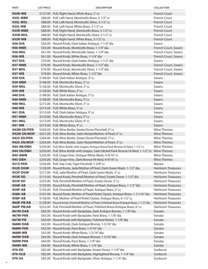| <b>PART</b>           | <b>LIST PRICE</b> | <b>DESCRIPTION</b>                                                                                                                                            | <b>COLLECTION</b>         |
|-----------------------|-------------------|---------------------------------------------------------------------------------------------------------------------------------------------------------------|---------------------------|
| 934R-WB               |                   | \$127.00 Pull, Right Hand, White Brass, 5" cc                                                                                                                 | French Court              |
| 935L-MBR              |                   | \$88.00 Pull, Left Hand, Monticello Brass, 3-1/2" cc                                                                                                          | <b>French Court</b>       |
| 935L-MSL              |                   | \$88.00 Pull, Left Hand, Monticello Silver, 3-1/2" cc                                                                                                         | French Court              |
| 935L-WB               |                   | \$88.00 Pull, Left Hand, White Brass, 3-1/2" cc                                                                                                               | <b>French Court</b>       |
| <b>935R-MBR</b>       |                   | \$88.00 Pull, Right Hand, Monticello Brass, 3-1/2" cc                                                                                                         | French Court              |
| 935R-MSL              |                   | \$88.00 Pull, Right Hand, Monticello Silver, 3-1/2" cc                                                                                                        | French Court              |
| 935R-WB               |                   | \$88.00 Pull, Right Hand, White Brass, 3-1/2" cc                                                                                                              | French Court              |
| 936-DIA               |                   | \$56.00 Round Knob, Dark Italian Antique, 1-1/4" dia                                                                                                          | Swans                     |
| 936-MBR               |                   | \$56.00 Round Knob, Monticello Brass, 1-1/4" dia                                                                                                              | French Court, Swans       |
| 936-MSL               |                   | \$61.00 Round Knob, Monticello Silver, 1-1/4" dia                                                                                                             | French Court, Swans       |
| 936-WB                |                   | \$61.00 Round Knob, White Brass, 1-1/4" dia                                                                                                                   | French Court, Swans       |
| 937-DIA               |                   | \$70.00 Round Knob, Dark Italian Antique, 1-1/2" dia                                                                                                          | Swans                     |
| 937-MBR               |                   | \$70.00 Round Knob, Monticello Brass, 1-1/2" dia                                                                                                              | French Court, Swans       |
| 937-MSL               |                   | \$79.00 Round Knob, Monticello Silver, 1-1/2" dia                                                                                                             | French Court, Swans       |
| 937-WB                |                   | \$79.00 Round Knob, White Brass, 1-1/2" dia                                                                                                                   | French Court, Swans       |
| 939-DIA               |                   | \$108.00 Pull, Dark Italian Antique, 3" cc                                                                                                                    | Swans                     |
| 939-MBR               |                   | \$108.00 Pull, Monticello Brass, 3" cc                                                                                                                        | Swans                     |
| 939-MSL               |                   | \$128.00 Pull, Monticello Silver, 3" cc                                                                                                                       | Swans                     |
| 939-WB                |                   | \$128.00 Pull, White Brass, 3" cc                                                                                                                             | Swans                     |
| 940-DIA               |                   | \$198.00 Pull, Dark Italian Antique, 5" cc                                                                                                                    | Swans                     |
| 940-MBR               |                   | \$198.00 Pull, Monticello Brass, 5" cc                                                                                                                        | Swans                     |
| 940-MSL               |                   | \$215.00 Pull, Monticello Silver, 5" cc                                                                                                                       | Swans                     |
| 940-WB                |                   | \$215.00 Pull, White Brass, 5" cc                                                                                                                             | Swans                     |
| 941-DIA               |                   | \$510.00 Pull, Dark Italian Antique, 9" cc                                                                                                                    | Swans                     |
| 941-MBR               |                   | \$510.00 Pull, Monticello Brass, 9" cc                                                                                                                        | Swans                     |
| 941-MSL               |                   | \$573.00 Pull, Monticello Silver, 9" cc                                                                                                                       | Swans                     |
| 941-WB                |                   | \$573.00 Pull, White Brass, 9" cc                                                                                                                             | Swans                     |
| 942M-ED/PEN           |                   | \$509.00 Pull, Wine Bottle, Estate Dover/Penshell, 6" cc                                                                                                      | <b>Wine Themes</b>        |
| 942M-SN/MOP           |                   | \$637.00 Pull, Wine Bottle, Satin Nickel/Mother of Pearl, 6" cc                                                                                               | <b>Wine Themes</b>        |
| 942S-ED/PEN           |                   | \$204.00 Pull, Wine Bottle, Estate Dover/Penshell, 3" cc                                                                                                      | <b>Wine Themes</b>        |
| 942S-SN/MOP           |                   | \$256.00 Pull, Wine Bottle, Satin Nickel/Mother of Pearl, 3" cc                                                                                               | <b>Wine Themes</b>        |
| 944-AB/DBH            |                   | \$256.00 Pull, Wine Bottle with Grapes, Antique Brass/Dark Bronze Hi-lited, 1-1/2" cc                                                                         | <b>Wine Themes</b>        |
| 944-SN/DBH<br>945-AWW |                   | \$256.00 Pull, Wine Bottle with Grapes, Satin Nickel/Dark Bronze Hi-lited, 1-1/2" cc Wine Themes<br>\$256.00 Pull, Grape Vine, Antique White Wash, 4-9/16" cc | <b>Wine Themes</b>        |
|                       |                   |                                                                                                                                                               | <b>Wine Themes</b>        |
| 945-DBH<br>951S-PEN   |                   | \$256.00 Pull, Grape Vine, Dark Bronze Hi-lited, 4-9/16" cc<br>\$256.00 Pull, Sea Crab, Tiger Penshell, 1-5/8" cc                                             | Nature                    |
| 952K-DGW              |                   | \$128.00 Round Knob, Jade/Mother of Pearl, Dark Green Wash, 1-1/2" dia                                                                                        | <b>Heirloom Treasures</b> |
| 952P-DGW              |                   | \$217.00 Pull, Jade/Mother of Pearl, Dark Green Wash, 5" cc                                                                                                   | <b>Heirloom Treasures</b> |
| 953K-ED               |                   | \$115.00 Round Knob, Penshell/Mother of Pearl, Estate Dover, 1-1/2" dia                                                                                       | <b>Heirloom Treasures</b> |
| 953P-ED               |                   | \$255.00 Pull, Penshell/Mother of Pearl, Estate Dover, 5" cc                                                                                                  | <b>Heirloom Treasures</b> |
| 954K-AB               |                   | \$120.00 Round Knob, Penshell/Mother of Pearl, Antique Brass, 1-1/2" dia                                                                                      | <b>Heirloom Treasures</b> |
| 954P-AB               |                   | \$195.00 Pull, Penshell/Mother of Pearl, Antique Brass, 5" cc                                                                                                 | <b>Heirloom Treasures</b> |
| 958K-AB               |                   | \$101.00 Round Knob, Mother of Pearl/Violet Oyster, Antique Brass, 1-11/16" dia                                                                               | <b>Heirloom Treasures</b> |
| 958P-AB               | \$158.00          | Pull, Mother of Pearl/Violet Oyster, Antique Brass, 6-1/2" cc                                                                                                 | <b>Heirloom Treasures</b> |
| <b>960K-PB/AB</b>     |                   | \$128.00 Round Knob, Penshell/Mother of Pearl, Polished Brass/Antique Brass, 1-1/2" dia                                                                       | <b>Heirloom Treasures</b> |
| 960P-PB/AB            |                   | \$252.00 Pull, Penshell/Mother of Pearl, Polished Brass/Antique Brass, 6" cc                                                                                  | <b>Heirloom Treasures</b> |
| 967M-DAB              |                   | \$65.00 Round Knob with Backplate, Dark Antique Bronze, 1-1/8" dia                                                                                            | Sonata                    |
| <b>967M-PAR</b>       |                   | \$65.00 Round Knob with Backplate, Paris Brass, 1-1/8" dia                                                                                                    | Sonata                    |
| 967M-PN               |                   | \$65.00 Round Knob with Backplate, Polished Nickel, 1-1/8" dia                                                                                                | Sonata                    |
| 968M-DAB              |                   | \$42.00 Round Knob, Dark Antique Bronze, 1-5/16" dia                                                                                                          | Sonata                    |
| <b>968M-PAR</b>       |                   | \$42.00 Round Knob, Paris Brass, 1-5/16" dia                                                                                                                  | Sonata                    |
| 968M-WB               |                   | \$42.00 Round Knob, White Brass, 1-5/16" dia                                                                                                                  | Sonata                    |
| 969M-DAB              | \$64.00           | Round Knob, Dark Antique Bronze, 1-5/16" dia                                                                                                                  | Sonata                    |
| <b>969M-PAR</b>       | \$64.00           | Round Knob, Paris Brass, 1-1/4" dia                                                                                                                           | Sonata                    |
| 969M-WB               |                   | \$64.00 Round Knob, White Brass, 1-1/4" dia                                                                                                                   | Sonata                    |
| 970-ED                |                   | \$82.00 Round Knob with Backplate, Estate Dover, 1-1/4" dia                                                                                                   | Sunburst                  |
| 970-HLB               |                   | \$82.00 Round Knob with Backplate, Highlighted Bronze, 1-1/4" dia                                                                                             | Sunburst                  |
| 970-SA                |                   | \$82.00 Round Knob with Backplate, Silver Antique, 1-1/4" dia                                                                                                 | Sunburst                  |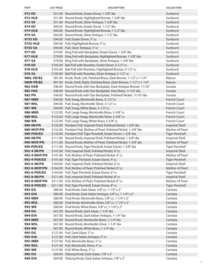| <b>PART</b>              | <b>LIST PRICE</b> | <b>DESCRIPTION</b>                                                                                                                     | <b>COLLECTION</b>     |
|--------------------------|-------------------|----------------------------------------------------------------------------------------------------------------------------------------|-----------------------|
| 972-ED                   |                   | \$51.00 Round Knob, Estate Dover, 1-3/8" dia                                                                                           | Sunburst              |
| 972-HLB                  |                   | \$51.00 Round Knob, Highlighted Bronze, 1-3/8" dia                                                                                     | Sunburst              |
| 972-SA                   |                   | \$51.00 Round Knob, Silver Antique, 1-3/8" dia                                                                                         | Sunburst              |
| 974-ED                   |                   | \$60.00 Round Knob, Estate Dover, 1-1/2" dia                                                                                           | Sunburst              |
| <b>974-HLB</b>           |                   | \$60.00 Round Knob, Highlighted Bronze, 1-1/2" dia                                                                                     | Sunburst              |
| 974-SA                   | \$60.00           | Round Knob, Silver Antique, 1-1/2" dia                                                                                                 | Sunburst              |
| 975S-ED                  |                   | \$94.00 Pull, Estate Dover, 5" cc                                                                                                      | Sunburst              |
| 975S-HLB                 |                   | \$94.00 Pull, Highlighted Bronze, 5" cc                                                                                                | Sunburst              |
| 975S-SA                  |                   | \$94.00 Pull, Silver Antique, 5" cc                                                                                                    | Sunburst              |
| 977-ED                   |                   | \$79.00 Ring Pull with Backplate, Estate Dover, 1-3/8" dia                                                                             | Sunburst              |
| 977-HLB                  |                   | \$79.00 Ring Pull with Backplate, Highlighted Bronze, 1-3/8" dia                                                                       | Sunburst              |
| 977-SA                   |                   | \$79.00 Ring Pull with Backplate, Silver Antique, 1-3/8" dia                                                                           | Sunburst              |
| 978-ED                   |                   | \$105.00 Bail Pull with Rosettes, Estate Dover, 5-1/2" cc                                                                              | Sunburst              |
| 978-HLB                  |                   | \$105.00 Bail Pull with Rosettes, Highlighted Bronze, 5-1/2" cc                                                                        | Sunburst              |
| 978-SA                   |                   | \$105.00 Bail Pull with Rosettes, Silver Antique, 5-1/2" cc                                                                            | Sunburst              |
| 980L-PB/BZ               |                   | \$81.00 Knob, Shell, Left, Polished Brass, Dark Bronze, 1-1/2" x 1-1/4"                                                                | Nature                |
| 980R-PB/BZ               |                   | \$81.00 Knob, Shell, Right, Polished Brass, Dark Bronze, 1-1/2" x 1-1/4"                                                               | Nature                |
| 982-DAB                  |                   | \$46.00 Round Knob with Star Backplate, Dark Antique Bronze, 11/16"<br>\$46.00 Round Knob with Star Backplate, Paris Brass, 11/16" dia | Sonata                |
| <b>982-PAR</b><br>982-PN |                   | \$46.00 Round Knob with Star Backplate, Polished Nickel, 11/16" dia                                                                    | Sonata<br>Sonata      |
| 987-MBR                  |                   | \$94.00 Pull, Swag, Monticello Brass, 3-1/2" cc                                                                                        | <b>French Court</b>   |
| 987-MSL                  |                   | \$94.00 Pull, Swag, Monticello Silver, 3-1/2" cc                                                                                       | French Court          |
| 987-WB                   |                   | \$94.00 Pull, Swag, White Brass, 3-1/2" cc                                                                                             | <b>French Court</b>   |
| 988-MBR                  |                   | \$122.00 Pull, Large Swag, Monticello Brass, 5-3/8" cc                                                                                 | <b>French Court</b>   |
| 988-MSL                  |                   | \$122.00 Pull, Large Swag, Monticello Silver, 5-3/8" cc                                                                                | <b>French Court</b>   |
| 988-WB                   |                   | \$122.00 Pull, Large Swag, White Brass, 5-3/8" cc                                                                                      | French Court          |
| 989-IM/PN                |                   | \$132.00 Pendant Pull, Imperial Shell, Polished Nickel, 1-3/8" dia                                                                     | <b>Imperial Shell</b> |
| 989-MOP/PN               |                   | \$132.00 Pendant Pull, Mother of Pearl, Polished Nickel, 1-3/8" dia                                                                    | Mother of Pearl       |
| 989-PEN/ED               |                   | \$132.00 Pendant Pull, Tiger Penshell, Estate Dover, 1-3/8" dia                                                                        | <b>Tiger Penshell</b> |
| 990-IM/PN                |                   | \$111.00 Round Knob, Imperial Shell, Polished Nickel, 1-3/8" dia                                                                       | <b>Imperial Shell</b> |
| 990-MOP/PN               |                   | \$111.00 Round Knob, Mother of Pearl, Polished Nickel, 1-3/8" dia                                                                      | Mother of Pearl       |
| 990-PEN/ED               |                   | \$111.00 Round Knob, Tiger Penshell, Estate Dover, 1-3/8" dia                                                                          | <b>Tiger Penshell</b> |
| 992-4-IM/PN              |                   | \$141.00 Pull, Imperial Shell, Polished Nickel, 4" cc                                                                                  | <b>Imperial Shell</b> |
| 992-4-MOP/PN             |                   | \$141.00 Pull, Mother of Pearl, Polished Nickel, 4"cc                                                                                  | Mother of Pearl       |
| 992-4-PEN/ED             |                   | \$141.00 Pull, Tiger Penshell, Estate Dover, 4" cc                                                                                     | <b>Tiger Penshell</b> |
| 992-6-IM/PN              |                   | \$164.00 Pull, Imperial Shell, Polished Nickel, 6" cc                                                                                  | <b>Imperial Shell</b> |
| 992-6-MOP/PN             |                   | \$164.00 Pull, Mother of Pearl, Polished Nickel, 6" cc                                                                                 | Mother of Pearl       |
| 992-6-PEN/ED             |                   | \$164.00 Pull, Tiger Penshell, Estate Dover, 6" cc                                                                                     | <b>Tiger Penshell</b> |
| 992-8-IM/PN              |                   | \$211.00 Pull, Imperial Shell, Polished Nickel, 8" cc                                                                                  | <b>Imperial Shell</b> |
| 992-8-MOP/PN             |                   | \$211.00 Pull, Mother of Pearl, Polished Nickel, 8"cc                                                                                  | Mother of Pearl       |
| 992-8-PEN/ED             |                   | \$211.00 Pull, Tiger Penshell, Estate Dover, 8" cc                                                                                     | <b>Tiger Penshell</b> |
| 993-DG                   |                   | \$80.00 Oval Knob, Dark Glaze, 5/8" cc, 1-1/4" x 2"                                                                                    | Cantata               |
| 993-DIA                  |                   | \$80.00 Oval Knob, Dark Italian Antique, 5/8" cc, 1-1/4" x 2"                                                                          | Cantata               |
| 993-MBR                  |                   | \$80.00 Oval Knob, Monticello Brass, 5/8" cc, 1-1/4" x 2"                                                                              | Cantata               |
| 993-MSL                  |                   | \$80.00 Oval Knob, Monticello Silver, 5/8" cc, 1-1/4" x 2"                                                                             | Cantata               |
| 993-WB                   |                   | \$80.00 Oval Knob, White Brass, 5/8" cc, 1-1/4" x 2"                                                                                   | Cantata               |
| 994-DG                   |                   | \$67.00 Round Knob, Dark Glaze, 1-1/4" dia                                                                                             | Cantata               |
| 994-DIA<br>994-MBR       |                   | \$67.00 Round Knob, Dark Italian Antique, 1-1/4" dia<br>\$67.00 Round Knob, Monticello Brass, 1-1/4" dia                               | Cantata<br>Cantata    |
| 994-MSL                  |                   | \$67.00 Round Knob, Monticello Silver, 1-1/4" dia                                                                                      | Cantata               |
| 994-WB                   |                   | \$67.00 Round Knob, White Brass, 1-1/4" dia                                                                                            | Cantata               |
| 995-DG                   |                   | \$127.00 Pull, Dark Glaze, 5" cc                                                                                                       | Cantata               |
| 995-DIA                  |                   | \$127.00 Pull, Dark Italian Antique, 5" cc                                                                                             | Cantata               |
| 995-MBR                  |                   | \$127.00 Pull, Monticello Brass, 5"cc                                                                                                  | Cantata               |
| 995-MSL                  |                   | \$127.00 Pull, Monticello Silver, 5" cc                                                                                                | Cantata               |
| 995-WB                   |                   | \$127.00 Pull, White Brass, 5" cc                                                                                                      | Cantata               |
| 996-DG                   |                   | \$69.00 Oblong Knob, Dark Glaze, 7/8" x 2"                                                                                             | Cantata               |
| 996-DIA                  |                   | \$69.00 Oblong Knob, Dark Italian Antique, 7/8" x 2"                                                                                   | Cantata               |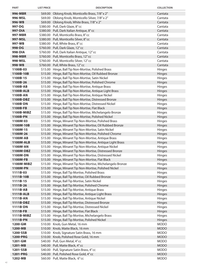| <b>PART</b>          | <b>LIST PRICE</b> | <b>DESCRIPTION</b>                                                                                                     | <b>COLLECTION</b> |
|----------------------|-------------------|------------------------------------------------------------------------------------------------------------------------|-------------------|
| 996-MBR              |                   | \$69.00 Oblong Knob, Monticello Brass, 7/8" x 2"                                                                       | Cantata           |
| 996-MSL              |                   | \$69.00 Oblong Knob, Monticello Silver, 7/8" x 2"                                                                      | Cantata           |
| 996-WB               |                   | \$69.00 Oblong Knob, White Brass, 7/8" x 2"                                                                            | Cantata           |
| 997-DG               |                   | \$380.00 Pull, Dark Glaze, 8" cc                                                                                       | Cantata           |
| 997-DIA              |                   | \$380.00 Pull, Dark Italian Antique, 8" cc                                                                             | Cantata           |
| 997-MBR              |                   | \$380.00 Pull, Monticello Brass, 8" cc                                                                                 | Cantata           |
| 997-MSL              |                   | \$380.00 Pull, Monticello Silver, 8"cc                                                                                 | Cantata           |
| 997-WB               |                   | \$380.00 Pull, White Brass, 8" cc                                                                                      | Cantata           |
| 998-DG               |                   | \$760.00 Pull, Dark Glaze, 12" cc                                                                                      | Cantata           |
| 998-DIA              |                   | \$760.00 Pull, Dark Italian Antique, 12" cc                                                                            | Cantata           |
| 998-MBR              |                   | \$760.00 Pull, Monticello Brass, 12" cc                                                                                | Cantata           |
| 998-MSL              |                   | \$760.00 Pull, Monticello Silver, 12" cc                                                                               | Cantata           |
| 998-WB               |                   | \$760.00 Pull, White Brass, 12" cc                                                                                     | Cantata           |
| 1100B-03             |                   | \$15.00 Hinge, Ball Tip Non-Mortise, Polished Brass                                                                    | Hinges            |
| 1100B-10B            |                   | \$15.00 Hinge, Ball Tip Non-Mortise, Oil Rubbed Bronze                                                                 | Hinges            |
| 1100B-15             |                   | \$15.00 Hinge, Ball Tip Non-Mortise, Satin Nickel                                                                      | Hinges            |
| 1100B-26             |                   | \$15.00 Hinge, Ball Tip Non-Mortise, Polished Chrome                                                                   | Hinges            |
| 1100B-AB             |                   | \$15.00 Hinge, Ball Tip Non-Mortise, Antique Brass                                                                     | Hinges            |
| 1100B-ALB            |                   | \$15.00 Hinge, Ball Tip Non-Mortise, Antique Light Brass                                                               | Hinges            |
| 1100B-AN             |                   | \$15.00 Hinge, Ball Tip Non-Mortise, Antique Nickel                                                                    | Hinges            |
| 1100B-DBZ            |                   | \$15.00 Hinge, Ball Tip Non-Mortise, Distressed Bronze                                                                 | Hinges            |
| 1100B-DN             |                   | \$15.00 Hinge, Ball Tip Non-Mortise, Distressed Nickel                                                                 | <b>Hinges</b>     |
| 1100B-FB             |                   | \$15.00 Hinge, Ball Tip Non-Mortise, Flat Black                                                                        | <b>Hinges</b>     |
| 1100B-MIBZ           |                   | \$15.00 Hinge, Ball Tip Non-Mortise, Michelangelo Bronze                                                               | Hinges            |
| 1100B-PN             |                   | \$15.00 Hinge, Ball Tip Non-Mortise, Polished Nickel                                                                   | Hinges            |
| 1100M-03             |                   | \$15.00 Hinge, Minaret Tip Non-Mortise, Polished Brass                                                                 | Hinges            |
| 1100M-10B            |                   | \$15.00 Hinge, Minaret Tip Non-Mortise, Oil Rubbed Bronze                                                              | Hinges            |
| 1100M-15             |                   | \$15.00 Hinge, Minaret Tip Non-Mortise, Satin Nickel                                                                   | Hinges            |
| 1100M-26             |                   | \$15.00 Hinge, Minaret Tip Non-Mortise, Polished Chrome                                                                | Hinges            |
| 1100M-AB             |                   | \$15.00 Hinge, Minaret Tip Non-Mortise, Antique Brass                                                                  | Hinges            |
| <b>1100M-ALB</b>     |                   | \$15.00 Hinge, Minaret Tip Non-Mortise, Antique Light Brass                                                            | Hinges            |
| 1100M-AN             |                   | \$15.00 Hinge, Minaret Tip Non-Mortise, Antique Nickel                                                                 | Hinges            |
| 1100M-DBZ            |                   | \$15.00 Hinge, Minaret Tip Non-Mortise, Distressed Bronze                                                              | <b>Hinges</b>     |
| 1100M-DN             |                   | \$15.00 Hinge, Minaret Tip Non-Mortise, Distressed Nickel                                                              | Hinges            |
| 1100M-FB             |                   | \$15.00 Hinge, Minaret Tip Non-Mortise, Flat Black                                                                     | Hinges            |
| 1100M-MIBZ           |                   | \$15.00 Hinge, Minaret Tip Non-Mortise, Michelangelo Bronze<br>\$15.00 Hinge, Minaret Tip Non-Mortise, Polished Nickel | Hinges<br>Hinges  |
| 1100M-PN<br>1111B-03 |                   | \$15.00 Hinge, Ball Tip Mortise, Polished Brass                                                                        | Hinges            |
| 1111B-10B            |                   | \$15.00 Hinge, Ball Tip Mortise, Oil Rubbed Bronze                                                                     | Hinges            |
| 1111B-15             |                   | \$15.00 Hinge, Ball Tip Mortise, Satin Nickel                                                                          | Hinges            |
| 1111B-26             |                   | \$15.00 Hinge, Ball Tip Mortise, Polished Chrome                                                                       | <b>Hinges</b>     |
| 1111B-AB             |                   | \$15.00 Hinge, Ball Tip Mortise, Antique Brass                                                                         | Hinges            |
| 1111B-ALB            |                   | \$15.00 Hinge, Ball Tip Mortise, Antique Light Brass                                                                   | Hinges            |
| 1111B-AN             |                   | \$15.00 Hinge, Ball Tip Mortise, Antique Nickel                                                                        | Hinges            |
| 1111B-DBZ            |                   | \$15.00 Hinge, Ball Tip Mortise, Distressed Bronze                                                                     | Hinges            |
| 1111B-DN             |                   | \$15.00 Hinge, Ball Tip Mortise, Distressed Nickel                                                                     | Hinges            |
| 1111B-FB             |                   | \$15.00 Hinge, Ball Tip Mortise, Flat Black                                                                            | Hinges            |
| 1111B-MIBZ           |                   | \$15.00 Hinge, Ball Tip Mortise, Michelangelo Brass                                                                    | Hinges            |
| 1111B-PN             |                   | \$15.00 Hinge, Ball Tip Mortise, Polished Nickel                                                                       | Hinges            |
| 1200-GM              |                   | \$10.00 Knob, Gun Metal, 16 mm                                                                                         | <b>MODO</b>       |
| 1200-MB              |                   | \$10.00 Knob, Matte Black, 16 mm                                                                                       | <b>MODO</b>       |
| 1200-SSB             |                   | \$10.00 Knob, Signature Satin Brass, 16 mm                                                                             | <b>MODO</b>       |
| 1200-PRG             |                   | \$10.00 Knob, Polished Rose Gold, 16 mm                                                                                | <b>MODO</b>       |
| 1201-GM              |                   | \$40.00 Pull, Gun Metal, 4"cc                                                                                          | <b>MODO</b>       |
| 1201-MB              |                   | \$40.00 Pull, Matte Black, 4" cc                                                                                       | <b>MODO</b>       |
| 1201-SSB             |                   | \$40.00 Pull, Signature Satin Brass, 4" cc                                                                             | <b>MODO</b>       |
| 1201-PRG             |                   | \$40.00 Pull, Polished Rose Gold, 4" cc                                                                                | <b>MODO</b>       |
| 1202-MB              |                   | \$60.00 Pull, Matte Black, 6"cc                                                                                        | <b>MODO</b>       |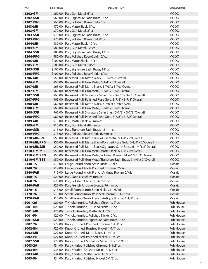| <b>PART</b>        | <b>LIST PRICE</b> | <b>DESCRIPTION</b>                                                                                          | <b>COLLECTION</b> |
|--------------------|-------------------|-------------------------------------------------------------------------------------------------------------|-------------------|
| 1202-GM            |                   | \$60.00 Pull, Gun Metal, 6"cc                                                                               | <b>MODO</b>       |
| 1202-SSB           |                   | \$60.00 Pull, Signature Satin Brass, 6" cc                                                                  | <b>MODO</b>       |
| 1202-PRG           |                   | \$60.00 Pull, Polished Rose Gold, 6" cc                                                                     | <b>MODO</b>       |
| 1203-MB            |                   | \$70.00 Pull, Matte Black, 8"cc                                                                             | <b>MODO</b>       |
| 1203-GM            |                   | \$70.00 Pull, Gun Metal, 8"cc                                                                               | <b>MODO</b>       |
| 1203-SSB           |                   | \$70.00 Pull, Signature Satin Brass, 8" cc                                                                  | <b>MODO</b>       |
| 1203-PRG           |                   | \$70.00 Pull, Polished Rose Gold, 8" cc                                                                     | <b>MODO</b>       |
| 1204-MB            |                   | \$80.00 Pull, Matte Black, 12" cc                                                                           | <b>MODO</b>       |
| 1204-GM            |                   | \$80.00 Pull, Gun Metal, 12" cc                                                                             | <b>MODO</b>       |
| 1204-SSB           |                   | \$80.00 Pull, Signature Satin Brass, 12" cc                                                                 | <b>MODO</b>       |
| <b>1204-PRG</b>    |                   | \$80.00 Pull, Polished Rose Gold, 12" cc                                                                    | <b>MODO</b>       |
| 1205-MB            |                   | \$100.00 Pull, Matte Black, 18" cc                                                                          | <b>MODO</b>       |
| 1205-GM            |                   | \$100.00 Pull, Gun Metal, 18" cc                                                                            | <b>MODO</b>       |
| 1205-SSB           |                   | \$100.00 Pull, Signature Satin Brass, 18" cc                                                                | <b>MODO</b>       |
| 1205-PRG           |                   | \$100.00 Pull, Polished Rose Gold, 18" cc                                                                   | <b>MODO</b>       |
| 1206-MB            |                   | \$50.00 Recessed Pull, Matte Black, 6-1/4" x 2" Overall                                                     | <b>MODO</b>       |
| 1206-GM            |                   | \$50.00 Recessed Pull, Gun Metal, 6-1/4" x 2" Overall                                                       | <b>MODO</b>       |
| 1207-MB            |                   | \$65.00 Recessed Pull, Matte Black, 3-7/8" x 3-7/8" Overall                                                 | <b>MODO</b>       |
| 1207-GM            |                   | \$65.00 Recessed Pull, Gun Metal, 3-7/8" x 3-7/8" Overall                                                   | <b>MODO</b>       |
| 1207-SSB           |                   | \$65.00 Recessed Pull, Signature Satin Brass, 3-7/8" x 3-7/8" Overall                                       | <b>MODO</b>       |
| 1207-PRG           |                   | \$65.00 Recessed Pull, Polished Rose Gold, 3-7/8" x 3-7/8" Overall                                          | <b>MODO</b>       |
| 1208-MB            |                   | \$60.00 Recessed Pull, Matte Black, 3-7/8" x 3-7/8" Overall                                                 | <b>MODO</b>       |
| 1208-GM            |                   | \$60.00 Recessed Pull, Gun Metal, 3-7/8" x 3-7/8" Overall                                                   | <b>MODO</b>       |
| 1208-SSB           |                   | \$60.00 Recessed Pull, Signature Satin Brass, 3-7/8" x 3-7/8" Overall                                       | <b>MODO</b>       |
| 1208-PRG           |                   | \$60.00 Recessed Pull, Polished Rose Gold, 3-7/8" x 3-7/8" Overall                                          | <b>MODO</b>       |
| 1209-MB            |                   | \$15.00 Pull, Matte Black, 48 mm cc                                                                         | <b>MODO</b>       |
| 1209-GM            |                   | \$15.00 Pull, Gun Metal, 48 mm cc                                                                           | <b>MODO</b>       |
| 1209-SSB           |                   | \$15.00 Pull, Signature Satin Brass, 48 mm cc                                                               | <b>MODO</b>       |
| 1209-PRG           |                   | \$15.00 Pull, Polished Rose Gold, 48 mm cc                                                                  | <b>MODO</b>       |
| 1210-MB/GM         |                   | \$50.00 Recessed Pull, Matte Black/Gun Metal, 6-1/4" x 2" Overall                                           | <b>MODO</b>       |
| 1210-MB/PRG        |                   | \$50.00 Recessed Pull, Matte Black/Polished Rose Gold, 6-1/4" x 2" Overall                                  | <b>MODO</b>       |
| 1210-MB/SSB        |                   | \$50.00 Recessed Pull, Matte Black/Signature Satin Brass, 6-1/4" x 2" Overall                               | <b>MODO</b>       |
| 1210-GM/MB         |                   | \$50.00 Recessed Pull, Gun Metal/Matte Black, 6-1/4" x 2" Overall                                           | <b>MODO</b>       |
| 1210-GM/PRG        |                   | \$50.00 Recessed Pull, Gun Metal/Polished Rose Gold, 6-1/4" x 2" Overall                                    | <b>MODO</b>       |
| 1210-GM/SSB        |                   | \$50.00 Recessed Pull, Gun Metal/Signature Satin Brass, 6-1/4" x 2" Overall                                 | <b>MODO</b>       |
| 2340-15            |                   | \$19.00 Large Round Knob, Satin Nickel, 2" dia                                                              | Mosaic            |
| 2340-26            |                   | \$19.00 Large Round Knob, Polished Chrome, 2" dia                                                           | Mosaic            |
| 2340-FAB           |                   | \$19.00 Large Round Knob, French Antique Bronze, 2" dia                                                     | Mosaic            |
| 2360-15            |                   | \$20.00 Pull, Satin Nickel, 96 mm cc                                                                        | Mosaic            |
| 2360-26            |                   | \$20.00 Pull, Polished Chrome, 96 mm cc                                                                     | Mosaic            |
| 2360-FAB           |                   | \$20.00 Pull, French Antique Bronze, 96 mm cc                                                               | Mosaic<br>Mosaic  |
| 2370-15<br>2370-26 |                   | \$15.00 Small Round Knob, Satin Nickel, 1-1/8" dia<br>\$15.00 Small Round Knob, Polished Chrome, 1-1/8" dia | Mosaic            |
| 2370-FAB           |                   | \$15.00 Small Round Knob, French Antique Bronze, 1-1/8" dia                                                 | Mosaic            |
| 5001-26            |                   | \$20.00 T-Knob, Knurled, Polished Chrome, 2" cc                                                             | Pub House         |
| 5001-BN            |                   | \$20.00 T-Knob, Knurled, Brushed Nickel, 2" cc                                                              | Pub House         |
| 5001-MB            |                   | \$20.00 T-Knob, Knurled, Matte Black, 2" cc                                                                 | Pub House         |
| 5001-PN            |                   | \$20.00 T-Knob, Knurled, Polished Nickel, 2" cc                                                             | Pub House         |
| 5001-SSB           |                   | \$20.00 T-Knob, Knurled, Signature Satin Brass, 2" cc                                                       | Pub House         |
| 5002-26            |                   | \$22.00 Knob, Knurled, Polished Chrome, 1-1/4" cc                                                           | Pub House         |
| 5002-BN            |                   | \$22.00 Knob, Knurled, Brushed Nickel, 1-1/4" cc                                                            | Pub House         |
| 5002-MB            |                   | \$22.00 Knob, Knurled, Matte Black, 1-1/4" cc                                                               | Pub House         |
| 5002-PN            |                   | \$22.00 Knob, Knurled, Polished Nickel, 1-1/4" cc                                                           | Pub House         |
| 5002-SSB           |                   | \$22.00 Knob, Knurled, Signature Satin Brass, 1-1/4" cc                                                     | Pub House         |
| 5003-26            |                   | \$34.00 Pull, Knurled, Polished Chrome, 3-1/2" cc                                                           | Pub House         |
| 5003-BN            |                   | \$34.00 Pull, Knurled, Brushed Nickel, 3-1/2" cc                                                            | Pub House         |
| 5003-MB            |                   | \$34.00 Pull, Knurled, Matte Black, 3-1/2" cc                                                               | Pub House         |
| 5003-PN            |                   | \$34.00 Pull, Knurled, Polished Nickel, 3-1/2" cc                                                           | Pub House         |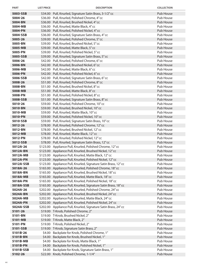| <b>PART</b>           | <b>LIST PRICE</b> | <b>DESCRIPTION</b>                                                                                                           | <b>COLLECTION</b>      |
|-----------------------|-------------------|------------------------------------------------------------------------------------------------------------------------------|------------------------|
| 5003-SSB              |                   | \$34.00 Pull, Knurled, Signature Satin Brass, 3-1/2" cc                                                                      | Pub House              |
| 5004-26               |                   | \$36.00 Pull, Knurled, Polished Chrome, 4" cc                                                                                | Pub House              |
| 5004-BN               |                   | \$36.00 Pull, Knurled, Brushed Nickel, 4"cc                                                                                  | Pub House              |
| 5004-MB               |                   | \$36.00 Pull, Knurled, Matte Black, 4" cc                                                                                    | Pub House              |
| 5004-PN               |                   | \$36.00 Pull, Knurled, Polished Nickel, 4" cc                                                                                | Pub House              |
| 5004-SSB              |                   | \$36.00 Pull, Knurled, Signature Satin Brass, 4" cc                                                                          | Pub House              |
| 5005-26               |                   | \$39.00 Pull, Knurled, Polished Chrome, 5" cc                                                                                | Pub House              |
| 5005-BN               |                   | \$39.00 Pull, Knurled, Brushed Nickel, 5" cc                                                                                 | Pub House              |
| 5005-MB               |                   | \$39.00 Pull, Knurled, Matte Black, 5" cc                                                                                    | Pub House              |
| 5005-PN               |                   | \$39.00 Pull, Knurled, Polished Nickel, 5" cc                                                                                | Pub House              |
| 5005-SSB              |                   | \$39.00 Pull, Knurled, Signature Satin Brass, 5" cc                                                                          | Pub House              |
| 5006-26               |                   | \$42.00 Pull, Knurled, Polished Chrome, 6" cc                                                                                | Pub House              |
| 5006-BN               |                   | \$42.00 Pull, Knurled, Brushed Nickel, 6" cc                                                                                 | Pub House              |
| 5006-MB               |                   | \$42.00 Pull, Knurled, Matte Black, 6" cc                                                                                    | Pub House              |
| 5006-PN               |                   | \$42.00 Pull, Knurled, Polished Nickel, 6" cc                                                                                | Pub House              |
| 5006-SSB              |                   | \$42.00 Pull, Knurled, Signature Satin Brass, 6"cc                                                                           | Pub House              |
| 5008-26               |                   | \$51.00 Pull, Knurled, Polished Chrome, 8" cc                                                                                | Pub House              |
| 5008-BN               |                   | \$51.00 Pull, Knurled, Brushed Nickel, 8" cc                                                                                 | Pub House              |
| 5008-MB               |                   | \$51.00 Pull, Knurled, Matte Black, 8" cc                                                                                    | Pub House              |
| 5008-PN               |                   | \$51.00 Pull, Knurled, Polished Nickel, 8" cc                                                                                | Pub House              |
| 5008-SSB              |                   | \$51.00 Pull, Knurled, Signature Satin Brass, 8" cc                                                                          | Pub House              |
| 5010-26               |                   | \$59.00 Pull, Knurled, Polished Chrome, 10" cc                                                                               | Pub House              |
| 5010-BN               |                   | \$59.00 Pull, Knurled, Brushed Nickel, 10" cc                                                                                | Pub House              |
| 5010-MB               |                   | \$59.00 Pull, Knurled, Matte Black, 10" cc                                                                                   | Pub House              |
| 5010-PN               |                   | \$59.00 Pull, Knurled, Polished Nickel, 10" cc                                                                               | Pub House              |
| 5010-SSB              |                   | \$59.00 Pull, Knurled, Signature Satin Brass, 10" cc                                                                         | Pub House              |
| 5012-26               |                   | \$78.00 Pull, Knurled, Polished Chrome, 12" cc                                                                               | Pub House              |
| 5012-BN               |                   | \$78.00 Pull, Knurled, Brushed Nickel, 12" cc                                                                                | Pub House              |
| 5012-MB               |                   | \$78.00 Pull, Knurled, Matte Black, 12" cc                                                                                   | Pub House              |
| 5012-PN               |                   | \$78.00 Pull, Knurled, Polished Nickel, 12" cc                                                                               | Pub House              |
| 5012-SSB              |                   | \$78.00 Pull, Knurled, Signature Satin Brass, 12" cc                                                                         | Pub House              |
| 5012A-26              |                   | \$123.00 Appliance Pull, Knurled, Polished Chrome, 12" cc                                                                    | Pub House              |
| 5012A-BN              |                   | \$123.00 Appliance Pull, Knurled, Brushed Nickel, 12" cc                                                                     | Pub House              |
| 5012A-MB              |                   | \$123.00 Appliance Pull, Knurled, Matte Black, 12" cc                                                                        | Pub House              |
| 5012A-PN              |                   | \$123.00 Appliance Pull, Knurled, Polished Nickel, 12" cc                                                                    | Pub House              |
| 5012A-SSB             |                   | \$123.00 Appliance Pull, Knurled, Signature Satin Brass, 12" cc                                                              | Pub House              |
| 5018A-26              |                   | \$165.00 Appliance Pull, Knurled, Polished Chrome, 18" cc                                                                    | Pub House              |
| 5018A-BN              |                   | \$165.00 Appliance Pull, Knurled, Brushed Nickel, 18" cc                                                                     | Pub House              |
| 5018A-MB              |                   | \$165.00 Appliance Pull, Knurled, Matte Black, 18" cc                                                                        | Pub House              |
| 5018A-PN<br>5018A-SSB |                   | \$165.00 Appliance Pull, Knurled, Polished Nickel, 18" cc                                                                    | Pub House<br>Pub House |
| 5024A-26              |                   | \$165.00 Appliance Pull, Knurled, Signature Satin Brass, 18" cc<br>\$202.00 Appliance Pull, Knurled, Polished Chrome, 24" cc | Pub House              |
| 5024A-BN              |                   | \$202.00 Appliance Pull, Knurled, Brushed Nickel, 24" cc                                                                     | Pub House              |
| 5024A-MB              |                   | \$202.00 Appliance Pull, Knurled, Matte Black, 24" cc                                                                        | Pub House              |
| 5024A-PN              |                   | \$202.00 Appliance Pull, Knurled, Polished Nickel, 24" cc                                                                    | Pub House              |
| 5024A-SSB             |                   | \$202.00 Appliance Pull, Knurled, Signature Satin Brass, 24" cc                                                              | Pub House              |
| 5101-26               |                   | \$19.00 T-Knob, Polished Chrome, 2"                                                                                          | Pub House              |
| 5101-BN               |                   | \$19.00 T-Knob, Brushed Nickel, 2"                                                                                           | Pub House              |
| 5101-MB               |                   | \$19.00 T-Knob, Matte Black, 2"                                                                                              | Pub House              |
| 5101-PN               |                   | \$19.00 T-Knob, Polished Nickel, 2"                                                                                          | Pub House              |
| 5101-SSB              |                   | \$19.00 T-Knob, Signature Satin Brass, 2"                                                                                    | Pub House              |
| 5101B-26              |                   | \$4.00 Backplate for Knob, Polished Chrome, 1"                                                                               | Pub House              |
| 5101B-BN              |                   | \$4.00 Backplate for Knob, Brushed Nickel, 1"                                                                                | Pub House              |
| 5101B-MB              |                   | \$4.00 Backplate for Knob, Matte Black, 1"                                                                                   | Pub House              |
| 5101B-PN              |                   | \$4.00 Backplate for Knob, Polished Nickel, 1"                                                                               | Pub House              |
| 5101B-SSB             |                   | \$4.00 Backplate for Knob, Signature Satin Brass, 1"                                                                         | Pub House              |
| 5102-26               |                   | \$22.00 Knob, Polished Chrome, 1-1/4"                                                                                        | Pub House              |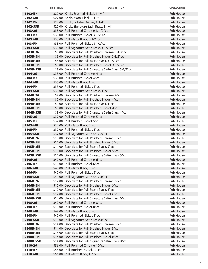| <b>PART</b>          | <b>LIST PRICE</b> | <b>DESCRIPTION</b>                                                                               | <b>COLLECTION</b>             |
|----------------------|-------------------|--------------------------------------------------------------------------------------------------|-------------------------------|
| 5102-BN              |                   | \$22.00 Knob, Brushed Nickel, 1-1/4"                                                             | Pub House                     |
| 5102-MB              |                   | \$22.00 Knob, Matte Black, 1-1/4"                                                                | Pub House                     |
| 5102-PN              |                   | \$22.00 Knob, Polished Nickel, 1-1/4"                                                            | Pub House                     |
| 5102-SSB             |                   | \$22.00 Knob, Signature Satin Brass, 1-1/4"                                                      | Pub House                     |
| 5103-26              |                   | \$33.00 Pull, Polished Chrome, 3-1/2" cc                                                         | Pub House                     |
| 5103-BN              |                   | \$33.00 Pull, Brushed Nickel, 3-1/2" cc                                                          | Pub House                     |
| 5103-MB              |                   | \$33.00 Pull, Matte Black, 3-1/2" cc                                                             | Pub House                     |
| 5103-PN              |                   | \$33.00 Pull, Polished Nickel, 3-1/2" cc                                                         | Pub House                     |
| 5103-SSB             |                   | \$33.00 Pull, Signature Satin Brass, 3-1/2" cc                                                   | Pub House                     |
| 5103B-26             |                   | \$8.00 Backplate for Pull, Polished Chrome, 3-1/2" cc                                            | Pub House                     |
| 5103B-BN             |                   | \$8.00 Backplate for Pull, Brushed Nickel, 3-1/2" cc                                             | Pub House                     |
| 5103B-MB             |                   | \$8.00 Backplate for Pull, Matte Black, 3-1/2" cc                                                | Pub House                     |
| 5103B-PN             |                   | \$8.00 Backplate for Pull, Polished Nickel, 3-1/2" cc                                            | Pub House                     |
| 5103B-SSB            |                   | \$8.00 Backplate for Pull, Signature Satin Brass, 3-1/2" cc                                      | Pub House                     |
| 5104-26              |                   | \$35.00 Pull, Polished Chrome, 4" cc                                                             | Pub House                     |
| 5104-BN              |                   | \$35.00 Pull, Brushed Nickel, 4" cc                                                              | Pub House                     |
| 5104-MB              |                   | \$35.00 Pull, Matte Black, 4" cc                                                                 | Pub House                     |
| 5104-PN              |                   | \$35.00 Pull, Polished Nickel, 4" cc                                                             | Pub House                     |
| 5104-SSB             |                   | \$35.00 Pull, Signature Satin Brass, 4" cc                                                       | Pub House                     |
| 5104B-26             |                   | \$9.00 Backplate for Pull, Polished Chrome, 4" cc                                                | Pub House                     |
| 5104B-BN             |                   | \$9.00 Backplate for Pull, Brushed Nickel, 4"cc                                                  | <b>Pub House</b>              |
| 5104B-MB             |                   | \$9.00 Backplate for Pull, Matte Black, 4" cc                                                    | Pub House                     |
| 5104B-PN             |                   | \$9.00 Backplate for Pull, Polished Nickel, 4" cc                                                | Pub House                     |
| 5104B-SSB<br>5105-26 |                   | \$9.00 Backplate for Pull, Signature Satin Brass, 4" cc<br>\$37.00 Pull, Polished Chrome, 5" cc  | Pub House<br><b>Pub House</b> |
| 5105-BN              |                   | \$37.00 Pull, Brushed Nickel, 5" cc                                                              | Pub House                     |
| 5105-MB              |                   | \$37.00 Pull, Matte Black, 5" cc                                                                 | Pub House                     |
| 5105-PN              |                   | \$37.00 Pull, Polished Nickel, 5" cc                                                             | Pub House                     |
| 5105-SSB             |                   | \$37.00 Pull, Signature Satin Brass, 5" cc                                                       | Pub House                     |
| 5105B-26             |                   | \$11.00 Backplate for Pull, Polished Chrome, 5" cc                                               | Pub House                     |
| 5105B-BN             |                   | \$11.00 Backplate for Pull, Brushed Nickel, 5" cc                                                | Pub House                     |
| 5105B-MB             |                   | \$11.00 Backplate for Pull, Matte Black, 5" cc                                                   | Pub House                     |
| 5105B-PN             |                   | \$11.00 Backplate for Pull, Polished Nickel, 5" cc                                               | Pub House                     |
| 5105B-SSB            |                   | \$11.00 Backplate for Pull, Signature Satin Brass, 5" cc                                         | Pub House                     |
| 5106-26              |                   | \$40.00 Pull, Polished Chrome, 6" cc                                                             | Pub House                     |
| 5106-BN              |                   | \$40.00 Pull, Brushed Nickel, 6" cc                                                              | Pub House                     |
| 5106-MB              |                   | \$40.00 Pull, Matte Black, 6" cc                                                                 | Pub House                     |
| 5106-PN              |                   | \$40.00 Pull, Polished Nickel, 6"cc                                                              | Pub House                     |
| 5106-SSB             |                   | \$40.00 Pull, Signature Satin Brass, 6" cc                                                       | Pub House                     |
| 5106B-26             |                   | \$12.00 Backplate for Pull, Polished Chrome, 6" cc                                               | Pub House                     |
| 5106B-BN             |                   | \$12.00 Backplate for Pull, Brushed Nickel, 6" cc                                                | Pub House                     |
| 5106B-MB             |                   | \$12.00 Backplate for Pull, Matte Black, 6" cc                                                   | Pub House                     |
| 5106B-PN             |                   | \$12.00 Backplate for Pull, Polished Nickel, 6" cc                                               | Pub House                     |
| 5106B-SSB            |                   | \$12.00 Backplate for Pull, Signature Satin Brass, 6" cc                                         | Pub House                     |
| 5108-26              |                   | \$49.00 Pull, Polished Chrome, 8"cc                                                              | Pub House                     |
| 5108-BN              |                   | \$49.00 Pull, Brushed Nickel, 8"cc                                                               | Pub House                     |
| 5108-MB              |                   | \$49.00 Pull, Matte Black, 8" cc                                                                 | Pub House                     |
| 5108-PN              |                   | \$49.00 Pull, Polished Nickel, 8"cc                                                              | Pub House                     |
| 5108-SSB<br>5108B-26 |                   | \$49.00 Pull, Signature Satin Brass, 8" cc<br>\$14.00 Backplate for Pull, Polished Chrome, 8" cc | Pub House<br>Pub House        |
| 5108B-BN             |                   | \$14.00 Backplate for Pull, Brushed Nickel, 8" cc                                                | Pub House                     |
| 5108B-MB             |                   | \$14.00 Backplate for Pull, Matte Black, 8" cc                                                   | Pub House                     |
| 5108B-PN             |                   | \$14.00 Backplate for Pull, Polished Nickel, 8" cc                                               | Pub House                     |
| 5108B-SSB            |                   | \$14.00 Backplate for Pull, Signature Satin Brass, 8" cc                                         | Pub House                     |
| 5110-26              |                   | \$56.00 Pull, Polished Chrome, 10" cc                                                            | Pub House                     |
| 5110-BN              |                   | \$56.00 Pull, Brushed Nickel, 10" cc                                                             | Pub House                     |
| 5110-MB              |                   | \$56.00 Pull, Matte Black, 10" cc                                                                | Pub House                     |
|                      |                   |                                                                                                  |                               |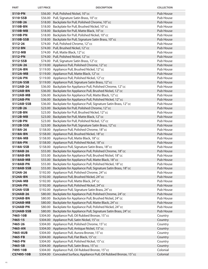| <b>PART</b>             | <b>LIST PRICE</b>  | <b>DESCRIPTION</b>                                                                                                                   | <b>COLLECTION</b>             |
|-------------------------|--------------------|--------------------------------------------------------------------------------------------------------------------------------------|-------------------------------|
| 5110-PN                 |                    | \$56.00 Pull, Polished Nickel, 10" cc                                                                                                | Pub House                     |
| 5110-SSB                |                    | \$56.00 Pull, Signature Satin Brass, 10" cc                                                                                          | Pub House                     |
| 5110B-26                |                    | \$18.00 Backplate for Pull, Polished Chrome, 10" cc                                                                                  | Pub House                     |
| 5110B-BN                |                    | \$18.00 Backplate for Pull, Brushed Nickel, 10" cc                                                                                   | Pub House                     |
| 5110B-MB                | \$18.00            | Backplate for Pull, Matte Black, 10" cc                                                                                              | Pub House                     |
| 5110B-PN                | \$18.00            | Backplate for Pull, Polished Nickel, 10" cc                                                                                          | Pub House                     |
| 5110B-SSB               | \$18.00            | Backplate for Pull, Signature Satin Brass, 10" cc                                                                                    | Pub House                     |
| 5112-26                 | \$74.00            | Pull, Polished Chrome, 12" cc                                                                                                        | Pub House                     |
| 5112-BN                 |                    | \$74.00 Pull, Brushed Nickel, 12" cc                                                                                                 | Pub House                     |
| 5112-MB                 |                    | \$74.00 Pull, Matte Black, 12" cc                                                                                                    | Pub House                     |
| 5112-PN                 |                    | \$74.00 Pull, Polished Nickel, 12" cc                                                                                                | Pub House                     |
| 5112-SSB                |                    | \$74.00 Pull, Signature Satin Brass, 12" cc                                                                                          | Pub House                     |
| 5112A-26                |                    | \$119.00 Appliance Pull, Polished Chrome, 12" cc                                                                                     | Pub House                     |
| 5112A-BN                |                    | \$119.00 Appliance Pull, Brushed Nickel, 12" cc                                                                                      | Pub House                     |
| 5112A-MB                |                    | \$119.00 Appliance Pull, Matte Black, 12" cc                                                                                         | Pub House                     |
| 5112A-PN                |                    | \$119.00 Appliance Pull, Polished Nickel, 12" cc                                                                                     | Pub House                     |
| 5112A-SSB               |                    | \$119.00 Appliance Pull, Signature Satin Brass, 12" cc                                                                               | Pub House                     |
| 5112AB-26               | \$36.00            | Backplate for Appliance Pull, Polished Chrome, 12" cc                                                                                | Pub House                     |
| 5112AB-BN               |                    | \$36.00 Backplate for Appliance Pull, Brushed Nickel, 12" cc                                                                         | Pub House                     |
| 5112AB-MB               |                    | \$36.00 Backplate for Appliance Pull, Matte Black, 12" cc                                                                            | Pub House                     |
| 5112AB-PN               | \$36.00            | Backplate for Appliance Pull, Polished Nickel, 12" cc                                                                                | Pub House                     |
| 5112AB-SSB              | \$36.00            | Backplate for Appliance Pull, Signature Satin Brass, 12" cc                                                                          | Pub House                     |
| 5112B-26                | \$23.00            | Backplate for Pull, Polished Chrome, 12" cc                                                                                          | Pub House                     |
| 5112B-BN                | \$23.00            | Backplate for Pull, Brushed Nickel, 12" cc                                                                                           | Pub House                     |
| 5112B-MB                | \$23.00            | Backplate for Pull, Matte Black, 12" cc                                                                                              | Pub House                     |
| 5112B-PN                | \$23.00            | Backplate for Pull, Polished Nickel, 12" cc                                                                                          | Pub House                     |
| 5112B-SSB               | \$23.00            | Backplate for Pull, Signature Satin Brass, 12" cc                                                                                    | Pub House                     |
| 5118A-26                |                    | \$158.00 Appliance Pull, Polished Chrome, 18" cc                                                                                     | Pub House                     |
| 5118A-BN                |                    | \$158.00 Appliance Pull, Brushed Nickel, 18" cc                                                                                      | Pub House                     |
| 5118A-MB                |                    | \$158.00 Appliance Pull, Matte Black, 18" cc                                                                                         | Pub House                     |
| 5118A-PN                |                    | \$158.00 Appliance Pull, Polished Nickel, 18"cc                                                                                      | Pub House                     |
| 5118A-SSB               |                    | \$158.00 Appliance Pull, Signature Satin Brass, 18" cc                                                                               | Pub House                     |
| 5118AB-26               | \$55.00            | Backplate for Appliance Pull, Polished Chrome, 18" cc                                                                                | Pub House                     |
| 5118AB-BN               |                    | \$55.00 Backplate for Appliance Pull, Brushed Nickel, 18" cc                                                                         | Pub House                     |
| 5118AB-MB               |                    | \$55.00 Backplate for Appliance Pull, Matte Black, 18" cc                                                                            | <b>Pub House</b>              |
| 5118AB-PN               | \$55.00            | Backplate for Appliance Pull, Polished Nickel, 18" cc                                                                                | Pub House                     |
| 5118AB-SSB              |                    | \$55.00 Backplate for Appliance Pull, Signature Satin Brass, 18" cc                                                                  | Pub House                     |
| 5124A-26                |                    | \$192.00 Appliance Pull, Polished Chrome, 24" cc                                                                                     | Pub House                     |
| 5124A-BN                |                    | \$192.00 Appliance Pull, Brushed Nickel, 24" cc                                                                                      | Pub House                     |
| 5124A-MB                |                    | \$192.00 Appliance Pull, Matte Black, 24" cc                                                                                         | Pub House                     |
| 5124A-PN                |                    | \$192.00 Appliance Pull, Polished Nickel, 24" cc                                                                                     | Pub House                     |
| 5124A-SSB               |                    | \$192.00 Appliance Pull, Signature Satin Brass, 24" cc                                                                               | Pub House                     |
| 5124AB-26               | \$80.00            | Backplate for Appliance Pull, Polished Chrome, 24" cc                                                                                | Pub House                     |
| 5124AB-BN               | \$80.00<br>\$80.00 | Backplate for Appliance Pull, Brushed Nickel, 24" cc                                                                                 | Pub House<br><b>Pub House</b> |
| 5124AB-MB               |                    | Backplate for Appliance Pull, Matte Black, 24" cc                                                                                    | Pub House                     |
| 5124AB-PN<br>5124AB-SSB |                    | \$80.00 Backplate for Appliance Pull, Polished Nickel, 24" cc<br>\$80.00 Backplate for Appliance Pull, Signature Satin Brass, 24" cc | Pub House                     |
| 7465-10B                |                    | \$304.00 Appliance Pull, Oil Rubbed Bronze, 15" cc                                                                                   | Country                       |
| 7465-15                 |                    | \$304.00 Appliance Pull, Satin Nickel, 15" cc                                                                                        | Country                       |
| 7465-26                 |                    | \$304.00 Appliance Pull, Polished Chrome, 15" cc                                                                                     | Country                       |
| 7465-AN                 |                    | \$304.00 Appliance Pull, Antique Nickel, 15" cc                                                                                      | Country                       |
| 7465-AUB                |                    | \$304.00 Appliance Pull, Aurora Bronze, 15" cc                                                                                       | Country                       |
| 7465-FB                 |                    | \$304.00 Appliance Pull, Flat Black, 15" cc                                                                                          | Country                       |
| 7465-PN                 | \$304.00           | Appliance Pull, Polished Nickel, 15" cc                                                                                              | Country                       |
| 7465-SB                 |                    | \$304.00 Appliance Pull, Satin Brass, 15" cc                                                                                         | Country                       |
| 7495-10B                |                    | \$304.00 Appliance Pull, Oil Rubbed Bronze, 15" cc                                                                                   | Colonial                      |
| CS7495-10B              |                    | \$304.00 Concealed Surface, Appliance Pull, Oil Rubbed Bronze, 15" cc                                                                | Colonial                      |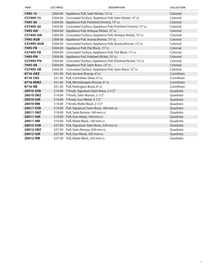| <b>PART</b>       | <b>LIST PRICE</b> | <b>DESCRIPTION</b>                                               | <b>COLLECTION</b> |
|-------------------|-------------------|------------------------------------------------------------------|-------------------|
| 7495-15           | \$304.00          | Appliance Pull, Satin Nickel, 15" cc                             | Colonial          |
| CS7495-15         |                   | \$304.00 Concealed Surface, Appliance Pull, Satin Nickel, 15" cc | Colonial          |
| 7495-26           | \$304.00          | Appliance Pull, Polished Chrome, 15" cc                          | Colonial          |
| CS7495-26         | \$304.00          | Concealed Surface, Appliance Pull, Polished Chrome, 15" cc       | Colonial          |
| 7495-AN           |                   | \$304.00 Appliance Pull, Antique Nickel, 15" cc                  | Colonial          |
| <b>CS7495-AN</b>  | \$304.00          | Concealed Surface, Appliance Pull, Antique Nickel, 15" cc        | Colonial          |
| 7495-AUB          | \$304.00          | Appliance Pull, Aurora Bronze, 15" cc                            | Colonial          |
| <b>CS7495-AUB</b> | \$304.00          | Concealed Surface, Appliance Pull, Aurora Bronze, 15" cc         | Colonial          |
| 7495-FB           | \$304.00          | Appliance Pull, Flat Black, 15" cc                               | Colonial          |
| <b>CS7495-FB</b>  |                   | \$304.00 Concealed Surface, Appliance Pull, Flat Black, 15" cc   | Colonial          |
| 7495-PN           | \$304.00          | Appliance Pull, Polished Nickel, 15" cc                          | Colonial          |
| <b>CS7495-PN</b>  | \$304.00          | Concealed Surface, Appliance Pull, Polished Nickel, 15" cc       | Colonial          |
| 7495-SB           | \$304.00          | Appliance Pull, Satin Brass, 15" cc                              | Colonial          |
| <b>CS7495-SB</b>  | \$304.00          | Concealed Surface, Appliance Pull, Satin Brass, 15" cc           | Colonial          |
| 8716-ABZ          |                   | \$51.00 Pull, Ancient Bronze, 6" cc                              | Corinthian        |
| 8716-CRS          |                   | \$51.00 Pull, Corinthian Silver, 6" cc                           | Corinthian        |
| 8716-MIBZ         |                   | \$51.00 Pull, Michelangelo Bronze, 6" cc                         | Corinthian        |
| 8716-RB           |                   | \$51.00 Pull, Redington Brass, 6" cc                             | Corinthian        |
| 20010-SSB         |                   | \$14.00 T-Knob, Signature Satin Brass, 2-1/2"                    | Quadrato          |
| 20010-SBZ         |                   | \$14.00 T-Knob, Satin Bronze, 2-1/2"                             | Quadrato          |
| 20010-GM          | \$14.00           | T-Knob, Gun Metal, 2-1/2"                                        | Quadrato          |
| 20010-MB          |                   | \$14.00 T-Knob, Matte Black, 2-1/2"                              | Quadrato          |
| 20011-SSB         |                   | \$19.00 Pull, Signature Satin Brass, 160 mm cc                   | Quadrato          |
| 20011-SBZ         | \$19.00           | Pull, Satin Bronze, 160 mm cc                                    | Quadrato          |
| 20011-GM          |                   | \$19.00 Pull, Gun Metal, 160 mm cc                               | Quadrato          |
| 20011-MB          | \$19.00           | Pull, Matte Black, 160 mm cc                                     | Quadrato          |
| 20012-SSB         | \$27.00           | Pull, Signature Satin Brass, 320 mm cc                           | Quadrato          |
| 20012-SBZ         |                   | \$27.00 Pull, Satin Bronze, 320 mm cc                            | Quadrato          |
| 20012-GM          | \$27.00           | Pull, Gun Metal, 320 mm cc                                       | Quadrato          |
| 20012-MB          |                   | \$27.00 Pull, Matte Black, 320 mm cc                             | Quadrato          |